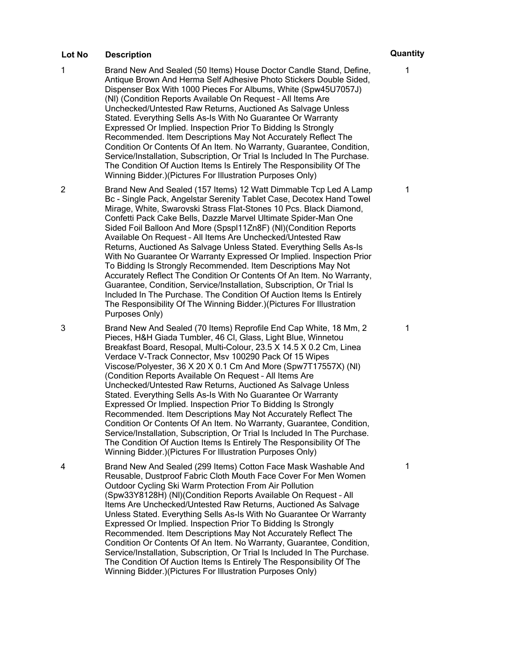- 1 Brand New And Sealed (50 Items) House Doctor Candle Stand, Define, Antique Brown And Herma Self Adhesive Photo Stickers Double Sided, Dispenser Box With 1000 Pieces For Albums, White (Spw45U7057J) (Nl) (Condition Reports Available On Request – All Items Are Unchecked/Untested Raw Returns, Auctioned As Salvage Unless Stated. Everything Sells As-Is With No Guarantee Or Warranty Expressed Or Implied. Inspection Prior To Bidding Is Strongly Recommended. Item Descriptions May Not Accurately Reflect The Condition Or Contents Of An Item. No Warranty, Guarantee, Condition, Service/Installation, Subscription, Or Trial Is Included In The Purchase. The Condition Of Auction Items Is Entirely The Responsibility Of The Winning Bidder.)(Pictures For Illustration Purposes Only)
- 2 Brand New And Sealed (157 Items) 12 Watt Dimmable Tcp Led A Lamp Bc - Single Pack, Angelstar Serenity Tablet Case, Decotex Hand Towel Mirage, White, Swarovski Strass Flat-Stones 10 Pcs. Black Diamond, Confetti Pack Cake Bells, Dazzle Marvel Ultimate Spider-Man One Sided Foil Balloon And More (Spspl11Zn8F) (Nl)(Condition Reports Available On Request – All Items Are Unchecked/Untested Raw Returns, Auctioned As Salvage Unless Stated. Everything Sells As-Is With No Guarantee Or Warranty Expressed Or Implied. Inspection Prior To Bidding Is Strongly Recommended. Item Descriptions May Not Accurately Reflect The Condition Or Contents Of An Item. No Warranty, Guarantee, Condition, Service/Installation, Subscription, Or Trial Is Included In The Purchase. The Condition Of Auction Items Is Entirely The Responsibility Of The Winning Bidder.)(Pictures For Illustration Purposes Only)

3 Brand New And Sealed (70 Items) Reprofile End Cap White, 18 Mm, 2 Pieces, H&H Giada Tumbler, 46 Cl, Glass, Light Blue, Winnetou Breakfast Board, Resopal, Multi-Colour, 23.5 X 14.5 X 0.2 Cm, Linea Verdace V-Track Connector, Msv 100290 Pack Of 15 Wipes Viscose/Polyester, 36 X 20 X 0.1 Cm And More (Spw7T17557X) (Nl) (Condition Reports Available On Request – All Items Are Unchecked/Untested Raw Returns, Auctioned As Salvage Unless Stated. Everything Sells As-Is With No Guarantee Or Warranty Expressed Or Implied. Inspection Prior To Bidding Is Strongly Recommended. Item Descriptions May Not Accurately Reflect The Condition Or Contents Of An Item. No Warranty, Guarantee, Condition, Service/Installation, Subscription, Or Trial Is Included In The Purchase. The Condition Of Auction Items Is Entirely The Responsibility Of The Winning Bidder.)(Pictures For Illustration Purposes Only)

4 Brand New And Sealed (299 Items) Cotton Face Mask Washable And Reusable, Dustproof Fabric Cloth Mouth Face Cover For Men Women Outdoor Cycling Ski Warm Protection From Air Pollution (Spw33Y8128H) (Nl)(Condition Reports Available On Request – All Items Are Unchecked/Untested Raw Returns, Auctioned As Salvage Unless Stated. Everything Sells As-Is With No Guarantee Or Warranty Expressed Or Implied. Inspection Prior To Bidding Is Strongly Recommended. Item Descriptions May Not Accurately Reflect The Condition Or Contents Of An Item. No Warranty, Guarantee, Condition, Service/Installation, Subscription, Or Trial Is Included In The Purchase. The Condition Of Auction Items Is Entirely The Responsibility Of The Winning Bidder.)(Pictures For Illustration Purposes Only)

# 1

1

1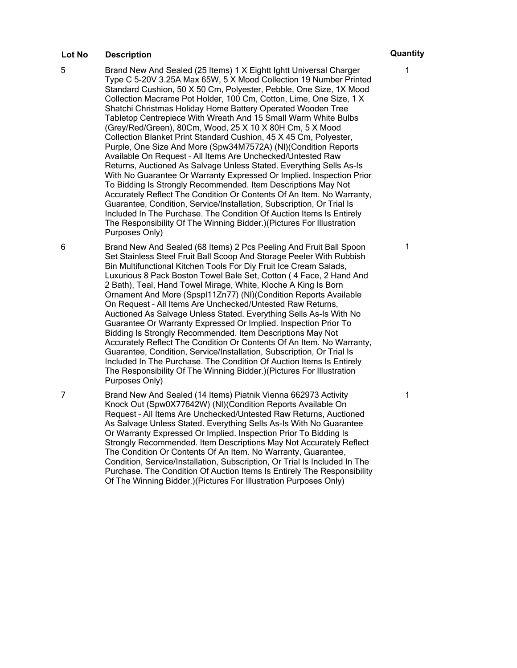- 5 Brand New And Sealed (25 Items) 1 X Eightt Ightt Universal Charger Type C 5-20V 3.25A Max 65W, 5 X Mood Collection 19 Number Printed Standard Cushion, 50 X 50 Cm, Polyester, Pebble, One Size, 1X Mood Collection Macrame Pot Holder, 100 Cm, Cotton, Lime, One Size, 1 X Shatchi Christmas Holiday Home Battery Operated Wooden Tree Tabletop Centrepiece With Wreath And 15 Small Warm White Bulbs (Grey/Red/Green), 80Cm, Wood, 25 X 10 X 80H Cm, 5 X Mood Collection Blanket Print Standard Cushion, 45 X 45 Cm, Polyester, Purple, One Size And More (Spw34M7572A) (Nl)(Condition Reports Available On Request – All Items Are Unchecked/Untested Raw Returns, Auctioned As Salvage Unless Stated. Everything Sells As-Is With No Guarantee Or Warranty Expressed Or Implied. Inspection Prior To Bidding Is Strongly Recommended. Item Descriptions May Not Accurately Reflect The Condition Or Contents Of An Item. No Warranty, Guarantee, Condition, Service/Installation, Subscription, Or Trial Is Included In The Purchase. The Condition Of Auction Items Is Entirely The Responsibility Of The Winning Bidder.)(Pictures For Illustration Purposes Only)
- 6 Brand New And Sealed (68 Items) 2 Pcs Peeling And Fruit Ball Spoon Set Stainless Steel Fruit Ball Scoop And Storage Peeler With Rubbish Bin Multifunctional Kitchen Tools For Diy Fruit Ice Cream Salads, Luxurious 8 Pack Boston Towel Bale Set, Cotton ( 4 Face, 2 Hand And 2 Bath), Teal, Hand Towel Mirage, White, Kloche A King Is Born Ornament And More (Spspl11Zn77) (Nl)(Condition Reports Available On Request – All Items Are Unchecked/Untested Raw Returns, Auctioned As Salvage Unless Stated. Everything Sells As-Is With No Guarantee Or Warranty Expressed Or Implied. Inspection Prior To Bidding Is Strongly Recommended. Item Descriptions May Not Accurately Reflect The Condition Or Contents Of An Item. No Warranty, Guarantee, Condition, Service/Installation, Subscription, Or Trial Is Included In The Purchase. The Condition Of Auction Items Is Entirely The Responsibility Of The Winning Bidder.)(Pictures For Illustration Purposes Only)
- 7 Brand New And Sealed (14 Items) Piatnik Vienna 662973 Activity Knock Out (Spw0X77642W) (Nl)(Condition Reports Available On Request – All Items Are Unchecked/Untested Raw Returns, Auctioned As Salvage Unless Stated. Everything Sells As-Is With No Guarantee Or Warranty Expressed Or Implied. Inspection Prior To Bidding Is Strongly Recommended. Item Descriptions May Not Accurately Reflect The Condition Or Contents Of An Item. No Warranty, Guarantee, Condition, Service/Installation, Subscription, Or Trial Is Included In The Purchase. The Condition Of Auction Items Is Entirely The Responsibility Of The Winning Bidder.)(Pictures For Illustration Purposes Only)

1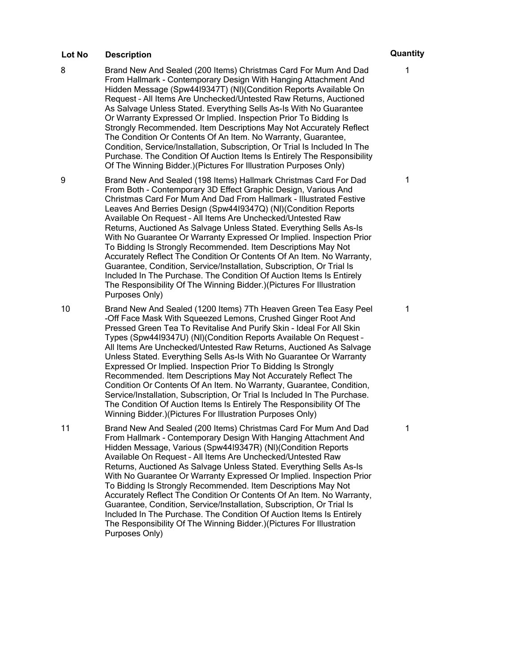- 8 Brand New And Sealed (200 Items) Christmas Card For Mum And Dad From Hallmark - Contemporary Design With Hanging Attachment And Hidden Message (Spw44I9347T) (Nl)(Condition Reports Available On Request – All Items Are Unchecked/Untested Raw Returns, Auctioned As Salvage Unless Stated. Everything Sells As-Is With No Guarantee Or Warranty Expressed Or Implied. Inspection Prior To Bidding Is Strongly Recommended. Item Descriptions May Not Accurately Reflect The Condition Or Contents Of An Item. No Warranty, Guarantee, Condition, Service/Installation, Subscription, Or Trial Is Included In The Purchase. The Condition Of Auction Items Is Entirely The Responsibility Of The Winning Bidder.)(Pictures For Illustration Purposes Only)
- 9 Brand New And Sealed (198 Items) Hallmark Christmas Card For Dad From Both - Contemporary 3D Effect Graphic Design, Various And Christmas Card For Mum And Dad From Hallmark - Illustrated Festive Leaves And Berries Design (Spw44I9347Q) (Nl)(Condition Reports Available On Request – All Items Are Unchecked/Untested Raw Returns, Auctioned As Salvage Unless Stated. Everything Sells As-Is With No Guarantee Or Warranty Expressed Or Implied. Inspection Prior To Bidding Is Strongly Recommended. Item Descriptions May Not Accurately Reflect The Condition Or Contents Of An Item. No Warranty, Guarantee, Condition, Service/Installation, Subscription, Or Trial Is Included In The Purchase. The Condition Of Auction Items Is Entirely The Responsibility Of The Winning Bidder.)(Pictures For Illustration Purposes Only)
- 10 Brand New And Sealed (1200 Items) 7Th Heaven Green Tea Easy Peel -Off Face Mask With Squeezed Lemons, Crushed Ginger Root And Pressed Green Tea To Revitalise And Purify Skin - Ideal For All Skin Types (Spw44I9347U) (Nl)(Condition Reports Available On Request – All Items Are Unchecked/Untested Raw Returns, Auctioned As Salvage Unless Stated. Everything Sells As-Is With No Guarantee Or Warranty Expressed Or Implied. Inspection Prior To Bidding Is Strongly Recommended. Item Descriptions May Not Accurately Reflect The Condition Or Contents Of An Item. No Warranty, Guarantee, Condition, Service/Installation, Subscription, Or Trial Is Included In The Purchase. The Condition Of Auction Items Is Entirely The Responsibility Of The Winning Bidder.)(Pictures For Illustration Purposes Only)

11 Brand New And Sealed (200 Items) Christmas Card For Mum And Dad From Hallmark - Contemporary Design With Hanging Attachment And Hidden Message, Various (Spw44I9347R) (Nl)(Condition Reports Available On Request – All Items Are Unchecked/Untested Raw Returns, Auctioned As Salvage Unless Stated. Everything Sells As-Is With No Guarantee Or Warranty Expressed Or Implied. Inspection Prior To Bidding Is Strongly Recommended. Item Descriptions May Not Accurately Reflect The Condition Or Contents Of An Item. No Warranty, Guarantee, Condition, Service/Installation, Subscription, Or Trial Is Included In The Purchase. The Condition Of Auction Items Is Entirely The Responsibility Of The Winning Bidder.)(Pictures For Illustration Purposes Only)

1

1

1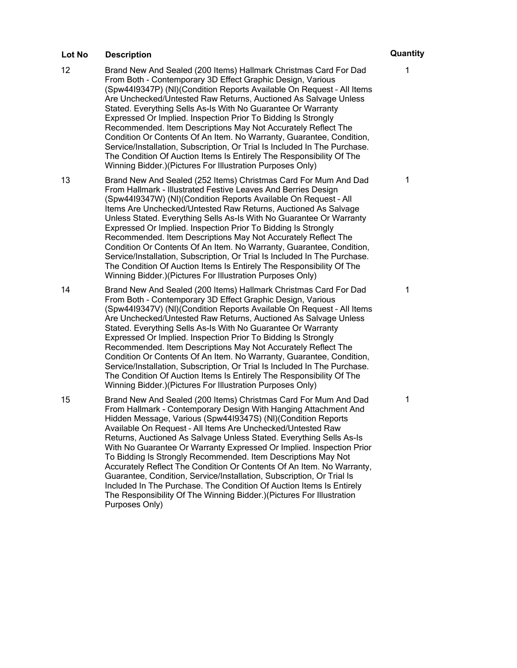- 12 Brand New And Sealed (200 Items) Hallmark Christmas Card For Dad From Both - Contemporary 3D Effect Graphic Design, Various (Spw44I9347P) (Nl)(Condition Reports Available On Request – All Items Are Unchecked/Untested Raw Returns, Auctioned As Salvage Unless Stated. Everything Sells As-Is With No Guarantee Or Warranty Expressed Or Implied. Inspection Prior To Bidding Is Strongly Recommended. Item Descriptions May Not Accurately Reflect The Condition Or Contents Of An Item. No Warranty, Guarantee, Condition, Service/Installation, Subscription, Or Trial Is Included In The Purchase. The Condition Of Auction Items Is Entirely The Responsibility Of The Winning Bidder.)(Pictures For Illustration Purposes Only)
- 13 Brand New And Sealed (252 Items) Christmas Card For Mum And Dad From Hallmark - Illustrated Festive Leaves And Berries Design (Spw44I9347W) (Nl)(Condition Reports Available On Request – All Items Are Unchecked/Untested Raw Returns, Auctioned As Salvage Unless Stated. Everything Sells As-Is With No Guarantee Or Warranty Expressed Or Implied. Inspection Prior To Bidding Is Strongly Recommended. Item Descriptions May Not Accurately Reflect The Condition Or Contents Of An Item. No Warranty, Guarantee, Condition, Service/Installation, Subscription, Or Trial Is Included In The Purchase. The Condition Of Auction Items Is Entirely The Responsibility Of The Winning Bidder.)(Pictures For Illustration Purposes Only)
- 14 Brand New And Sealed (200 Items) Hallmark Christmas Card For Dad From Both - Contemporary 3D Effect Graphic Design, Various (Spw44I9347V) (Nl)(Condition Reports Available On Request – All Items Are Unchecked/Untested Raw Returns, Auctioned As Salvage Unless Stated. Everything Sells As-Is With No Guarantee Or Warranty Expressed Or Implied. Inspection Prior To Bidding Is Strongly Recommended. Item Descriptions May Not Accurately Reflect The Condition Or Contents Of An Item. No Warranty, Guarantee, Condition, Service/Installation, Subscription, Or Trial Is Included In The Purchase. The Condition Of Auction Items Is Entirely The Responsibility Of The Winning Bidder.)(Pictures For Illustration Purposes Only)
- 15 Brand New And Sealed (200 Items) Christmas Card For Mum And Dad From Hallmark - Contemporary Design With Hanging Attachment And Hidden Message, Various (Spw44I9347S) (Nl)(Condition Reports Available On Request – All Items Are Unchecked/Untested Raw Returns, Auctioned As Salvage Unless Stated. Everything Sells As-Is With No Guarantee Or Warranty Expressed Or Implied. Inspection Prior To Bidding Is Strongly Recommended. Item Descriptions May Not Accurately Reflect The Condition Or Contents Of An Item. No Warranty, Guarantee, Condition, Service/Installation, Subscription, Or Trial Is Included In The Purchase. The Condition Of Auction Items Is Entirely The Responsibility Of The Winning Bidder.)(Pictures For Illustration Purposes Only)

# 1

1

1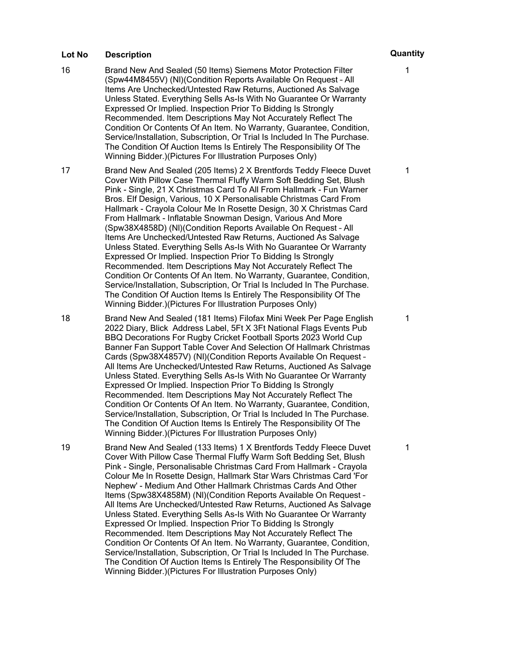- 16 Brand New And Sealed (50 Items) Siemens Motor Protection Filter (Spw44M8455V) (Nl)(Condition Reports Available On Request – All Items Are Unchecked/Untested Raw Returns, Auctioned As Salvage Unless Stated. Everything Sells As-Is With No Guarantee Or Warranty Expressed Or Implied. Inspection Prior To Bidding Is Strongly Recommended. Item Descriptions May Not Accurately Reflect The Condition Or Contents Of An Item. No Warranty, Guarantee, Condition, Service/Installation, Subscription, Or Trial Is Included In The Purchase. The Condition Of Auction Items Is Entirely The Responsibility Of The Winning Bidder.)(Pictures For Illustration Purposes Only)
- 17 Brand New And Sealed (205 Items) 2 X Brentfords Teddy Fleece Duvet Cover With Pillow Case Thermal Fluffy Warm Soft Bedding Set, Blush Pink - Single, 21 X Christmas Card To All From Hallmark - Fun Warner Bros. Elf Design, Various, 10 X Personalisable Christmas Card From Hallmark - Crayola Colour Me In Rosette Design, 30 X Christmas Card From Hallmark - Inflatable Snowman Design, Various And More (Spw38X4858D) (Nl)(Condition Reports Available On Request – All Items Are Unchecked/Untested Raw Returns, Auctioned As Salvage Unless Stated. Everything Sells As-Is With No Guarantee Or Warranty Expressed Or Implied. Inspection Prior To Bidding Is Strongly Recommended. Item Descriptions May Not Accurately Reflect The Condition Or Contents Of An Item. No Warranty, Guarantee, Condition, Service/Installation, Subscription, Or Trial Is Included In The Purchase. The Condition Of Auction Items Is Entirely The Responsibility Of The Winning Bidder.)(Pictures For Illustration Purposes Only)
- 18 Brand New And Sealed (181 Items) Filofax Mini Week Per Page English 2022 Diary, Blick Address Label, 5Ft X 3Ft National Flags Events Pub BBQ Decorations For Rugby Cricket Football Sports 2023 World Cup Banner Fan Support Table Cover And Selection Of Hallmark Christmas Cards (Spw38X4857V) (Nl)(Condition Reports Available On Request – All Items Are Unchecked/Untested Raw Returns, Auctioned As Salvage Unless Stated. Everything Sells As-Is With No Guarantee Or Warranty Expressed Or Implied. Inspection Prior To Bidding Is Strongly Recommended. Item Descriptions May Not Accurately Reflect The Condition Or Contents Of An Item. No Warranty, Guarantee, Condition, Service/Installation, Subscription, Or Trial Is Included In The Purchase. The Condition Of Auction Items Is Entirely The Responsibility Of The Winning Bidder.)(Pictures For Illustration Purposes Only)

19 Brand New And Sealed (133 Items) 1 X Brentfords Teddy Fleece Duvet Cover With Pillow Case Thermal Fluffy Warm Soft Bedding Set, Blush Pink - Single, Personalisable Christmas Card From Hallmark - Crayola Colour Me In Rosette Design, Hallmark Star Wars Christmas Card 'For Nephew' - Medium And Other Hallmark Christmas Cards And Other Items (Spw38X4858M) (Nl)(Condition Reports Available On Request – All Items Are Unchecked/Untested Raw Returns, Auctioned As Salvage Unless Stated. Everything Sells As-Is With No Guarantee Or Warranty Expressed Or Implied. Inspection Prior To Bidding Is Strongly Recommended. Item Descriptions May Not Accurately Reflect The Condition Or Contents Of An Item. No Warranty, Guarantee, Condition, Service/Installation, Subscription, Or Trial Is Included In The Purchase. The Condition Of Auction Items Is Entirely The Responsibility Of The Winning Bidder.)(Pictures For Illustration Purposes Only)

1

1

1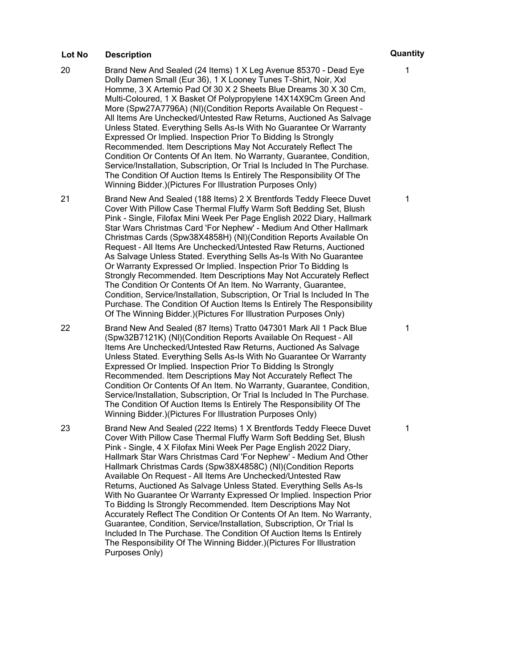- 20 Brand New And Sealed (24 Items) 1 X Leg Avenue 85370 Dead Eye Dolly Damen Small (Eur 36), 1 X Looney Tunes T-Shirt, Noir, Xxl Homme, 3 X Artemio Pad Of 30 X 2 Sheets Blue Dreams 30 X 30 Cm, Multi-Coloured, 1 X Basket Of Polypropylene 14X14X9Cm Green And More (Spw27A7796A) (Nl)(Condition Reports Available On Request – All Items Are Unchecked/Untested Raw Returns, Auctioned As Salvage Unless Stated. Everything Sells As-Is With No Guarantee Or Warranty Expressed Or Implied. Inspection Prior To Bidding Is Strongly Recommended. Item Descriptions May Not Accurately Reflect The Condition Or Contents Of An Item. No Warranty, Guarantee, Condition, Service/Installation, Subscription, Or Trial Is Included In The Purchase. The Condition Of Auction Items Is Entirely The Responsibility Of The Winning Bidder.)(Pictures For Illustration Purposes Only)
- 21 Brand New And Sealed (188 Items) 2 X Brentfords Teddy Fleece Duvet Cover With Pillow Case Thermal Fluffy Warm Soft Bedding Set, Blush Pink - Single, Filofax Mini Week Per Page English 2022 Diary, Hallmark Star Wars Christmas Card 'For Nephew' - Medium And Other Hallmark Christmas Cards (Spw38X4858H) (Nl)(Condition Reports Available On Request – All Items Are Unchecked/Untested Raw Returns, Auctioned As Salvage Unless Stated. Everything Sells As-Is With No Guarantee Or Warranty Expressed Or Implied. Inspection Prior To Bidding Is Strongly Recommended. Item Descriptions May Not Accurately Reflect The Condition Or Contents Of An Item. No Warranty, Guarantee, Condition, Service/Installation, Subscription, Or Trial Is Included In The Purchase. The Condition Of Auction Items Is Entirely The Responsibility Of The Winning Bidder.)(Pictures For Illustration Purposes Only)
- 22 Brand New And Sealed (87 Items) Tratto 047301 Mark All 1 Pack Blue (Spw32B7121K) (Nl)(Condition Reports Available On Request – All Items Are Unchecked/Untested Raw Returns, Auctioned As Salvage Unless Stated. Everything Sells As-Is With No Guarantee Or Warranty Expressed Or Implied. Inspection Prior To Bidding Is Strongly Recommended. Item Descriptions May Not Accurately Reflect The Condition Or Contents Of An Item. No Warranty, Guarantee, Condition, Service/Installation, Subscription, Or Trial Is Included In The Purchase. The Condition Of Auction Items Is Entirely The Responsibility Of The Winning Bidder.)(Pictures For Illustration Purposes Only)

23 Brand New And Sealed (222 Items) 1 X Brentfords Teddy Fleece Duvet Cover With Pillow Case Thermal Fluffy Warm Soft Bedding Set, Blush Pink - Single, 4 X Filofax Mini Week Per Page English 2022 Diary, Hallmark Star Wars Christmas Card 'For Nephew' - Medium And Other Hallmark Christmas Cards (Spw38X4858C) (Nl)(Condition Reports Available On Request – All Items Are Unchecked/Untested Raw Returns, Auctioned As Salvage Unless Stated. Everything Sells As-Is With No Guarantee Or Warranty Expressed Or Implied. Inspection Prior To Bidding Is Strongly Recommended. Item Descriptions May Not Accurately Reflect The Condition Or Contents Of An Item. No Warranty, Guarantee, Condition, Service/Installation, Subscription, Or Trial Is Included In The Purchase. The Condition Of Auction Items Is Entirely The Responsibility Of The Winning Bidder.)(Pictures For Illustration Purposes Only)

# 1

1

1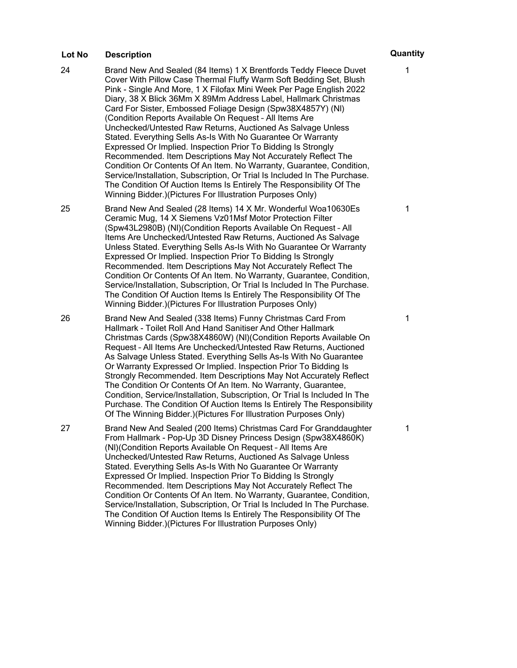- 24 Brand New And Sealed (84 Items) 1 X Brentfords Teddy Fleece Duvet Cover With Pillow Case Thermal Fluffy Warm Soft Bedding Set, Blush Pink - Single And More, 1 X Filofax Mini Week Per Page English 2022 Diary, 38 X Blick 36Mm X 89Mm Address Label, Hallmark Christmas Card For Sister, Embossed Foliage Design (Spw38X4857Y) (Nl) (Condition Reports Available On Request – All Items Are Unchecked/Untested Raw Returns, Auctioned As Salvage Unless Stated. Everything Sells As-Is With No Guarantee Or Warranty Expressed Or Implied. Inspection Prior To Bidding Is Strongly Recommended. Item Descriptions May Not Accurately Reflect The Condition Or Contents Of An Item. No Warranty, Guarantee, Condition, Service/Installation, Subscription, Or Trial Is Included In The Purchase. The Condition Of Auction Items Is Entirely The Responsibility Of The Winning Bidder.)(Pictures For Illustration Purposes Only)
- 25 Brand New And Sealed (28 Items) 14 X Mr. Wonderful Woa10630Es Ceramic Mug, 14 X Siemens Vz01Msf Motor Protection Filter (Spw43L2980B) (Nl)(Condition Reports Available On Request – All Items Are Unchecked/Untested Raw Returns, Auctioned As Salvage Unless Stated. Everything Sells As-Is With No Guarantee Or Warranty Expressed Or Implied. Inspection Prior To Bidding Is Strongly Recommended. Item Descriptions May Not Accurately Reflect The Condition Or Contents Of An Item. No Warranty, Guarantee, Condition, Service/Installation, Subscription, Or Trial Is Included In The Purchase. The Condition Of Auction Items Is Entirely The Responsibility Of The Winning Bidder.)(Pictures For Illustration Purposes Only)
- 26 Brand New And Sealed (338 Items) Funny Christmas Card From Hallmark - Toilet Roll And Hand Sanitiser And Other Hallmark Christmas Cards (Spw38X4860W) (Nl)(Condition Reports Available On Request – All Items Are Unchecked/Untested Raw Returns, Auctioned As Salvage Unless Stated. Everything Sells As-Is With No Guarantee Or Warranty Expressed Or Implied. Inspection Prior To Bidding Is Strongly Recommended. Item Descriptions May Not Accurately Reflect The Condition Or Contents Of An Item. No Warranty, Guarantee, Condition, Service/Installation, Subscription, Or Trial Is Included In The Purchase. The Condition Of Auction Items Is Entirely The Responsibility Of The Winning Bidder.)(Pictures For Illustration Purposes Only)

27 Brand New And Sealed (200 Items) Christmas Card For Granddaughter From Hallmark - Pop-Up 3D Disney Princess Design (Spw38X4860K) (Nl)(Condition Reports Available On Request – All Items Are Unchecked/Untested Raw Returns, Auctioned As Salvage Unless Stated. Everything Sells As-Is With No Guarantee Or Warranty Expressed Or Implied. Inspection Prior To Bidding Is Strongly Recommended. Item Descriptions May Not Accurately Reflect The Condition Or Contents Of An Item. No Warranty, Guarantee, Condition, Service/Installation, Subscription, Or Trial Is Included In The Purchase. The Condition Of Auction Items Is Entirely The Responsibility Of The Winning Bidder.)(Pictures For Illustration Purposes Only)

1

1

1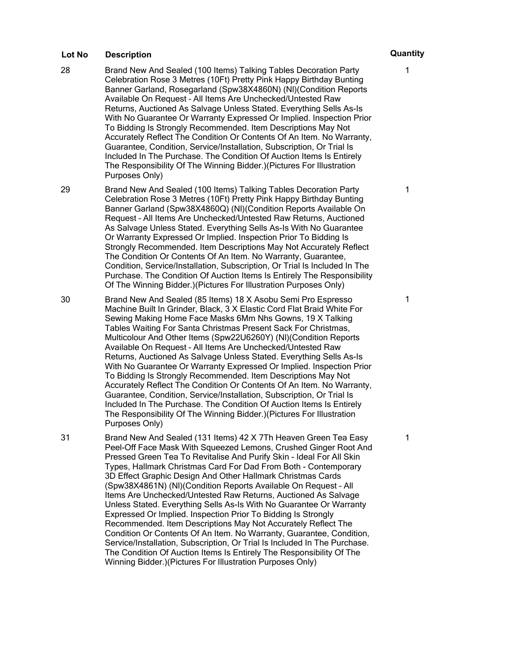- 28 Brand New And Sealed (100 Items) Talking Tables Decoration Party Celebration Rose 3 Metres (10Ft) Pretty Pink Happy Birthday Bunting Banner Garland, Rosegarland (Spw38X4860N) (Nl)(Condition Reports Available On Request – All Items Are Unchecked/Untested Raw Returns, Auctioned As Salvage Unless Stated. Everything Sells As-Is With No Guarantee Or Warranty Expressed Or Implied. Inspection Prior To Bidding Is Strongly Recommended. Item Descriptions May Not Accurately Reflect The Condition Or Contents Of An Item. No Warranty, Guarantee, Condition, Service/Installation, Subscription, Or Trial Is Included In The Purchase. The Condition Of Auction Items Is Entirely The Responsibility Of The Winning Bidder.)(Pictures For Illustration Purposes Only)
- 29 Brand New And Sealed (100 Items) Talking Tables Decoration Party Celebration Rose 3 Metres (10Ft) Pretty Pink Happy Birthday Bunting Banner Garland (Spw38X4860Q) (Nl)(Condition Reports Available On Request – All Items Are Unchecked/Untested Raw Returns, Auctioned As Salvage Unless Stated. Everything Sells As-Is With No Guarantee Or Warranty Expressed Or Implied. Inspection Prior To Bidding Is Strongly Recommended. Item Descriptions May Not Accurately Reflect The Condition Or Contents Of An Item. No Warranty, Guarantee, Condition, Service/Installation, Subscription, Or Trial Is Included In The Purchase. The Condition Of Auction Items Is Entirely The Responsibility Of The Winning Bidder.)(Pictures For Illustration Purposes Only)
- 30 Brand New And Sealed (85 Items) 18 X Asobu Semi Pro Espresso Machine Built In Grinder, Black, 3 X Elastic Cord Flat Braid White For Sewing Making Home Face Masks 6Mm Nhs Gowns, 19 X Talking Tables Waiting For Santa Christmas Present Sack For Christmas, Multicolour And Other Items (Spw22U6260Y) (Nl)(Condition Reports Available On Request – All Items Are Unchecked/Untested Raw Returns, Auctioned As Salvage Unless Stated. Everything Sells As-Is With No Guarantee Or Warranty Expressed Or Implied. Inspection Prior To Bidding Is Strongly Recommended. Item Descriptions May Not Accurately Reflect The Condition Or Contents Of An Item. No Warranty, Guarantee, Condition, Service/Installation, Subscription, Or Trial Is Included In The Purchase. The Condition Of Auction Items Is Entirely The Responsibility Of The Winning Bidder.)(Pictures For Illustration Purposes Only)

31 Brand New And Sealed (131 Items) 42 X 7Th Heaven Green Tea Easy Peel-Off Face Mask With Squeezed Lemons, Crushed Ginger Root And Pressed Green Tea To Revitalise And Purify Skin - Ideal For All Skin Types, Hallmark Christmas Card For Dad From Both - Contemporary 3D Effect Graphic Design And Other Hallmark Christmas Cards (Spw38X4861N) (Nl)(Condition Reports Available On Request – All Items Are Unchecked/Untested Raw Returns, Auctioned As Salvage Unless Stated. Everything Sells As-Is With No Guarantee Or Warranty Expressed Or Implied. Inspection Prior To Bidding Is Strongly Recommended. Item Descriptions May Not Accurately Reflect The Condition Or Contents Of An Item. No Warranty, Guarantee, Condition, Service/Installation, Subscription, Or Trial Is Included In The Purchase. The Condition Of Auction Items Is Entirely The Responsibility Of The Winning Bidder.)(Pictures For Illustration Purposes Only)

# 1

1

1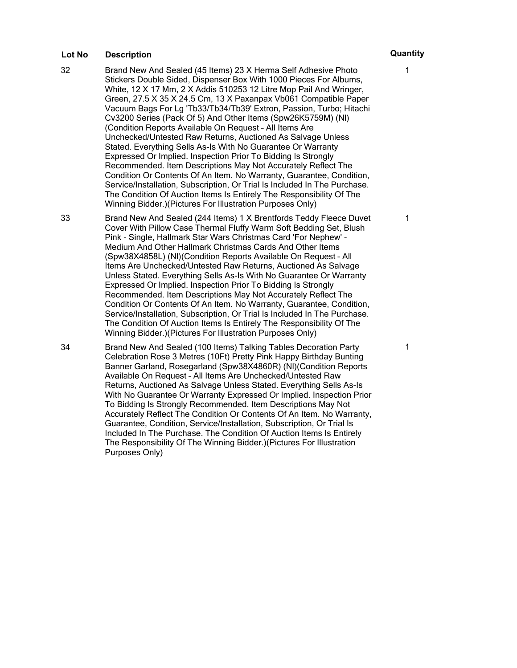- 32 Brand New And Sealed (45 Items) 23 X Herma Self Adhesive Photo Stickers Double Sided, Dispenser Box With 1000 Pieces For Albums, White, 12 X 17 Mm, 2 X Addis 510253 12 Litre Mop Pail And Wringer, Green, 27.5 X 35 X 24.5 Cm, 13 X Paxanpax Vb061 Compatible Paper Vacuum Bags For Lg 'Tb33/Tb34/Tb39' Extron, Passion, Turbo; Hitachi Cv3200 Series (Pack Of 5) And Other Items (Spw26K5759M) (Nl) (Condition Reports Available On Request – All Items Are Unchecked/Untested Raw Returns, Auctioned As Salvage Unless Stated. Everything Sells As-Is With No Guarantee Or Warranty Expressed Or Implied. Inspection Prior To Bidding Is Strongly Recommended. Item Descriptions May Not Accurately Reflect The Condition Or Contents Of An Item. No Warranty, Guarantee, Condition, Service/Installation, Subscription, Or Trial Is Included In The Purchase. The Condition Of Auction Items Is Entirely The Responsibility Of The Winning Bidder.)(Pictures For Illustration Purposes Only)
- 33 Brand New And Sealed (244 Items) 1 X Brentfords Teddy Fleece Duvet Cover With Pillow Case Thermal Fluffy Warm Soft Bedding Set, Blush Pink - Single, Hallmark Star Wars Christmas Card 'For Nephew' - Medium And Other Hallmark Christmas Cards And Other Items (Spw38X4858L) (Nl)(Condition Reports Available On Request – All Items Are Unchecked/Untested Raw Returns, Auctioned As Salvage Unless Stated. Everything Sells As-Is With No Guarantee Or Warranty Expressed Or Implied. Inspection Prior To Bidding Is Strongly Recommended. Item Descriptions May Not Accurately Reflect The Condition Or Contents Of An Item. No Warranty, Guarantee, Condition, Service/Installation, Subscription, Or Trial Is Included In The Purchase. The Condition Of Auction Items Is Entirely The Responsibility Of The Winning Bidder.)(Pictures For Illustration Purposes Only)
- 34 Brand New And Sealed (100 Items) Talking Tables Decoration Party Celebration Rose 3 Metres (10Ft) Pretty Pink Happy Birthday Bunting Banner Garland, Rosegarland (Spw38X4860R) (Nl)(Condition Reports Available On Request – All Items Are Unchecked/Untested Raw Returns, Auctioned As Salvage Unless Stated. Everything Sells As-Is With No Guarantee Or Warranty Expressed Or Implied. Inspection Prior To Bidding Is Strongly Recommended. Item Descriptions May Not Accurately Reflect The Condition Or Contents Of An Item. No Warranty, Guarantee, Condition, Service/Installation, Subscription, Or Trial Is Included In The Purchase. The Condition Of Auction Items Is Entirely The Responsibility Of The Winning Bidder.)(Pictures For Illustration Purposes Only)

1

1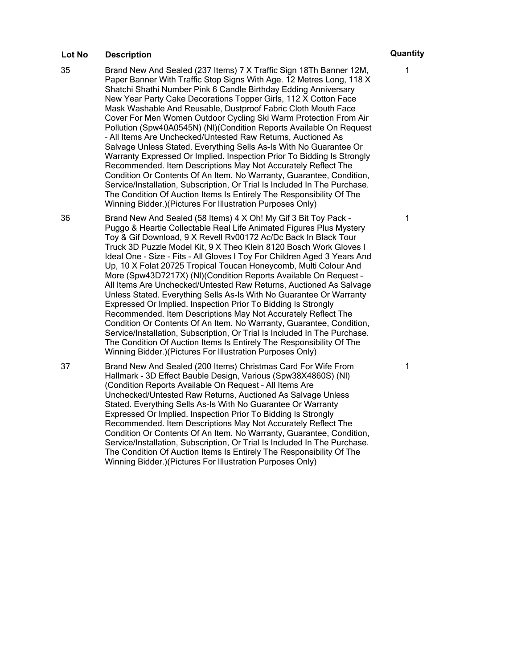- 35 Brand New And Sealed (237 Items) 7 X Traffic Sign 18Th Banner 12M, Paper Banner With Traffic Stop Signs With Age. 12 Metres Long, 118 X Shatchi Shathi Number Pink 6 Candle Birthday Edding Anniversary New Year Party Cake Decorations Topper Girls, 112 X Cotton Face Mask Washable And Reusable, Dustproof Fabric Cloth Mouth Face Cover For Men Women Outdoor Cycling Ski Warm Protection From Air Pollution (Spw40A0545N) (Nl)(Condition Reports Available On Request – All Items Are Unchecked/Untested Raw Returns, Auctioned As Salvage Unless Stated. Everything Sells As-Is With No Guarantee Or Warranty Expressed Or Implied. Inspection Prior To Bidding Is Strongly Recommended. Item Descriptions May Not Accurately Reflect The Condition Or Contents Of An Item. No Warranty, Guarantee, Condition, Service/Installation, Subscription, Or Trial Is Included In The Purchase. The Condition Of Auction Items Is Entirely The Responsibility Of The Winning Bidder.)(Pictures For Illustration Purposes Only)
- 36 Brand New And Sealed (58 Items) 4 X Oh! My Gif 3 Bit Toy Pack Puggo & Heartie Collectable Real Life Animated Figures Plus Mystery Toy & Gif Download, 9 X Revell Rv00172 Ac/Dc Back In Black Tour Truck 3D Puzzle Model Kit, 9 X Theo Klein 8120 Bosch Work Gloves I Ideal One - Size - Fits - All Gloves I Toy For Children Aged 3 Years And Up, 10 X Folat 20725 Tropical Toucan Honeycomb, Multi Colour And More (Spw43D7217X) (Nl)(Condition Reports Available On Request – All Items Are Unchecked/Untested Raw Returns, Auctioned As Salvage Unless Stated. Everything Sells As-Is With No Guarantee Or Warranty Expressed Or Implied. Inspection Prior To Bidding Is Strongly Recommended. Item Descriptions May Not Accurately Reflect The Condition Or Contents Of An Item. No Warranty, Guarantee, Condition, Service/Installation, Subscription, Or Trial Is Included In The Purchase. The Condition Of Auction Items Is Entirely The Responsibility Of The Winning Bidder.)(Pictures For Illustration Purposes Only)

37 Brand New And Sealed (200 Items) Christmas Card For Wife From Hallmark - 3D Effect Bauble Design, Various (Spw38X4860S) (Nl) (Condition Reports Available On Request – All Items Are Unchecked/Untested Raw Returns, Auctioned As Salvage Unless Stated. Everything Sells As-Is With No Guarantee Or Warranty Expressed Or Implied. Inspection Prior To Bidding Is Strongly Recommended. Item Descriptions May Not Accurately Reflect The Condition Or Contents Of An Item. No Warranty, Guarantee, Condition, Service/Installation, Subscription, Or Trial Is Included In The Purchase. The Condition Of Auction Items Is Entirely The Responsibility Of The Winning Bidder.)(Pictures For Illustration Purposes Only)

1

1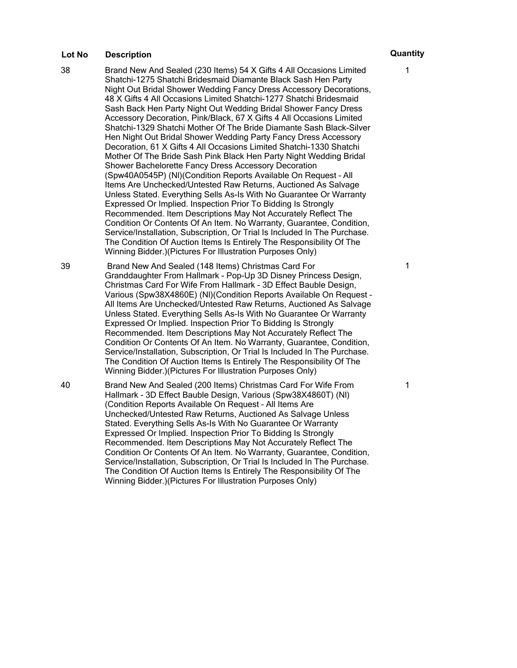- 38 Brand New And Sealed (230 Items) 54 X Gifts 4 All Occasions Limited Shatchi-1275 Shatchi Bridesmaid Diamante Black Sash Hen Party Night Out Bridal Shower Wedding Fancy Dress Accessory Decorations, 48 X Gifts 4 All Occasions Limited Shatchi-1277 Shatchi Bridesmaid Sash Back Hen Party Night Out Wedding Bridal Shower Fancy Dress Accessory Decoration, Pink/Black, 67 X Gifts 4 All Occasions Limited Shatchi-1329 Shatchi Mother Of The Bride Diamante Sash Black-Silver Hen Night Out Bridal Shower Wedding Party Fancy Dress Accessory Decoration, 61 X Gifts 4 All Occasions Limited Shatchi-1330 Shatchi Mother Of The Bride Sash Pink Black Hen Party Night Wedding Bridal Shower Bachelorette Fancy Dress Accessory Decoration (Spw40A0545P) (Nl)(Condition Reports Available On Request – All Items Are Unchecked/Untested Raw Returns, Auctioned As Salvage Unless Stated. Everything Sells As-Is With No Guarantee Or Warranty Expressed Or Implied. Inspection Prior To Bidding Is Strongly Recommended. Item Descriptions May Not Accurately Reflect The Condition Or Contents Of An Item. No Warranty, Guarantee, Condition, Service/Installation, Subscription, Or Trial Is Included In The Purchase. The Condition Of Auction Items Is Entirely The Responsibility Of The Winning Bidder.)(Pictures For Illustration Purposes Only)
- 39 Brand New And Sealed (148 Items) Christmas Card For Granddaughter From Hallmark - Pop-Up 3D Disney Princess Design, Christmas Card For Wife From Hallmark - 3D Effect Bauble Design, Various (Spw38X4860E) (Nl)(Condition Reports Available On Request – All Items Are Unchecked/Untested Raw Returns, Auctioned As Salvage Unless Stated. Everything Sells As-Is With No Guarantee Or Warranty Expressed Or Implied. Inspection Prior To Bidding Is Strongly Recommended. Item Descriptions May Not Accurately Reflect The Condition Or Contents Of An Item. No Warranty, Guarantee, Condition, Service/Installation, Subscription, Or Trial Is Included In The Purchase. The Condition Of Auction Items Is Entirely The Responsibility Of The Winning Bidder.)(Pictures For Illustration Purposes Only)
- 40 Brand New And Sealed (200 Items) Christmas Card For Wife From Hallmark - 3D Effect Bauble Design, Various (Spw38X4860T) (Nl) (Condition Reports Available On Request – All Items Are Unchecked/Untested Raw Returns, Auctioned As Salvage Unless Stated. Everything Sells As-Is With No Guarantee Or Warranty Expressed Or Implied. Inspection Prior To Bidding Is Strongly Recommended. Item Descriptions May Not Accurately Reflect The Condition Or Contents Of An Item. No Warranty, Guarantee, Condition, Service/Installation, Subscription, Or Trial Is Included In The Purchase. The Condition Of Auction Items Is Entirely The Responsibility Of The Winning Bidder.)(Pictures For Illustration Purposes Only)

1

1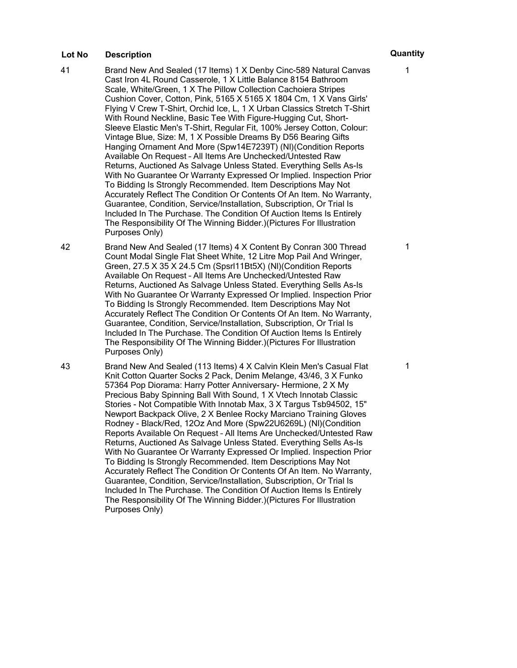- 41 Brand New And Sealed (17 Items) 1 X Denby Cinc-589 Natural Canvas Cast Iron 4L Round Casserole, 1 X Little Balance 8154 Bathroom Scale, White/Green, 1 X The Pillow Collection Cachoiera Stripes Cushion Cover, Cotton, Pink, 5165 X 5165 X 1804 Cm, 1 X Vans Girls' Flying V Crew T-Shirt, Orchid Ice, L, 1 X Urban Classics Stretch T-Shirt With Round Neckline, Basic Tee With Figure-Hugging Cut, Short-Sleeve Elastic Men's T-Shirt, Regular Fit, 100% Jersey Cotton, Colour: Vintage Blue, Size: M, 1 X Possible Dreams By D56 Bearing Gifts Hanging Ornament And More (Spw14E7239T) (Nl)(Condition Reports Available On Request – All Items Are Unchecked/Untested Raw Returns, Auctioned As Salvage Unless Stated. Everything Sells As-Is With No Guarantee Or Warranty Expressed Or Implied. Inspection Prior To Bidding Is Strongly Recommended. Item Descriptions May Not Accurately Reflect The Condition Or Contents Of An Item. No Warranty, Guarantee, Condition, Service/Installation, Subscription, Or Trial Is Included In The Purchase. The Condition Of Auction Items Is Entirely The Responsibility Of The Winning Bidder.)(Pictures For Illustration Purposes Only)
- 42 Brand New And Sealed (17 Items) 4 X Content By Conran 300 Thread Count Modal Single Flat Sheet White, 12 Litre Mop Pail And Wringer, Green, 27.5 X 35 X 24.5 Cm (Spsrl11Bt5X) (Nl)(Condition Reports Available On Request – All Items Are Unchecked/Untested Raw Returns, Auctioned As Salvage Unless Stated. Everything Sells As-Is With No Guarantee Or Warranty Expressed Or Implied. Inspection Prior To Bidding Is Strongly Recommended. Item Descriptions May Not Accurately Reflect The Condition Or Contents Of An Item. No Warranty, Guarantee, Condition, Service/Installation, Subscription, Or Trial Is Included In The Purchase. The Condition Of Auction Items Is Entirely The Responsibility Of The Winning Bidder.)(Pictures For Illustration Purposes Only)

43 Brand New And Sealed (113 Items) 4 X Calvin Klein Men's Casual Flat Knit Cotton Quarter Socks 2 Pack, Denim Melange, 43/46, 3 X Funko 57364 Pop Diorama: Harry Potter Anniversary- Hermione, 2 X My Precious Baby Spinning Ball With Sound, 1 X Vtech Innotab Classic Stories - Not Compatible With Innotab Max, 3 X Targus Tsb94502, 15" Newport Backpack Olive, 2 X Benlee Rocky Marciano Training Gloves Rodney - Black/Red, 12Oz And More (Spw22U6269L) (Nl)(Condition Reports Available On Request – All Items Are Unchecked/Untested Raw Returns, Auctioned As Salvage Unless Stated. Everything Sells As-Is With No Guarantee Or Warranty Expressed Or Implied. Inspection Prior To Bidding Is Strongly Recommended. Item Descriptions May Not Accurately Reflect The Condition Or Contents Of An Item. No Warranty, Guarantee, Condition, Service/Installation, Subscription, Or Trial Is Included In The Purchase. The Condition Of Auction Items Is Entirely The Responsibility Of The Winning Bidder.)(Pictures For Illustration Purposes Only)

1

1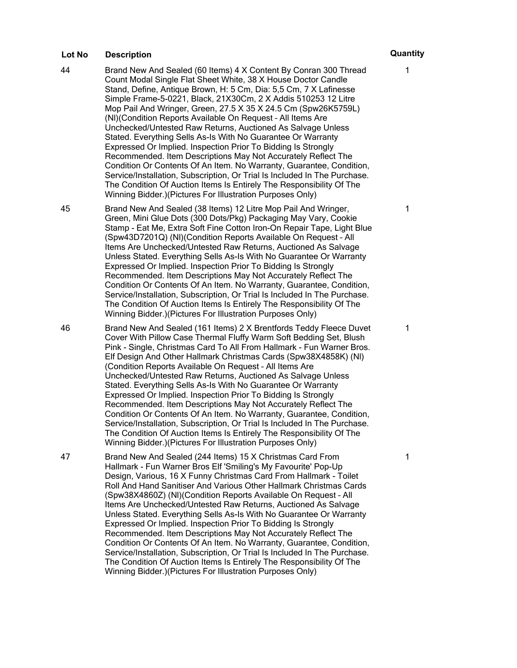- 44 Brand New And Sealed (60 Items) 4 X Content By Conran 300 Thread Count Modal Single Flat Sheet White, 38 X House Doctor Candle Stand, Define, Antique Brown, H: 5 Cm, Dia: 5,5 Cm, 7 X Lafinesse Simple Frame-5-0221, Black, 21X30Cm, 2 X Addis 510253 12 Litre Mop Pail And Wringer, Green, 27.5 X 35 X 24.5 Cm (Spw26K5759L) (Nl)(Condition Reports Available On Request – All Items Are Unchecked/Untested Raw Returns, Auctioned As Salvage Unless Stated. Everything Sells As-Is With No Guarantee Or Warranty Expressed Or Implied. Inspection Prior To Bidding Is Strongly Recommended. Item Descriptions May Not Accurately Reflect The Condition Or Contents Of An Item. No Warranty, Guarantee, Condition, Service/Installation, Subscription, Or Trial Is Included In The Purchase. The Condition Of Auction Items Is Entirely The Responsibility Of The Winning Bidder.)(Pictures For Illustration Purposes Only)
- 45 Brand New And Sealed (38 Items) 12 Litre Mop Pail And Wringer, Green, Mini Glue Dots (300 Dots/Pkg) Packaging May Vary, Cookie Stamp - Eat Me, Extra Soft Fine Cotton Iron-On Repair Tape, Light Blue (Spw43D7201Q) (Nl)(Condition Reports Available On Request – All Items Are Unchecked/Untested Raw Returns, Auctioned As Salvage Unless Stated. Everything Sells As-Is With No Guarantee Or Warranty Expressed Or Implied. Inspection Prior To Bidding Is Strongly Recommended. Item Descriptions May Not Accurately Reflect The Condition Or Contents Of An Item. No Warranty, Guarantee, Condition, Service/Installation, Subscription, Or Trial Is Included In The Purchase. The Condition Of Auction Items Is Entirely The Responsibility Of The Winning Bidder.)(Pictures For Illustration Purposes Only)
- 46 Brand New And Sealed (161 Items) 2 X Brentfords Teddy Fleece Duvet Cover With Pillow Case Thermal Fluffy Warm Soft Bedding Set, Blush Pink - Single, Christmas Card To All From Hallmark - Fun Warner Bros. Elf Design And Other Hallmark Christmas Cards (Spw38X4858K) (Nl) (Condition Reports Available On Request – All Items Are Unchecked/Untested Raw Returns, Auctioned As Salvage Unless Stated. Everything Sells As-Is With No Guarantee Or Warranty Expressed Or Implied. Inspection Prior To Bidding Is Strongly Recommended. Item Descriptions May Not Accurately Reflect The Condition Or Contents Of An Item. No Warranty, Guarantee, Condition, Service/Installation, Subscription, Or Trial Is Included In The Purchase. The Condition Of Auction Items Is Entirely The Responsibility Of The Winning Bidder.)(Pictures For Illustration Purposes Only)

47 Brand New And Sealed (244 Items) 15 X Christmas Card From Hallmark - Fun Warner Bros Elf 'Smiling's My Favourite' Pop-Up Design, Various, 16 X Funny Christmas Card From Hallmark - Toilet Roll And Hand Sanitiser And Various Other Hallmark Christmas Cards (Spw38X4860Z) (Nl)(Condition Reports Available On Request – All Items Are Unchecked/Untested Raw Returns, Auctioned As Salvage Unless Stated. Everything Sells As-Is With No Guarantee Or Warranty Expressed Or Implied. Inspection Prior To Bidding Is Strongly Recommended. Item Descriptions May Not Accurately Reflect The Condition Or Contents Of An Item. No Warranty, Guarantee, Condition, Service/Installation, Subscription, Or Trial Is Included In The Purchase. The Condition Of Auction Items Is Entirely The Responsibility Of The Winning Bidder.)(Pictures For Illustration Purposes Only)

1

1

1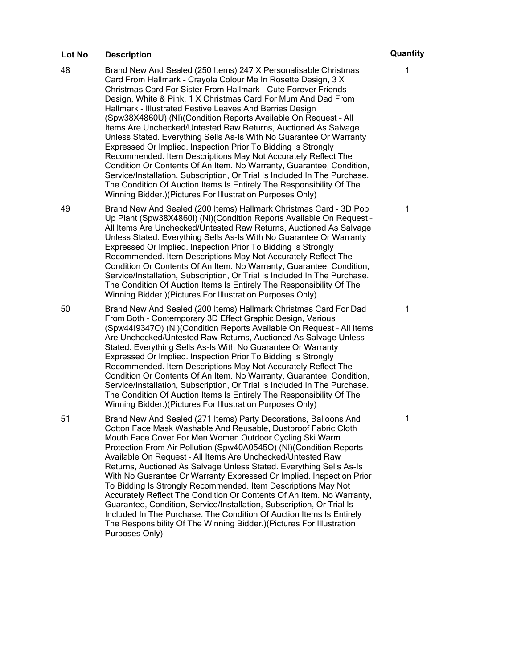- 48 Brand New And Sealed (250 Items) 247 X Personalisable Christmas Card From Hallmark - Crayola Colour Me In Rosette Design, 3 X Christmas Card For Sister From Hallmark - Cute Forever Friends Design, White & Pink, 1 X Christmas Card For Mum And Dad From Hallmark - Illustrated Festive Leaves And Berries Design (Spw38X4860U) (Nl)(Condition Reports Available On Request – All Items Are Unchecked/Untested Raw Returns, Auctioned As Salvage Unless Stated. Everything Sells As-Is With No Guarantee Or Warranty Expressed Or Implied. Inspection Prior To Bidding Is Strongly Recommended. Item Descriptions May Not Accurately Reflect The Condition Or Contents Of An Item. No Warranty, Guarantee, Condition, Service/Installation, Subscription, Or Trial Is Included In The Purchase. The Condition Of Auction Items Is Entirely The Responsibility Of The Winning Bidder.)(Pictures For Illustration Purposes Only)
- 49 Brand New And Sealed (200 Items) Hallmark Christmas Card 3D Pop Up Plant (Spw38X4860I) (Nl)(Condition Reports Available On Request – All Items Are Unchecked/Untested Raw Returns, Auctioned As Salvage Unless Stated. Everything Sells As-Is With No Guarantee Or Warranty Expressed Or Implied. Inspection Prior To Bidding Is Strongly Recommended. Item Descriptions May Not Accurately Reflect The Condition Or Contents Of An Item. No Warranty, Guarantee, Condition, Service/Installation, Subscription, Or Trial Is Included In The Purchase. The Condition Of Auction Items Is Entirely The Responsibility Of The Winning Bidder.)(Pictures For Illustration Purposes Only)
- 50 Brand New And Sealed (200 Items) Hallmark Christmas Card For Dad From Both - Contemporary 3D Effect Graphic Design, Various (Spw44I9347O) (Nl)(Condition Reports Available On Request – All Items Are Unchecked/Untested Raw Returns, Auctioned As Salvage Unless Stated. Everything Sells As-Is With No Guarantee Or Warranty Expressed Or Implied. Inspection Prior To Bidding Is Strongly Recommended. Item Descriptions May Not Accurately Reflect The Condition Or Contents Of An Item. No Warranty, Guarantee, Condition, Service/Installation, Subscription, Or Trial Is Included In The Purchase. The Condition Of Auction Items Is Entirely The Responsibility Of The Winning Bidder.)(Pictures For Illustration Purposes Only)

51 Brand New And Sealed (271 Items) Party Decorations, Balloons And Cotton Face Mask Washable And Reusable, Dustproof Fabric Cloth Mouth Face Cover For Men Women Outdoor Cycling Ski Warm Protection From Air Pollution (Spw40A0545O) (Nl)(Condition Reports Available On Request – All Items Are Unchecked/Untested Raw Returns, Auctioned As Salvage Unless Stated. Everything Sells As-Is With No Guarantee Or Warranty Expressed Or Implied. Inspection Prior To Bidding Is Strongly Recommended. Item Descriptions May Not Accurately Reflect The Condition Or Contents Of An Item. No Warranty, Guarantee, Condition, Service/Installation, Subscription, Or Trial Is Included In The Purchase. The Condition Of Auction Items Is Entirely The Responsibility Of The Winning Bidder.)(Pictures For Illustration Purposes Only)

1

1

1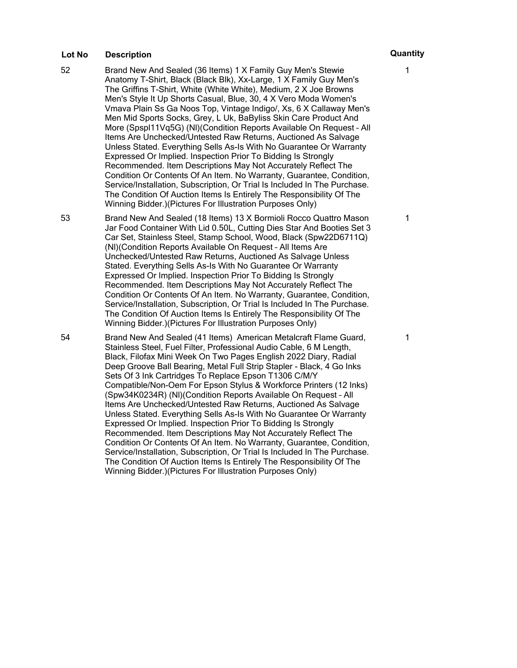- 52 Brand New And Sealed (36 Items) 1 X Family Guy Men's Stewie Anatomy T-Shirt, Black (Black Blk), Xx-Large, 1 X Family Guy Men's The Griffins T-Shirt, White (White White), Medium, 2 X Joe Browns Men's Style It Up Shorts Casual, Blue, 30, 4 X Vero Moda Women's Vmava Plain Ss Ga Noos Top, Vintage Indigo/, Xs, 6 X Callaway Men's Men Mid Sports Socks, Grey, L Uk, BaByliss Skin Care Product And More (Spspl11Vq5G) (Nl)(Condition Reports Available On Request – All Items Are Unchecked/Untested Raw Returns, Auctioned As Salvage Unless Stated. Everything Sells As-Is With No Guarantee Or Warranty Expressed Or Implied. Inspection Prior To Bidding Is Strongly Recommended. Item Descriptions May Not Accurately Reflect The Condition Or Contents Of An Item. No Warranty, Guarantee, Condition, Service/Installation, Subscription, Or Trial Is Included In The Purchase. The Condition Of Auction Items Is Entirely The Responsibility Of The Winning Bidder.)(Pictures For Illustration Purposes Only)
- 53 Brand New And Sealed (18 Items) 13 X Bormioli Rocco Quattro Mason Jar Food Container With Lid 0.50L, Cutting Dies Star And Booties Set 3 Car Set, Stainless Steel, Stamp School, Wood, Black (Spw22D6711Q) (Nl)(Condition Reports Available On Request – All Items Are Unchecked/Untested Raw Returns, Auctioned As Salvage Unless Stated. Everything Sells As-Is With No Guarantee Or Warranty Expressed Or Implied. Inspection Prior To Bidding Is Strongly Recommended. Item Descriptions May Not Accurately Reflect The Condition Or Contents Of An Item. No Warranty, Guarantee, Condition, Service/Installation, Subscription, Or Trial Is Included In The Purchase. The Condition Of Auction Items Is Entirely The Responsibility Of The Winning Bidder.)(Pictures For Illustration Purposes Only)

54 Brand New And Sealed (41 Items) American Metalcraft Flame Guard, Stainless Steel, Fuel Filter, Professional Audio Cable, 6 M Length, Black, Filofax Mini Week On Two Pages English 2022 Diary, Radial Deep Groove Ball Bearing, Metal Full Strip Stapler - Black, 4 Go Inks Sets Of 3 Ink Cartridges To Replace Epson T1306 C/M/Y Compatible/Non-Oem For Epson Stylus & Workforce Printers (12 Inks) (Spw34K0234R) (Nl)(Condition Reports Available On Request – All Items Are Unchecked/Untested Raw Returns, Auctioned As Salvage Unless Stated. Everything Sells As-Is With No Guarantee Or Warranty Expressed Or Implied. Inspection Prior To Bidding Is Strongly Recommended. Item Descriptions May Not Accurately Reflect The Condition Or Contents Of An Item. No Warranty, Guarantee, Condition, Service/Installation, Subscription, Or Trial Is Included In The Purchase. The Condition Of Auction Items Is Entirely The Responsibility Of The Winning Bidder.)(Pictures For Illustration Purposes Only)

1

1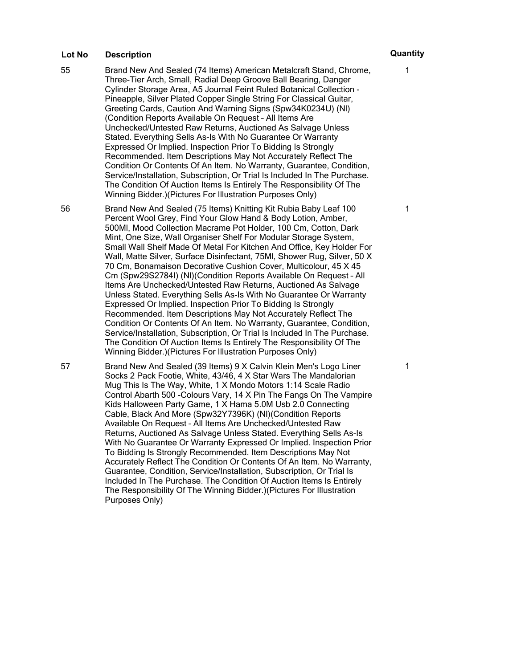55 Brand New And Sealed (74 Items) American Metalcraft Stand, Chrome, Three-Tier Arch, Small, Radial Deep Groove Ball Bearing, Danger Cylinder Storage Area, A5 Journal Feint Ruled Botanical Collection - Pineapple, Silver Plated Copper Single String For Classical Guitar, Greeting Cards, Caution And Warning Signs (Spw34K0234U) (Nl) (Condition Reports Available On Request – All Items Are Unchecked/Untested Raw Returns, Auctioned As Salvage Unless Stated. Everything Sells As-Is With No Guarantee Or Warranty Expressed Or Implied. Inspection Prior To Bidding Is Strongly Recommended. Item Descriptions May Not Accurately Reflect The Condition Or Contents Of An Item. No Warranty, Guarantee, Condition, Service/Installation, Subscription, Or Trial Is Included In The Purchase. The Condition Of Auction Items Is Entirely The Responsibility Of The Winning Bidder.)(Pictures For Illustration Purposes Only)

56 Brand New And Sealed (75 Items) Knitting Kit Rubia Baby Leaf 100 Percent Wool Grey, Find Your Glow Hand & Body Lotion, Amber, 500Ml, Mood Collection Macrame Pot Holder, 100 Cm, Cotton, Dark Mint, One Size, Wall Organiser Shelf For Modular Storage System, Small Wall Shelf Made Of Metal For Kitchen And Office, Key Holder For Wall, Matte Silver, Surface Disinfectant, 75Ml, Shower Rug, Silver, 50 X 70 Cm, Bonamaison Decorative Cushion Cover, Multicolour, 45 X 45 Cm (Spw29S2784I) (Nl)(Condition Reports Available On Request – All Items Are Unchecked/Untested Raw Returns, Auctioned As Salvage Unless Stated. Everything Sells As-Is With No Guarantee Or Warranty Expressed Or Implied. Inspection Prior To Bidding Is Strongly Recommended. Item Descriptions May Not Accurately Reflect The Condition Or Contents Of An Item. No Warranty, Guarantee, Condition, Service/Installation, Subscription, Or Trial Is Included In The Purchase. The Condition Of Auction Items Is Entirely The Responsibility Of The Winning Bidder.)(Pictures For Illustration Purposes Only)

57 Brand New And Sealed (39 Items) 9 X Calvin Klein Men's Logo Liner Socks 2 Pack Footie, White, 43/46, 4 X Star Wars The Mandalorian Mug This Is The Way, White, 1 X Mondo Motors 1:14 Scale Radio Control Abarth 500 -Colours Vary, 14 X Pin The Fangs On The Vampire Kids Halloween Party Game, 1 X Hama 5.0M Usb 2.0 Connecting Cable, Black And More (Spw32Y7396K) (Nl)(Condition Reports Available On Request – All Items Are Unchecked/Untested Raw Returns, Auctioned As Salvage Unless Stated. Everything Sells As-Is With No Guarantee Or Warranty Expressed Or Implied. Inspection Prior To Bidding Is Strongly Recommended. Item Descriptions May Not Accurately Reflect The Condition Or Contents Of An Item. No Warranty, Guarantee, Condition, Service/Installation, Subscription, Or Trial Is Included In The Purchase. The Condition Of Auction Items Is Entirely The Responsibility Of The Winning Bidder.)(Pictures For Illustration Purposes Only)

1

1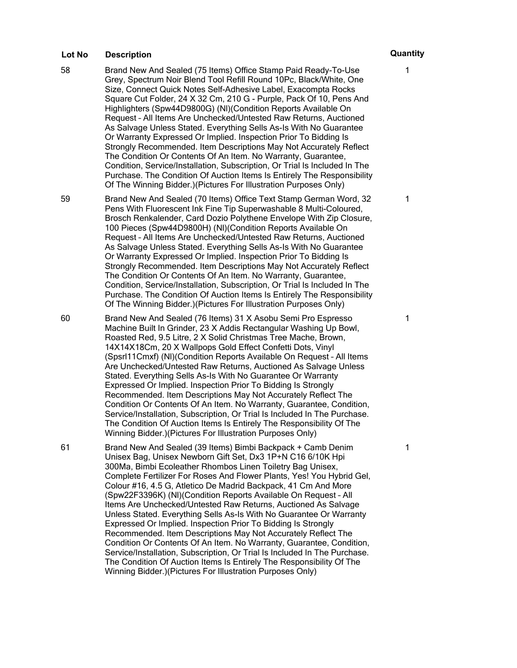58 Brand New And Sealed (75 Items) Office Stamp Paid Ready-To-Use Grey, Spectrum Noir Blend Tool Refill Round 10Pc, Black/White, One Size, Connect Quick Notes Self-Adhesive Label, Exacompta Rocks Square Cut Folder, 24 X 32 Cm, 210 G - Purple, Pack Of 10, Pens And Highlighters (Spw44D9800G) (Nl)(Condition Reports Available On Request – All Items Are Unchecked/Untested Raw Returns, Auctioned As Salvage Unless Stated. Everything Sells As-Is With No Guarantee Or Warranty Expressed Or Implied. Inspection Prior To Bidding Is Strongly Recommended. Item Descriptions May Not Accurately Reflect The Condition Or Contents Of An Item. No Warranty, Guarantee, Condition, Service/Installation, Subscription, Or Trial Is Included In The Purchase. The Condition Of Auction Items Is Entirely The Responsibility Of The Winning Bidder.)(Pictures For Illustration Purposes Only)

59 Brand New And Sealed (70 Items) Office Text Stamp German Word, 32 Pens With Fluorescent Ink Fine Tip Superwashable 8 Multi-Coloured, Brosch Renkalender, Card Dozio Polythene Envelope With Zip Closure, 100 Pieces (Spw44D9800H) (Nl)(Condition Reports Available On Request – All Items Are Unchecked/Untested Raw Returns, Auctioned As Salvage Unless Stated. Everything Sells As-Is With No Guarantee Or Warranty Expressed Or Implied. Inspection Prior To Bidding Is Strongly Recommended. Item Descriptions May Not Accurately Reflect The Condition Or Contents Of An Item. No Warranty, Guarantee, Condition, Service/Installation, Subscription, Or Trial Is Included In The Purchase. The Condition Of Auction Items Is Entirely The Responsibility Of The Winning Bidder.)(Pictures For Illustration Purposes Only)

60 Brand New And Sealed (76 Items) 31 X Asobu Semi Pro Espresso Machine Built In Grinder, 23 X Addis Rectangular Washing Up Bowl, Roasted Red, 9.5 Litre, 2 X Solid Christmas Tree Mache, Brown, 14X14X18Cm, 20 X Wallpops Gold Effect Confetti Dots, Vinyl (Spsrl11Cmxf) (Nl)(Condition Reports Available On Request – All Items Are Unchecked/Untested Raw Returns, Auctioned As Salvage Unless Stated. Everything Sells As-Is With No Guarantee Or Warranty Expressed Or Implied. Inspection Prior To Bidding Is Strongly Recommended. Item Descriptions May Not Accurately Reflect The Condition Or Contents Of An Item. No Warranty, Guarantee, Condition, Service/Installation, Subscription, Or Trial Is Included In The Purchase. The Condition Of Auction Items Is Entirely The Responsibility Of The Winning Bidder.)(Pictures For Illustration Purposes Only)

61 Brand New And Sealed (39 Items) Bimbi Backpack + Camb Denim Unisex Bag, Unisex Newborn Gift Set, Dx3 1P+N C16 6/10K Hpi 300Ma, Bimbi Ecoleather Rhombos Linen Toiletry Bag Unisex, Complete Fertilizer For Roses And Flower Plants, Yes! You Hybrid Gel, Colour #16, 4.5 G, Atletico De Madrid Backpack, 41 Cm And More (Spw22F3396K) (Nl)(Condition Reports Available On Request – All Items Are Unchecked/Untested Raw Returns, Auctioned As Salvage Unless Stated. Everything Sells As-Is With No Guarantee Or Warranty Expressed Or Implied. Inspection Prior To Bidding Is Strongly Recommended. Item Descriptions May Not Accurately Reflect The Condition Or Contents Of An Item. No Warranty, Guarantee, Condition, Service/Installation, Subscription, Or Trial Is Included In The Purchase. The Condition Of Auction Items Is Entirely The Responsibility Of The Winning Bidder.)(Pictures For Illustration Purposes Only)

# 1

1

1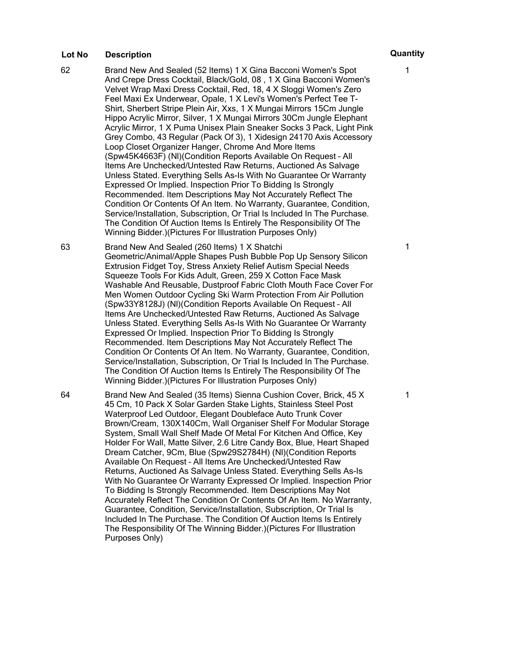- 62 Brand New And Sealed (52 Items) 1 X Gina Bacconi Women's Spot And Crepe Dress Cocktail, Black/Gold, 08 , 1 X Gina Bacconi Women's Velvet Wrap Maxi Dress Cocktail, Red, 18, 4 X Sloggi Women's Zero Feel Maxi Ex Underwear, Opale, 1 X Levi's Women's Perfect Tee T-Shirt, Sherbert Stripe Plein Air, Xxs, 1 X Mungai Mirrors 15Cm Jungle Hippo Acrylic Mirror, Silver, 1 X Mungai Mirrors 30Cm Jungle Elephant Acrylic Mirror, 1 X Puma Unisex Plain Sneaker Socks 3 Pack, Light Pink Grey Combo, 43 Regular (Pack Of 3), 1 Xidesign 24170 Axis Accessory Loop Closet Organizer Hanger, Chrome And More Items (Spw45K4663F) (Nl)(Condition Reports Available On Request – All Items Are Unchecked/Untested Raw Returns, Auctioned As Salvage Unless Stated. Everything Sells As-Is With No Guarantee Or Warranty Expressed Or Implied. Inspection Prior To Bidding Is Strongly Recommended. Item Descriptions May Not Accurately Reflect The Condition Or Contents Of An Item. No Warranty, Guarantee, Condition, Service/Installation, Subscription, Or Trial Is Included In The Purchase. The Condition Of Auction Items Is Entirely The Responsibility Of The Winning Bidder.)(Pictures For Illustration Purposes Only)
- 63 Brand New And Sealed (260 Items) 1 X Shatchi Geometric/Animal/Apple Shapes Push Bubble Pop Up Sensory Silicon Extrusion Fidget Toy, Stress Anxiety Relief Autism Special Needs Squeeze Tools For Kids Adult, Green, 259 X Cotton Face Mask Washable And Reusable, Dustproof Fabric Cloth Mouth Face Cover For Men Women Outdoor Cycling Ski Warm Protection From Air Pollution (Spw33Y8128J) (Nl)(Condition Reports Available On Request – All Items Are Unchecked/Untested Raw Returns, Auctioned As Salvage Unless Stated. Everything Sells As-Is With No Guarantee Or Warranty Expressed Or Implied. Inspection Prior To Bidding Is Strongly Recommended. Item Descriptions May Not Accurately Reflect The Condition Or Contents Of An Item. No Warranty, Guarantee, Condition, Service/Installation, Subscription, Or Trial Is Included In The Purchase. The Condition Of Auction Items Is Entirely The Responsibility Of The Winning Bidder.)(Pictures For Illustration Purposes Only)

64 Brand New And Sealed (35 Items) Sienna Cushion Cover, Brick, 45 X 45 Cm, 10 Pack X Solar Garden Stake Lights, Stainless Steel Post Waterproof Led Outdoor, Elegant Doubleface Auto Trunk Cover Brown/Cream, 130X140Cm, Wall Organiser Shelf For Modular Storage System, Small Wall Shelf Made Of Metal For Kitchen And Office, Key Holder For Wall, Matte Silver, 2.6 Litre Candy Box, Blue, Heart Shaped Dream Catcher, 9Cm, Blue (Spw29S2784H) (Nl)(Condition Reports Available On Request – All Items Are Unchecked/Untested Raw Returns, Auctioned As Salvage Unless Stated. Everything Sells As-Is With No Guarantee Or Warranty Expressed Or Implied. Inspection Prior To Bidding Is Strongly Recommended. Item Descriptions May Not Accurately Reflect The Condition Or Contents Of An Item. No Warranty, Guarantee, Condition, Service/Installation, Subscription, Or Trial Is Included In The Purchase. The Condition Of Auction Items Is Entirely The Responsibility Of The Winning Bidder.)(Pictures For Illustration Purposes Only)

1

1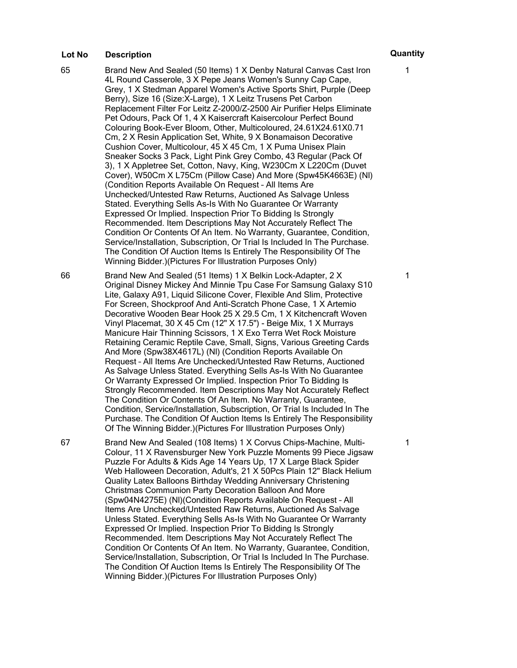- 65 Brand New And Sealed (50 Items) 1 X Denby Natural Canvas Cast Iron 4L Round Casserole, 3 X Pepe Jeans Women's Sunny Cap Cape, Grey, 1 X Stedman Apparel Women's Active Sports Shirt, Purple (Deep Berry), Size 16 (Size:X-Large), 1 X Leitz Trusens Pet Carbon Replacement Filter For Leitz Z-2000/Z-2500 Air Purifier Helps Eliminate Pet Odours, Pack Of 1, 4 X Kaisercraft Kaisercolour Perfect Bound Colouring Book-Ever Bloom, Other, Multicoloured, 24.61X24.61X0.71 Cm, 2 X Resin Application Set, White, 9 X Bonamaison Decorative Cushion Cover, Multicolour, 45 X 45 Cm, 1 X Puma Unisex Plain Sneaker Socks 3 Pack, Light Pink Grey Combo, 43 Regular (Pack Of 3), 1 X Appletree Set, Cotton, Navy, King, W230Cm X L220Cm (Duvet Cover), W50Cm X L75Cm (Pillow Case) And More (Spw45K4663E) (Nl) (Condition Reports Available On Request – All Items Are Unchecked/Untested Raw Returns, Auctioned As Salvage Unless Stated. Everything Sells As-Is With No Guarantee Or Warranty Expressed Or Implied. Inspection Prior To Bidding Is Strongly Recommended. Item Descriptions May Not Accurately Reflect The Condition Or Contents Of An Item. No Warranty, Guarantee, Condition, Service/Installation, Subscription, Or Trial Is Included In The Purchase. The Condition Of Auction Items Is Entirely The Responsibility Of The Winning Bidder.)(Pictures For Illustration Purposes Only)
- 66 Brand New And Sealed (51 Items) 1 X Belkin Lock-Adapter, 2 X Original Disney Mickey And Minnie Tpu Case For Samsung Galaxy S10 Lite, Galaxy A91, Liquid Silicone Cover, Flexible And Slim, Protective For Screen, Shockproof And Anti-Scratch Phone Case, 1 X Artemio Decorative Wooden Bear Hook 25 X 29.5 Cm, 1 X Kitchencraft Woven Vinyl Placemat, 30 X 45 Cm (12" X 17.5") - Beige Mix, 1 X Murrays Manicure Hair Thinning Scissors, 1 X Exo Terra Wet Rock Moisture Retaining Ceramic Reptile Cave, Small, Signs, Various Greeting Cards And More (Spw38X4617L) (Nl) (Condition Reports Available On Request – All Items Are Unchecked/Untested Raw Returns, Auctioned As Salvage Unless Stated. Everything Sells As-Is With No Guarantee Or Warranty Expressed Or Implied. Inspection Prior To Bidding Is Strongly Recommended. Item Descriptions May Not Accurately Reflect The Condition Or Contents Of An Item. No Warranty, Guarantee, Condition, Service/Installation, Subscription, Or Trial Is Included In The Purchase. The Condition Of Auction Items Is Entirely The Responsibility Of The Winning Bidder.)(Pictures For Illustration Purposes Only)

67 Brand New And Sealed (108 Items) 1 X Corvus Chips-Machine, Multi-Colour, 11 X Ravensburger New York Puzzle Moments 99 Piece Jigsaw Puzzle For Adults & Kids Age 14 Years Up, 17 X Large Black Spider Web Halloween Decoration, Adult's, 21 X 50Pcs Plain 12" Black Helium Quality Latex Balloons Birthday Wedding Anniversary Christening Christmas Communion Party Decoration Balloon And More (Spw04N4275E) (Nl)(Condition Reports Available On Request – All Items Are Unchecked/Untested Raw Returns, Auctioned As Salvage Unless Stated. Everything Sells As-Is With No Guarantee Or Warranty Expressed Or Implied. Inspection Prior To Bidding Is Strongly Recommended. Item Descriptions May Not Accurately Reflect The Condition Or Contents Of An Item. No Warranty, Guarantee, Condition, Service/Installation, Subscription, Or Trial Is Included In The Purchase. The Condition Of Auction Items Is Entirely The Responsibility Of The Winning Bidder.)(Pictures For Illustration Purposes Only)

1

1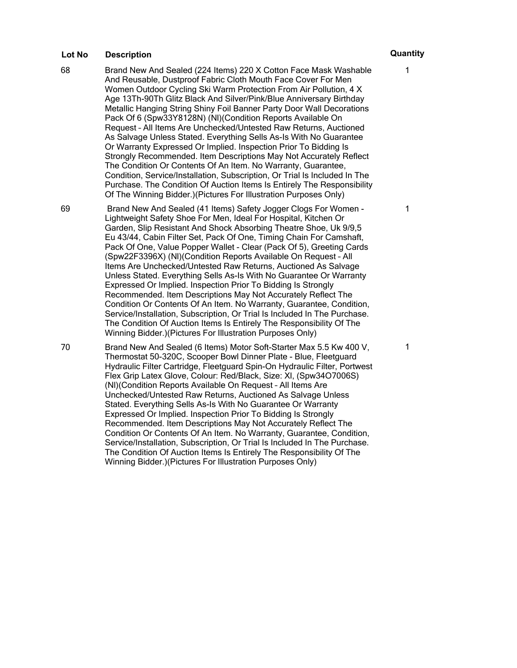68 Brand New And Sealed (224 Items) 220 X Cotton Face Mask Washable And Reusable, Dustproof Fabric Cloth Mouth Face Cover For Men Women Outdoor Cycling Ski Warm Protection From Air Pollution, 4 X Age 13Th-90Th Glitz Black And Silver/Pink/Blue Anniversary Birthday Metallic Hanging String Shiny Foil Banner Party Door Wall Decorations Pack Of 6 (Spw33Y8128N) (Nl)(Condition Reports Available On Request – All Items Are Unchecked/Untested Raw Returns, Auctioned As Salvage Unless Stated. Everything Sells As-Is With No Guarantee Or Warranty Expressed Or Implied. Inspection Prior To Bidding Is Strongly Recommended. Item Descriptions May Not Accurately Reflect The Condition Or Contents Of An Item. No Warranty, Guarantee, Condition, Service/Installation, Subscription, Or Trial Is Included In The Purchase. The Condition Of Auction Items Is Entirely The Responsibility Of The Winning Bidder.)(Pictures For Illustration Purposes Only)

69 Brand New And Sealed (41 Items) Safety Jogger Clogs For Women - Lightweight Safety Shoe For Men, Ideal For Hospital, Kitchen Or Garden, Slip Resistant And Shock Absorbing Theatre Shoe, Uk 9/9,5 Eu 43/44, Cabin Filter Set, Pack Of One, Timing Chain For Camshaft, Pack Of One, Value Popper Wallet - Clear (Pack Of 5), Greeting Cards (Spw22F3396X) (Nl)(Condition Reports Available On Request – All Items Are Unchecked/Untested Raw Returns, Auctioned As Salvage Unless Stated. Everything Sells As-Is With No Guarantee Or Warranty Expressed Or Implied. Inspection Prior To Bidding Is Strongly Recommended. Item Descriptions May Not Accurately Reflect The Condition Or Contents Of An Item. No Warranty, Guarantee, Condition, Service/Installation, Subscription, Or Trial Is Included In The Purchase. The Condition Of Auction Items Is Entirely The Responsibility Of The Winning Bidder.)(Pictures For Illustration Purposes Only)

70 Brand New And Sealed (6 Items) Motor Soft-Starter Max 5.5 Kw 400 V, Thermostat 50-320C, Scooper Bowl Dinner Plate - Blue, Fleetguard Hydraulic Filter Cartridge, Fleetguard Spin-On Hydraulic Filter, Portwest Flex Grip Latex Glove, Colour: Red/Black, Size: Xl, (Spw34O7006S) (Nl)(Condition Reports Available On Request – All Items Are Unchecked/Untested Raw Returns, Auctioned As Salvage Unless Stated. Everything Sells As-Is With No Guarantee Or Warranty Expressed Or Implied. Inspection Prior To Bidding Is Strongly Recommended. Item Descriptions May Not Accurately Reflect The Condition Or Contents Of An Item. No Warranty, Guarantee, Condition, Service/Installation, Subscription, Or Trial Is Included In The Purchase. The Condition Of Auction Items Is Entirely The Responsibility Of The Winning Bidder.)(Pictures For Illustration Purposes Only)

# 1

1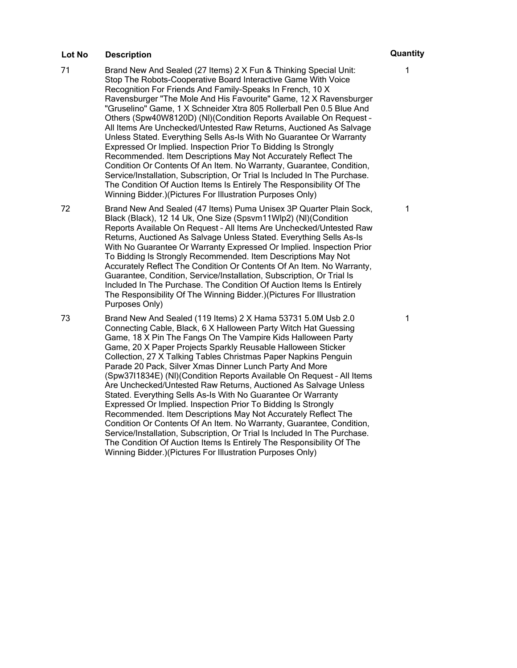- 71 Brand New And Sealed (27 Items) 2 X Fun & Thinking Special Unit: Stop The Robots-Cooperative Board Interactive Game With Voice Recognition For Friends And Family-Speaks In French, 10 X Ravensburger "The Mole And His Favourite" Game, 12 X Ravensburger "Gruselino" Game, 1 X Schneider Xtra 805 Rollerball Pen 0.5 Blue And Others (Spw40W8120D) (Nl)(Condition Reports Available On Request – All Items Are Unchecked/Untested Raw Returns, Auctioned As Salvage Unless Stated. Everything Sells As-Is With No Guarantee Or Warranty Expressed Or Implied. Inspection Prior To Bidding Is Strongly Recommended. Item Descriptions May Not Accurately Reflect The Condition Or Contents Of An Item. No Warranty, Guarantee, Condition, Service/Installation, Subscription, Or Trial Is Included In The Purchase. The Condition Of Auction Items Is Entirely The Responsibility Of The Winning Bidder.)(Pictures For Illustration Purposes Only)
- 72 Brand New And Sealed (47 Items) Puma Unisex 3P Quarter Plain Sock, Black (Black), 12 14 Uk, One Size (Spsvm11Wlp2) (Nl)(Condition Reports Available On Request – All Items Are Unchecked/Untested Raw Returns, Auctioned As Salvage Unless Stated. Everything Sells As-Is With No Guarantee Or Warranty Expressed Or Implied. Inspection Prior To Bidding Is Strongly Recommended. Item Descriptions May Not Accurately Reflect The Condition Or Contents Of An Item. No Warranty, Guarantee, Condition, Service/Installation, Subscription, Or Trial Is Included In The Purchase. The Condition Of Auction Items Is Entirely The Responsibility Of The Winning Bidder.)(Pictures For Illustration Purposes Only)

73 Brand New And Sealed (119 Items) 2 X Hama 53731 5.0M Usb 2.0 Connecting Cable, Black, 6 X Halloween Party Witch Hat Guessing Game, 18 X Pin The Fangs On The Vampire Kids Halloween Party Game, 20 X Paper Projects Sparkly Reusable Halloween Sticker Collection, 27 X Talking Tables Christmas Paper Napkins Penguin Parade 20 Pack, Silver Xmas Dinner Lunch Party And More (Spw37I1834E) (Nl)(Condition Reports Available On Request – All Items Are Unchecked/Untested Raw Returns, Auctioned As Salvage Unless Stated. Everything Sells As-Is With No Guarantee Or Warranty Expressed Or Implied. Inspection Prior To Bidding Is Strongly Recommended. Item Descriptions May Not Accurately Reflect The Condition Or Contents Of An Item. No Warranty, Guarantee, Condition, Service/Installation, Subscription, Or Trial Is Included In The Purchase. The Condition Of Auction Items Is Entirely The Responsibility Of The Winning Bidder.)(Pictures For Illustration Purposes Only)

1

1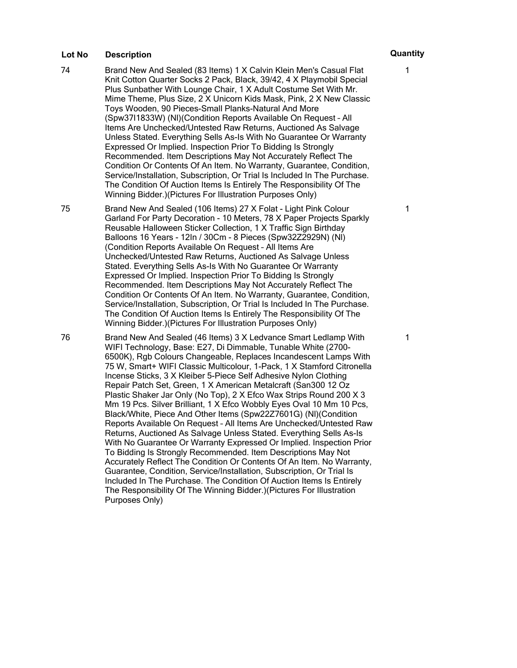74 Brand New And Sealed (83 Items) 1 X Calvin Klein Men's Casual Flat Knit Cotton Quarter Socks 2 Pack, Black, 39/42, 4 X Playmobil Special Plus Sunbather With Lounge Chair, 1 X Adult Costume Set With Mr. Mime Theme, Plus Size, 2 X Unicorn Kids Mask, Pink, 2 X New Classic Toys Wooden, 90 Pieces-Small Planks-Natural And More (Spw37I1833W) (Nl)(Condition Reports Available On Request – All Items Are Unchecked/Untested Raw Returns, Auctioned As Salvage Unless Stated. Everything Sells As-Is With No Guarantee Or Warranty Expressed Or Implied. Inspection Prior To Bidding Is Strongly Recommended. Item Descriptions May Not Accurately Reflect The Condition Or Contents Of An Item. No Warranty, Guarantee, Condition, Service/Installation, Subscription, Or Trial Is Included In The Purchase. The Condition Of Auction Items Is Entirely The Responsibility Of The Winning Bidder.)(Pictures For Illustration Purposes Only)

75 Brand New And Sealed (106 Items) 27 X Folat - Light Pink Colour Garland For Party Decoration - 10 Meters, 78 X Paper Projects Sparkly Reusable Halloween Sticker Collection, 1 X Traffic Sign Birthday Balloons 16 Years - 12In / 30Cm - 8 Pieces (Spw32Z2929N) (Nl) (Condition Reports Available On Request – All Items Are Unchecked/Untested Raw Returns, Auctioned As Salvage Unless Stated. Everything Sells As-Is With No Guarantee Or Warranty Expressed Or Implied. Inspection Prior To Bidding Is Strongly Recommended. Item Descriptions May Not Accurately Reflect The Condition Or Contents Of An Item. No Warranty, Guarantee, Condition, Service/Installation, Subscription, Or Trial Is Included In The Purchase. The Condition Of Auction Items Is Entirely The Responsibility Of The Winning Bidder.)(Pictures For Illustration Purposes Only)

76 Brand New And Sealed (46 Items) 3 X Ledvance Smart Ledlamp With WIFI Technology, Base: E27, Di Dimmable, Tunable White (2700- 6500K), Rgb Colours Changeable, Replaces Incandescent Lamps With 75 W, Smart+ WIFI Classic Multicolour, 1-Pack, 1 X Stamford Citronella Incense Sticks, 3 X Kleiber 5-Piece Self Adhesive Nylon Clothing Repair Patch Set, Green, 1 X American Metalcraft (San300 12 Oz Plastic Shaker Jar Only (No Top), 2 X Efco Wax Strips Round 200 X 3 Mm 19 Pcs. Silver Brilliant, 1 X Efco Wobbly Eyes Oval 10 Mm 10 Pcs, Black/White, Piece And Other Items (Spw22Z7601G) (Nl)(Condition Reports Available On Request – All Items Are Unchecked/Untested Raw Returns, Auctioned As Salvage Unless Stated. Everything Sells As-Is With No Guarantee Or Warranty Expressed Or Implied. Inspection Prior To Bidding Is Strongly Recommended. Item Descriptions May Not Accurately Reflect The Condition Or Contents Of An Item. No Warranty, Guarantee, Condition, Service/Installation, Subscription, Or Trial Is Included In The Purchase. The Condition Of Auction Items Is Entirely The Responsibility Of The Winning Bidder.)(Pictures For Illustration Purposes Only)

# 1

1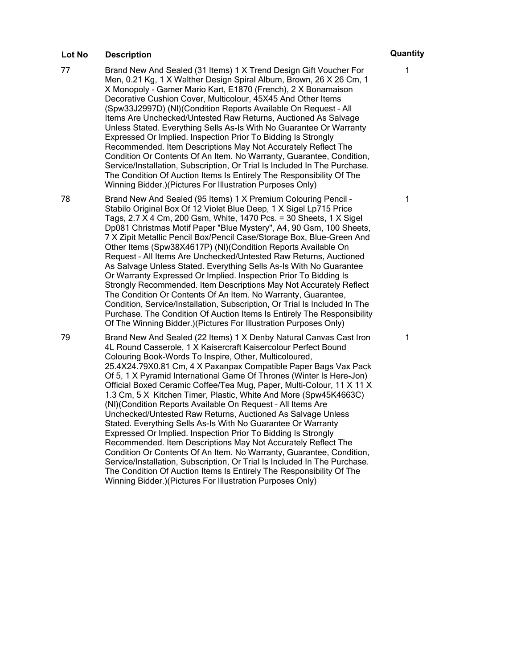- 77 Brand New And Sealed (31 Items) 1 X Trend Design Gift Voucher For Men, 0.21 Kg, 1 X Walther Design Spiral Album, Brown, 26 X 26 Cm, 1 X Monopoly - Gamer Mario Kart, E1870 (French), 2 X Bonamaison Decorative Cushion Cover, Multicolour, 45X45 And Other Items (Spw33J2997D) (Nl)(Condition Reports Available On Request – All Items Are Unchecked/Untested Raw Returns, Auctioned As Salvage Unless Stated. Everything Sells As-Is With No Guarantee Or Warranty Expressed Or Implied. Inspection Prior To Bidding Is Strongly Recommended. Item Descriptions May Not Accurately Reflect The Condition Or Contents Of An Item. No Warranty, Guarantee, Condition, Service/Installation, Subscription, Or Trial Is Included In The Purchase. The Condition Of Auction Items Is Entirely The Responsibility Of The Winning Bidder.)(Pictures For Illustration Purposes Only)
- 78 Brand New And Sealed (95 Items) 1 X Premium Colouring Pencil Stabilo Original Box Of 12 Violet Blue Deep, 1 X Sigel Lp715 Price Tags, 2.7 X 4 Cm, 200 Gsm, White, 1470 Pcs. = 30 Sheets, 1 X Sigel Dp081 Christmas Motif Paper "Blue Mystery", A4, 90 Gsm, 100 Sheets, 7 X Zipit Metallic Pencil Box/Pencil Case/Storage Box, Blue-Green And Other Items (Spw38X4617P) (Nl)(Condition Reports Available On Request – All Items Are Unchecked/Untested Raw Returns, Auctioned As Salvage Unless Stated. Everything Sells As-Is With No Guarantee Or Warranty Expressed Or Implied. Inspection Prior To Bidding Is Strongly Recommended. Item Descriptions May Not Accurately Reflect The Condition Or Contents Of An Item. No Warranty, Guarantee, Condition, Service/Installation, Subscription, Or Trial Is Included In The Purchase. The Condition Of Auction Items Is Entirely The Responsibility Of The Winning Bidder.)(Pictures For Illustration Purposes Only)

79 Brand New And Sealed (22 Items) 1 X Denby Natural Canvas Cast Iron 4L Round Casserole, 1 X Kaisercraft Kaisercolour Perfect Bound Colouring Book-Words To Inspire, Other, Multicoloured, 25.4X24.79X0.81 Cm, 4 X Paxanpax Compatible Paper Bags Vax Pack Of 5, 1 X Pyramid International Game Of Thrones (Winter Is Here-Jon) Official Boxed Ceramic Coffee/Tea Mug, Paper, Multi-Colour, 11 X 11 X 1.3 Cm, 5 X Kitchen Timer, Plastic, White And More (Spw45K4663C) (Nl)(Condition Reports Available On Request – All Items Are Unchecked/Untested Raw Returns, Auctioned As Salvage Unless Stated. Everything Sells As-Is With No Guarantee Or Warranty Expressed Or Implied. Inspection Prior To Bidding Is Strongly Recommended. Item Descriptions May Not Accurately Reflect The Condition Or Contents Of An Item. No Warranty, Guarantee, Condition, Service/Installation, Subscription, Or Trial Is Included In The Purchase. The Condition Of Auction Items Is Entirely The Responsibility Of The Winning Bidder.)(Pictures For Illustration Purposes Only)

1

1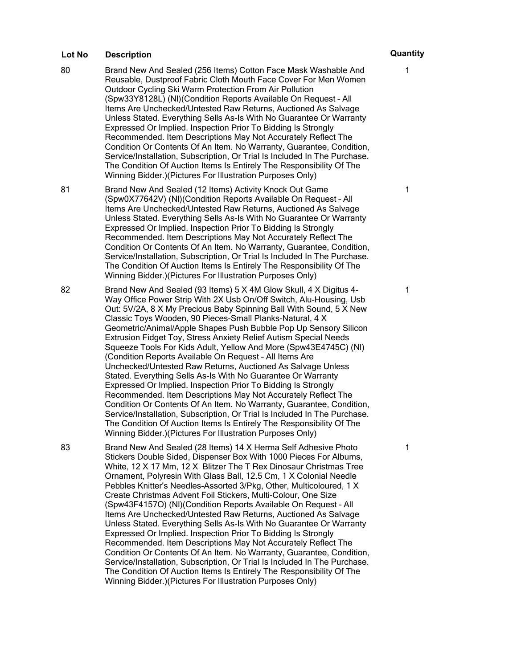- 80 Brand New And Sealed (256 Items) Cotton Face Mask Washable And Reusable, Dustproof Fabric Cloth Mouth Face Cover For Men Women Outdoor Cycling Ski Warm Protection From Air Pollution (Spw33Y8128L) (Nl)(Condition Reports Available On Request – All Items Are Unchecked/Untested Raw Returns, Auctioned As Salvage Unless Stated. Everything Sells As-Is With No Guarantee Or Warranty Expressed Or Implied. Inspection Prior To Bidding Is Strongly Recommended. Item Descriptions May Not Accurately Reflect The Condition Or Contents Of An Item. No Warranty, Guarantee, Condition, Service/Installation, Subscription, Or Trial Is Included In The Purchase. The Condition Of Auction Items Is Entirely The Responsibility Of The Winning Bidder.)(Pictures For Illustration Purposes Only)
- 81 Brand New And Sealed (12 Items) Activity Knock Out Game (Spw0X77642V) (Nl)(Condition Reports Available On Request – All Items Are Unchecked/Untested Raw Returns, Auctioned As Salvage Unless Stated. Everything Sells As-Is With No Guarantee Or Warranty Expressed Or Implied. Inspection Prior To Bidding Is Strongly Recommended. Item Descriptions May Not Accurately Reflect The Condition Or Contents Of An Item. No Warranty, Guarantee, Condition, Service/Installation, Subscription, Or Trial Is Included In The Purchase. The Condition Of Auction Items Is Entirely The Responsibility Of The Winning Bidder.)(Pictures For Illustration Purposes Only)
- 82 Brand New And Sealed (93 Items) 5 X 4M Glow Skull, 4 X Digitus 4- Way Office Power Strip With 2X Usb On/Off Switch, Alu-Housing, Usb Out: 5V/2A, 8 X My Precious Baby Spinning Ball With Sound, 5 X New Classic Toys Wooden, 90 Pieces-Small Planks-Natural, 4 X Geometric/Animal/Apple Shapes Push Bubble Pop Up Sensory Silicon Extrusion Fidget Toy, Stress Anxiety Relief Autism Special Needs Squeeze Tools For Kids Adult, Yellow And More (Spw43E4745C) (Nl) (Condition Reports Available On Request – All Items Are Unchecked/Untested Raw Returns, Auctioned As Salvage Unless Stated. Everything Sells As-Is With No Guarantee Or Warranty Expressed Or Implied. Inspection Prior To Bidding Is Strongly Recommended. Item Descriptions May Not Accurately Reflect The Condition Or Contents Of An Item. No Warranty, Guarantee, Condition, Service/Installation, Subscription, Or Trial Is Included In The Purchase. The Condition Of Auction Items Is Entirely The Responsibility Of The Winning Bidder.)(Pictures For Illustration Purposes Only)

83 Brand New And Sealed (28 Items) 14 X Herma Self Adhesive Photo Stickers Double Sided, Dispenser Box With 1000 Pieces For Albums, White, 12 X 17 Mm, 12 X Blitzer The T Rex Dinosaur Christmas Tree Ornament, Polyresin With Glass Ball, 12.5 Cm, 1 X Colonial Needle Pebbles Knitter's Needles-Assorted 3/Pkg, Other, Multicoloured, 1 X Create Christmas Advent Foil Stickers, Multi-Colour, One Size (Spw43F4157O) (Nl)(Condition Reports Available On Request – All Items Are Unchecked/Untested Raw Returns, Auctioned As Salvage Unless Stated. Everything Sells As-Is With No Guarantee Or Warranty Expressed Or Implied. Inspection Prior To Bidding Is Strongly Recommended. Item Descriptions May Not Accurately Reflect The Condition Or Contents Of An Item. No Warranty, Guarantee, Condition, Service/Installation, Subscription, Or Trial Is Included In The Purchase. The Condition Of Auction Items Is Entirely The Responsibility Of The Winning Bidder.)(Pictures For Illustration Purposes Only)

1

1

1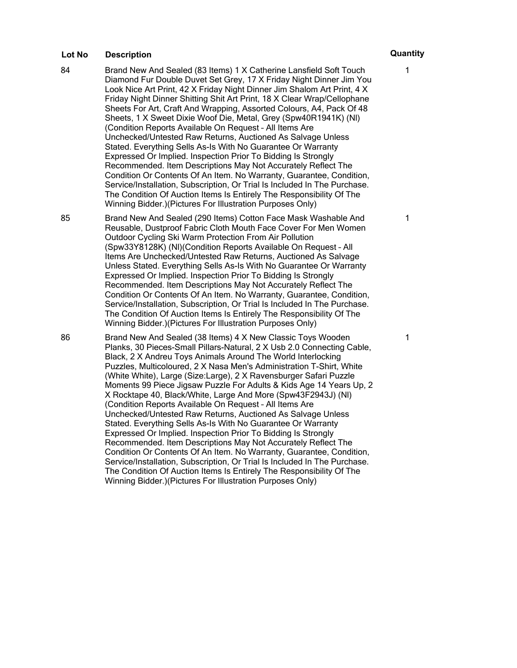- 84 Brand New And Sealed (83 Items) 1 X Catherine Lansfield Soft Touch Diamond Fur Double Duvet Set Grey, 17 X Friday Night Dinner Jim You Look Nice Art Print, 42 X Friday Night Dinner Jim Shalom Art Print, 4 X Friday Night Dinner Shitting Shit Art Print, 18 X Clear Wrap/Cellophane Sheets For Art, Craft And Wrapping, Assorted Colours, A4, Pack Of 48 Sheets, 1 X Sweet Dixie Woof Die, Metal, Grey (Spw40R1941K) (Nl) (Condition Reports Available On Request – All Items Are Unchecked/Untested Raw Returns, Auctioned As Salvage Unless Stated. Everything Sells As-Is With No Guarantee Or Warranty Expressed Or Implied. Inspection Prior To Bidding Is Strongly Recommended. Item Descriptions May Not Accurately Reflect The Condition Or Contents Of An Item. No Warranty, Guarantee, Condition, Service/Installation, Subscription, Or Trial Is Included In The Purchase. The Condition Of Auction Items Is Entirely The Responsibility Of The Winning Bidder.)(Pictures For Illustration Purposes Only)
- 85 Brand New And Sealed (290 Items) Cotton Face Mask Washable And Reusable, Dustproof Fabric Cloth Mouth Face Cover For Men Women Outdoor Cycling Ski Warm Protection From Air Pollution (Spw33Y8128K) (Nl)(Condition Reports Available On Request – All Items Are Unchecked/Untested Raw Returns, Auctioned As Salvage Unless Stated. Everything Sells As-Is With No Guarantee Or Warranty Expressed Or Implied. Inspection Prior To Bidding Is Strongly Recommended. Item Descriptions May Not Accurately Reflect The Condition Or Contents Of An Item. No Warranty, Guarantee, Condition, Service/Installation, Subscription, Or Trial Is Included In The Purchase. The Condition Of Auction Items Is Entirely The Responsibility Of The Winning Bidder.)(Pictures For Illustration Purposes Only)

86 Brand New And Sealed (38 Items) 4 X New Classic Toys Wooden Planks, 30 Pieces-Small Pillars-Natural, 2 X Usb 2.0 Connecting Cable, Black, 2 X Andreu Toys Animals Around The World Interlocking Puzzles, Multicoloured, 2 X Nasa Men's Administration T-Shirt, White (White White), Large (Size:Large), 2 X Ravensburger Safari Puzzle Moments 99 Piece Jigsaw Puzzle For Adults & Kids Age 14 Years Up, 2 X Rocktape 40, Black/White, Large And More (Spw43F2943J) (Nl) (Condition Reports Available On Request – All Items Are Unchecked/Untested Raw Returns, Auctioned As Salvage Unless Stated. Everything Sells As-Is With No Guarantee Or Warranty Expressed Or Implied. Inspection Prior To Bidding Is Strongly Recommended. Item Descriptions May Not Accurately Reflect The Condition Or Contents Of An Item. No Warranty, Guarantee, Condition, Service/Installation, Subscription, Or Trial Is Included In The Purchase. The Condition Of Auction Items Is Entirely The Responsibility Of The Winning Bidder.)(Pictures For Illustration Purposes Only)

1

1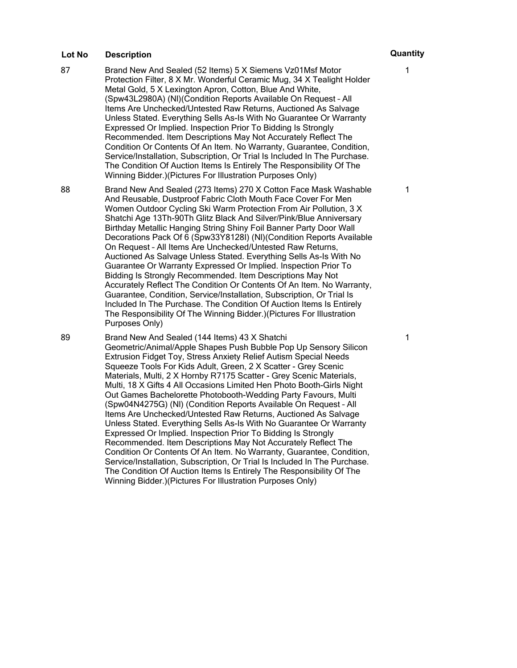- 87 Brand New And Sealed (52 Items) 5 X Siemens Vz01Msf Motor Protection Filter, 8 X Mr. Wonderful Ceramic Mug, 34 X Tealight Holder Metal Gold, 5 X Lexington Apron, Cotton, Blue And White, (Spw43L2980A) (Nl)(Condition Reports Available On Request – All Items Are Unchecked/Untested Raw Returns, Auctioned As Salvage Unless Stated. Everything Sells As-Is With No Guarantee Or Warranty Expressed Or Implied. Inspection Prior To Bidding Is Strongly Recommended. Item Descriptions May Not Accurately Reflect The Condition Or Contents Of An Item. No Warranty, Guarantee, Condition, Service/Installation, Subscription, Or Trial Is Included In The Purchase. The Condition Of Auction Items Is Entirely The Responsibility Of The Winning Bidder.)(Pictures For Illustration Purposes Only)
- 88 Brand New And Sealed (273 Items) 270 X Cotton Face Mask Washable And Reusable, Dustproof Fabric Cloth Mouth Face Cover For Men Women Outdoor Cycling Ski Warm Protection From Air Pollution, 3 X Shatchi Age 13Th-90Th Glitz Black And Silver/Pink/Blue Anniversary Birthday Metallic Hanging String Shiny Foil Banner Party Door Wall Decorations Pack Of 6 (Spw33Y8128I) (Nl)(Condition Reports Available On Request – All Items Are Unchecked/Untested Raw Returns, Auctioned As Salvage Unless Stated. Everything Sells As-Is With No Guarantee Or Warranty Expressed Or Implied. Inspection Prior To Bidding Is Strongly Recommended. Item Descriptions May Not Accurately Reflect The Condition Or Contents Of An Item. No Warranty, Guarantee, Condition, Service/Installation, Subscription, Or Trial Is Included In The Purchase. The Condition Of Auction Items Is Entirely The Responsibility Of The Winning Bidder.)(Pictures For Illustration Purposes Only)

89 Brand New And Sealed (144 Items) 43 X Shatchi Geometric/Animal/Apple Shapes Push Bubble Pop Up Sensory Silicon Extrusion Fidget Toy, Stress Anxiety Relief Autism Special Needs Squeeze Tools For Kids Adult, Green, 2 X Scatter - Grey Scenic Materials, Multi, 2 X Hornby R7175 Scatter - Grey Scenic Materials, Multi, 18 X Gifts 4 All Occasions Limited Hen Photo Booth-Girls Night Out Games Bachelorette Photobooth-Wedding Party Favours, Multi (Spw04N4275G) (Nl) (Condition Reports Available On Request – All Items Are Unchecked/Untested Raw Returns, Auctioned As Salvage Unless Stated. Everything Sells As-Is With No Guarantee Or Warranty Expressed Or Implied. Inspection Prior To Bidding Is Strongly Recommended. Item Descriptions May Not Accurately Reflect The Condition Or Contents Of An Item. No Warranty, Guarantee, Condition, Service/Installation, Subscription, Or Trial Is Included In The Purchase. The Condition Of Auction Items Is Entirely The Responsibility Of The Winning Bidder.)(Pictures For Illustration Purposes Only)

1

1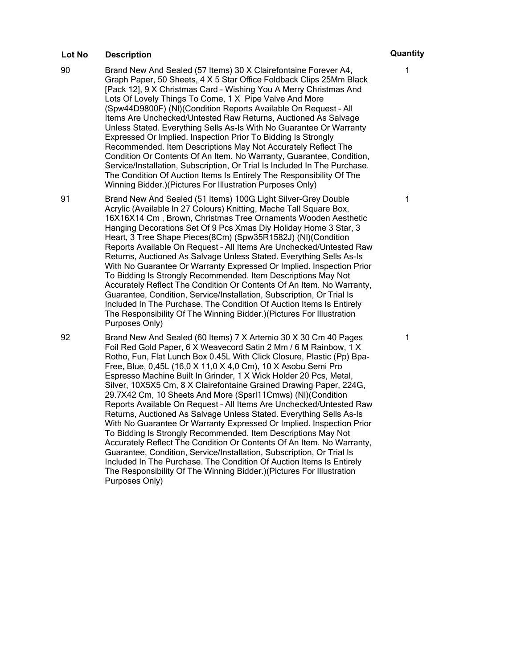- 90 Brand New And Sealed (57 Items) 30 X Clairefontaine Forever A4, Graph Paper, 50 Sheets, 4 X 5 Star Office Foldback Clips 25Mm Black [Pack 12], 9 X Christmas Card - Wishing You A Merry Christmas And Lots Of Lovely Things To Come, 1 X Pipe Valve And More (Spw44D9800F) (Nl)(Condition Reports Available On Request – All Items Are Unchecked/Untested Raw Returns, Auctioned As Salvage Unless Stated. Everything Sells As-Is With No Guarantee Or Warranty Expressed Or Implied. Inspection Prior To Bidding Is Strongly Recommended. Item Descriptions May Not Accurately Reflect The Condition Or Contents Of An Item. No Warranty, Guarantee, Condition, Service/Installation, Subscription, Or Trial Is Included In The Purchase. The Condition Of Auction Items Is Entirely The Responsibility Of The Winning Bidder.)(Pictures For Illustration Purposes Only)
- 91 Brand New And Sealed (51 Items) 100G Light Silver-Grey Double Acrylic (Available In 27 Colours) Knitting, Mache Tall Square Box, 16X16X14 Cm , Brown, Christmas Tree Ornaments Wooden Aesthetic Hanging Decorations Set Of 9 Pcs Xmas Diy Holiday Home 3 Star, 3 Heart, 3 Tree Shape Pieces(8Cm) (Spw35R1582J) (Nl)(Condition Reports Available On Request – All Items Are Unchecked/Untested Raw Returns, Auctioned As Salvage Unless Stated. Everything Sells As-Is With No Guarantee Or Warranty Expressed Or Implied. Inspection Prior To Bidding Is Strongly Recommended. Item Descriptions May Not Accurately Reflect The Condition Or Contents Of An Item. No Warranty, Guarantee, Condition, Service/Installation, Subscription, Or Trial Is Included In The Purchase. The Condition Of Auction Items Is Entirely The Responsibility Of The Winning Bidder.)(Pictures For Illustration Purposes Only)

92 Brand New And Sealed (60 Items) 7 X Artemio 30 X 30 Cm 40 Pages Foil Red Gold Paper, 6 X Weavecord Satin 2 Mm / 6 M Rainbow, 1 X Rotho, Fun, Flat Lunch Box 0.45L With Click Closure, Plastic (Pp) Bpa-Free, Blue, 0,45L (16,0 X 11,0 X 4,0 Cm), 10 X Asobu Semi Pro Espresso Machine Built In Grinder, 1 X Wick Holder 20 Pcs, Metal, Silver, 10X5X5 Cm, 8 X Clairefontaine Grained Drawing Paper, 224G, 29.7X42 Cm, 10 Sheets And More (Spsrl11Cmws) (Nl)(Condition Reports Available On Request – All Items Are Unchecked/Untested Raw Returns, Auctioned As Salvage Unless Stated. Everything Sells As-Is With No Guarantee Or Warranty Expressed Or Implied. Inspection Prior To Bidding Is Strongly Recommended. Item Descriptions May Not Accurately Reflect The Condition Or Contents Of An Item. No Warranty, Guarantee, Condition, Service/Installation, Subscription, Or Trial Is Included In The Purchase. The Condition Of Auction Items Is Entirely The Responsibility Of The Winning Bidder.)(Pictures For Illustration Purposes Only)

1

1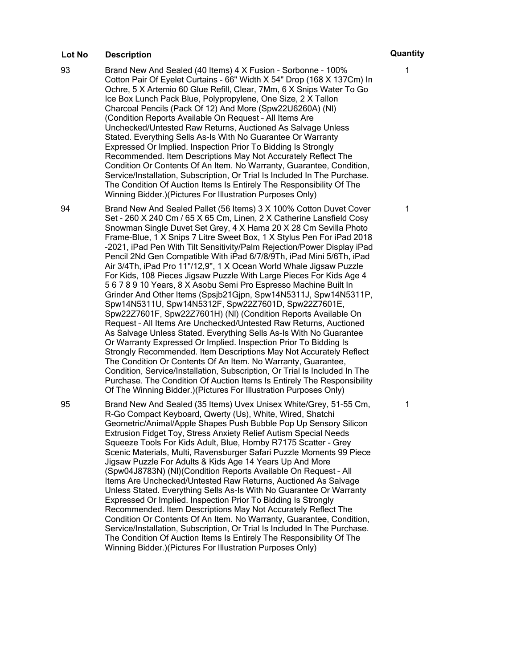93 Brand New And Sealed (40 Items) 4 X Fusion - Sorbonne - 100% Cotton Pair Of Eyelet Curtains - 66" Width X 54" Drop (168 X 137Cm) In Ochre, 5 X Artemio 60 Glue Refill, Clear, 7Mm, 6 X Snips Water To Go Ice Box Lunch Pack Blue, Polypropylene, One Size, 2 X Tallon Charcoal Pencils (Pack Of 12) And More (Spw22U6260A) (Nl) (Condition Reports Available On Request – All Items Are Unchecked/Untested Raw Returns, Auctioned As Salvage Unless Stated. Everything Sells As-Is With No Guarantee Or Warranty Expressed Or Implied. Inspection Prior To Bidding Is Strongly Recommended. Item Descriptions May Not Accurately Reflect The Condition Or Contents Of An Item. No Warranty, Guarantee, Condition, Service/Installation, Subscription, Or Trial Is Included In The Purchase. The Condition Of Auction Items Is Entirely The Responsibility Of The Winning Bidder.)(Pictures For Illustration Purposes Only)

94 Brand New And Sealed Pallet (56 Items) 3 X 100% Cotton Duvet Cover Set - 260 X 240 Cm / 65 X 65 Cm, Linen, 2 X Catherine Lansfield Cosy Snowman Single Duvet Set Grey, 4 X Hama 20 X 28 Cm Sevilla Photo Frame-Blue, 1 X Snips 7 Litre Sweet Box, 1 X Stylus Pen For iPad 2018 -2021, iPad Pen With Tilt Sensitivity/Palm Rejection/Power Display iPad Pencil 2Nd Gen Compatible With iPad 6/7/8/9Th, iPad Mini 5/6Th, iPad Air 3/4Th, iPad Pro 11''/12,9'', 1 X Ocean World Whale Jigsaw Puzzle For Kids, 108 Pieces Jigsaw Puzzle With Large Pieces For Kids Age 4 5 6 7 8 9 10 Years, 8 X Asobu Semi Pro Espresso Machine Built In Grinder And Other Items (Spsjb21Gjpn, Spw14N5311J, Spw14N5311P, Spw14N5311U, Spw14N5312F, Spw22Z7601D, Spw22Z7601E, Spw22Z7601F, Spw22Z7601H) (Nl) (Condition Reports Available On Request – All Items Are Unchecked/Untested Raw Returns, Auctioned As Salvage Unless Stated. Everything Sells As-Is With No Guarantee Or Warranty Expressed Or Implied. Inspection Prior To Bidding Is Strongly Recommended. Item Descriptions May Not Accurately Reflect The Condition Or Contents Of An Item. No Warranty, Guarantee, Condition, Service/Installation, Subscription, Or Trial Is Included In The Purchase. The Condition Of Auction Items Is Entirely The Responsibility Of The Winning Bidder.)(Pictures For Illustration Purposes Only)

95 Brand New And Sealed (35 Items) Uvex Unisex White/Grey, 51-55 Cm, R-Go Compact Keyboard, Qwerty (Us), White, Wired, Shatchi Geometric/Animal/Apple Shapes Push Bubble Pop Up Sensory Silicon Extrusion Fidget Toy, Stress Anxiety Relief Autism Special Needs Squeeze Tools For Kids Adult, Blue, Hornby R7175 Scatter - Grey Scenic Materials, Multi, Ravensburger Safari Puzzle Moments 99 Piece Jigsaw Puzzle For Adults & Kids Age 14 Years Up And More (Spw04J8783N) (Nl)(Condition Reports Available On Request – All Items Are Unchecked/Untested Raw Returns, Auctioned As Salvage Unless Stated. Everything Sells As-Is With No Guarantee Or Warranty Expressed Or Implied. Inspection Prior To Bidding Is Strongly Recommended. Item Descriptions May Not Accurately Reflect The Condition Or Contents Of An Item. No Warranty, Guarantee, Condition, Service/Installation, Subscription, Or Trial Is Included In The Purchase. The Condition Of Auction Items Is Entirely The Responsibility Of The Winning Bidder.)(Pictures For Illustration Purposes Only)

1

1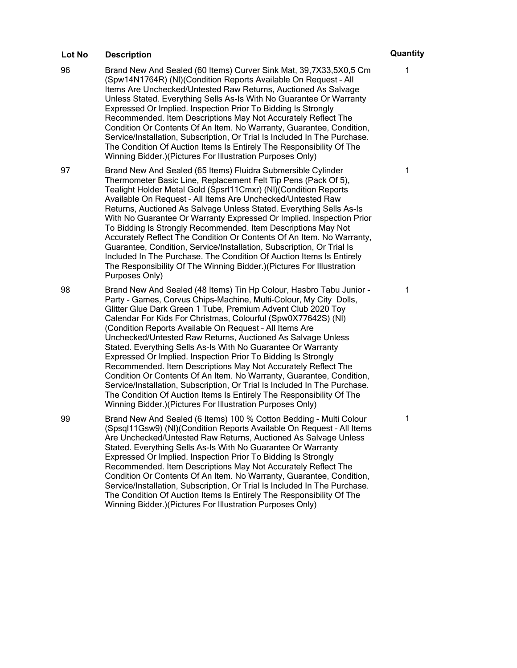- 96 Brand New And Sealed (60 Items) Curver Sink Mat, 39,7X33,5X0,5 Cm (Spw14N1764R) (Nl)(Condition Reports Available On Request – All Items Are Unchecked/Untested Raw Returns, Auctioned As Salvage Unless Stated. Everything Sells As-Is With No Guarantee Or Warranty Expressed Or Implied. Inspection Prior To Bidding Is Strongly Recommended. Item Descriptions May Not Accurately Reflect The Condition Or Contents Of An Item. No Warranty, Guarantee, Condition, Service/Installation, Subscription, Or Trial Is Included In The Purchase. The Condition Of Auction Items Is Entirely The Responsibility Of The Winning Bidder.)(Pictures For Illustration Purposes Only)
- 97 Brand New And Sealed (65 Items) Fluidra Submersible Cylinder Thermometer Basic Line, Replacement Felt Tip Pens (Pack Of 5), Tealight Holder Metal Gold (Spsrl11Cmxr) (Nl)(Condition Reports Available On Request – All Items Are Unchecked/Untested Raw Returns, Auctioned As Salvage Unless Stated. Everything Sells As-Is With No Guarantee Or Warranty Expressed Or Implied. Inspection Prior To Bidding Is Strongly Recommended. Item Descriptions May Not Accurately Reflect The Condition Or Contents Of An Item. No Warranty, Guarantee, Condition, Service/Installation, Subscription, Or Trial Is Included In The Purchase. The Condition Of Auction Items Is Entirely The Responsibility Of The Winning Bidder.)(Pictures For Illustration Purposes Only)
- 98 Brand New And Sealed (48 Items) Tin Hp Colour, Hasbro Tabu Junior Party - Games, Corvus Chips-Machine, Multi-Colour, My City Dolls, Glitter Glue Dark Green 1 Tube, Premium Advent Club 2020 Toy Calendar For Kids For Christmas, Colourful (Spw0X77642S) (Nl) (Condition Reports Available On Request – All Items Are Unchecked/Untested Raw Returns, Auctioned As Salvage Unless Stated. Everything Sells As-Is With No Guarantee Or Warranty Expressed Or Implied. Inspection Prior To Bidding Is Strongly Recommended. Item Descriptions May Not Accurately Reflect The Condition Or Contents Of An Item. No Warranty, Guarantee, Condition, Service/Installation, Subscription, Or Trial Is Included In The Purchase. The Condition Of Auction Items Is Entirely The Responsibility Of The Winning Bidder.)(Pictures For Illustration Purposes Only)
- 99 Brand New And Sealed (6 Items) 100 % Cotton Bedding Multi Colour (Spsql11Gsw9) (Nl)(Condition Reports Available On Request – All Items Are Unchecked/Untested Raw Returns, Auctioned As Salvage Unless Stated. Everything Sells As-Is With No Guarantee Or Warranty Expressed Or Implied. Inspection Prior To Bidding Is Strongly Recommended. Item Descriptions May Not Accurately Reflect The Condition Or Contents Of An Item. No Warranty, Guarantee, Condition, Service/Installation, Subscription, Or Trial Is Included In The Purchase. The Condition Of Auction Items Is Entirely The Responsibility Of The Winning Bidder.)(Pictures For Illustration Purposes Only)

1

1

1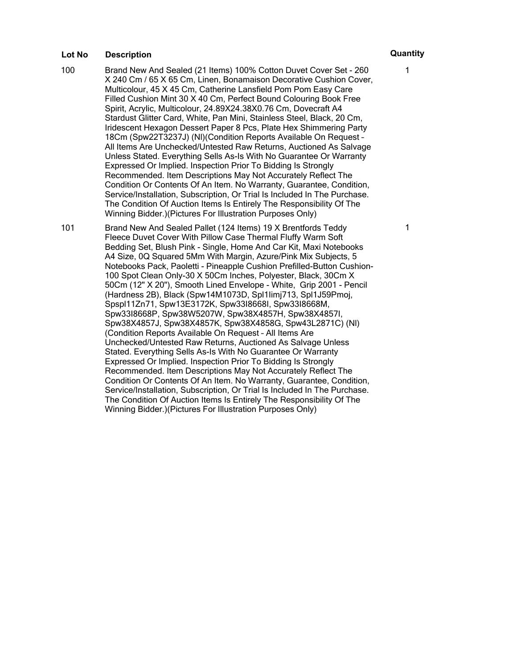100 Brand New And Sealed (21 Items) 100% Cotton Duvet Cover Set - 260 X 240 Cm / 65 X 65 Cm, Linen, Bonamaison Decorative Cushion Cover, Multicolour, 45 X 45 Cm, Catherine Lansfield Pom Pom Easy Care Filled Cushion Mint 30 X 40 Cm, Perfect Bound Colouring Book Free Spirit, Acrylic, Multicolour, 24.89X24.38X0.76 Cm, Dovecraft A4 Stardust Glitter Card, White, Pan Mini, Stainless Steel, Black, 20 Cm, Iridescent Hexagon Dessert Paper 8 Pcs, Plate Hex Shimmering Party 18Cm (Spw22T3237J) (Nl)(Condition Reports Available On Request – All Items Are Unchecked/Untested Raw Returns, Auctioned As Salvage Unless Stated. Everything Sells As-Is With No Guarantee Or Warranty Expressed Or Implied. Inspection Prior To Bidding Is Strongly Recommended. Item Descriptions May Not Accurately Reflect The Condition Or Contents Of An Item. No Warranty, Guarantee, Condition, Service/Installation, Subscription, Or Trial Is Included In The Purchase. The Condition Of Auction Items Is Entirely The Responsibility Of The Winning Bidder.)(Pictures For Illustration Purposes Only)

101 Brand New And Sealed Pallet (124 Items) 19 X Brentfords Teddy Fleece Duvet Cover With Pillow Case Thermal Fluffy Warm Soft Bedding Set, Blush Pink - Single, Home And Car Kit, Maxi Notebooks A4 Size, 0Q Squared 5Mm With Margin, Azure/Pink Mix Subjects, 5 Notebooks Pack, Paoletti - Pineapple Cushion Prefilled-Button Cushion-100 Spot Clean Only-30 X 50Cm Inches, Polyester, Black, 30Cm X 50Cm (12" X 20"), Smooth Lined Envelope - White, Grip 2001 - Pencil (Hardness 2B), Black (Spw14M1073D, Spl1Iimj713, Spl1J59Pmoj, Spspl11Zn71, Spw13E3172K, Spw33I8668I, Spw33I8668M, Spw33I8668P, Spw38W5207W, Spw38X4857H, Spw38X4857I, Spw38X4857J, Spw38X4857K, Spw38X4858G, Spw43L2871C) (Nl) (Condition Reports Available On Request – All Items Are Unchecked/Untested Raw Returns, Auctioned As Salvage Unless Stated. Everything Sells As-Is With No Guarantee Or Warranty Expressed Or Implied. Inspection Prior To Bidding Is Strongly Recommended. Item Descriptions May Not Accurately Reflect The Condition Or Contents Of An Item. No Warranty, Guarantee, Condition, Service/Installation, Subscription, Or Trial Is Included In The Purchase. The Condition Of Auction Items Is Entirely The Responsibility Of The Winning Bidder.)(Pictures For Illustration Purposes Only)

1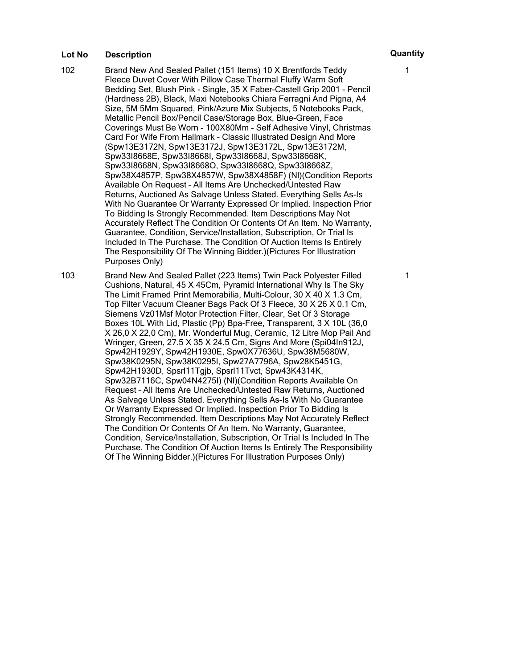- 102 Brand New And Sealed Pallet (151 Items) 10 X Brentfords Teddy Fleece Duvet Cover With Pillow Case Thermal Fluffy Warm Soft Bedding Set, Blush Pink - Single, 35 X Faber-Castell Grip 2001 - Pencil (Hardness 2B), Black, Maxi Notebooks Chiara Ferragni And Pigna, A4 Size, 5M 5Mm Squared, Pink/Azure Mix Subjects, 5 Notebooks Pack, Metallic Pencil Box/Pencil Case/Storage Box, Blue-Green, Face Coverings Must Be Worn - 100X80Mm - Self Adhesive Vinyl, Christmas Card For Wife From Hallmark - Classic Illustrated Design And More (Spw13E3172N, Spw13E3172J, Spw13E3172L, Spw13E3172M, Spw33I8668E, Spw33I8668I, Spw33I8668J, Spw33I8668K, Spw33I8668N, Spw33I8668O, Spw33I8668Q, Spw33I8668Z, Spw38X4857P, Spw38X4857W, Spw38X4858F) (Nl)(Condition Reports Available On Request – All Items Are Unchecked/Untested Raw Returns, Auctioned As Salvage Unless Stated. Everything Sells As-Is With No Guarantee Or Warranty Expressed Or Implied. Inspection Prior To Bidding Is Strongly Recommended. Item Descriptions May Not Accurately Reflect The Condition Or Contents Of An Item. No Warranty, Guarantee, Condition, Service/Installation, Subscription, Or Trial Is Included In The Purchase. The Condition Of Auction Items Is Entirely The Responsibility Of The Winning Bidder.)(Pictures For Illustration Purposes Only)
- 103 Brand New And Sealed Pallet (223 Items) Twin Pack Polyester Filled Cushions, Natural, 45 X 45Cm, Pyramid International Why Is The Sky The Limit Framed Print Memorabilia, Multi-Colour, 30 X 40 X 1.3 Cm, Top Filter Vacuum Cleaner Bags Pack Of 3 Fleece, 30 X 26 X 0.1 Cm, Siemens Vz01Msf Motor Protection Filter, Clear, Set Of 3 Storage Boxes 10L With Lid, Plastic (Pp) Bpa-Free, Transparent, 3 X 10L (36,0 X 26,0 X 22,0 Cm), Mr. Wonderful Mug, Ceramic, 12 Litre Mop Pail And Wringer, Green, 27.5 X 35 X 24.5 Cm, Signs And More (Spi04In912J, Spw42H1929Y, Spw42H1930E, Spw0X77636U, Spw38M5680W, Spw38K0295N, Spw38K0295I, Spw27A7796A, Spw28K5451G, Spw42H1930D, Spsrl11Tgjb, Spsrl11Tvct, Spw43K4314K, Spw32B7116C, Spw04N4275I) (Nl)(Condition Reports Available On Request – All Items Are Unchecked/Untested Raw Returns, Auctioned As Salvage Unless Stated. Everything Sells As-Is With No Guarantee Or Warranty Expressed Or Implied. Inspection Prior To Bidding Is Strongly Recommended. Item Descriptions May Not Accurately Reflect The Condition Or Contents Of An Item. No Warranty, Guarantee, Condition, Service/Installation, Subscription, Or Trial Is Included In The Purchase. The Condition Of Auction Items Is Entirely The Responsibility Of The Winning Bidder.)(Pictures For Illustration Purposes Only)

1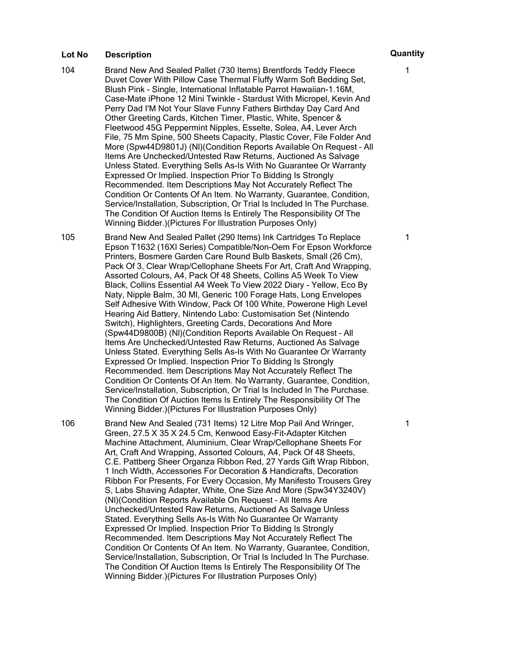- 104 Brand New And Sealed Pallet (730 Items) Brentfords Teddy Fleece Duvet Cover With Pillow Case Thermal Fluffy Warm Soft Bedding Set, Blush Pink - Single, International Inflatable Parrot Hawaiian-1.16M, Case-Mate iPhone 12 Mini Twinkle - Stardust With Micropel, Kevin And Perry Dad I'M Not Your Slave Funny Fathers Birthday Day Card And Other Greeting Cards, Kitchen Timer, Plastic, White, Spencer & Fleetwood 45G Peppermint Nipples, Esselte, Solea, A4, Lever Arch File, 75 Mm Spine, 500 Sheets Capacity, Plastic Cover, File Folder And More (Spw44D9801J) (Nl)(Condition Reports Available On Request – All Items Are Unchecked/Untested Raw Returns, Auctioned As Salvage Unless Stated. Everything Sells As-Is With No Guarantee Or Warranty Expressed Or Implied. Inspection Prior To Bidding Is Strongly Recommended. Item Descriptions May Not Accurately Reflect The Condition Or Contents Of An Item. No Warranty, Guarantee, Condition, Service/Installation, Subscription, Or Trial Is Included In The Purchase. The Condition Of Auction Items Is Entirely The Responsibility Of The Winning Bidder.)(Pictures For Illustration Purposes Only)
- 105 Brand New And Sealed Pallet (290 Items) Ink Cartridges To Replace Epson T1632 (16Xl Series) Compatible/Non-Oem For Epson Workforce Printers, Bosmere Garden Care Round Bulb Baskets, Small (26 Cm), Pack Of 3, Clear Wrap/Cellophane Sheets For Art, Craft And Wrapping, Assorted Colours, A4, Pack Of 48 Sheets, Collins A5 Week To View Black, Collins Essential A4 Week To View 2022 Diary - Yellow, Eco By Naty, Nipple Balm, 30 Ml, Generic 100 Forage Hats, Long Envelopes Self Adhesive With Window, Pack Of 100 White, Powerone High Level Hearing Aid Battery, Nintendo Labo: Customisation Set (Nintendo Switch), Highlighters, Greeting Cards, Decorations And More (Spw44D9800B) (Nl)(Condition Reports Available On Request – All Items Are Unchecked/Untested Raw Returns, Auctioned As Salvage Unless Stated. Everything Sells As-Is With No Guarantee Or Warranty Expressed Or Implied. Inspection Prior To Bidding Is Strongly Recommended. Item Descriptions May Not Accurately Reflect The Condition Or Contents Of An Item. No Warranty, Guarantee, Condition, Service/Installation, Subscription, Or Trial Is Included In The Purchase. The Condition Of Auction Items Is Entirely The Responsibility Of The Winning Bidder.)(Pictures For Illustration Purposes Only)

106 Brand New And Sealed (731 Items) 12 Litre Mop Pail And Wringer, Green, 27.5 X 35 X 24.5 Cm, Kenwood Easy-Fit-Adapter Kitchen Machine Attachment, Aluminium, Clear Wrap/Cellophane Sheets For Art, Craft And Wrapping, Assorted Colours, A4, Pack Of 48 Sheets, C.E. Pattberg Sheer Organza Ribbon Red, 27 Yards Gift Wrap Ribbon, 1 Inch Width, Accessories For Decoration & Handicrafts, Decoration Ribbon For Presents, For Every Occasion, My Manifesto Trousers Grey S, Labs Shaving Adapter, White, One Size And More (Spw34Y3240V) (Nl)(Condition Reports Available On Request – All Items Are Unchecked/Untested Raw Returns, Auctioned As Salvage Unless Stated. Everything Sells As-Is With No Guarantee Or Warranty Expressed Or Implied. Inspection Prior To Bidding Is Strongly Recommended. Item Descriptions May Not Accurately Reflect The Condition Or Contents Of An Item. No Warranty, Guarantee, Condition, Service/Installation, Subscription, Or Trial Is Included In The Purchase. The Condition Of Auction Items Is Entirely The Responsibility Of The Winning Bidder.)(Pictures For Illustration Purposes Only)

1

1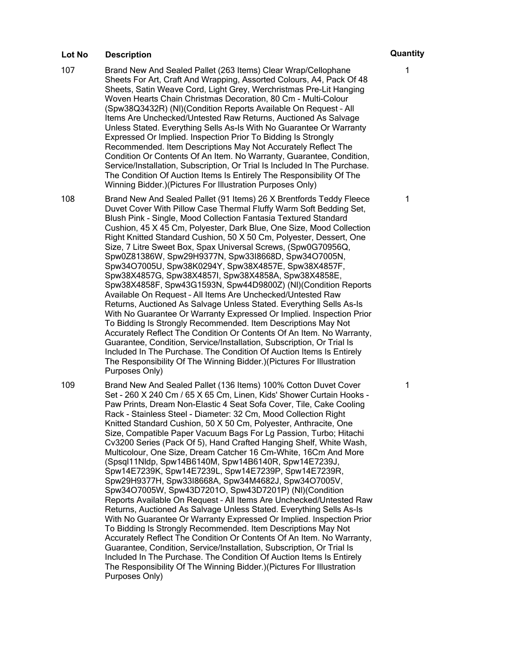- 107 Brand New And Sealed Pallet (263 Items) Clear Wrap/Cellophane Sheets For Art, Craft And Wrapping, Assorted Colours, A4, Pack Of 48 Sheets, Satin Weave Cord, Light Grey, Werchristmas Pre-Lit Hanging Woven Hearts Chain Christmas Decoration, 80 Cm - Multi-Colour (Spw38Q3432R) (Nl)(Condition Reports Available On Request – All Items Are Unchecked/Untested Raw Returns, Auctioned As Salvage Unless Stated. Everything Sells As-Is With No Guarantee Or Warranty Expressed Or Implied. Inspection Prior To Bidding Is Strongly Recommended. Item Descriptions May Not Accurately Reflect The Condition Or Contents Of An Item. No Warranty, Guarantee, Condition, Service/Installation, Subscription, Or Trial Is Included In The Purchase. The Condition Of Auction Items Is Entirely The Responsibility Of The Winning Bidder.)(Pictures For Illustration Purposes Only)
- 108 Brand New And Sealed Pallet (91 Items) 26 X Brentfords Teddy Fleece Duvet Cover With Pillow Case Thermal Fluffy Warm Soft Bedding Set, Blush Pink - Single, Mood Collection Fantasia Textured Standard Cushion, 45 X 45 Cm, Polyester, Dark Blue, One Size, Mood Collection Right Knitted Standard Cushion, 50 X 50 Cm, Polyester, Dessert, One Size, 7 Litre Sweet Box, Spax Universal Screws, (Spw0G70956Q, Spw0Z81386W, Spw29H9377N, Spw33I8668D, Spw34O7005N, Spw34O7005U, Spw38K0294Y, Spw38X4857E, Spw38X4857F, Spw38X4857G, Spw38X4857I, Spw38X4858A, Spw38X4858E, Spw38X4858F, Spw43G1593N, Spw44D9800Z) (Nl)(Condition Reports Available On Request – All Items Are Unchecked/Untested Raw Returns, Auctioned As Salvage Unless Stated. Everything Sells As-Is With No Guarantee Or Warranty Expressed Or Implied. Inspection Prior To Bidding Is Strongly Recommended. Item Descriptions May Not Accurately Reflect The Condition Or Contents Of An Item. No Warranty, Guarantee, Condition, Service/Installation, Subscription, Or Trial Is Included In The Purchase. The Condition Of Auction Items Is Entirely The Responsibility Of The Winning Bidder.)(Pictures For Illustration Purposes Only)
- 109 Brand New And Sealed Pallet (136 Items) 100% Cotton Duvet Cover Set - 260 X 240 Cm / 65 X 65 Cm, Linen, Kids' Shower Curtain Hooks - Paw Prints, Dream Non-Elastic 4 Seat Sofa Cover, Tile, Cake Cooling Rack - Stainless Steel - Diameter: 32 Cm, Mood Collection Right Knitted Standard Cushion, 50 X 50 Cm, Polyester, Anthracite, One Size, Compatible Paper Vacuum Bags For Lg Passion, Turbo; Hitachi Cv3200 Series (Pack Of 5), Hand Crafted Hanging Shelf, White Wash, Multicolour, One Size, Dream Catcher 16 Cm-White, 16Cm And More (Spsql11Nldp, Spw14B6140M, Spw14B6140R, Spw14E7239J, Spw14E7239K, Spw14E7239L, Spw14E7239P, Spw14E7239R, Spw29H9377H, Spw33I8668A, Spw34M4682J, Spw34O7005V, Spw34O7005W, Spw43D7201O, Spw43D7201P) (Nl)(Condition Reports Available On Request – All Items Are Unchecked/Untested Raw Returns, Auctioned As Salvage Unless Stated. Everything Sells As-Is With No Guarantee Or Warranty Expressed Or Implied. Inspection Prior To Bidding Is Strongly Recommended. Item Descriptions May Not Accurately Reflect The Condition Or Contents Of An Item. No Warranty, Guarantee, Condition, Service/Installation, Subscription, Or Trial Is Included In The Purchase. The Condition Of Auction Items Is Entirely The Responsibility Of The Winning Bidder.)(Pictures For Illustration Purposes Only)

1

1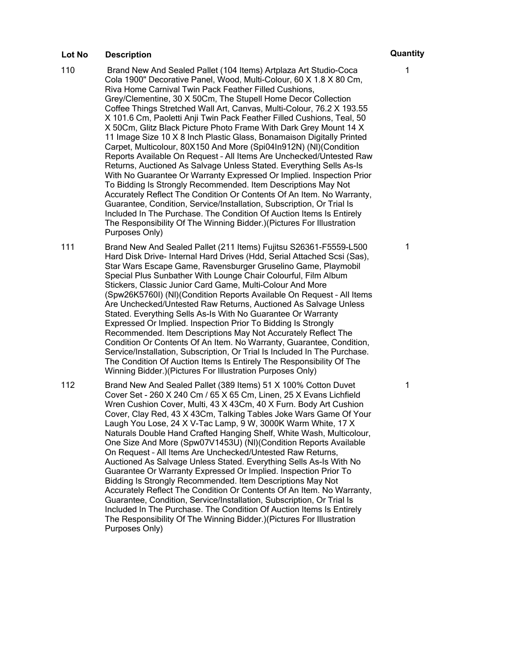- 110 Brand New And Sealed Pallet (104 Items) Artplaza Art Studio-Coca Cola 1900" Decorative Panel, Wood, Multi-Colour, 60 X 1.8 X 80 Cm, Riva Home Carnival Twin Pack Feather Filled Cushions, Grey/Clementine, 30 X 50Cm, The Stupell Home Decor Collection Coffee Things Stretched Wall Art, Canvas, Multi-Colour, 76.2 X 193.55 X 101.6 Cm, Paoletti Anji Twin Pack Feather Filled Cushions, Teal, 50 X 50Cm, Glitz Black Picture Photo Frame With Dark Grey Mount 14 X 11 Image Size 10 X 8 Inch Plastic Glass, Bonamaison Digitally Printed Carpet, Multicolour, 80X150 And More (Spi04In912N) (Nl)(Condition Reports Available On Request – All Items Are Unchecked/Untested Raw Returns, Auctioned As Salvage Unless Stated. Everything Sells As-Is With No Guarantee Or Warranty Expressed Or Implied. Inspection Prior To Bidding Is Strongly Recommended. Item Descriptions May Not Accurately Reflect The Condition Or Contents Of An Item. No Warranty, Guarantee, Condition, Service/Installation, Subscription, Or Trial Is Included In The Purchase. The Condition Of Auction Items Is Entirely The Responsibility Of The Winning Bidder.)(Pictures For Illustration Purposes Only)
- 111 Brand New And Sealed Pallet (211 Items) Fujitsu S26361-F5559-L500 Hard Disk Drive- Internal Hard Drives (Hdd, Serial Attached Scsi (Sas), Star Wars Escape Game, Ravensburger Gruselino Game, Playmobil Special Plus Sunbather With Lounge Chair Colourful, Film Album Stickers, Classic Junior Card Game, Multi-Colour And More (Spw26K5760I) (Nl)(Condition Reports Available On Request – All Items Are Unchecked/Untested Raw Returns, Auctioned As Salvage Unless Stated. Everything Sells As-Is With No Guarantee Or Warranty Expressed Or Implied. Inspection Prior To Bidding Is Strongly Recommended. Item Descriptions May Not Accurately Reflect The Condition Or Contents Of An Item. No Warranty, Guarantee, Condition, Service/Installation, Subscription, Or Trial Is Included In The Purchase. The Condition Of Auction Items Is Entirely The Responsibility Of The Winning Bidder.)(Pictures For Illustration Purposes Only)
- 112 Brand New And Sealed Pallet (389 Items) 51 X 100% Cotton Duvet Cover Set - 260 X 240 Cm / 65 X 65 Cm, Linen, 25 X Evans Lichfield Wren Cushion Cover, Multi, 43 X 43Cm, 40 X Furn. Body Art Cushion Cover, Clay Red, 43 X 43Cm, Talking Tables Joke Wars Game Of Your Laugh You Lose, 24 X V-Tac Lamp, 9 W, 3000K Warm White, 17 X Naturals Double Hand Crafted Hanging Shelf, White Wash, Multicolour, One Size And More (Spw07V1453U) (Nl)(Condition Reports Available On Request – All Items Are Unchecked/Untested Raw Returns, Auctioned As Salvage Unless Stated. Everything Sells As-Is With No Guarantee Or Warranty Expressed Or Implied. Inspection Prior To Bidding Is Strongly Recommended. Item Descriptions May Not Accurately Reflect The Condition Or Contents Of An Item. No Warranty, Guarantee, Condition, Service/Installation, Subscription, Or Trial Is Included In The Purchase. The Condition Of Auction Items Is Entirely The Responsibility Of The Winning Bidder.)(Pictures For Illustration Purposes Only)

1

1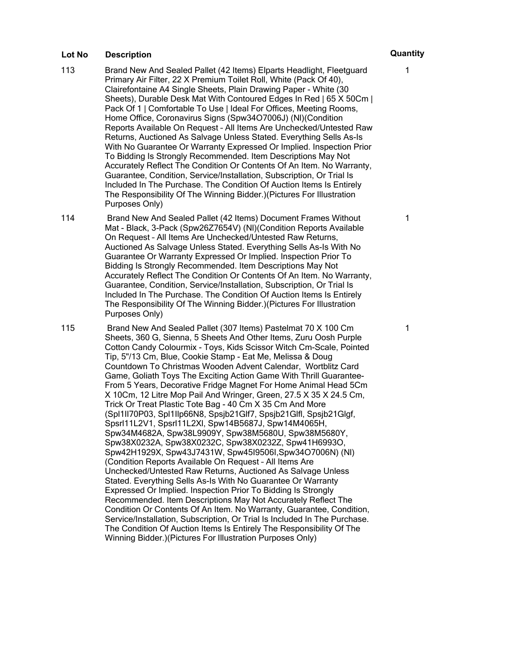- 113 Brand New And Sealed Pallet (42 Items) Elparts Headlight, Fleetguard Primary Air Filter, 22 X Premium Toilet Roll, White (Pack Of 40), Clairefontaine A4 Single Sheets, Plain Drawing Paper - White (30 Sheets), Durable Desk Mat With Contoured Edges In Red | 65 X 50Cm | Pack Of 1 | Comfortable To Use | Ideal For Offices, Meeting Rooms, Home Office, Coronavirus Signs (Spw34O7006J) (Nl)(Condition Reports Available On Request – All Items Are Unchecked/Untested Raw Returns, Auctioned As Salvage Unless Stated. Everything Sells As-Is With No Guarantee Or Warranty Expressed Or Implied. Inspection Prior To Bidding Is Strongly Recommended. Item Descriptions May Not Accurately Reflect The Condition Or Contents Of An Item. No Warranty, Guarantee, Condition, Service/Installation, Subscription, Or Trial Is Included In The Purchase. The Condition Of Auction Items Is Entirely The Responsibility Of The Winning Bidder.)(Pictures For Illustration Purposes Only)
- 114 Brand New And Sealed Pallet (42 Items) Document Frames Without Mat - Black, 3-Pack (Spw26Z7654V) (Nl)(Condition Reports Available On Request – All Items Are Unchecked/Untested Raw Returns, Auctioned As Salvage Unless Stated. Everything Sells As-Is With No Guarantee Or Warranty Expressed Or Implied. Inspection Prior To Bidding Is Strongly Recommended. Item Descriptions May Not Accurately Reflect The Condition Or Contents Of An Item. No Warranty, Guarantee, Condition, Service/Installation, Subscription, Or Trial Is Included In The Purchase. The Condition Of Auction Items Is Entirely The Responsibility Of The Winning Bidder.)(Pictures For Illustration Purposes Only)

115 Brand New And Sealed Pallet (307 Items) Pastelmat 70 X 100 Cm Sheets, 360 G, Sienna, 5 Sheets And Other Items, Zuru Oosh Purple Cotton Candy Colourmix - Toys, Kids Scissor Witch Cm-Scale, Pointed Tip, 5"/13 Cm, Blue, Cookie Stamp - Eat Me, Melissa & Doug Countdown To Christmas Wooden Advent Calendar, Wortblitz Card Game, Goliath Toys The Exciting Action Game With Thrill Guarantee-From 5 Years, Decorative Fridge Magnet For Home Animal Head 5Cm X 10Cm, 12 Litre Mop Pail And Wringer, Green, 27.5 X 35 X 24.5 Cm, Trick Or Treat Plastic Tote Bag - 40 Cm X 35 Cm And More (Spl1Il70P03, Spl1Ilp66N8, Spsjb21Glf7, Spsjb21Glfl, Spsjb21Glgf, Spsrl11L2V1, Spsrl11L2Xl, Spw14B5687J, Spw14M4065H, Spw34M4682A, Spw38L9909Y, Spw38M5680U, Spw38M5680Y, Spw38X0232A, Spw38X0232C, Spw38X0232Z, Spw41H6993O, Spw42H1929X, Spw43J7431W, Spw45I9506I,Spw34O7006N) (Nl) (Condition Reports Available On Request – All Items Are Unchecked/Untested Raw Returns, Auctioned As Salvage Unless Stated. Everything Sells As-Is With No Guarantee Or Warranty Expressed Or Implied. Inspection Prior To Bidding Is Strongly Recommended. Item Descriptions May Not Accurately Reflect The Condition Or Contents Of An Item. No Warranty, Guarantee, Condition, Service/Installation, Subscription, Or Trial Is Included In The Purchase. The Condition Of Auction Items Is Entirely The Responsibility Of The Winning Bidder.)(Pictures For Illustration Purposes Only)

1

1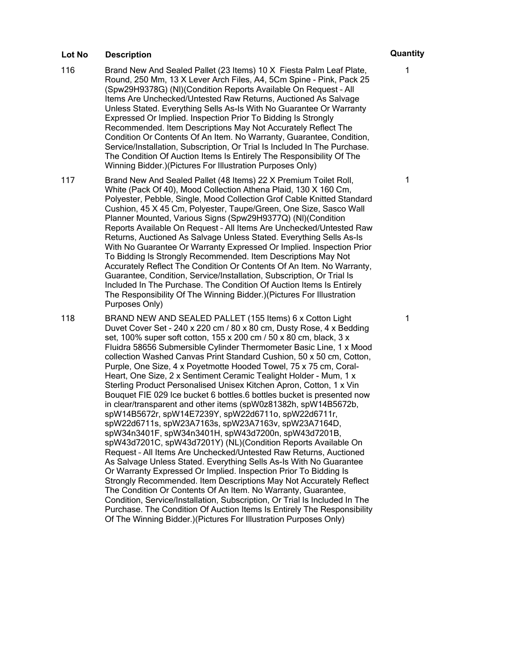- 116 Brand New And Sealed Pallet (23 Items) 10 X Fiesta Palm Leaf Plate, Round, 250 Mm, 13 X Lever Arch Files, A4, 5Cm Spine - Pink, Pack 25 (Spw29H9378G) (Nl)(Condition Reports Available On Request – All Items Are Unchecked/Untested Raw Returns, Auctioned As Salvage Unless Stated. Everything Sells As-Is With No Guarantee Or Warranty Expressed Or Implied. Inspection Prior To Bidding Is Strongly Recommended. Item Descriptions May Not Accurately Reflect The Condition Or Contents Of An Item. No Warranty, Guarantee, Condition, Service/Installation, Subscription, Or Trial Is Included In The Purchase. The Condition Of Auction Items Is Entirely The Responsibility Of The Winning Bidder.)(Pictures For Illustration Purposes Only)
- 117 Brand New And Sealed Pallet (48 Items) 22 X Premium Toilet Roll, White (Pack Of 40), Mood Collection Athena Plaid, 130 X 160 Cm, Polyester, Pebble, Single, Mood Collection Grof Cable Knitted Standard Cushion, 45 X 45 Cm, Polyester, Taupe/Green, One Size, Sasco Wall Planner Mounted, Various Signs (Spw29H9377Q) (Nl)(Condition Reports Available On Request – All Items Are Unchecked/Untested Raw Returns, Auctioned As Salvage Unless Stated. Everything Sells As-Is With No Guarantee Or Warranty Expressed Or Implied. Inspection Prior To Bidding Is Strongly Recommended. Item Descriptions May Not Accurately Reflect The Condition Or Contents Of An Item. No Warranty, Guarantee, Condition, Service/Installation, Subscription, Or Trial Is Included In The Purchase. The Condition Of Auction Items Is Entirely The Responsibility Of The Winning Bidder.)(Pictures For Illustration Purposes Only)
- 118 BRAND NEW AND SEALED PALLET (155 Items) 6 x Cotton Light Duvet Cover Set - 240 x 220 cm / 80 x 80 cm, Dusty Rose, 4 x Bedding set, 100% super soft cotton, 155 x 200 cm / 50 x 80 cm, black, 3 x Fluidra 58656 Submersible Cylinder Thermometer Basic Line, 1 x Mood collection Washed Canvas Print Standard Cushion, 50 x 50 cm, Cotton, Purple, One Size, 4 x Poyetmotte Hooded Towel, 75 x 75 cm, Coral-Heart, One Size, 2 x Sentiment Ceramic Tealight Holder - Mum, 1 x Sterling Product Personalised Unisex Kitchen Apron, Cotton, 1 x Vin Bouquet FIE 029 Ice bucket 6 bottles.6 bottles bucket is presented now in clear/transparent and other items (spW0z81382h, spW14B5672b, spW14B5672r, spW14E7239Y, spW22d6711o, spW22d6711r, spW22d6711s, spW23A7163s, spW23A7163v, spW23A7164D, spW34n3401F, spW34n3401H, spW43d7200n, spW43d7201B, spW43d7201C, spW43d7201Y) (NL)(Condition Reports Available On Request – All Items Are Unchecked/Untested Raw Returns, Auctioned As Salvage Unless Stated. Everything Sells As-Is With No Guarantee Or Warranty Expressed Or Implied. Inspection Prior To Bidding Is Strongly Recommended. Item Descriptions May Not Accurately Reflect The Condition Or Contents Of An Item. No Warranty, Guarantee, Condition, Service/Installation, Subscription, Or Trial Is Included In The Purchase. The Condition Of Auction Items Is Entirely The Responsibility Of The Winning Bidder.)(Pictures For Illustration Purposes Only)

1

1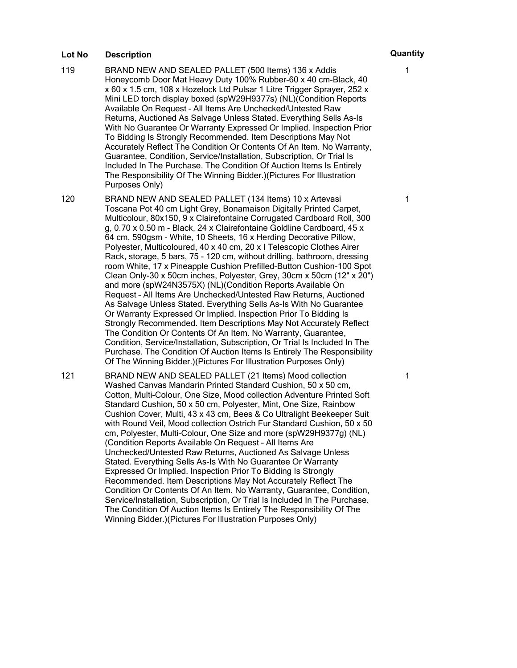- 119 BRAND NEW AND SEALED PALLET (500 Items) 136 x Addis Honeycomb Door Mat Heavy Duty 100% Rubber-60 x 40 cm-Black, 40 x 60 x 1.5 cm, 108 x Hozelock Ltd Pulsar 1 Litre Trigger Sprayer, 252 x Mini LED torch display boxed (spW29H9377s) (NL)(Condition Reports Available On Request – All Items Are Unchecked/Untested Raw Returns, Auctioned As Salvage Unless Stated. Everything Sells As-Is With No Guarantee Or Warranty Expressed Or Implied. Inspection Prior To Bidding Is Strongly Recommended. Item Descriptions May Not Accurately Reflect The Condition Or Contents Of An Item. No Warranty, Guarantee, Condition, Service/Installation, Subscription, Or Trial Is Included In The Purchase. The Condition Of Auction Items Is Entirely The Responsibility Of The Winning Bidder.)(Pictures For Illustration Purposes Only)
- 120 BRAND NEW AND SEALED PALLET (134 Items) 10 x Artevasi Toscana Pot 40 cm Light Grey, Bonamaison Digitally Printed Carpet, Multicolour, 80x150, 9 x Clairefontaine Corrugated Cardboard Roll, 300 g, 0.70 x 0.50 m - Black, 24 x Clairefontaine Goldline Cardboard, 45 x 64 cm, 590gsm - White, 10 Sheets, 16 x Herding Decorative Pillow, Polyester, Multicoloured, 40 x 40 cm, 20 x I Telescopic Clothes Airer Rack, storage, 5 bars, 75 - 120 cm, without drilling, bathroom, dressing room White, 17 x Pineapple Cushion Prefilled-Button Cushion-100 Spot Clean Only-30 x 50cm inches, Polyester, Grey, 30cm x 50cm (12" x 20") and more (spW24N3575X) (NL)(Condition Reports Available On Request – All Items Are Unchecked/Untested Raw Returns, Auctioned As Salvage Unless Stated. Everything Sells As-Is With No Guarantee Or Warranty Expressed Or Implied. Inspection Prior To Bidding Is Strongly Recommended. Item Descriptions May Not Accurately Reflect The Condition Or Contents Of An Item. No Warranty, Guarantee, Condition, Service/Installation, Subscription, Or Trial Is Included In The Purchase. The Condition Of Auction Items Is Entirely The Responsibility Of The Winning Bidder.)(Pictures For Illustration Purposes Only)

121 BRAND NEW AND SEALED PALLET (21 Items) Mood collection Washed Canvas Mandarin Printed Standard Cushion, 50 x 50 cm, Cotton, Multi-Colour, One Size, Mood collection Adventure Printed Soft Standard Cushion, 50 x 50 cm, Polyester, Mint, One Size, Rainbow Cushion Cover, Multi, 43 x 43 cm, Bees & Co Ultralight Beekeeper Suit with Round Veil, Mood collection Ostrich Fur Standard Cushion, 50 x 50 cm, Polyester, Multi-Colour, One Size and more (spW29H9377g) (NL) (Condition Reports Available On Request – All Items Are Unchecked/Untested Raw Returns, Auctioned As Salvage Unless Stated. Everything Sells As-Is With No Guarantee Or Warranty Expressed Or Implied. Inspection Prior To Bidding Is Strongly Recommended. Item Descriptions May Not Accurately Reflect The Condition Or Contents Of An Item. No Warranty, Guarantee, Condition, Service/Installation, Subscription, Or Trial Is Included In The Purchase. The Condition Of Auction Items Is Entirely The Responsibility Of The Winning Bidder.)(Pictures For Illustration Purposes Only)

1

1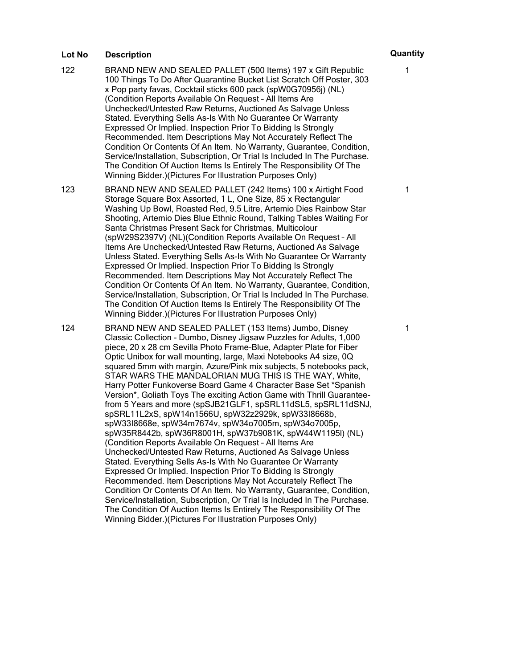- 122 BRAND NEW AND SEALED PALLET (500 Items) 197 x Gift Republic 100 Things To Do After Quarantine Bucket List Scratch Off Poster, 303 x Pop party favas, Cocktail sticks 600 pack (spW0G70956j) (NL) (Condition Reports Available On Request – All Items Are Unchecked/Untested Raw Returns, Auctioned As Salvage Unless Stated. Everything Sells As-Is With No Guarantee Or Warranty Expressed Or Implied. Inspection Prior To Bidding Is Strongly Recommended. Item Descriptions May Not Accurately Reflect The Condition Or Contents Of An Item. No Warranty, Guarantee, Condition, Service/Installation, Subscription, Or Trial Is Included In The Purchase. The Condition Of Auction Items Is Entirely The Responsibility Of The Winning Bidder.)(Pictures For Illustration Purposes Only)
- 123 BRAND NEW AND SEALED PALLET (242 Items) 100 x Airtight Food Storage Square Box Assorted, 1 L, One Size, 85 x Rectangular Washing Up Bowl, Roasted Red, 9.5 Litre, Artemio Dies Rainbow Star Shooting, Artemio Dies Blue Ethnic Round, Talking Tables Waiting For Santa Christmas Present Sack for Christmas, Multicolour (spW29S2397V) (NL)(Condition Reports Available On Request – All Items Are Unchecked/Untested Raw Returns, Auctioned As Salvage Unless Stated. Everything Sells As-Is With No Guarantee Or Warranty Expressed Or Implied. Inspection Prior To Bidding Is Strongly Recommended. Item Descriptions May Not Accurately Reflect The Condition Or Contents Of An Item. No Warranty, Guarantee, Condition, Service/Installation, Subscription, Or Trial Is Included In The Purchase. The Condition Of Auction Items Is Entirely The Responsibility Of The Winning Bidder.)(Pictures For Illustration Purposes Only)
- 124 BRAND NEW AND SEALED PALLET (153 Items) Jumbo, Disney Classic Collection - Dumbo, Disney Jigsaw Puzzles for Adults, 1,000 piece, 20 x 28 cm Sevilla Photo Frame-Blue, Adapter Plate for Fiber Optic Unibox for wall mounting, large, Maxi Notebooks A4 size, 0Q squared 5mm with margin, Azure/Pink mix subjects, 5 notebooks pack, STAR WARS THE MANDALORIAN MUG THIS IS THE WAY, White, Harry Potter Funkoverse Board Game 4 Character Base Set \*Spanish Version\*, Goliath Toys The exciting Action Game with Thrill Guaranteefrom 5 Years and more (spSJB21GLF1, spSRL11dSL5, spSRL11dSNJ, spSRL11L2xS, spW14n1566U, spW32z2929k, spW33I8668b, spW33I8668e, spW34m7674v, spW34o7005m, spW34o7005p, spW35R8442b, spW36R8001H, spW37b9081K, spW44W1195l) (NL) (Condition Reports Available On Request – All Items Are Unchecked/Untested Raw Returns, Auctioned As Salvage Unless Stated. Everything Sells As-Is With No Guarantee Or Warranty Expressed Or Implied. Inspection Prior To Bidding Is Strongly Recommended. Item Descriptions May Not Accurately Reflect The Condition Or Contents Of An Item. No Warranty, Guarantee, Condition, Service/Installation, Subscription, Or Trial Is Included In The Purchase. The Condition Of Auction Items Is Entirely The Responsibility Of The Winning Bidder.)(Pictures For Illustration Purposes Only)

1

1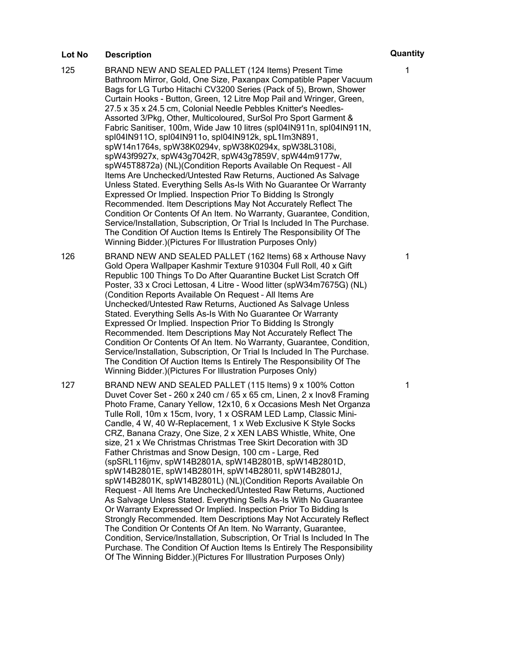- 125 BRAND NEW AND SEALED PALLET (124 Items) Present Time Bathroom Mirror, Gold, One Size, Paxanpax Compatible Paper Vacuum Bags for LG Turbo Hitachi CV3200 Series (Pack of 5), Brown, Shower Curtain Hooks - Button, Green, 12 Litre Mop Pail and Wringer, Green, 27.5 x 35 x 24.5 cm, Colonial Needle Pebbles Knitter's Needles-Assorted 3/Pkg, Other, Multicoloured, SurSol Pro Sport Garment & Fabric Sanitiser, 100m, Wide Jaw 10 litres (spI04IN911n, spI04IN911N, spI04IN911O, spI04IN911o, spI04IN912k, spL1Im3N891, spW14n1764s, spW38K0294v, spW38K0294x, spW38L3108i, spW43f9927x, spW43g7042R, spW43g7859V, spW44m9177w, spW45T8872a) (NL)(Condition Reports Available On Request – All Items Are Unchecked/Untested Raw Returns, Auctioned As Salvage Unless Stated. Everything Sells As-Is With No Guarantee Or Warranty Expressed Or Implied. Inspection Prior To Bidding Is Strongly Recommended. Item Descriptions May Not Accurately Reflect The Condition Or Contents Of An Item. No Warranty, Guarantee, Condition, Service/Installation, Subscription, Or Trial Is Included In The Purchase. The Condition Of Auction Items Is Entirely The Responsibility Of The Winning Bidder.)(Pictures For Illustration Purposes Only)
- 126 BRAND NEW AND SEALED PALLET (162 Items) 68 x Arthouse Navy Gold Opera Wallpaper Kashmir Texture 910304 Full Roll, 40 x Gift Republic 100 Things To Do After Quarantine Bucket List Scratch Off Poster, 33 x Croci Lettosan, 4 Litre - Wood litter (spW34m7675G) (NL) (Condition Reports Available On Request – All Items Are Unchecked/Untested Raw Returns, Auctioned As Salvage Unless Stated. Everything Sells As-Is With No Guarantee Or Warranty Expressed Or Implied. Inspection Prior To Bidding Is Strongly Recommended. Item Descriptions May Not Accurately Reflect The Condition Or Contents Of An Item. No Warranty, Guarantee, Condition, Service/Installation, Subscription, Or Trial Is Included In The Purchase. The Condition Of Auction Items Is Entirely The Responsibility Of The Winning Bidder.)(Pictures For Illustration Purposes Only)
- 127 BRAND NEW AND SEALED PALLET (115 Items) 9 x 100% Cotton Duvet Cover Set - 260 x 240 cm / 65 x 65 cm, Linen, 2 x Inov8 Framing Photo Frame, Canary Yellow, 12x10, 6 x Occasions Mesh Net Organza Tulle Roll, 10m x 15cm, Ivory, 1 x OSRAM LED Lamp, Classic Mini-Candle, 4 W, 40 W-Replacement, 1 x Web Exclusive K Style Socks CRZ, Banana Crazy, One Size, 2 x XEN LABS Whistle, White, One size, 21 x We Christmas Christmas Tree Skirt Decoration with 3D Father Christmas and Snow Design, 100 cm - Large, Red (spSRL116jmv, spW14B2801A, spW14B2801B, spW14B2801D, spW14B2801E, spW14B2801H, spW14B2801I, spW14B2801J, spW14B2801K, spW14B2801L) (NL)(Condition Reports Available On Request – All Items Are Unchecked/Untested Raw Returns, Auctioned As Salvage Unless Stated. Everything Sells As-Is With No Guarantee Or Warranty Expressed Or Implied. Inspection Prior To Bidding Is Strongly Recommended. Item Descriptions May Not Accurately Reflect The Condition Or Contents Of An Item. No Warranty, Guarantee, Condition, Service/Installation, Subscription, Or Trial Is Included In The Purchase. The Condition Of Auction Items Is Entirely The Responsibility Of The Winning Bidder.)(Pictures For Illustration Purposes Only)

1

1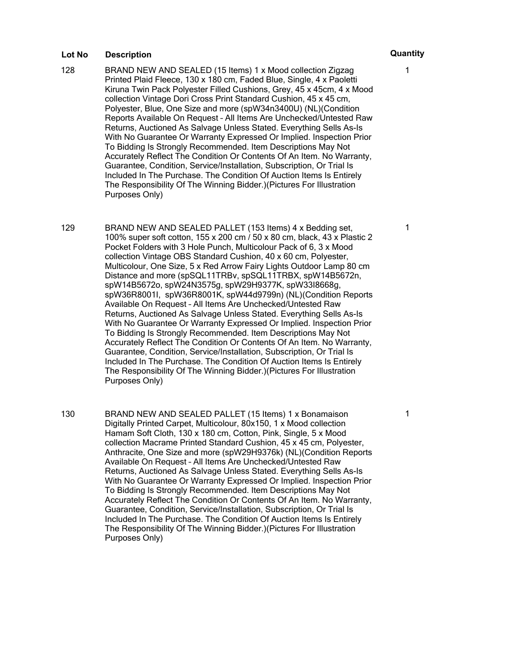- 128 BRAND NEW AND SEALED (15 Items) 1 x Mood collection Zigzag Printed Plaid Fleece, 130 x 180 cm, Faded Blue, Single, 4 x Paoletti Kiruna Twin Pack Polyester Filled Cushions, Grey, 45 x 45cm, 4 x Mood collection Vintage Dori Cross Print Standard Cushion, 45 x 45 cm, Polyester, Blue, One Size and more (spW34n3400U) (NL)(Condition Reports Available On Request – All Items Are Unchecked/Untested Raw Returns, Auctioned As Salvage Unless Stated. Everything Sells As-Is With No Guarantee Or Warranty Expressed Or Implied. Inspection Prior To Bidding Is Strongly Recommended. Item Descriptions May Not Accurately Reflect The Condition Or Contents Of An Item. No Warranty, Guarantee, Condition, Service/Installation, Subscription, Or Trial Is Included In The Purchase. The Condition Of Auction Items Is Entirely The Responsibility Of The Winning Bidder.)(Pictures For Illustration Purposes Only)
- 129 BRAND NEW AND SEALED PALLET (153 Items) 4 x Bedding set, 100% super soft cotton, 155 x 200 cm / 50 x 80 cm, black, 43 x Plastic 2 Pocket Folders with 3 Hole Punch, Multicolour Pack of 6, 3 x Mood collection Vintage OBS Standard Cushion, 40 x 60 cm, Polyester, Multicolour, One Size, 5 x Red Arrow Fairy Lights Outdoor Lamp 80 cm Distance and more (spSQL11TRBv, spSQL11TRBX, spW14B5672n, spW14B5672o, spW24N3575g, spW29H9377K, spW33I8668g, spW36R8001I, spW36R8001K, spW44d9799n) (NL)(Condition Reports Available On Request – All Items Are Unchecked/Untested Raw Returns, Auctioned As Salvage Unless Stated. Everything Sells As-Is With No Guarantee Or Warranty Expressed Or Implied. Inspection Prior To Bidding Is Strongly Recommended. Item Descriptions May Not Accurately Reflect The Condition Or Contents Of An Item. No Warranty, Guarantee, Condition, Service/Installation, Subscription, Or Trial Is Included In The Purchase. The Condition Of Auction Items Is Entirely The Responsibility Of The Winning Bidder.)(Pictures For Illustration Purposes Only)
- 130 BRAND NEW AND SEALED PALLET (15 Items) 1 x Bonamaison Digitally Printed Carpet, Multicolour, 80x150, 1 x Mood collection Hamam Soft Cloth, 130 x 180 cm, Cotton, Pink, Single, 5 x Mood collection Macrame Printed Standard Cushion, 45 x 45 cm, Polyester, Anthracite, One Size and more (spW29H9376k) (NL)(Condition Reports Available On Request – All Items Are Unchecked/Untested Raw Returns, Auctioned As Salvage Unless Stated. Everything Sells As-Is With No Guarantee Or Warranty Expressed Or Implied. Inspection Prior To Bidding Is Strongly Recommended. Item Descriptions May Not Accurately Reflect The Condition Or Contents Of An Item. No Warranty, Guarantee, Condition, Service/Installation, Subscription, Or Trial Is Included In The Purchase. The Condition Of Auction Items Is Entirely The Responsibility Of The Winning Bidder.)(Pictures For Illustration Purposes Only)

1

1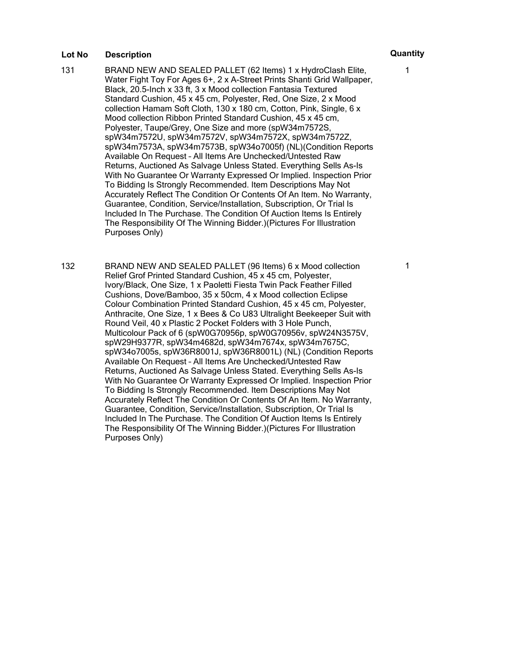- 131 BRAND NEW AND SEALED PALLET (62 Items) 1 x HydroClash Elite, Water Fight Toy For Ages 6+, 2 x A-Street Prints Shanti Grid Wallpaper, Black, 20.5-Inch x 33 ft, 3 x Mood collection Fantasia Textured Standard Cushion, 45 x 45 cm, Polyester, Red, One Size, 2 x Mood collection Hamam Soft Cloth, 130 x 180 cm, Cotton, Pink, Single, 6 x Mood collection Ribbon Printed Standard Cushion, 45 x 45 cm, Polyester, Taupe/Grey, One Size and more (spW34m7572S, spW34m7572U, spW34m7572V, spW34m7572X, spW34m7572Z, spW34m7573A, spW34m7573B, spW34o7005f) (NL)(Condition Reports Available On Request – All Items Are Unchecked/Untested Raw Returns, Auctioned As Salvage Unless Stated. Everything Sells As-Is With No Guarantee Or Warranty Expressed Or Implied. Inspection Prior To Bidding Is Strongly Recommended. Item Descriptions May Not Accurately Reflect The Condition Or Contents Of An Item. No Warranty, Guarantee, Condition, Service/Installation, Subscription, Or Trial Is Included In The Purchase. The Condition Of Auction Items Is Entirely The Responsibility Of The Winning Bidder.)(Pictures For Illustration Purposes Only)
- 132 BRAND NEW AND SEALED PALLET (96 Items) 6 x Mood collection Relief Grof Printed Standard Cushion, 45 x 45 cm, Polyester, Ivory/Black, One Size, 1 x Paoletti Fiesta Twin Pack Feather Filled Cushions, Dove/Bamboo, 35 x 50cm, 4 x Mood collection Eclipse Colour Combination Printed Standard Cushion, 45 x 45 cm, Polyester, Anthracite, One Size, 1 x Bees & Co U83 Ultralight Beekeeper Suit with Round Veil, 40 x Plastic 2 Pocket Folders with 3 Hole Punch, Multicolour Pack of 6 (spW0G70956p, spW0G70956v, spW24N3575V, spW29H9377R, spW34m4682d, spW34m7674x, spW34m7675C, spW34o7005s, spW36R8001J, spW36R8001L) (NL) (Condition Reports Available On Request – All Items Are Unchecked/Untested Raw Returns, Auctioned As Salvage Unless Stated. Everything Sells As-Is With No Guarantee Or Warranty Expressed Or Implied. Inspection Prior To Bidding Is Strongly Recommended. Item Descriptions May Not Accurately Reflect The Condition Or Contents Of An Item. No Warranty, Guarantee, Condition, Service/Installation, Subscription, Or Trial Is Included In The Purchase. The Condition Of Auction Items Is Entirely The Responsibility Of The Winning Bidder.)(Pictures For Illustration Purposes Only)

1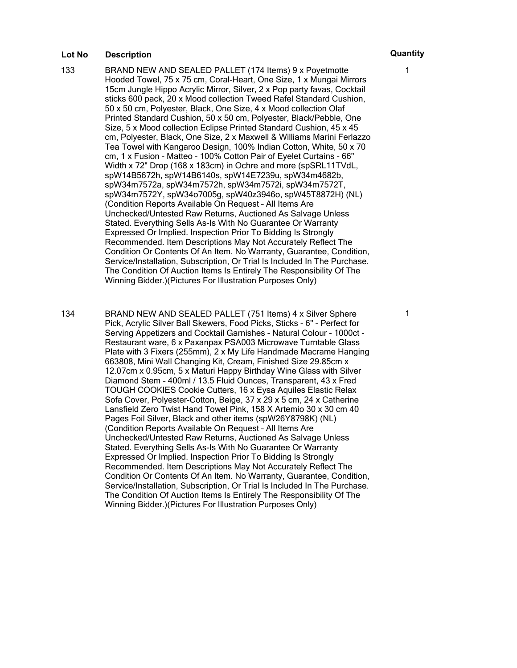- 133 BRAND NEW AND SEALED PALLET (174 Items) 9 x Poyetmotte Hooded Towel, 75 x 75 cm, Coral-Heart, One Size, 1 x Mungai Mirrors 15cm Jungle Hippo Acrylic Mirror, Silver, 2 x Pop party favas, Cocktail sticks 600 pack, 20 x Mood collection Tweed Rafel Standard Cushion, 50 x 50 cm, Polyester, Black, One Size, 4 x Mood collection Olaf Printed Standard Cushion, 50 x 50 cm, Polyester, Black/Pebble, One Size, 5 x Mood collection Eclipse Printed Standard Cushion, 45 x 45 cm, Polyester, Black, One Size, 2 x Maxwell & Williams Marini Ferlazzo Tea Towel with Kangaroo Design, 100% Indian Cotton, White, 50 x 70 cm, 1 x Fusion - Matteo - 100% Cotton Pair of Eyelet Curtains - 66" Width x 72" Drop (168 x 183cm) in Ochre and more (spSRL11TVdL, spW14B5672h, spW14B6140s, spW14E7239u, spW34m4682b, spW34m7572a, spW34m7572h, spW34m7572i, spW34m7572T, spW34m7572Y, spW34o7005g, spW40z3946o, spW45T8872H) (NL) (Condition Reports Available On Request – All Items Are Unchecked/Untested Raw Returns, Auctioned As Salvage Unless Stated. Everything Sells As-Is With No Guarantee Or Warranty Expressed Or Implied. Inspection Prior To Bidding Is Strongly Recommended. Item Descriptions May Not Accurately Reflect The Condition Or Contents Of An Item. No Warranty, Guarantee, Condition, Service/Installation, Subscription, Or Trial Is Included In The Purchase. The Condition Of Auction Items Is Entirely The Responsibility Of The Winning Bidder.)(Pictures For Illustration Purposes Only)
- 134 BRAND NEW AND SEALED PALLET (751 Items) 4 x Silver Sphere Pick, Acrylic Silver Ball Skewers, Food Picks, Sticks - 6" - Perfect for Serving Appetizers and Cocktail Garnishes - Natural Colour - 1000ct - Restaurant ware, 6 x Paxanpax PSA003 Microwave Turntable Glass Plate with 3 Fixers (255mm), 2 x My Life Handmade Macrame Hanging 663808, Mini Wall Changing Kit, Cream, Finished Size 29.85cm x 12.07cm x 0.95cm, 5 x Maturi Happy Birthday Wine Glass with Silver Diamond Stem - 400ml / 13.5 Fluid Ounces, Transparent, 43 x Fred TOUGH COOKIES Cookie Cutters, 16 x Eysa Aquiles Elastic Relax Sofa Cover, Polyester-Cotton, Beige, 37 x 29 x 5 cm, 24 x Catherine Lansfield Zero Twist Hand Towel Pink, 158 X Artemio 30 x 30 cm 40 Pages Foil Silver, Black and other items (spW26Y8798K) (NL) (Condition Reports Available On Request – All Items Are Unchecked/Untested Raw Returns, Auctioned As Salvage Unless Stated. Everything Sells As-Is With No Guarantee Or Warranty Expressed Or Implied. Inspection Prior To Bidding Is Strongly Recommended. Item Descriptions May Not Accurately Reflect The Condition Or Contents Of An Item. No Warranty, Guarantee, Condition, Service/Installation, Subscription, Or Trial Is Included In The Purchase. The Condition Of Auction Items Is Entirely The Responsibility Of The Winning Bidder.)(Pictures For Illustration Purposes Only)

1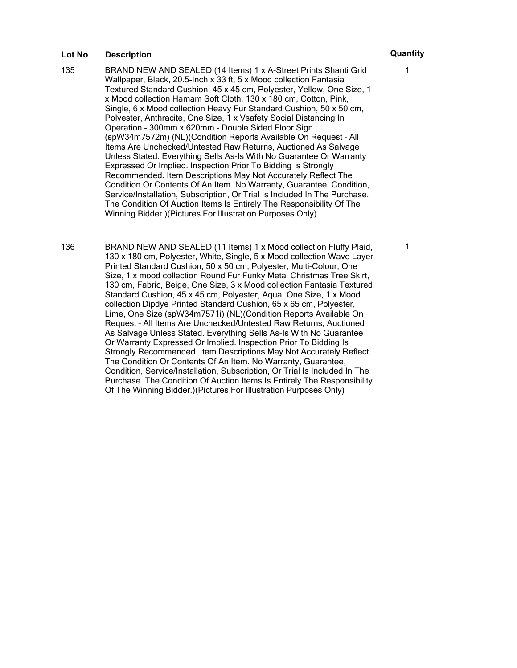- 135 BRAND NEW AND SEALED (14 Items) 1 x A-Street Prints Shanti Grid Wallpaper, Black, 20.5-Inch x 33 ft, 5 x Mood collection Fantasia Textured Standard Cushion, 45 x 45 cm, Polyester, Yellow, One Size, 1 x Mood collection Hamam Soft Cloth, 130 x 180 cm, Cotton, Pink, Single, 6 x Mood collection Heavy Fur Standard Cushion, 50 x 50 cm, Polyester, Anthracite, One Size, 1 x Vsafety Social Distancing In Operation - 300mm x 620mm - Double Sided Floor Sign (spW34m7572m) (NL)(Condition Reports Available On Request – All Items Are Unchecked/Untested Raw Returns, Auctioned As Salvage Unless Stated. Everything Sells As-Is With No Guarantee Or Warranty Expressed Or Implied. Inspection Prior To Bidding Is Strongly Recommended. Item Descriptions May Not Accurately Reflect The Condition Or Contents Of An Item. No Warranty, Guarantee, Condition, Service/Installation, Subscription, Or Trial Is Included In The Purchase. The Condition Of Auction Items Is Entirely The Responsibility Of The Winning Bidder.)(Pictures For Illustration Purposes Only)
- 136 BRAND NEW AND SEALED (11 Items) 1 x Mood collection Fluffy Plaid, 130 x 180 cm, Polyester, White, Single, 5 x Mood collection Wave Layer Printed Standard Cushion, 50 x 50 cm, Polyester, Multi-Colour, One Size, 1 x mood collection Round Fur Funky Metal Christmas Tree Skirt, 130 cm, Fabric, Beige, One Size, 3 x Mood collection Fantasia Textured Standard Cushion, 45 x 45 cm, Polyester, Aqua, One Size, 1 x Mood collection Dipdye Printed Standard Cushion, 65 x 65 cm, Polyester, Lime, One Size (spW34m7571i) (NL)(Condition Reports Available On Request – All Items Are Unchecked/Untested Raw Returns, Auctioned As Salvage Unless Stated. Everything Sells As-Is With No Guarantee Or Warranty Expressed Or Implied. Inspection Prior To Bidding Is Strongly Recommended. Item Descriptions May Not Accurately Reflect The Condition Or Contents Of An Item. No Warranty, Guarantee, Condition, Service/Installation, Subscription, Or Trial Is Included In The Purchase. The Condition Of Auction Items Is Entirely The Responsibility Of The Winning Bidder.)(Pictures For Illustration Purposes Only)

1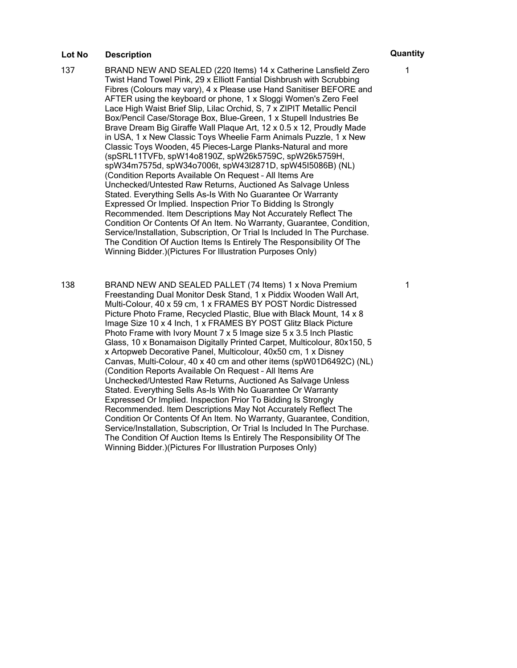- 137 BRAND NEW AND SEALED (220 Items) 14 x Catherine Lansfield Zero Twist Hand Towel Pink, 29 x Elliott Fantial Dishbrush with Scrubbing Fibres (Colours may vary), 4 x Please use Hand Sanitiser BEFORE and AFTER using the keyboard or phone, 1 x Sloggi Women's Zero Feel Lace High Waist Brief Slip, Lilac Orchid, S, 7 x ZIPIT Metallic Pencil Box/Pencil Case/Storage Box, Blue-Green, 1 x Stupell Industries Be Brave Dream Big Giraffe Wall Plaque Art, 12 x 0.5 x 12, Proudly Made in USA, 1 x New Classic Toys Wheelie Farm Animals Puzzle, 1 x New Classic Toys Wooden, 45 Pieces-Large Planks-Natural and more (spSRL11TVFb, spW14o8190Z, spW26k5759C, spW26k5759H, spW34m7575d, spW34o7006t, spW43l2871D, spW45I5086B) (NL) (Condition Reports Available On Request – All Items Are Unchecked/Untested Raw Returns, Auctioned As Salvage Unless Stated. Everything Sells As-Is With No Guarantee Or Warranty Expressed Or Implied. Inspection Prior To Bidding Is Strongly Recommended. Item Descriptions May Not Accurately Reflect The Condition Or Contents Of An Item. No Warranty, Guarantee, Condition, Service/Installation, Subscription, Or Trial Is Included In The Purchase. The Condition Of Auction Items Is Entirely The Responsibility Of The Winning Bidder.)(Pictures For Illustration Purposes Only)
- 138 BRAND NEW AND SEALED PALLET (74 Items) 1 x Nova Premium Freestanding Dual Monitor Desk Stand, 1 x Piddix Wooden Wall Art, Multi-Colour, 40 x 59 cm, 1 x FRAMES BY POST Nordic Distressed Picture Photo Frame, Recycled Plastic, Blue with Black Mount, 14 x 8 Image Size 10 x 4 Inch, 1 x FRAMES BY POST Glitz Black Picture Photo Frame with Ivory Mount 7 x 5 Image size 5 x 3.5 Inch Plastic Glass, 10 x Bonamaison Digitally Printed Carpet, Multicolour, 80x150, 5 x Artopweb Decorative Panel, Multicolour, 40x50 cm, 1 x Disney Canvas, Multi-Colour, 40 x 40 cm and other items (spW01D6492C) (NL) (Condition Reports Available On Request – All Items Are Unchecked/Untested Raw Returns, Auctioned As Salvage Unless Stated. Everything Sells As-Is With No Guarantee Or Warranty Expressed Or Implied. Inspection Prior To Bidding Is Strongly Recommended. Item Descriptions May Not Accurately Reflect The Condition Or Contents Of An Item. No Warranty, Guarantee, Condition, Service/Installation, Subscription, Or Trial Is Included In The Purchase. The Condition Of Auction Items Is Entirely The Responsibility Of The Winning Bidder.)(Pictures For Illustration Purposes Only)

1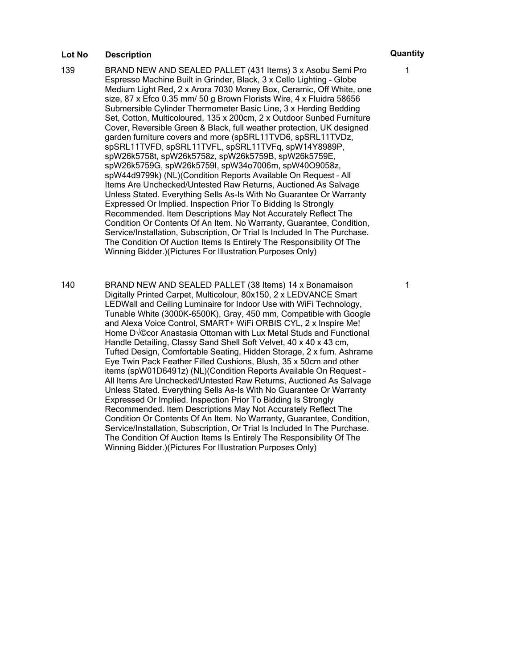- 139 BRAND NEW AND SEALED PALLET (431 Items) 3 x Asobu Semi Pro Espresso Machine Built in Grinder, Black, 3 x Cello Lighting - Globe Medium Light Red, 2 x Arora 7030 Money Box, Ceramic, Off White, one size, 87 x Efco 0.35 mm/ 50 g Brown Florists Wire, 4 x Fluidra 58656 Submersible Cylinder Thermometer Basic Line, 3 x Herding Bedding Set, Cotton, Multicoloured, 135 x 200cm, 2 x Outdoor Sunbed Furniture Cover, Reversible Green & Black, full weather protection, UK designed garden furniture covers and more (spSRL11TVD6, spSRL11TVDz, spSRL11TVFD, spSRL11TVFL, spSRL11TVFq, spW14Y8989P, spW26k5758t, spW26k5758z, spW26k5759B, spW26k5759E, spW26k5759G, spW26k5759I, spW34o7006m, spW40O9058z, spW44d9799k) (NL)(Condition Reports Available On Request – All Items Are Unchecked/Untested Raw Returns, Auctioned As Salvage Unless Stated. Everything Sells As-Is With No Guarantee Or Warranty Expressed Or Implied. Inspection Prior To Bidding Is Strongly Recommended. Item Descriptions May Not Accurately Reflect The Condition Or Contents Of An Item. No Warranty, Guarantee, Condition, Service/Installation, Subscription, Or Trial Is Included In The Purchase. The Condition Of Auction Items Is Entirely The Responsibility Of The Winning Bidder.)(Pictures For Illustration Purposes Only)
- 140 BRAND NEW AND SEALED PALLET (38 Items) 14 x Bonamaison Digitally Printed Carpet, Multicolour, 80x150, 2 x LEDVANCE Smart LEDWall and Ceiling Luminaire for Indoor Use with WiFi Technology, Tunable White (3000K-6500K), Gray, 450 mm, Compatible with Google and Alexa Voice Control, SMART+ WiFi ORBIS CYL, 2 x Inspire Me! Home D $\sqrt{\circ}$  Anastasia Ottoman with Lux Metal Studs and Functional Handle Detailing, Classy Sand Shell Soft Velvet, 40 x 40 x 43 cm, Tufted Design, Comfortable Seating, Hidden Storage, 2 x furn. Ashrame Eye Twin Pack Feather Filled Cushions, Blush, 35 x 50cm and other items (spW01D6491z) (NL)(Condition Reports Available On Request – All Items Are Unchecked/Untested Raw Returns, Auctioned As Salvage Unless Stated. Everything Sells As-Is With No Guarantee Or Warranty Expressed Or Implied. Inspection Prior To Bidding Is Strongly Recommended. Item Descriptions May Not Accurately Reflect The Condition Or Contents Of An Item. No Warranty, Guarantee, Condition, Service/Installation, Subscription, Or Trial Is Included In The Purchase. The Condition Of Auction Items Is Entirely The Responsibility Of The Winning Bidder.)(Pictures For Illustration Purposes Only)

1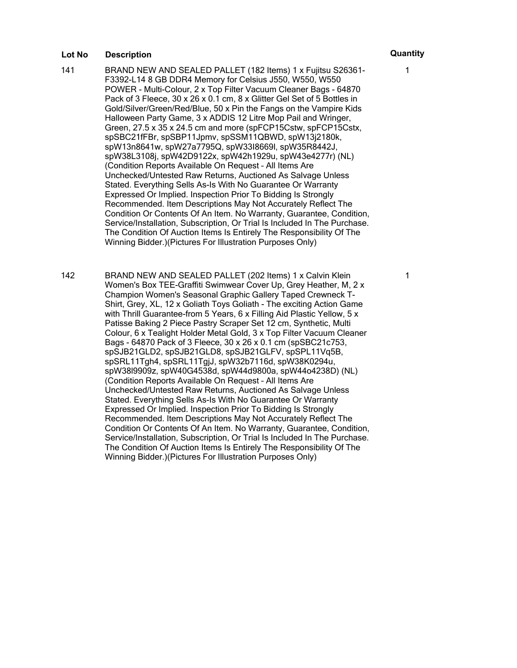- 141 BRAND NEW AND SEALED PALLET (182 Items) 1 x Fujitsu S26361- F3392-L14 8 GB DDR4 Memory for Celsius J550, W550, W550 POWER - Multi-Colour, 2 x Top Filter Vacuum Cleaner Bags - 64870 Pack of 3 Fleece, 30 x 26 x 0.1 cm, 8 x Glitter Gel Set of 5 Bottles in Gold/Silver/Green/Red/Blue, 50 x Pin the Fangs on the Vampire Kids Halloween Party Game, 3 x ADDIS 12 Litre Mop Pail and Wringer, Green, 27.5 x 35 x 24.5 cm and more (spFCP15Cstw, spFCP15Cstx, spSBC21fFBr, spSBP11Jpmv, spSSM11QBWD, spW13j2180k, spW13n8641w, spW27a7795Q, spW33I8669l, spW35R8442J, spW38L3108j, spW42D9122x, spW42h1929u, spW43e4277r) (NL) (Condition Reports Available On Request – All Items Are Unchecked/Untested Raw Returns, Auctioned As Salvage Unless Stated. Everything Sells As-Is With No Guarantee Or Warranty Expressed Or Implied. Inspection Prior To Bidding Is Strongly Recommended. Item Descriptions May Not Accurately Reflect The Condition Or Contents Of An Item. No Warranty, Guarantee, Condition, Service/Installation, Subscription, Or Trial Is Included In The Purchase. The Condition Of Auction Items Is Entirely The Responsibility Of The Winning Bidder.)(Pictures For Illustration Purposes Only)
- 142 BRAND NEW AND SEALED PALLET (202 Items) 1 x Calvin Klein Women's Box TEE-Graffiti Swimwear Cover Up, Grey Heather, M, 2 x Champion Women's Seasonal Graphic Gallery Taped Crewneck T-Shirt, Grey, XL, 12 x Goliath Toys Goliath - The exciting Action Game with Thrill Guarantee-from 5 Years, 6 x Filling Aid Plastic Yellow, 5 x Patisse Baking 2 Piece Pastry Scraper Set 12 cm, Synthetic, Multi Colour, 6 x Tealight Holder Metal Gold, 3 x Top Filter Vacuum Cleaner Bags - 64870 Pack of 3 Fleece, 30 x 26 x 0.1 cm (spSBC21c753, spSJB21GLD2, spSJB21GLD8, spSJB21GLFV, spSPL11Vq5B, spSRL11Tgh4, spSRL11TgjJ, spW32b7116d, spW38K0294u, spW38l9909z, spW40G4538d, spW44d9800a, spW44o4238D) (NL) (Condition Reports Available On Request – All Items Are Unchecked/Untested Raw Returns, Auctioned As Salvage Unless Stated. Everything Sells As-Is With No Guarantee Or Warranty Expressed Or Implied. Inspection Prior To Bidding Is Strongly Recommended. Item Descriptions May Not Accurately Reflect The Condition Or Contents Of An Item. No Warranty, Guarantee, Condition, Service/Installation, Subscription, Or Trial Is Included In The Purchase. The Condition Of Auction Items Is Entirely The Responsibility Of The Winning Bidder.)(Pictures For Illustration Purposes Only)

1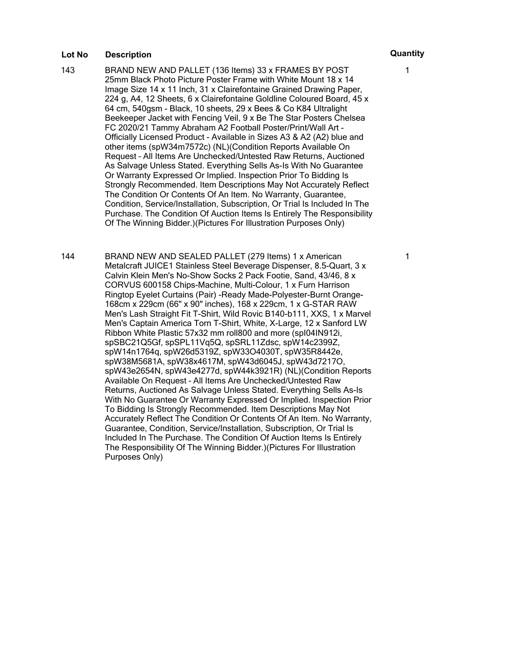143 BRAND NEW AND PALLET (136 Items) 33 x FRAMES BY POST 25mm Black Photo Picture Poster Frame with White Mount 18 x 14 Image Size 14 x 11 Inch, 31 x Clairefontaine Grained Drawing Paper, 224 g, A4, 12 Sheets, 6 x Clairefontaine Goldline Coloured Board, 45 x 64 cm, 540gsm - Black, 10 sheets, 29 x Bees & Co K84 Ultralight Beekeeper Jacket with Fencing Veil, 9 x Be The Star Posters Chelsea FC 2020/21 Tammy Abraham A2 Football Poster/Print/Wall Art - Officially Licensed Product - Available in Sizes A3 & A2 (A2) blue and other items (spW34m7572c) (NL)(Condition Reports Available On Request – All Items Are Unchecked/Untested Raw Returns, Auctioned As Salvage Unless Stated. Everything Sells As-Is With No Guarantee Or Warranty Expressed Or Implied. Inspection Prior To Bidding Is Strongly Recommended. Item Descriptions May Not Accurately Reflect The Condition Or Contents Of An Item. No Warranty, Guarantee, Condition, Service/Installation, Subscription, Or Trial Is Included In The Purchase. The Condition Of Auction Items Is Entirely The Responsibility Of The Winning Bidder.)(Pictures For Illustration Purposes Only)

144 BRAND NEW AND SEALED PALLET (279 Items) 1 x American Metalcraft JUICE1 Stainless Steel Beverage Dispenser, 8.5-Quart, 3 x Calvin Klein Men's No-Show Socks 2 Pack Footie, Sand, 43/46, 8 x CORVUS 600158 Chips-Machine, Multi-Colour, 1 x Furn Harrison Ringtop Eyelet Curtains (Pair) -Ready Made-Polyester-Burnt Orange-168cm x 229cm (66" x 90" inches), 168 x 229cm, 1 x G-STAR RAW Men's Lash Straight Fit T-Shirt, Wild Rovic B140-b111, XXS, 1 x Marvel Men's Captain America Torn T-Shirt, White, X-Large, 12 x Sanford LW Ribbon White Plastic 57x32 mm roll800 and more (spI04IN912i, spSBC21Q5Gf, spSPL11Vq5Q, spSRL11Zdsc, spW14c2399Z, spW14n1764q, spW26d5319Z, spW33O4030T, spW35R8442e, spW38M5681A, spW38x4617M, spW43d6045J, spW43d7217O, spW43e2654N, spW43e4277d, spW44k3921R) (NL)(Condition Reports Available On Request – All Items Are Unchecked/Untested Raw Returns, Auctioned As Salvage Unless Stated. Everything Sells As-Is With No Guarantee Or Warranty Expressed Or Implied. Inspection Prior To Bidding Is Strongly Recommended. Item Descriptions May Not Accurately Reflect The Condition Or Contents Of An Item. No Warranty, Guarantee, Condition, Service/Installation, Subscription, Or Trial Is Included In The Purchase. The Condition Of Auction Items Is Entirely The Responsibility Of The Winning Bidder.)(Pictures For Illustration Purposes Only)

1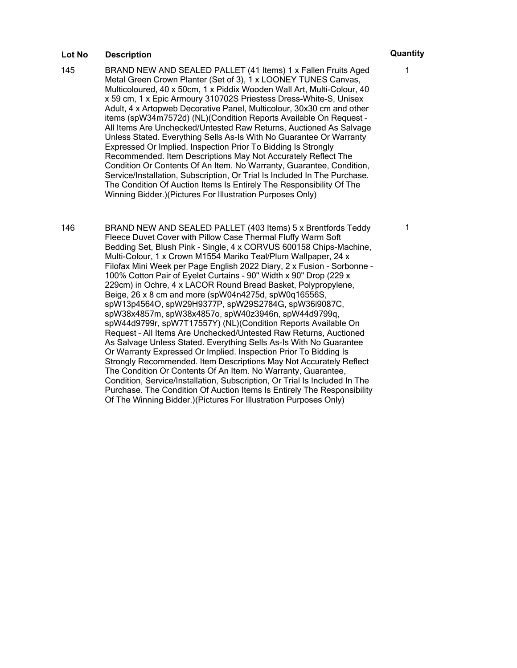- 145 BRAND NEW AND SEALED PALLET (41 Items) 1 x Fallen Fruits Aged Metal Green Crown Planter (Set of 3), 1 x LOONEY TUNES Canvas, Multicoloured, 40 x 50cm, 1 x Piddix Wooden Wall Art, Multi-Colour, 40 x 59 cm, 1 x Epic Armoury 310702S Priestess Dress-White-S, Unisex Adult, 4 x Artopweb Decorative Panel, Multicolour, 30x30 cm and other items (spW34m7572d) (NL)(Condition Reports Available On Request – All Items Are Unchecked/Untested Raw Returns, Auctioned As Salvage Unless Stated. Everything Sells As-Is With No Guarantee Or Warranty Expressed Or Implied. Inspection Prior To Bidding Is Strongly Recommended. Item Descriptions May Not Accurately Reflect The Condition Or Contents Of An Item. No Warranty, Guarantee, Condition, Service/Installation, Subscription, Or Trial Is Included In The Purchase. The Condition Of Auction Items Is Entirely The Responsibility Of The Winning Bidder.)(Pictures For Illustration Purposes Only)
- 146 BRAND NEW AND SEALED PALLET (403 Items) 5 x Brentfords Teddy Fleece Duvet Cover with Pillow Case Thermal Fluffy Warm Soft Bedding Set, Blush Pink - Single, 4 x CORVUS 600158 Chips-Machine, Multi-Colour, 1 x Crown M1554 Mariko Teal/Plum Wallpaper, 24 x Filofax Mini Week per Page English 2022 Diary, 2 x Fusion - Sorbonne - 100% Cotton Pair of Eyelet Curtains - 90" Width x 90" Drop (229 x 229cm) in Ochre, 4 x LACOR Round Bread Basket, Polypropylene, Beige, 26 x 8 cm and more (spW04n4275d, spW0q16556S, spW13p4564O, spW29H9377P, spW29S2784G, spW36i9087C, spW38x4857m, spW38x4857o, spW40z3946n, spW44d9799q, spW44d9799r, spW7T17557Y) (NL)(Condition Reports Available On Request – All Items Are Unchecked/Untested Raw Returns, Auctioned As Salvage Unless Stated. Everything Sells As-Is With No Guarantee Or Warranty Expressed Or Implied. Inspection Prior To Bidding Is Strongly Recommended. Item Descriptions May Not Accurately Reflect The Condition Or Contents Of An Item. No Warranty, Guarantee, Condition, Service/Installation, Subscription, Or Trial Is Included In The Purchase. The Condition Of Auction Items Is Entirely The Responsibility Of The Winning Bidder.)(Pictures For Illustration Purposes Only)

1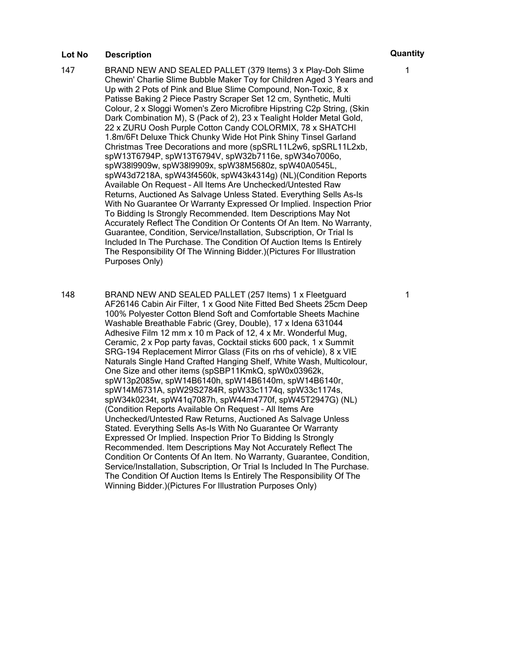- 147 BRAND NEW AND SEALED PALLET (379 Items) 3 x Play-Doh Slime Chewin' Charlie Slime Bubble Maker Toy for Children Aged 3 Years and Up with 2 Pots of Pink and Blue Slime Compound, Non-Toxic, 8 x Patisse Baking 2 Piece Pastry Scraper Set 12 cm, Synthetic, Multi Colour, 2 x Sloggi Women's Zero Microfibre Hipstring C2p String, (Skin Dark Combination M), S (Pack of 2), 23 x Tealight Holder Metal Gold, 22 x ZURU Oosh Purple Cotton Candy COLORMIX, 78 x SHATCHI 1.8m/6Ft Deluxe Thick Chunky Wide Hot Pink Shiny Tinsel Garland Christmas Tree Decorations and more (spSRL11L2w6, spSRL11L2xb, spW13T6794P, spW13T6794V, spW32b7116e, spW34o7006o, spW38l9909w, spW38l9909x, spW38M5680z, spW40A0545L, spW43d7218A, spW43f4560k, spW43k4314g) (NL)(Condition Reports Available On Request – All Items Are Unchecked/Untested Raw Returns, Auctioned As Salvage Unless Stated. Everything Sells As-Is With No Guarantee Or Warranty Expressed Or Implied. Inspection Prior To Bidding Is Strongly Recommended. Item Descriptions May Not Accurately Reflect The Condition Or Contents Of An Item. No Warranty, Guarantee, Condition, Service/Installation, Subscription, Or Trial Is Included In The Purchase. The Condition Of Auction Items Is Entirely The Responsibility Of The Winning Bidder.)(Pictures For Illustration Purposes Only)
- 148 BRAND NEW AND SEALED PALLET (257 Items) 1 x Fleetguard AF26146 Cabin Air Filter, 1 x Good Nite Fitted Bed Sheets 25cm Deep 100% Polyester Cotton Blend Soft and Comfortable Sheets Machine Washable Breathable Fabric (Grey, Double), 17 x Idena 631044 Adhesive Film 12 mm x 10 m Pack of 12, 4 x Mr. Wonderful Mug, Ceramic, 2 x Pop party favas, Cocktail sticks 600 pack, 1 x Summit SRG-194 Replacement Mirror Glass (Fits on rhs of vehicle), 8 x VIE Naturals Single Hand Crafted Hanging Shelf, White Wash, Multicolour, One Size and other items (spSBP11KmkQ, spW0x03962k, spW13p2085w, spW14B6140h, spW14B6140m, spW14B6140r, spW14M6731A, spW29S2784R, spW33c1174q, spW33c1174s, spW34k0234t, spW41q7087h, spW44m4770f, spW45T2947G) (NL) (Condition Reports Available On Request – All Items Are Unchecked/Untested Raw Returns, Auctioned As Salvage Unless Stated. Everything Sells As-Is With No Guarantee Or Warranty Expressed Or Implied. Inspection Prior To Bidding Is Strongly Recommended. Item Descriptions May Not Accurately Reflect The Condition Or Contents Of An Item. No Warranty, Guarantee, Condition, Service/Installation, Subscription, Or Trial Is Included In The Purchase. The Condition Of Auction Items Is Entirely The Responsibility Of The Winning Bidder.)(Pictures For Illustration Purposes Only)

1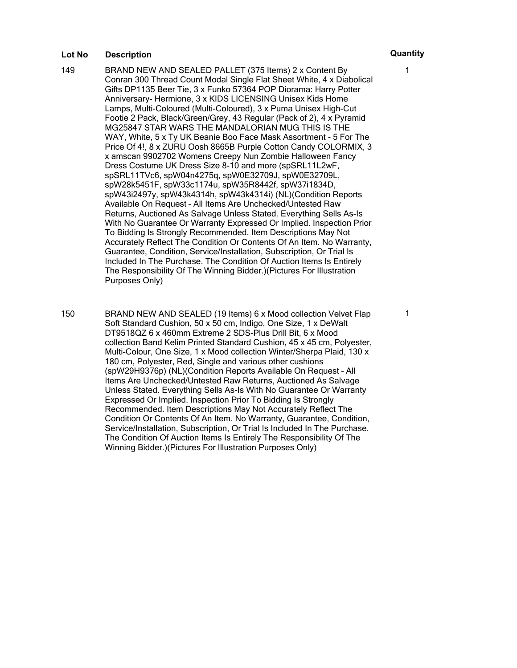- 149 BRAND NEW AND SEALED PALLET (375 Items) 2 x Content By Conran 300 Thread Count Modal Single Flat Sheet White, 4 x Diabolical Gifts DP1135 Beer Tie, 3 x Funko 57364 POP Diorama: Harry Potter Anniversary- Hermione, 3 x KIDS LICENSING Unisex Kids Home Lamps, Multi-Coloured (Multi-Coloured), 3 x Puma Unisex High-Cut Footie 2 Pack, Black/Green/Grey, 43 Regular (Pack of 2), 4 x Pyramid MG25847 STAR WARS THE MANDALORIAN MUG THIS IS THE WAY, White, 5 x Ty UK Beanie Boo Face Mask Assortment - 5 For The Price Of 4!, 8 x ZURU Oosh 8665B Purple Cotton Candy COLORMIX, 3 x amscan 9902702 Womens Creepy Nun Zombie Halloween Fancy Dress Costume UK Dress Size 8-10 and more (spSRL11L2wF, spSRL11TVc6, spW04n4275q, spW0E32709J, spW0E32709L, spW28k5451F, spW33c1174u, spW35R8442f, spW37i1834D, spW43i2497y, spW43k4314h, spW43k4314i) (NL)(Condition Reports Available On Request – All Items Are Unchecked/Untested Raw Returns, Auctioned As Salvage Unless Stated. Everything Sells As-Is With No Guarantee Or Warranty Expressed Or Implied. Inspection Prior To Bidding Is Strongly Recommended. Item Descriptions May Not Accurately Reflect The Condition Or Contents Of An Item. No Warranty, Guarantee, Condition, Service/Installation, Subscription, Or Trial Is Included In The Purchase. The Condition Of Auction Items Is Entirely The Responsibility Of The Winning Bidder.)(Pictures For Illustration Purposes Only)
- 150 BRAND NEW AND SEALED (19 Items) 6 x Mood collection Velvet Flap Soft Standard Cushion, 50 x 50 cm, Indigo, One Size, 1 x DeWalt DT9518QZ 6 x 460mm Extreme 2 SDS-Plus Drill Bit, 6 x Mood collection Band Kelim Printed Standard Cushion, 45 x 45 cm, Polyester, Multi-Colour, One Size, 1 x Mood collection Winter/Sherpa Plaid, 130 x 180 cm, Polyester, Red, Single and various other cushions (spW29H9376p) (NL)(Condition Reports Available On Request – All Items Are Unchecked/Untested Raw Returns, Auctioned As Salvage Unless Stated. Everything Sells As-Is With No Guarantee Or Warranty Expressed Or Implied. Inspection Prior To Bidding Is Strongly Recommended. Item Descriptions May Not Accurately Reflect The Condition Or Contents Of An Item. No Warranty, Guarantee, Condition, Service/Installation, Subscription, Or Trial Is Included In The Purchase. The Condition Of Auction Items Is Entirely The Responsibility Of The Winning Bidder.)(Pictures For Illustration Purposes Only)

1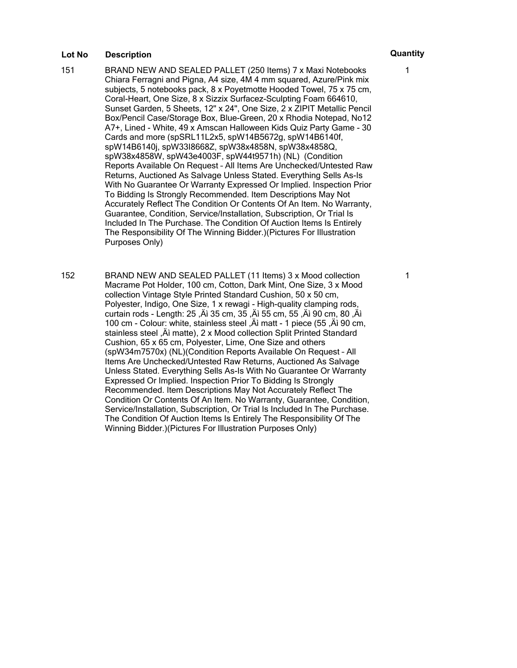- 151 BRAND NEW AND SEALED PALLET (250 Items) 7 x Maxi Notebooks Chiara Ferragni and Pigna, A4 size, 4M 4 mm squared, Azure/Pink mix subjects, 5 notebooks pack, 8 x Poyetmotte Hooded Towel, 75 x 75 cm, Coral-Heart, One Size, 8 x Sizzix Surfacez-Sculpting Foam 664610, Sunset Garden, 5 Sheets, 12" x 24", One Size, 2 x ZIPIT Metallic Pencil Box/Pencil Case/Storage Box, Blue-Green, 20 x Rhodia Notepad, No12 A7+, Lined - White, 49 x Amscan Halloween Kids Quiz Party Game - 30 Cards and more (spSRL11L2x5, spW14B5672g, spW14B6140f, spW14B6140j, spW33I8668Z, spW38x4858N, spW38x4858Q, spW38x4858W, spW43e4003F, spW44t9571h) (NL) (Condition Reports Available On Request – All Items Are Unchecked/Untested Raw Returns, Auctioned As Salvage Unless Stated. Everything Sells As-Is With No Guarantee Or Warranty Expressed Or Implied. Inspection Prior To Bidding Is Strongly Recommended. Item Descriptions May Not Accurately Reflect The Condition Or Contents Of An Item. No Warranty, Guarantee, Condition, Service/Installation, Subscription, Or Trial Is Included In The Purchase. The Condition Of Auction Items Is Entirely The Responsibility Of The Winning Bidder.)(Pictures For Illustration Purposes Only)
- 152 BRAND NEW AND SEALED PALLET (11 Items) 3 x Mood collection Macrame Pot Holder, 100 cm, Cotton, Dark Mint, One Size, 3 x Mood collection Vintage Style Printed Standard Cushion, 50 x 50 cm, Polyester, Indigo, One Size, 1 x rewagi - High-quality clamping rods, curtain rods - Length: 25 , Aì 35 cm, 35 , Aì 55 cm, 55 , Aì 90 cm, 80 , Aì 100 cm - Colour: white, stainless steel , A matt - 1 piece (55, A i 90 cm, stainless steel , Äi matte), 2 x Mood collection Split Printed Standard Cushion, 65 x 65 cm, Polyester, Lime, One Size and others (spW34m7570x) (NL)(Condition Reports Available On Request – All Items Are Unchecked/Untested Raw Returns, Auctioned As Salvage Unless Stated. Everything Sells As-Is With No Guarantee Or Warranty Expressed Or Implied. Inspection Prior To Bidding Is Strongly Recommended. Item Descriptions May Not Accurately Reflect The Condition Or Contents Of An Item. No Warranty, Guarantee, Condition, Service/Installation, Subscription, Or Trial Is Included In The Purchase. The Condition Of Auction Items Is Entirely The Responsibility Of The Winning Bidder.)(Pictures For Illustration Purposes Only)

1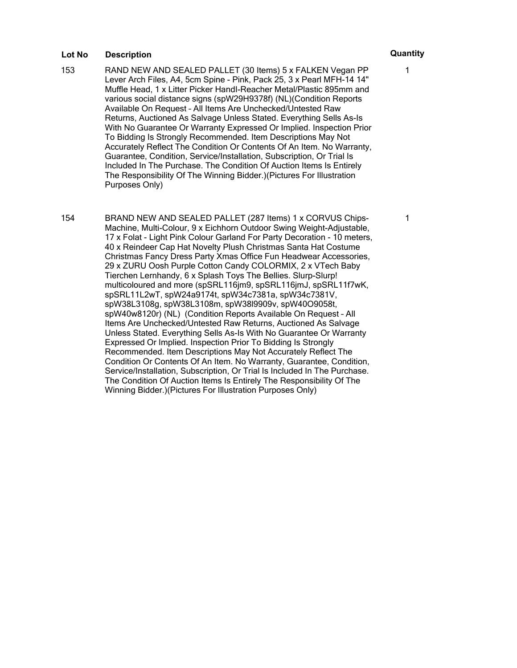- 153 RAND NEW AND SEALED PALLET (30 Items) 5 x FALKEN Vegan PP Lever Arch Files, A4, 5cm Spine - Pink, Pack 25, 3 x Pearl MFH-14 14" Muffle Head, 1 x Litter Picker HandI-Reacher Metal/Plastic 895mm and various social distance signs (spW29H9378f) (NL)(Condition Reports Available On Request – All Items Are Unchecked/Untested Raw Returns, Auctioned As Salvage Unless Stated. Everything Sells As-Is With No Guarantee Or Warranty Expressed Or Implied. Inspection Prior To Bidding Is Strongly Recommended. Item Descriptions May Not Accurately Reflect The Condition Or Contents Of An Item. No Warranty, Guarantee, Condition, Service/Installation, Subscription, Or Trial Is Included In The Purchase. The Condition Of Auction Items Is Entirely The Responsibility Of The Winning Bidder.)(Pictures For Illustration Purposes Only)
- 154 BRAND NEW AND SEALED PALLET (287 Items) 1 x CORVUS Chips-Machine, Multi-Colour, 9 x Eichhorn Outdoor Swing Weight-Adjustable, 17 x Folat - Light Pink Colour Garland For Party Decoration - 10 meters, 40 x Reindeer Cap Hat Novelty Plush Christmas Santa Hat Costume Christmas Fancy Dress Party Xmas Office Fun Headwear Accessories, 29 x ZURU Oosh Purple Cotton Candy COLORMIX, 2 x VTech Baby Tierchen Lernhandy, 6 x Splash Toys The Bellies. Slurp-Slurp! multicoloured and more (spSRL116jm9, spSRL116jmJ, spSRL11f7wK, spSRL11L2wT, spW24a9174t, spW34c7381a, spW34c7381V, spW38L3108g, spW38L3108m, spW38l9909v, spW40O9058t, spW40w8120r) (NL) (Condition Reports Available On Request – All Items Are Unchecked/Untested Raw Returns, Auctioned As Salvage Unless Stated. Everything Sells As-Is With No Guarantee Or Warranty Expressed Or Implied. Inspection Prior To Bidding Is Strongly Recommended. Item Descriptions May Not Accurately Reflect The Condition Or Contents Of An Item. No Warranty, Guarantee, Condition, Service/Installation, Subscription, Or Trial Is Included In The Purchase. The Condition Of Auction Items Is Entirely The Responsibility Of The Winning Bidder.)(Pictures For Illustration Purposes Only)

1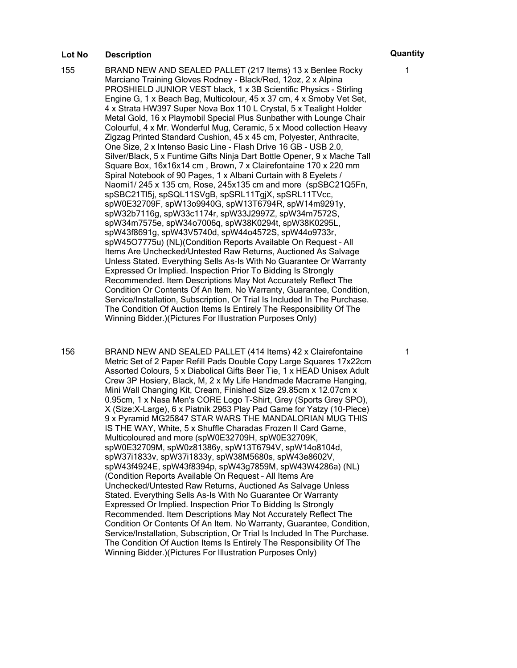155 BRAND NEW AND SEALED PALLET (217 Items) 13 x Benlee Rocky Marciano Training Gloves Rodney - Black/Red, 12oz, 2 x Alpina PROSHIELD JUNIOR VEST black, 1 x 3B Scientific Physics - Stirling Engine G, 1 x Beach Bag, Multicolour, 45 x 37 cm, 4 x Smoby Vet Set, 4 x Strata HW397 Super Nova Box 110 L Crystal, 5 x Tealight Holder Metal Gold, 16 x Playmobil Special Plus Sunbather with Lounge Chair Colourful, 4 x Mr. Wonderful Mug, Ceramic, 5 x Mood collection Heavy Zigzag Printed Standard Cushion, 45 x 45 cm, Polyester, Anthracite, One Size, 2 x Intenso Basic Line - Flash Drive 16 GB - USB 2.0, Silver/Black, 5 x Funtime Gifts Ninja Dart Bottle Opener, 9 x Mache Tall Square Box, 16x16x14 cm , Brown, 7 x Clairefontaine 170 x 220 mm Spiral Notebook of 90 Pages, 1 x Albani Curtain with 8 Eyelets / Naomi1/ 245 x 135 cm, Rose, 245x135 cm and more (spSBC21Q5Fn, spSBC21Tl5j, spSQL11SVgB, spSRL11TgjX, spSRL11TVcc, spW0E32709F, spW13o9940G, spW13T6794R, spW14m9291y, spW32b7116g, spW33c1174r, spW33J2997Z, spW34m7572S, spW34m7575e, spW34o7006q, spW38K0294t, spW38K0295L, spW43f8691g, spW43V5740d, spW44o4572S, spW44o9733r, spW45O7775u) (NL)(Condition Reports Available On Request – All Items Are Unchecked/Untested Raw Returns, Auctioned As Salvage Unless Stated. Everything Sells As-Is With No Guarantee Or Warranty Expressed Or Implied. Inspection Prior To Bidding Is Strongly Recommended. Item Descriptions May Not Accurately Reflect The Condition Or Contents Of An Item. No Warranty, Guarantee, Condition, Service/Installation, Subscription, Or Trial Is Included In The Purchase. The Condition Of Auction Items Is Entirely The Responsibility Of The Winning Bidder.)(Pictures For Illustration Purposes Only)

156 BRAND NEW AND SEALED PALLET (414 Items) 42 x Clairefontaine Metric Set of 2 Paper Refill Pads Double Copy Large Squares 17x22cm Assorted Colours, 5 x Diabolical Gifts Beer Tie, 1 x HEAD Unisex Adult Crew 3P Hosiery, Black, M, 2 x My Life Handmade Macrame Hanging, Mini Wall Changing Kit, Cream, Finished Size 29.85cm x 12.07cm x 0.95cm, 1 x Nasa Men's CORE Logo T-Shirt, Grey (Sports Grey SPO), X (Size:X-Large), 6 x Piatnik 2963 Play Pad Game for Yatzy (10-Piece) 9 x Pyramid MG25847 STAR WARS THE MANDALORIAN MUG THIS IS THE WAY, White, 5 x Shuffle Charadas Frozen II Card Game, Multicoloured and more (spW0E32709H, spW0E32709K, spW0E32709M, spW0z81386y, spW13T6794V, spW14o8104d, spW37i1833v, spW37i1833y, spW38M5680s, spW43e8602V, spW43f4924E, spW43f8394p, spW43g7859M, spW43W4286a) (NL) (Condition Reports Available On Request – All Items Are Unchecked/Untested Raw Returns, Auctioned As Salvage Unless Stated. Everything Sells As-Is With No Guarantee Or Warranty Expressed Or Implied. Inspection Prior To Bidding Is Strongly Recommended. Item Descriptions May Not Accurately Reflect The Condition Or Contents Of An Item. No Warranty, Guarantee, Condition, Service/Installation, Subscription, Or Trial Is Included In The Purchase. The Condition Of Auction Items Is Entirely The Responsibility Of The Winning Bidder.)(Pictures For Illustration Purposes Only)

1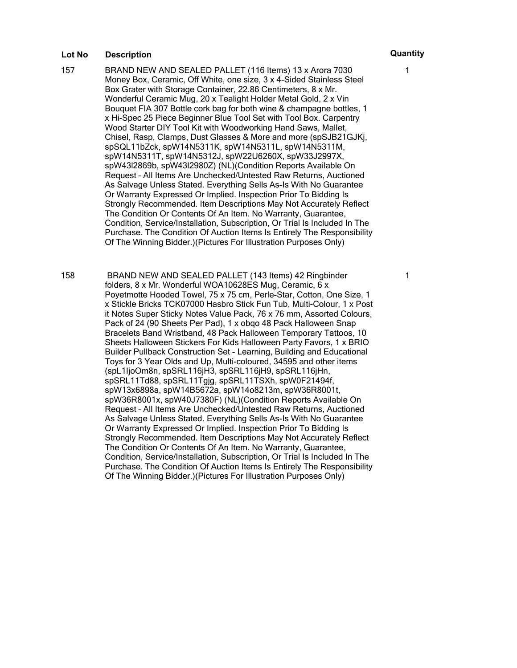- 157 BRAND NEW AND SEALED PALLET (116 Items) 13 x Arora 7030 Money Box, Ceramic, Off White, one size, 3 x 4-Sided Stainless Steel Box Grater with Storage Container, 22.86 Centimeters, 8 x Mr. Wonderful Ceramic Mug, 20 x Tealight Holder Metal Gold, 2 x Vin Bouquet FIA 307 Bottle cork bag for both wine & champagne bottles, 1 x Hi-Spec 25 Piece Beginner Blue Tool Set with Tool Box. Carpentry Wood Starter DIY Tool Kit with Woodworking Hand Saws, Mallet, Chisel, Rasp, Clamps, Dust Glasses & More and more (spSJB21GJKj, spSQL11bZck, spW14N5311K, spW14N5311L, spW14N5311M, spW14N5311T, spW14N5312J, spW22U6260X, spW33J2997X, spW43l2869b, spW43l2980Z) (NL)(Condition Reports Available On Request – All Items Are Unchecked/Untested Raw Returns, Auctioned As Salvage Unless Stated. Everything Sells As-Is With No Guarantee Or Warranty Expressed Or Implied. Inspection Prior To Bidding Is Strongly Recommended. Item Descriptions May Not Accurately Reflect The Condition Or Contents Of An Item. No Warranty, Guarantee, Condition, Service/Installation, Subscription, Or Trial Is Included In The Purchase. The Condition Of Auction Items Is Entirely The Responsibility Of The Winning Bidder.)(Pictures For Illustration Purposes Only)
- 158 BRAND NEW AND SEALED PALLET (143 Items) 42 Ringbinder folders, 8 x Mr. Wonderful WOA10628ES Mug, Ceramic, 6 x Poyetmotte Hooded Towel, 75 x 75 cm, Perle-Star, Cotton, One Size, 1 x Stickle Bricks TCK07000 Hasbro Stick Fun Tub, Multi-Colour, 1 x Post it Notes Super Sticky Notes Value Pack, 76 x 76 mm, Assorted Colours, Pack of 24 (90 Sheets Per Pad), 1 x obqo 48 Pack Halloween Snap Bracelets Band Wristband, 48 Pack Halloween Temporary Tattoos, 10 Sheets Halloween Stickers For Kids Halloween Party Favors, 1 x BRIO Builder Pullback Construction Set - Learning, Building and Educational Toys for 3 Year Olds and Up, Multi-coloured, 34595 and other items (spL1IjoOm8n, spSRL116jH3, spSRL116jH9, spSRL116jHn, spSRL11Td88, spSRL11Tgjg, spSRL11TSXh, spW0F21494f, spW13x6898a, spW14B5672a, spW14o8213m, spW36R8001t, spW36R8001x, spW40J7380F) (NL)(Condition Reports Available On Request – All Items Are Unchecked/Untested Raw Returns, Auctioned As Salvage Unless Stated. Everything Sells As-Is With No Guarantee Or Warranty Expressed Or Implied. Inspection Prior To Bidding Is Strongly Recommended. Item Descriptions May Not Accurately Reflect The Condition Or Contents Of An Item. No Warranty, Guarantee, Condition, Service/Installation, Subscription, Or Trial Is Included In The Purchase. The Condition Of Auction Items Is Entirely The Responsibility Of The Winning Bidder.)(Pictures For Illustration Purposes Only)

1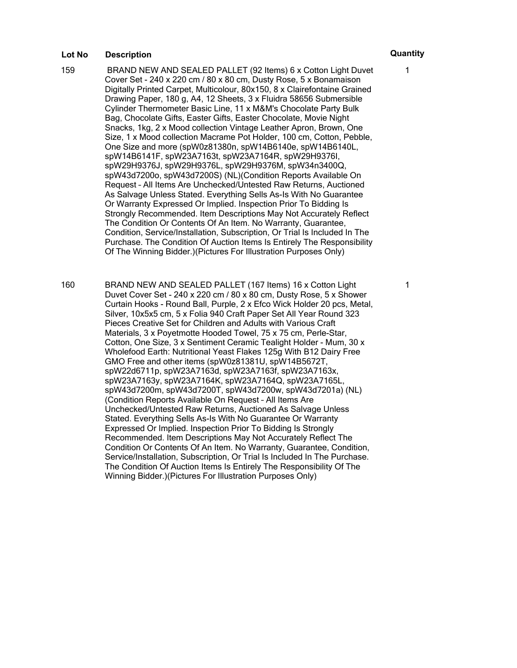- 159 BRAND NEW AND SEALED PALLET (92 Items) 6 x Cotton Light Duvet Cover Set - 240 x 220 cm / 80 x 80 cm, Dusty Rose, 5 x Bonamaison Digitally Printed Carpet, Multicolour, 80x150, 8 x Clairefontaine Grained Drawing Paper, 180 g, A4, 12 Sheets, 3 x Fluidra 58656 Submersible Cylinder Thermometer Basic Line, 11 x M&M's Chocolate Party Bulk Bag, Chocolate Gifts, Easter Gifts, Easter Chocolate, Movie Night Snacks, 1kg, 2 x Mood collection Vintage Leather Apron, Brown, One Size, 1 x Mood collection Macrame Pot Holder, 100 cm, Cotton, Pebble, One Size and more (spW0z81380n, spW14B6140e, spW14B6140L, spW14B6141F, spW23A7163t, spW23A7164R, spW29H9376I, spW29H9376J, spW29H9376L, spW29H9376M, spW34n3400Q, spW43d7200o, spW43d7200S) (NL)(Condition Reports Available On Request – All Items Are Unchecked/Untested Raw Returns, Auctioned As Salvage Unless Stated. Everything Sells As-Is With No Guarantee Or Warranty Expressed Or Implied. Inspection Prior To Bidding Is Strongly Recommended. Item Descriptions May Not Accurately Reflect The Condition Or Contents Of An Item. No Warranty, Guarantee, Condition, Service/Installation, Subscription, Or Trial Is Included In The Purchase. The Condition Of Auction Items Is Entirely The Responsibility Of The Winning Bidder.)(Pictures For Illustration Purposes Only)
- 160 BRAND NEW AND SEALED PALLET (167 Items) 16 x Cotton Light Duvet Cover Set - 240 x 220 cm / 80 x 80 cm, Dusty Rose, 5 x Shower Curtain Hooks - Round Ball, Purple, 2 x Efco Wick Holder 20 pcs, Metal, Silver, 10x5x5 cm, 5 x Folia 940 Craft Paper Set All Year Round 323 Pieces Creative Set for Children and Adults with Various Craft Materials, 3 x Poyetmotte Hooded Towel, 75 x 75 cm, Perle-Star, Cotton, One Size, 3 x Sentiment Ceramic Tealight Holder - Mum, 30 x Wholefood Earth: Nutritional Yeast Flakes 125g With B12 Dairy Free GMO Free and other items (spW0z81381U, spW14B5672T, spW22d6711p, spW23A7163d, spW23A7163f, spW23A7163x, spW23A7163y, spW23A7164K, spW23A7164Q, spW23A7165L, spW43d7200m, spW43d7200T, spW43d7200w, spW43d7201a) (NL) (Condition Reports Available On Request – All Items Are Unchecked/Untested Raw Returns, Auctioned As Salvage Unless Stated. Everything Sells As-Is With No Guarantee Or Warranty Expressed Or Implied. Inspection Prior To Bidding Is Strongly Recommended. Item Descriptions May Not Accurately Reflect The Condition Or Contents Of An Item. No Warranty, Guarantee, Condition, Service/Installation, Subscription, Or Trial Is Included In The Purchase. The Condition Of Auction Items Is Entirely The Responsibility Of The Winning Bidder.)(Pictures For Illustration Purposes Only)

1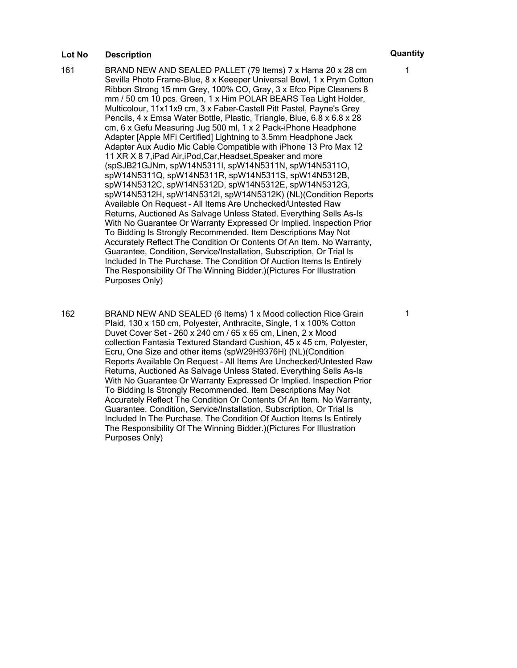- 161 BRAND NEW AND SEALED PALLET (79 Items) 7 x Hama 20 x 28 cm Sevilla Photo Frame-Blue, 8 x Keeeper Universal Bowl, 1 x Prym Cotton Ribbon Strong 15 mm Grey, 100% CO, Gray, 3 x Efco Pipe Cleaners 8 mm / 50 cm 10 pcs. Green, 1 x Him POLAR BEARS Tea Light Holder, Multicolour, 11x11x9 cm, 3 x Faber-Castell Pitt Pastel, Payne's Grey Pencils, 4 x Emsa Water Bottle, Plastic, Triangle, Blue, 6.8 x 6.8 x 28 cm, 6 x Gefu Measuring Jug 500 ml, 1 x 2 Pack-iPhone Headphone Adapter [Apple MFi Certified] Lightning to 3.5mm Headphone Jack Adapter Aux Audio Mic Cable Compatible with iPhone 13 Pro Max 12 11 XR X 8 7,iPad Air,iPod,Car,Headset,Speaker and more (spSJB21GJNm, spW14N5311I, spW14N5311N, spW14N5311O, spW14N5311Q, spW14N5311R, spW14N5311S, spW14N5312B, spW14N5312C, spW14N5312D, spW14N5312E, spW14N5312G, spW14N5312H, spW14N5312I, spW14N5312K) (NL)(Condition Reports Available On Request – All Items Are Unchecked/Untested Raw Returns, Auctioned As Salvage Unless Stated. Everything Sells As-Is With No Guarantee Or Warranty Expressed Or Implied. Inspection Prior To Bidding Is Strongly Recommended. Item Descriptions May Not Accurately Reflect The Condition Or Contents Of An Item. No Warranty, Guarantee, Condition, Service/Installation, Subscription, Or Trial Is Included In The Purchase. The Condition Of Auction Items Is Entirely The Responsibility Of The Winning Bidder.)(Pictures For Illustration Purposes Only)
- 162 BRAND NEW AND SEALED (6 Items) 1 x Mood collection Rice Grain Plaid, 130 x 150 cm, Polyester, Anthracite, Single, 1 x 100% Cotton Duvet Cover Set - 260 x 240 cm / 65 x 65 cm, Linen, 2 x Mood collection Fantasia Textured Standard Cushion, 45 x 45 cm, Polyester, Ecru, One Size and other items (spW29H9376H) (NL)(Condition Reports Available On Request – All Items Are Unchecked/Untested Raw Returns, Auctioned As Salvage Unless Stated. Everything Sells As-Is With No Guarantee Or Warranty Expressed Or Implied. Inspection Prior To Bidding Is Strongly Recommended. Item Descriptions May Not Accurately Reflect The Condition Or Contents Of An Item. No Warranty, Guarantee, Condition, Service/Installation, Subscription, Or Trial Is Included In The Purchase. The Condition Of Auction Items Is Entirely The Responsibility Of The Winning Bidder.)(Pictures For Illustration Purposes Only)

1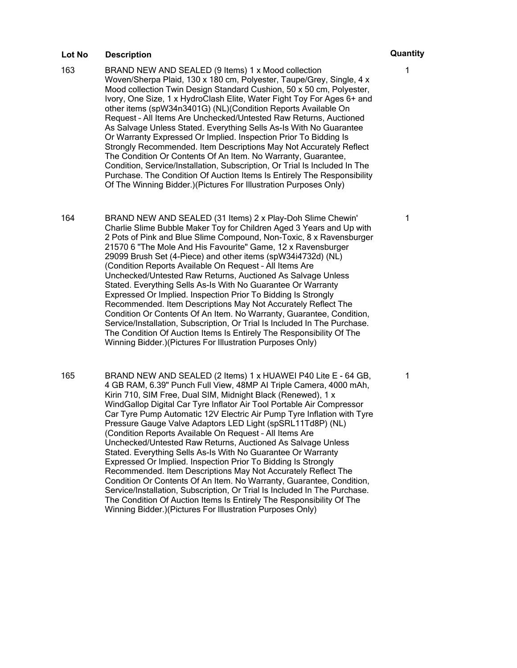- 163 BRAND NEW AND SEALED (9 Items) 1 x Mood collection Woven/Sherpa Plaid, 130 x 180 cm, Polyester, Taupe/Grey, Single, 4 x Mood collection Twin Design Standard Cushion, 50 x 50 cm, Polyester, Ivory, One Size, 1 x HydroClash Elite, Water Fight Toy For Ages 6+ and other items (spW34n3401G) (NL)(Condition Reports Available On Request – All Items Are Unchecked/Untested Raw Returns, Auctioned As Salvage Unless Stated. Everything Sells As-Is With No Guarantee Or Warranty Expressed Or Implied. Inspection Prior To Bidding Is Strongly Recommended. Item Descriptions May Not Accurately Reflect The Condition Or Contents Of An Item. No Warranty, Guarantee, Condition, Service/Installation, Subscription, Or Trial Is Included In The Purchase. The Condition Of Auction Items Is Entirely The Responsibility Of The Winning Bidder.)(Pictures For Illustration Purposes Only)
- 164 BRAND NEW AND SEALED (31 Items) 2 x Play-Doh Slime Chewin' Charlie Slime Bubble Maker Toy for Children Aged 3 Years and Up with 2 Pots of Pink and Blue Slime Compound, Non-Toxic, 8 x Ravensburger 21570 6 "The Mole And His Favourite" Game, 12 x Ravensburger 29099 Brush Set (4-Piece) and other items (spW34i4732d) (NL) (Condition Reports Available On Request – All Items Are Unchecked/Untested Raw Returns, Auctioned As Salvage Unless Stated. Everything Sells As-Is With No Guarantee Or Warranty Expressed Or Implied. Inspection Prior To Bidding Is Strongly Recommended. Item Descriptions May Not Accurately Reflect The Condition Or Contents Of An Item. No Warranty, Guarantee, Condition, Service/Installation, Subscription, Or Trial Is Included In The Purchase. The Condition Of Auction Items Is Entirely The Responsibility Of The Winning Bidder.)(Pictures For Illustration Purposes Only)
- 165 BRAND NEW AND SEALED (2 Items) 1 x HUAWEI P40 Lite E 64 GB, 4 GB RAM, 6.39" Punch Full View, 48MP AI Triple Camera, 4000 mAh, Kirin 710, SIM Free, Dual SIM, Midnight Black (Renewed), 1 x WindGallop Digital Car Tyre Inflator Air Tool Portable Air Compressor Car Tyre Pump Automatic 12V Electric Air Pump Tyre Inflation with Tyre Pressure Gauge Valve Adaptors LED Light (spSRL11Td8P) (NL) (Condition Reports Available On Request – All Items Are Unchecked/Untested Raw Returns, Auctioned As Salvage Unless Stated. Everything Sells As-Is With No Guarantee Or Warranty Expressed Or Implied. Inspection Prior To Bidding Is Strongly Recommended. Item Descriptions May Not Accurately Reflect The Condition Or Contents Of An Item. No Warranty, Guarantee, Condition, Service/Installation, Subscription, Or Trial Is Included In The Purchase. The Condition Of Auction Items Is Entirely The Responsibility Of The Winning Bidder.)(Pictures For Illustration Purposes Only)

1

1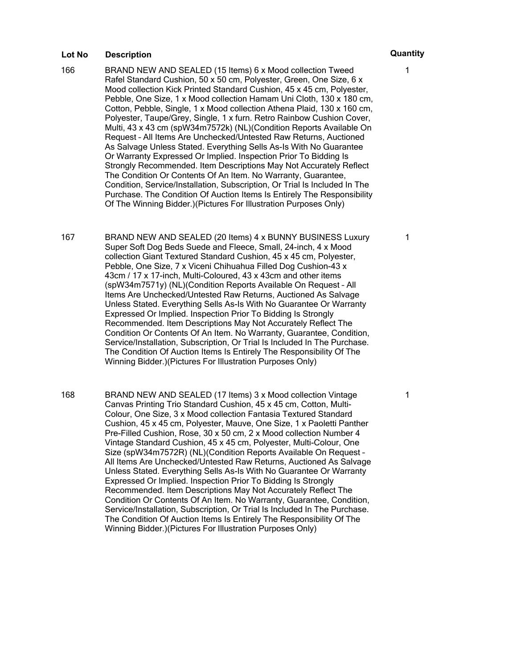- 166 BRAND NEW AND SEALED (15 Items) 6 x Mood collection Tweed Rafel Standard Cushion, 50 x 50 cm, Polyester, Green, One Size, 6 x Mood collection Kick Printed Standard Cushion, 45 x 45 cm, Polyester, Pebble, One Size, 1 x Mood collection Hamam Uni Cloth, 130 x 180 cm, Cotton, Pebble, Single, 1 x Mood collection Athena Plaid, 130 x 160 cm, Polyester, Taupe/Grey, Single, 1 x furn. Retro Rainbow Cushion Cover, Multi, 43 x 43 cm (spW34m7572k) (NL)(Condition Reports Available On Request – All Items Are Unchecked/Untested Raw Returns, Auctioned As Salvage Unless Stated. Everything Sells As-Is With No Guarantee Or Warranty Expressed Or Implied. Inspection Prior To Bidding Is Strongly Recommended. Item Descriptions May Not Accurately Reflect The Condition Or Contents Of An Item. No Warranty, Guarantee, Condition, Service/Installation, Subscription, Or Trial Is Included In The Purchase. The Condition Of Auction Items Is Entirely The Responsibility Of The Winning Bidder.)(Pictures For Illustration Purposes Only)
- 167 BRAND NEW AND SEALED (20 Items) 4 x BUNNY BUSINESS Luxury Super Soft Dog Beds Suede and Fleece, Small, 24-inch, 4 x Mood collection Giant Textured Standard Cushion, 45 x 45 cm, Polyester, Pebble, One Size, 7 x Viceni Chihuahua Filled Dog Cushion-43 x 43cm / 17 x 17-inch, Multi-Coloured, 43 x 43cm and other items (spW34m7571y) (NL)(Condition Reports Available On Request – All Items Are Unchecked/Untested Raw Returns, Auctioned As Salvage Unless Stated. Everything Sells As-Is With No Guarantee Or Warranty Expressed Or Implied. Inspection Prior To Bidding Is Strongly Recommended. Item Descriptions May Not Accurately Reflect The Condition Or Contents Of An Item. No Warranty, Guarantee, Condition, Service/Installation, Subscription, Or Trial Is Included In The Purchase. The Condition Of Auction Items Is Entirely The Responsibility Of The Winning Bidder.)(Pictures For Illustration Purposes Only)
- 168 BRAND NEW AND SEALED (17 Items) 3 x Mood collection Vintage Canvas Printing Trio Standard Cushion, 45 x 45 cm, Cotton, Multi-Colour, One Size, 3 x Mood collection Fantasia Textured Standard Cushion, 45 x 45 cm, Polyester, Mauve, One Size, 1 x Paoletti Panther Pre-Filled Cushion, Rose, 30 x 50 cm, 2 x Mood collection Number 4 Vintage Standard Cushion, 45 x 45 cm, Polyester, Multi-Colour, One Size (spW34m7572R) (NL)(Condition Reports Available On Request – All Items Are Unchecked/Untested Raw Returns, Auctioned As Salvage Unless Stated. Everything Sells As-Is With No Guarantee Or Warranty Expressed Or Implied. Inspection Prior To Bidding Is Strongly Recommended. Item Descriptions May Not Accurately Reflect The Condition Or Contents Of An Item. No Warranty, Guarantee, Condition, Service/Installation, Subscription, Or Trial Is Included In The Purchase. The Condition Of Auction Items Is Entirely The Responsibility Of The Winning Bidder.)(Pictures For Illustration Purposes Only)

1

1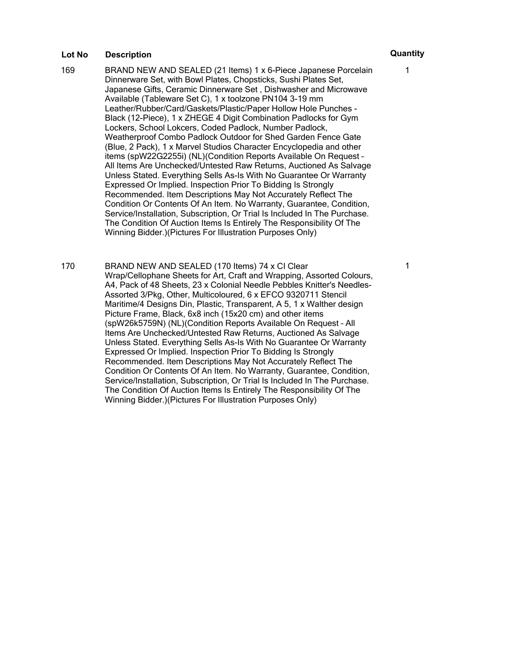- 169 BRAND NEW AND SEALED (21 Items) 1 x 6-Piece Japanese Porcelain Dinnerware Set, with Bowl Plates, Chopsticks, Sushi Plates Set, Japanese Gifts, Ceramic Dinnerware Set , Dishwasher and Microwave Available (Tableware Set C), 1 x toolzone PN104 3-19 mm Leather/Rubber/Card/Gaskets/Plastic/Paper Hollow Hole Punches - Black (12-Piece), 1 x ZHEGE 4 Digit Combination Padlocks for Gym Lockers, School Lokcers, Coded Padlock, Number Padlock, Weatherproof Combo Padlock Outdoor for Shed Garden Fence Gate (Blue, 2 Pack), 1 x Marvel Studios Character Encyclopedia and other items (spW22G2255i) (NL)(Condition Reports Available On Request – All Items Are Unchecked/Untested Raw Returns, Auctioned As Salvage Unless Stated. Everything Sells As-Is With No Guarantee Or Warranty Expressed Or Implied. Inspection Prior To Bidding Is Strongly Recommended. Item Descriptions May Not Accurately Reflect The Condition Or Contents Of An Item. No Warranty, Guarantee, Condition, Service/Installation, Subscription, Or Trial Is Included In The Purchase. The Condition Of Auction Items Is Entirely The Responsibility Of The Winning Bidder.)(Pictures For Illustration Purposes Only)
- 170 BRAND NEW AND SEALED (170 Items) 74 x CI Clear Wrap/Cellophane Sheets for Art, Craft and Wrapping, Assorted Colours, A4, Pack of 48 Sheets, 23 x Colonial Needle Pebbles Knitter's Needles-Assorted 3/Pkg, Other, Multicoloured, 6 x EFCO 9320711 Stencil Maritime/4 Designs Din, Plastic, Transparent, A 5, 1 x Walther design Picture Frame, Black, 6x8 inch (15x20 cm) and other items (spW26k5759N) (NL)(Condition Reports Available On Request – All Items Are Unchecked/Untested Raw Returns, Auctioned As Salvage Unless Stated. Everything Sells As-Is With No Guarantee Or Warranty Expressed Or Implied. Inspection Prior To Bidding Is Strongly Recommended. Item Descriptions May Not Accurately Reflect The Condition Or Contents Of An Item. No Warranty, Guarantee, Condition, Service/Installation, Subscription, Or Trial Is Included In The Purchase. The Condition Of Auction Items Is Entirely The Responsibility Of The Winning Bidder.)(Pictures For Illustration Purposes Only)

1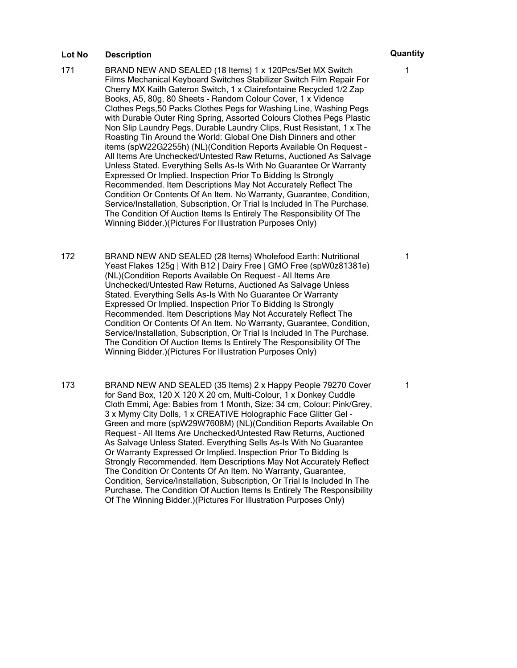- 171 BRAND NEW AND SEALED (18 Items) 1 x 120Pcs/Set MX Switch Films Mechanical Keyboard Switches Stabilizer Switch Film Repair For Cherry MX Kailh Gateron Switch, 1 x Clairefontaine Recycled 1/2 Zap Books, A5, 80g, 80 Sheets - Random Colour Cover, 1 x Vidence Clothes Pegs,50 Packs Clothes Pegs for Washing Line, Washing Pegs with Durable Outer Ring Spring, Assorted Colours Clothes Pegs Plastic Non Slip Laundry Pegs, Durable Laundry Clips, Rust Resistant, 1 x The Roasting Tin Around the World: Global One Dish Dinners and other items (spW22G2255h) (NL)(Condition Reports Available On Request – All Items Are Unchecked/Untested Raw Returns, Auctioned As Salvage Unless Stated. Everything Sells As-Is With No Guarantee Or Warranty Expressed Or Implied. Inspection Prior To Bidding Is Strongly Recommended. Item Descriptions May Not Accurately Reflect The Condition Or Contents Of An Item. No Warranty, Guarantee, Condition, Service/Installation, Subscription, Or Trial Is Included In The Purchase. The Condition Of Auction Items Is Entirely The Responsibility Of The Winning Bidder.)(Pictures For Illustration Purposes Only)
- 172 BRAND NEW AND SEALED (28 Items) Wholefood Earth: Nutritional Yeast Flakes 125g | With B12 | Dairy Free | GMO Free (spW0z81381e) (NL)(Condition Reports Available On Request – All Items Are Unchecked/Untested Raw Returns, Auctioned As Salvage Unless Stated. Everything Sells As-Is With No Guarantee Or Warranty Expressed Or Implied. Inspection Prior To Bidding Is Strongly Recommended. Item Descriptions May Not Accurately Reflect The Condition Or Contents Of An Item. No Warranty, Guarantee, Condition, Service/Installation, Subscription, Or Trial Is Included In The Purchase. The Condition Of Auction Items Is Entirely The Responsibility Of The Winning Bidder.)(Pictures For Illustration Purposes Only)
- 173 BRAND NEW AND SEALED (35 Items) 2 x Happy People 79270 Cover for Sand Box, 120 X 120 X 20 cm, Multi-Colour, 1 x Donkey Cuddle Cloth Emmi, Age: Babies from 1 Month, Size: 34 cm, Colour: Pink/Grey, 3 x Mymy City Dolls, 1 x CREATIVE Holographic Face Glitter Gel - Green and more (spW29W7608M) (NL)(Condition Reports Available On Request – All Items Are Unchecked/Untested Raw Returns, Auctioned As Salvage Unless Stated. Everything Sells As-Is With No Guarantee Or Warranty Expressed Or Implied. Inspection Prior To Bidding Is Strongly Recommended. Item Descriptions May Not Accurately Reflect The Condition Or Contents Of An Item. No Warranty, Guarantee, Condition, Service/Installation, Subscription, Or Trial Is Included In The Purchase. The Condition Of Auction Items Is Entirely The Responsibility Of The Winning Bidder.)(Pictures For Illustration Purposes Only)

1

1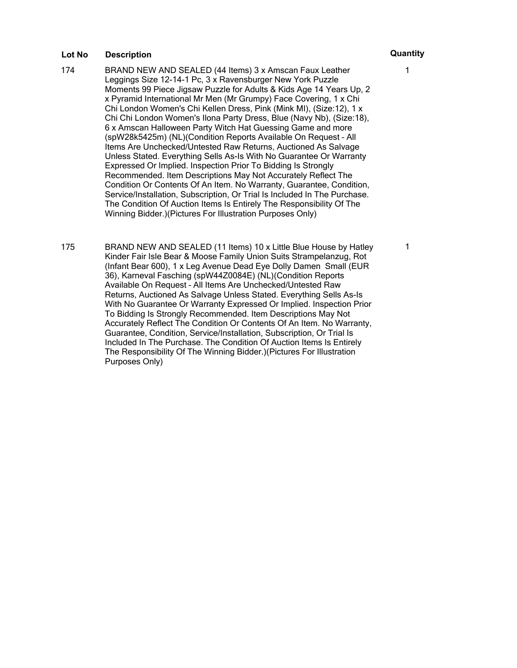- 174 BRAND NEW AND SEALED (44 Items) 3 x Amscan Faux Leather Leggings Size 12-14-1 Pc, 3 x Ravensburger New York Puzzle Moments 99 Piece Jigsaw Puzzle for Adults & Kids Age 14 Years Up, 2 x Pyramid International Mr Men (Mr Grumpy) Face Covering, 1 x Chi Chi London Women's Chi Kellen Dress, Pink (Mink MI), (Size:12), 1 x Chi Chi London Women's Ilona Party Dress, Blue (Navy Nb), (Size:18), 6 x Amscan Halloween Party Witch Hat Guessing Game and more (spW28k5425m) (NL)(Condition Reports Available On Request – All Items Are Unchecked/Untested Raw Returns, Auctioned As Salvage Unless Stated. Everything Sells As-Is With No Guarantee Or Warranty Expressed Or Implied. Inspection Prior To Bidding Is Strongly Recommended. Item Descriptions May Not Accurately Reflect The Condition Or Contents Of An Item. No Warranty, Guarantee, Condition, Service/Installation, Subscription, Or Trial Is Included In The Purchase. The Condition Of Auction Items Is Entirely The Responsibility Of The Winning Bidder.)(Pictures For Illustration Purposes Only)
- 175 BRAND NEW AND SEALED (11 Items) 10 x Little Blue House by Hatley Kinder Fair Isle Bear & Moose Family Union Suits Strampelanzug, Rot (Infant Bear 600), 1 x Leg Avenue Dead Eye Dolly Damen Small (EUR 36), Karneval Fasching (spW44Z0084E) (NL)(Condition Reports Available On Request – All Items Are Unchecked/Untested Raw Returns, Auctioned As Salvage Unless Stated. Everything Sells As-Is With No Guarantee Or Warranty Expressed Or Implied. Inspection Prior To Bidding Is Strongly Recommended. Item Descriptions May Not Accurately Reflect The Condition Or Contents Of An Item. No Warranty, Guarantee, Condition, Service/Installation, Subscription, Or Trial Is Included In The Purchase. The Condition Of Auction Items Is Entirely The Responsibility Of The Winning Bidder.)(Pictures For Illustration Purposes Only)

1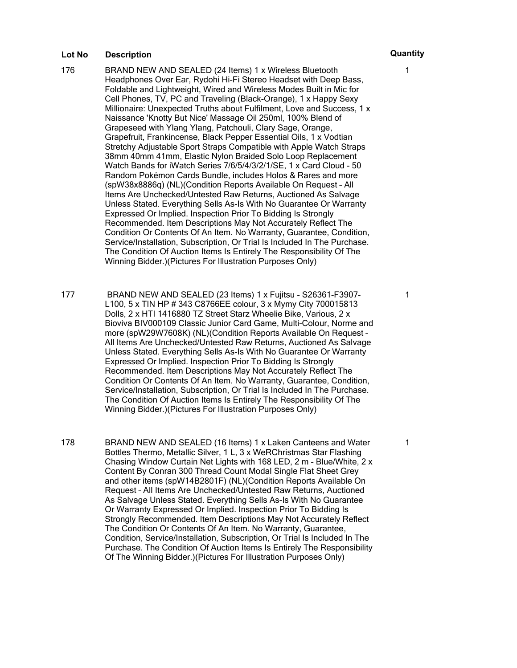- 176 BRAND NEW AND SEALED (24 Items) 1 x Wireless Bluetooth Headphones Over Ear, Rydohi Hi-Fi Stereo Headset with Deep Bass, Foldable and Lightweight, Wired and Wireless Modes Built in Mic for Cell Phones, TV, PC and Traveling (Black-Orange), 1 x Happy Sexy Millionaire: Unexpected Truths about Fulfilment, Love and Success, 1 x Naissance 'Knotty But Nice' Massage Oil 250ml, 100% Blend of Grapeseed with Ylang Ylang, Patchouli, Clary Sage, Orange, Grapefruit, Frankincense, Black Pepper Essential Oils, 1 x Vodtian Stretchy Adjustable Sport Straps Compatible with Apple Watch Straps 38mm 40mm 41mm, Elastic Nylon Braided Solo Loop Replacement Watch Bands for iWatch Series 7/6/5/4/3/2/1/SE, 1 x Card Cloud - 50 Random Pokémon Cards Bundle, includes Holos & Rares and more (spW38x8886q) (NL)(Condition Reports Available On Request – All Items Are Unchecked/Untested Raw Returns, Auctioned As Salvage Unless Stated. Everything Sells As-Is With No Guarantee Or Warranty Expressed Or Implied. Inspection Prior To Bidding Is Strongly Recommended. Item Descriptions May Not Accurately Reflect The Condition Or Contents Of An Item. No Warranty, Guarantee, Condition, Service/Installation, Subscription, Or Trial Is Included In The Purchase. The Condition Of Auction Items Is Entirely The Responsibility Of The Winning Bidder.)(Pictures For Illustration Purposes Only)
- 177 BRAND NEW AND SEALED (23 Items) 1 x Fujitsu S26361-F3907- L100, 5 x TIN HP # 343 C8766EE colour, 3 x Mymy City 700015813 Dolls, 2 x HTI 1416880 TZ Street Starz Wheelie Bike, Various, 2 x Bioviva BIV000109 Classic Junior Card Game, Multi-Colour, Norme and more (spW29W7608K) (NL)(Condition Reports Available On Request – All Items Are Unchecked/Untested Raw Returns, Auctioned As Salvage Unless Stated. Everything Sells As-Is With No Guarantee Or Warranty Expressed Or Implied. Inspection Prior To Bidding Is Strongly Recommended. Item Descriptions May Not Accurately Reflect The Condition Or Contents Of An Item. No Warranty, Guarantee, Condition, Service/Installation, Subscription, Or Trial Is Included In The Purchase. The Condition Of Auction Items Is Entirely The Responsibility Of The Winning Bidder.)(Pictures For Illustration Purposes Only)
- 178 BRAND NEW AND SEALED (16 Items) 1 x Laken Canteens and Water Bottles Thermo, Metallic Silver, 1 L, 3 x WeRChristmas Star Flashing Chasing Window Curtain Net Lights with 168 LED, 2 m - Blue/White, 2 x Content By Conran 300 Thread Count Modal Single Flat Sheet Grey and other items (spW14B2801F) (NL)(Condition Reports Available On Request – All Items Are Unchecked/Untested Raw Returns, Auctioned As Salvage Unless Stated. Everything Sells As-Is With No Guarantee Or Warranty Expressed Or Implied. Inspection Prior To Bidding Is Strongly Recommended. Item Descriptions May Not Accurately Reflect The Condition Or Contents Of An Item. No Warranty, Guarantee, Condition, Service/Installation, Subscription, Or Trial Is Included In The Purchase. The Condition Of Auction Items Is Entirely The Responsibility Of The Winning Bidder.)(Pictures For Illustration Purposes Only)

1

1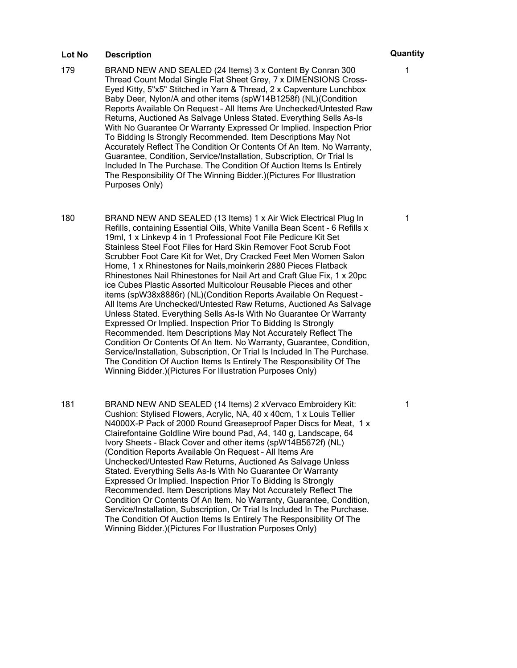- 179 BRAND NEW AND SEALED (24 Items) 3 x Content By Conran 300 Thread Count Modal Single Flat Sheet Grey, 7 x DIMENSIONS Cross-Eyed Kitty, 5"x5" Stitched in Yarn & Thread, 2 x Capventure Lunchbox Baby Deer, Nylon/A and other items (spW14B1258f) (NL)(Condition Reports Available On Request – All Items Are Unchecked/Untested Raw Returns, Auctioned As Salvage Unless Stated. Everything Sells As-Is With No Guarantee Or Warranty Expressed Or Implied. Inspection Prior To Bidding Is Strongly Recommended. Item Descriptions May Not Accurately Reflect The Condition Or Contents Of An Item. No Warranty, Guarantee, Condition, Service/Installation, Subscription, Or Trial Is Included In The Purchase. The Condition Of Auction Items Is Entirely The Responsibility Of The Winning Bidder.)(Pictures For Illustration Purposes Only)
- 180 BRAND NEW AND SEALED (13 Items) 1 x Air Wick Electrical Plug In Refills, containing Essential Oils, White Vanilla Bean Scent - 6 Refills x 19ml, 1 x Linkevp 4 in 1 Professional Foot File Pedicure Kit Set Stainless Steel Foot Files for Hard Skin Remover Foot Scrub Foot Scrubber Foot Care Kit for Wet, Dry Cracked Feet Men Women Salon Home, 1 x Rhinestones for Nails,moinkerin 2880 Pieces Flatback Rhinestones Nail Rhinestones for Nail Art and Craft Glue Fix, 1 x 20pc ice Cubes Plastic Assorted Multicolour Reusable Pieces and other items (spW38x8886r) (NL)(Condition Reports Available On Request – All Items Are Unchecked/Untested Raw Returns, Auctioned As Salvage Unless Stated. Everything Sells As-Is With No Guarantee Or Warranty Expressed Or Implied. Inspection Prior To Bidding Is Strongly Recommended. Item Descriptions May Not Accurately Reflect The Condition Or Contents Of An Item. No Warranty, Guarantee, Condition, Service/Installation, Subscription, Or Trial Is Included In The Purchase. The Condition Of Auction Items Is Entirely The Responsibility Of The Winning Bidder.)(Pictures For Illustration Purposes Only)
- 181 BRAND NEW AND SEALED (14 Items) 2 xVervaco Embroidery Kit: Cushion: Stylised Flowers, Acrylic, NA, 40 x 40cm, 1 x Louis Tellier N4000X-P Pack of 2000 Round Greaseproof Paper Discs for Meat, 1 x Clairefontaine Goldline Wire bound Pad, A4, 140 g, Landscape, 64 Ivory Sheets - Black Cover and other items (spW14B5672f) (NL) (Condition Reports Available On Request – All Items Are Unchecked/Untested Raw Returns, Auctioned As Salvage Unless Stated. Everything Sells As-Is With No Guarantee Or Warranty Expressed Or Implied. Inspection Prior To Bidding Is Strongly Recommended. Item Descriptions May Not Accurately Reflect The Condition Or Contents Of An Item. No Warranty, Guarantee, Condition, Service/Installation, Subscription, Or Trial Is Included In The Purchase. The Condition Of Auction Items Is Entirely The Responsibility Of The Winning Bidder.)(Pictures For Illustration Purposes Only)

1

1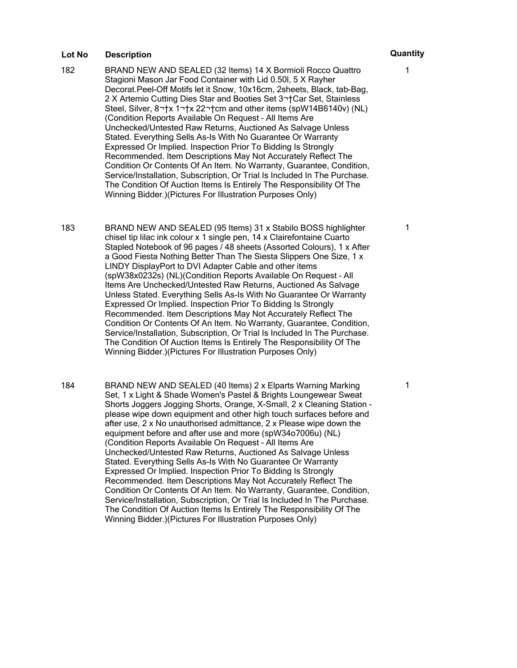- 182 BRAND NEW AND SEALED (32 Items) 14 X Bormioli Rocco Quattro Stagioni Mason Jar Food Container with Lid 0.50l, 5 X Rayher Decorat.Peel-Off Motifs let it Snow, 10x16cm, 2sheets, Black, tab-Bag, 2 X Artemio Cutting Dies Star and Booties Set 3 Car Set, Stainless Steel, Silver, 8<sup>-+</sup>x 1<sup>-+</sup>x 22<sup>-+</sup>cm and other items (spW14B6140v) (NL) (Condition Reports Available On Request – All Items Are Unchecked/Untested Raw Returns, Auctioned As Salvage Unless Stated. Everything Sells As-Is With No Guarantee Or Warranty Expressed Or Implied. Inspection Prior To Bidding Is Strongly Recommended. Item Descriptions May Not Accurately Reflect The Condition Or Contents Of An Item. No Warranty, Guarantee, Condition, Service/Installation, Subscription, Or Trial Is Included In The Purchase. The Condition Of Auction Items Is Entirely The Responsibility Of The Winning Bidder.)(Pictures For Illustration Purposes Only)
- 183 BRAND NEW AND SEALED (95 Items) 31 x Stabilo BOSS highlighter chisel tip lilac ink colour x 1 single pen, 14 x Clairefontaine Cuarto Stapled Notebook of 96 pages / 48 sheets (Assorted Colours), 1 x After a Good Fiesta Nothing Better Than The Siesta Slippers One Size, 1 x LINDY DisplayPort to DVI Adapter Cable and other items (spW38x0232s) (NL)(Condition Reports Available On Request – All Items Are Unchecked/Untested Raw Returns, Auctioned As Salvage Unless Stated. Everything Sells As-Is With No Guarantee Or Warranty Expressed Or Implied. Inspection Prior To Bidding Is Strongly Recommended. Item Descriptions May Not Accurately Reflect The Condition Or Contents Of An Item. No Warranty, Guarantee, Condition, Service/Installation, Subscription, Or Trial Is Included In The Purchase. The Condition Of Auction Items Is Entirely The Responsibility Of The Winning Bidder.)(Pictures For Illustration Purposes Only)
- 184 BRAND NEW AND SEALED (40 Items) 2 x Elparts Warning Marking Set, 1 x Light & Shade Women's Pastel & Brights Loungewear Sweat Shorts Joggers Jogging Shorts, Orange, X-Small, 2 x Cleaning Station please wipe down equipment and other high touch surfaces before and after use, 2 x No unauthorised admittance, 2 x Please wipe down the equipment before and after use and more (spW34o7006u) (NL) (Condition Reports Available On Request – All Items Are Unchecked/Untested Raw Returns, Auctioned As Salvage Unless Stated. Everything Sells As-Is With No Guarantee Or Warranty Expressed Or Implied. Inspection Prior To Bidding Is Strongly Recommended. Item Descriptions May Not Accurately Reflect The Condition Or Contents Of An Item. No Warranty, Guarantee, Condition, Service/Installation, Subscription, Or Trial Is Included In The Purchase. The Condition Of Auction Items Is Entirely The Responsibility Of The Winning Bidder.)(Pictures For Illustration Purposes Only)

1

1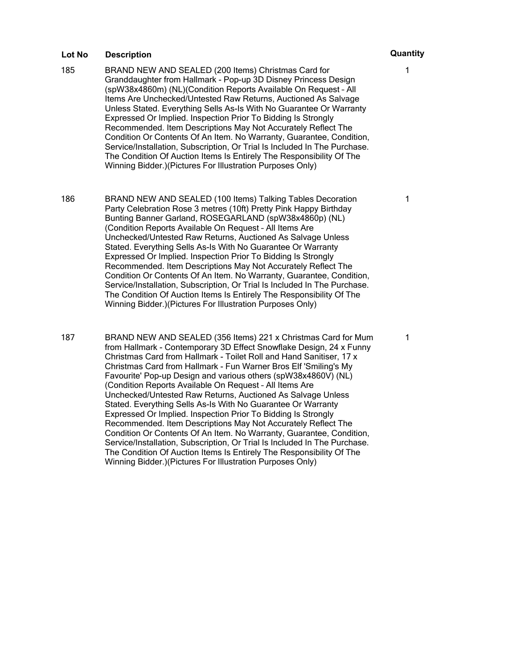- 185 BRAND NEW AND SEALED (200 Items) Christmas Card for Granddaughter from Hallmark - Pop-up 3D Disney Princess Design (spW38x4860m) (NL)(Condition Reports Available On Request – All Items Are Unchecked/Untested Raw Returns, Auctioned As Salvage Unless Stated. Everything Sells As-Is With No Guarantee Or Warranty Expressed Or Implied. Inspection Prior To Bidding Is Strongly Recommended. Item Descriptions May Not Accurately Reflect The Condition Or Contents Of An Item. No Warranty, Guarantee, Condition, Service/Installation, Subscription, Or Trial Is Included In The Purchase. The Condition Of Auction Items Is Entirely The Responsibility Of The Winning Bidder.)(Pictures For Illustration Purposes Only)
- 186 BRAND NEW AND SEALED (100 Items) Talking Tables Decoration Party Celebration Rose 3 metres (10ft) Pretty Pink Happy Birthday Bunting Banner Garland, ROSEGARLAND (spW38x4860p) (NL) (Condition Reports Available On Request – All Items Are Unchecked/Untested Raw Returns, Auctioned As Salvage Unless Stated. Everything Sells As-Is With No Guarantee Or Warranty Expressed Or Implied. Inspection Prior To Bidding Is Strongly Recommended. Item Descriptions May Not Accurately Reflect The Condition Or Contents Of An Item. No Warranty, Guarantee, Condition, Service/Installation, Subscription, Or Trial Is Included In The Purchase. The Condition Of Auction Items Is Entirely The Responsibility Of The Winning Bidder.)(Pictures For Illustration Purposes Only)
- 187 BRAND NEW AND SEALED (356 Items) 221 x Christmas Card for Mum from Hallmark - Contemporary 3D Effect Snowflake Design, 24 x Funny Christmas Card from Hallmark - Toilet Roll and Hand Sanitiser, 17 x Christmas Card from Hallmark - Fun Warner Bros Elf 'Smiling's My Favourite' Pop-up Design and various others (spW38x4860V) (NL) (Condition Reports Available On Request – All Items Are Unchecked/Untested Raw Returns, Auctioned As Salvage Unless Stated. Everything Sells As-Is With No Guarantee Or Warranty Expressed Or Implied. Inspection Prior To Bidding Is Strongly Recommended. Item Descriptions May Not Accurately Reflect The Condition Or Contents Of An Item. No Warranty, Guarantee, Condition, Service/Installation, Subscription, Or Trial Is Included In The Purchase. The Condition Of Auction Items Is Entirely The Responsibility Of The Winning Bidder.)(Pictures For Illustration Purposes Only)

1

1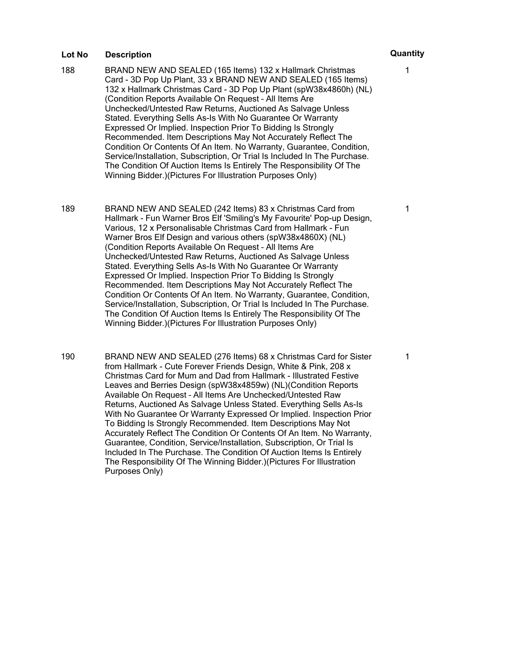- 188 BRAND NEW AND SEALED (165 Items) 132 x Hallmark Christmas Card - 3D Pop Up Plant, 33 x BRAND NEW AND SEALED (165 Items) 132 x Hallmark Christmas Card - 3D Pop Up Plant (spW38x4860h) (NL) (Condition Reports Available On Request – All Items Are Unchecked/Untested Raw Returns, Auctioned As Salvage Unless Stated. Everything Sells As-Is With No Guarantee Or Warranty Expressed Or Implied. Inspection Prior To Bidding Is Strongly Recommended. Item Descriptions May Not Accurately Reflect The Condition Or Contents Of An Item. No Warranty, Guarantee, Condition, Service/Installation, Subscription, Or Trial Is Included In The Purchase. The Condition Of Auction Items Is Entirely The Responsibility Of The Winning Bidder.)(Pictures For Illustration Purposes Only)
- 189 BRAND NEW AND SEALED (242 Items) 83 x Christmas Card from Hallmark - Fun Warner Bros Elf 'Smiling's My Favourite' Pop-up Design, Various, 12 x Personalisable Christmas Card from Hallmark - Fun Warner Bros Elf Design and various others (spW38x4860X) (NL) (Condition Reports Available On Request – All Items Are Unchecked/Untested Raw Returns, Auctioned As Salvage Unless Stated. Everything Sells As-Is With No Guarantee Or Warranty Expressed Or Implied. Inspection Prior To Bidding Is Strongly Recommended. Item Descriptions May Not Accurately Reflect The Condition Or Contents Of An Item. No Warranty, Guarantee, Condition, Service/Installation, Subscription, Or Trial Is Included In The Purchase. The Condition Of Auction Items Is Entirely The Responsibility Of The Winning Bidder.)(Pictures For Illustration Purposes Only)
- 190 BRAND NEW AND SEALED (276 Items) 68 x Christmas Card for Sister from Hallmark - Cute Forever Friends Design, White & Pink, 208 x Christmas Card for Mum and Dad from Hallmark - Illustrated Festive Leaves and Berries Design (spW38x4859w) (NL)(Condition Reports Available On Request – All Items Are Unchecked/Untested Raw Returns, Auctioned As Salvage Unless Stated. Everything Sells As-Is With No Guarantee Or Warranty Expressed Or Implied. Inspection Prior To Bidding Is Strongly Recommended. Item Descriptions May Not Accurately Reflect The Condition Or Contents Of An Item. No Warranty, Guarantee, Condition, Service/Installation, Subscription, Or Trial Is Included In The Purchase. The Condition Of Auction Items Is Entirely The Responsibility Of The Winning Bidder.)(Pictures For Illustration Purposes Only)

1

1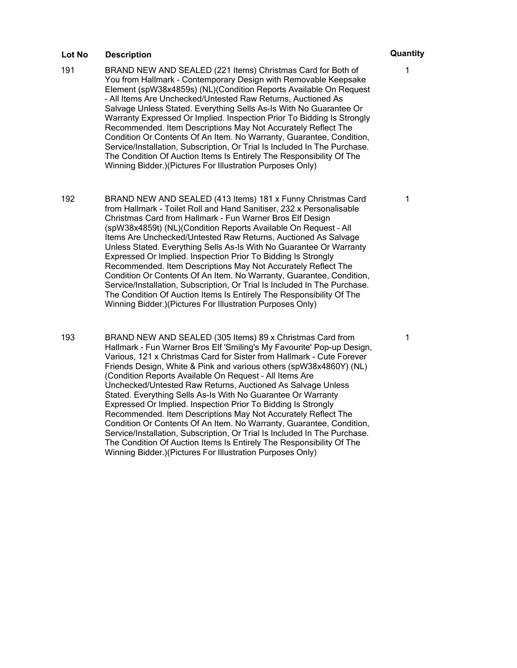- 191 BRAND NEW AND SEALED (221 Items) Christmas Card for Both of You from Hallmark - Contemporary Design with Removable Keepsake Element (spW38x4859s) (NL)(Condition Reports Available On Request – All Items Are Unchecked/Untested Raw Returns, Auctioned As Salvage Unless Stated. Everything Sells As-Is With No Guarantee Or Warranty Expressed Or Implied. Inspection Prior To Bidding Is Strongly Recommended. Item Descriptions May Not Accurately Reflect The Condition Or Contents Of An Item. No Warranty, Guarantee, Condition, Service/Installation, Subscription, Or Trial Is Included In The Purchase. The Condition Of Auction Items Is Entirely The Responsibility Of The Winning Bidder.)(Pictures For Illustration Purposes Only)
- 192 BRAND NEW AND SEALED (413 Items) 181 x Funny Christmas Card from Hallmark - Toilet Roll and Hand Sanitiser, 232 x Personalisable Christmas Card from Hallmark - Fun Warner Bros Elf Design (spW38x4859t) (NL)(Condition Reports Available On Request – All Items Are Unchecked/Untested Raw Returns, Auctioned As Salvage Unless Stated. Everything Sells As-Is With No Guarantee Or Warranty Expressed Or Implied. Inspection Prior To Bidding Is Strongly Recommended. Item Descriptions May Not Accurately Reflect The Condition Or Contents Of An Item. No Warranty, Guarantee, Condition, Service/Installation, Subscription, Or Trial Is Included In The Purchase. The Condition Of Auction Items Is Entirely The Responsibility Of The Winning Bidder.)(Pictures For Illustration Purposes Only)
- 193 BRAND NEW AND SEALED (305 Items) 89 x Christmas Card from Hallmark - Fun Warner Bros Elf 'Smiling's My Favourite' Pop-up Design, Various, 121 x Christmas Card for Sister from Hallmark - Cute Forever Friends Design, White & Pink and various others (spW38x4860Y) (NL) (Condition Reports Available On Request – All Items Are Unchecked/Untested Raw Returns, Auctioned As Salvage Unless Stated. Everything Sells As-Is With No Guarantee Or Warranty Expressed Or Implied. Inspection Prior To Bidding Is Strongly Recommended. Item Descriptions May Not Accurately Reflect The Condition Or Contents Of An Item. No Warranty, Guarantee, Condition, Service/Installation, Subscription, Or Trial Is Included In The Purchase. The Condition Of Auction Items Is Entirely The Responsibility Of The Winning Bidder.)(Pictures For Illustration Purposes Only)

1

1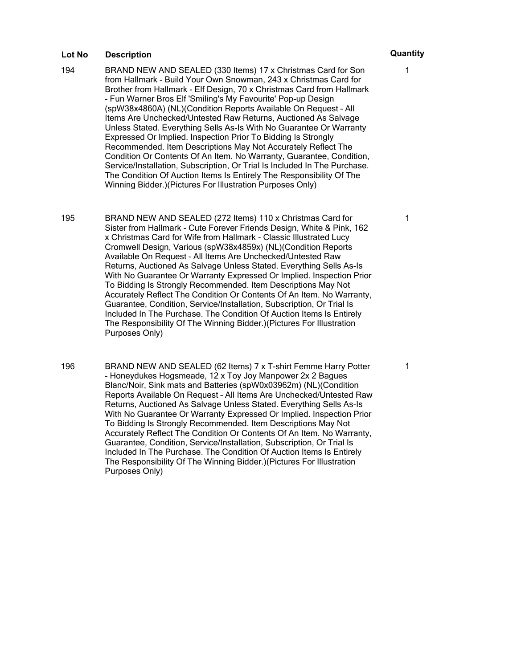- 194 BRAND NEW AND SEALED (330 Items) 17 x Christmas Card for Son from Hallmark - Build Your Own Snowman, 243 x Christmas Card for Brother from Hallmark - Elf Design, 70 x Christmas Card from Hallmark - Fun Warner Bros Elf 'Smiling's My Favourite' Pop-up Design (spW38x4860A) (NL)(Condition Reports Available On Request – All Items Are Unchecked/Untested Raw Returns, Auctioned As Salvage Unless Stated. Everything Sells As-Is With No Guarantee Or Warranty Expressed Or Implied. Inspection Prior To Bidding Is Strongly Recommended. Item Descriptions May Not Accurately Reflect The Condition Or Contents Of An Item. No Warranty, Guarantee, Condition, Service/Installation, Subscription, Or Trial Is Included In The Purchase. The Condition Of Auction Items Is Entirely The Responsibility Of The Winning Bidder.)(Pictures For Illustration Purposes Only)
- 195 BRAND NEW AND SEALED (272 Items) 110 x Christmas Card for Sister from Hallmark - Cute Forever Friends Design, White & Pink, 162 x Christmas Card for Wife from Hallmark - Classic Illustrated Lucy Cromwell Design, Various (spW38x4859x) (NL)(Condition Reports Available On Request – All Items Are Unchecked/Untested Raw Returns, Auctioned As Salvage Unless Stated. Everything Sells As-Is With No Guarantee Or Warranty Expressed Or Implied. Inspection Prior To Bidding Is Strongly Recommended. Item Descriptions May Not Accurately Reflect The Condition Or Contents Of An Item. No Warranty, Guarantee, Condition, Service/Installation, Subscription, Or Trial Is Included In The Purchase. The Condition Of Auction Items Is Entirely The Responsibility Of The Winning Bidder.)(Pictures For Illustration Purposes Only)
- 196 BRAND NEW AND SEALED (62 Items) 7 x T-shirt Femme Harry Potter - Honeydukes Hogsmeade, 12 x Toy Joy Manpower 2x 2 Bagues Blanc/Noir, Sink mats and Batteries (spW0x03962m) (NL)(Condition Reports Available On Request – All Items Are Unchecked/Untested Raw Returns, Auctioned As Salvage Unless Stated. Everything Sells As-Is With No Guarantee Or Warranty Expressed Or Implied. Inspection Prior To Bidding Is Strongly Recommended. Item Descriptions May Not Accurately Reflect The Condition Or Contents Of An Item. No Warranty, Guarantee, Condition, Service/Installation, Subscription, Or Trial Is Included In The Purchase. The Condition Of Auction Items Is Entirely The Responsibility Of The Winning Bidder.)(Pictures For Illustration Purposes Only)

1

1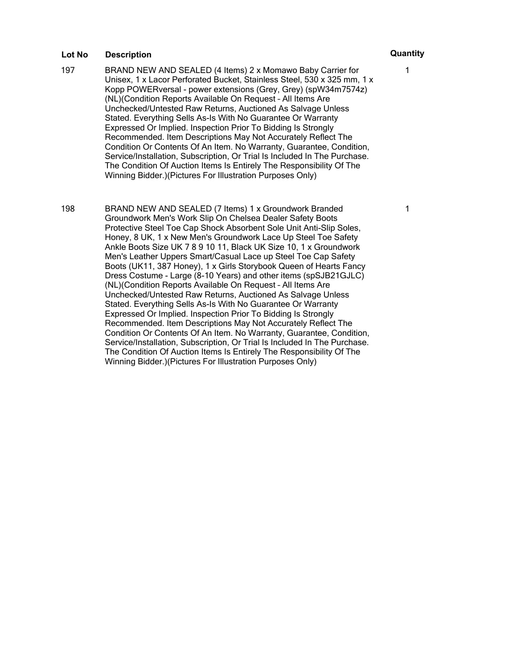- 197 BRAND NEW AND SEALED (4 Items) 2 x Momawo Baby Carrier for Unisex, 1 x Lacor Perforated Bucket, Stainless Steel, 530 x 325 mm, 1 x Kopp POWERversal - power extensions (Grey, Grey) (spW34m7574z) (NL)(Condition Reports Available On Request – All Items Are Unchecked/Untested Raw Returns, Auctioned As Salvage Unless Stated. Everything Sells As-Is With No Guarantee Or Warranty Expressed Or Implied. Inspection Prior To Bidding Is Strongly Recommended. Item Descriptions May Not Accurately Reflect The Condition Or Contents Of An Item. No Warranty, Guarantee, Condition, Service/Installation, Subscription, Or Trial Is Included In The Purchase. The Condition Of Auction Items Is Entirely The Responsibility Of The Winning Bidder.)(Pictures For Illustration Purposes Only)
- 198 BRAND NEW AND SEALED (7 Items) 1 x Groundwork Branded Groundwork Men's Work Slip On Chelsea Dealer Safety Boots Protective Steel Toe Cap Shock Absorbent Sole Unit Anti-Slip Soles, Honey, 8 UK, 1 x New Men's Groundwork Lace Up Steel Toe Safety Ankle Boots Size UK 7 8 9 10 11, Black UK Size 10, 1 x Groundwork Men's Leather Uppers Smart/Casual Lace up Steel Toe Cap Safety Boots (UK11, 387 Honey), 1 x Girls Storybook Queen of Hearts Fancy Dress Costume - Large (8-10 Years) and other items (spSJB21GJLC) (NL)(Condition Reports Available On Request – All Items Are Unchecked/Untested Raw Returns, Auctioned As Salvage Unless Stated. Everything Sells As-Is With No Guarantee Or Warranty Expressed Or Implied. Inspection Prior To Bidding Is Strongly Recommended. Item Descriptions May Not Accurately Reflect The Condition Or Contents Of An Item. No Warranty, Guarantee, Condition, Service/Installation, Subscription, Or Trial Is Included In The Purchase. The Condition Of Auction Items Is Entirely The Responsibility Of The Winning Bidder.)(Pictures For Illustration Purposes Only)

1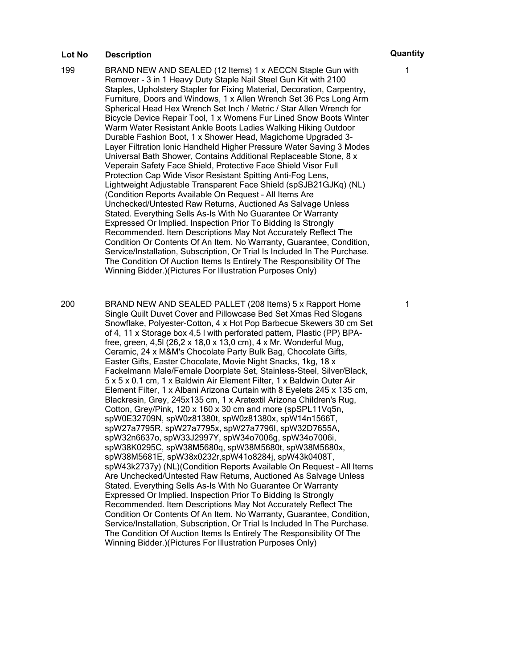- 199 BRAND NEW AND SEALED (12 Items) 1 x AECCN Staple Gun with Remover - 3 in 1 Heavy Duty Staple Nail Steel Gun Kit with 2100 Staples, Upholstery Stapler for Fixing Material, Decoration, Carpentry, Furniture, Doors and Windows, 1 x Allen Wrench Set 36 Pcs Long Arm Spherical Head Hex Wrench Set Inch / Metric / Star Allen Wrench for Bicycle Device Repair Tool, 1 x Womens Fur Lined Snow Boots Winter Warm Water Resistant Ankle Boots Ladies Walking Hiking Outdoor Durable Fashion Boot, 1 x Shower Head, Magichome Upgraded 3- Layer Filtration Ionic Handheld Higher Pressure Water Saving 3 Modes Universal Bath Shower, Contains Additional Replaceable Stone, 8 x Veperain Safety Face Shield, Protective Face Shield Visor Full Protection Cap Wide Visor Resistant Spitting Anti-Fog Lens, Lightweight Adjustable Transparent Face Shield (spSJB21GJKq) (NL) (Condition Reports Available On Request – All Items Are Unchecked/Untested Raw Returns, Auctioned As Salvage Unless Stated. Everything Sells As-Is With No Guarantee Or Warranty Expressed Or Implied. Inspection Prior To Bidding Is Strongly Recommended. Item Descriptions May Not Accurately Reflect The Condition Or Contents Of An Item. No Warranty, Guarantee, Condition, Service/Installation, Subscription, Or Trial Is Included In The Purchase. The Condition Of Auction Items Is Entirely The Responsibility Of The Winning Bidder.)(Pictures For Illustration Purposes Only)
- 200 BRAND NEW AND SEALED PALLET (208 Items) 5 x Rapport Home Single Quilt Duvet Cover and Pillowcase Bed Set Xmas Red Slogans Snowflake, Polyester-Cotton, 4 x Hot Pop Barbecue Skewers 30 cm Set of 4, 11 x Storage box 4,5 l with perforated pattern, Plastic (PP) BPAfree, green, 4,5l (26,2 x 18,0 x 13,0 cm), 4 x Mr. Wonderful Mug, Ceramic, 24 x M&M's Chocolate Party Bulk Bag, Chocolate Gifts, Easter Gifts, Easter Chocolate, Movie Night Snacks, 1kg, 18 x Fackelmann Male/Female Doorplate Set, Stainless-Steel, Silver/Black, 5 x 5 x 0.1 cm, 1 x Baldwin Air Element Filter, 1 x Baldwin Outer Air Element Filter, 1 x Albani Arizona Curtain with 8 Eyelets 245 x 135 cm, Blackresin, Grey, 245x135 cm, 1 x Aratextil Arizona Children's Rug, Cotton, Grey/Pink, 120 x 160 x 30 cm and more (spSPL11Vq5n, spW0E32709N, spW0z81380t, spW0z81380x, spW14n1566T, spW27a7795R, spW27a7795x, spW27a7796I, spW32D7655A, spW32n6637o, spW33J2997Y, spW34o7006g, spW34o7006i, spW38K0295C, spW38M5680q, spW38M5680t, spW38M5680x, spW38M5681E, spW38x0232r,spW41o8284j, spW43k0408T, spW43k2737y) (NL)(Condition Reports Available On Request – All Items Are Unchecked/Untested Raw Returns, Auctioned As Salvage Unless Stated. Everything Sells As-Is With No Guarantee Or Warranty Expressed Or Implied. Inspection Prior To Bidding Is Strongly Recommended. Item Descriptions May Not Accurately Reflect The Condition Or Contents Of An Item. No Warranty, Guarantee, Condition, Service/Installation, Subscription, Or Trial Is Included In The Purchase. The Condition Of Auction Items Is Entirely The Responsibility Of The Winning Bidder.)(Pictures For Illustration Purposes Only)

1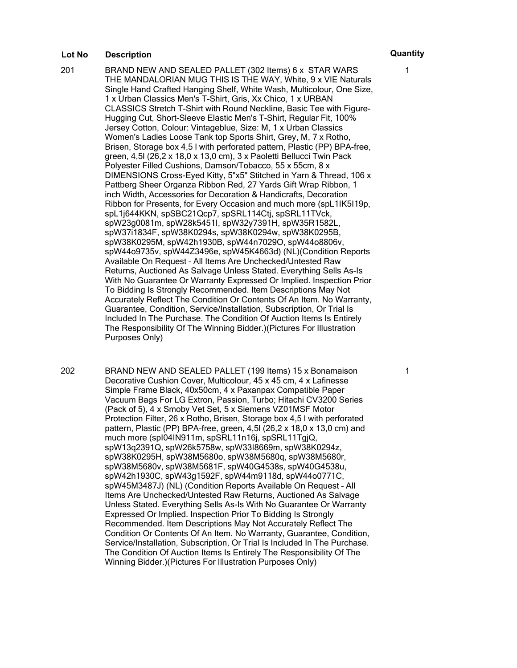201 BRAND NEW AND SEALED PALLET (302 Items) 6 x STAR WARS THE MANDALORIAN MUG THIS IS THE WAY, White, 9 x VIE Naturals Single Hand Crafted Hanging Shelf, White Wash, Multicolour, One Size, 1 x Urban Classics Men's T-Shirt, Gris, Xx Chico, 1 x URBAN CLASSICS Stretch T-Shirt with Round Neckline, Basic Tee with Figure-Hugging Cut, Short-Sleeve Elastic Men's T-Shirt, Regular Fit, 100% Jersey Cotton, Colour: Vintageblue, Size: M, 1 x Urban Classics Women's Ladies Loose Tank top Sports Shirt, Grey, M, 7 x Rotho, Brisen, Storage box 4,5 l with perforated pattern, Plastic (PP) BPA-free, green, 4,5l (26,2 x 18,0 x 13,0 cm), 3 x Paoletti Bellucci Twin Pack Polyester Filled Cushions, Damson/Tobacco, 55 x 55cm, 8 x DIMENSIONS Cross-Eyed Kitty, 5"x5" Stitched in Yarn & Thread, 106 x Pattberg Sheer Organza Ribbon Red, 27 Yards Gift Wrap Ribbon, 1 inch Width, Accessories for Decoration & Handicrafts, Decoration Ribbon for Presents, for Every Occasion and much more (spL1IK5I19p, spL1j644KKN, spSBC21Qcp7, spSRL114Ctj, spSRL11TVck, spW23g0081m, spW28k5451I, spW32y7391H, spW35R1582L, spW37i1834F, spW38K0294s, spW38K0294w, spW38K0295B, spW38K0295M, spW42h1930B, spW44n7029O, spW44o8806v, spW44o9735v, spW44Z3496e, spW45K4663d) (NL)(Condition Reports Available On Request – All Items Are Unchecked/Untested Raw Returns, Auctioned As Salvage Unless Stated. Everything Sells As-Is With No Guarantee Or Warranty Expressed Or Implied. Inspection Prior To Bidding Is Strongly Recommended. Item Descriptions May Not Accurately Reflect The Condition Or Contents Of An Item. No Warranty, Guarantee, Condition, Service/Installation, Subscription, Or Trial Is Included In The Purchase. The Condition Of Auction Items Is Entirely The Responsibility Of The Winning Bidder.)(Pictures For Illustration Purposes Only)

202 BRAND NEW AND SEALED PALLET (199 Items) 15 x Bonamaison Decorative Cushion Cover, Multicolour, 45 x 45 cm, 4 x Lafinesse Simple Frame Black, 40x50cm, 4 x Paxanpax Compatible Paper Vacuum Bags For LG Extron, Passion, Turbo; Hitachi CV3200 Series (Pack of 5), 4 x Smoby Vet Set, 5 x Siemens VZ01MSF Motor Protection Filter, 26 x Rotho, Brisen, Storage box 4,5 l with perforated pattern, Plastic (PP) BPA-free, green, 4,5l (26,2 x 18,0 x 13,0 cm) and much more (spI04IN911m, spSRL11n16j, spSRL11TgjQ, spW13q2391Q, spW26k5758w, spW33I8669m, spW38K0294z, spW38K0295H, spW38M5680o, spW38M5680q, spW38M5680r, spW38M5680v, spW38M5681F, spW40G4538s, spW40G4538u, spW42h1930C, spW43g1592F, spW44m9118d, spW44o0771C, spW45M3487J) (NL) (Condition Reports Available On Request – All Items Are Unchecked/Untested Raw Returns, Auctioned As Salvage Unless Stated. Everything Sells As-Is With No Guarantee Or Warranty Expressed Or Implied. Inspection Prior To Bidding Is Strongly Recommended. Item Descriptions May Not Accurately Reflect The Condition Or Contents Of An Item. No Warranty, Guarantee, Condition, Service/Installation, Subscription, Or Trial Is Included In The Purchase. The Condition Of Auction Items Is Entirely The Responsibility Of The Winning Bidder.)(Pictures For Illustration Purposes Only)

1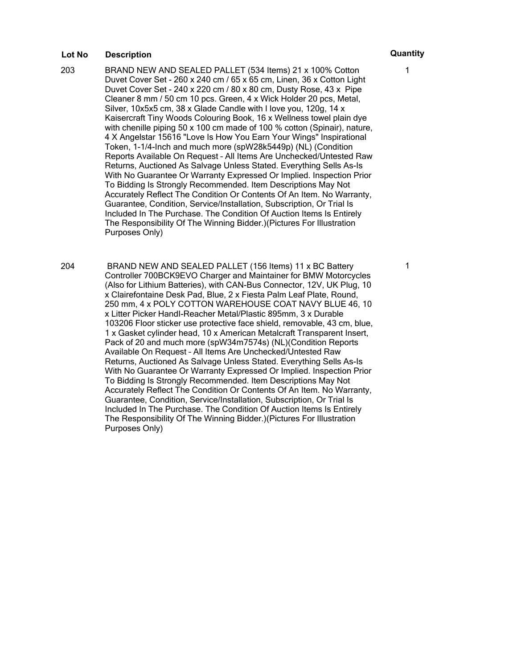- 203 BRAND NEW AND SEALED PALLET (534 Items) 21 x 100% Cotton Duvet Cover Set - 260 x 240 cm / 65 x 65 cm, Linen, 36 x Cotton Light Duvet Cover Set - 240 x 220 cm / 80 x 80 cm, Dusty Rose, 43 x Pipe Cleaner 8 mm / 50 cm 10 pcs. Green, 4 x Wick Holder 20 pcs, Metal, Silver, 10x5x5 cm, 38 x Glade Candle with I love you, 120g, 14 x Kaisercraft Tiny Woods Colouring Book, 16 x Wellness towel plain dye with chenille piping 50 x 100 cm made of 100 % cotton (Spinair), nature, 4 X Angelstar 15616 "Love Is How You Earn Your Wings" Inspirational Token, 1-1/4-Inch and much more (spW28k5449p) (NL) (Condition Reports Available On Request – All Items Are Unchecked/Untested Raw Returns, Auctioned As Salvage Unless Stated. Everything Sells As-Is With No Guarantee Or Warranty Expressed Or Implied. Inspection Prior To Bidding Is Strongly Recommended. Item Descriptions May Not Accurately Reflect The Condition Or Contents Of An Item. No Warranty, Guarantee, Condition, Service/Installation, Subscription, Or Trial Is Included In The Purchase. The Condition Of Auction Items Is Entirely The Responsibility Of The Winning Bidder.)(Pictures For Illustration Purposes Only)
- 204 BRAND NEW AND SEALED PALLET (156 Items) 11 x BC Battery Controller 700BCK9EVO Charger and Maintainer for BMW Motorcycles (Also for Lithium Batteries), with CAN-Bus Connector, 12V, UK Plug, 10 x Clairefontaine Desk Pad, Blue, 2 x Fiesta Palm Leaf Plate, Round, 250 mm, 4 x POLY COTTON WAREHOUSE COAT NAVY BLUE 46, 10 x Litter Picker HandI-Reacher Metal/Plastic 895mm, 3 x Durable 103206 Floor sticker use protective face shield, removable, 43 cm, blue, 1 x Gasket cylinder head, 10 x American Metalcraft Transparent Insert, Pack of 20 and much more (spW34m7574s) (NL)(Condition Reports Available On Request – All Items Are Unchecked/Untested Raw Returns, Auctioned As Salvage Unless Stated. Everything Sells As-Is With No Guarantee Or Warranty Expressed Or Implied. Inspection Prior To Bidding Is Strongly Recommended. Item Descriptions May Not Accurately Reflect The Condition Or Contents Of An Item. No Warranty, Guarantee, Condition, Service/Installation, Subscription, Or Trial Is Included In The Purchase. The Condition Of Auction Items Is Entirely The Responsibility Of The Winning Bidder.)(Pictures For Illustration Purposes Only)

1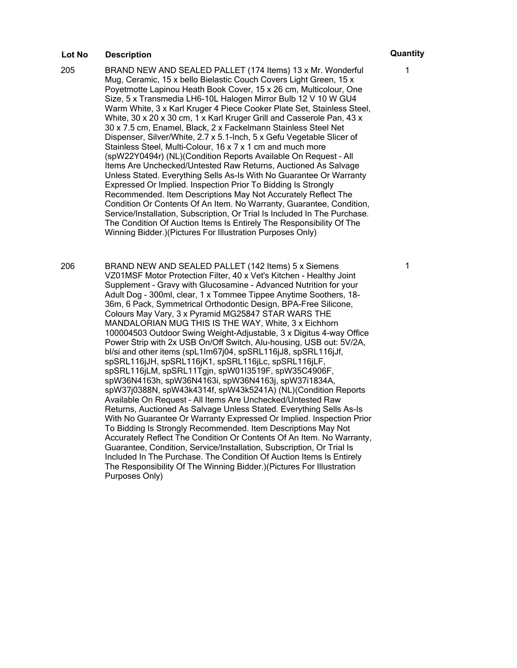205 BRAND NEW AND SEALED PALLET (174 Items) 13 x Mr. Wonderful Mug, Ceramic, 15 x bello Bielastic Couch Covers Light Green, 15 x Poyetmotte Lapinou Heath Book Cover, 15 x 26 cm, Multicolour, One Size, 5 x Transmedia LH6-10L Halogen Mirror Bulb 12 V 10 W GU4 Warm White, 3 x Karl Kruger 4 Piece Cooker Plate Set, Stainless Steel, White, 30 x 20 x 30 cm, 1 x Karl Kruger Grill and Casserole Pan, 43 x 30 x 7.5 cm, Enamel, Black, 2 x Fackelmann Stainless Steel Net Dispenser, Silver/White, 2.7 x 5.1-Inch, 5 x Gefu Vegetable Slicer of Stainless Steel, Multi-Colour, 16 x 7 x 1 cm and much more (spW22Y0494r) (NL)(Condition Reports Available On Request – All Items Are Unchecked/Untested Raw Returns, Auctioned As Salvage Unless Stated. Everything Sells As-Is With No Guarantee Or Warranty Expressed Or Implied. Inspection Prior To Bidding Is Strongly Recommended. Item Descriptions May Not Accurately Reflect The Condition Or Contents Of An Item. No Warranty, Guarantee, Condition, Service/Installation, Subscription, Or Trial Is Included In The Purchase. The Condition Of Auction Items Is Entirely The Responsibility Of The Winning Bidder.)(Pictures For Illustration Purposes Only)

206 BRAND NEW AND SEALED PALLET (142 Items) 5 x Siemens VZ01MSF Motor Protection Filter, 40 x Vet's Kitchen - Healthy Joint Supplement - Gravy with Glucosamine - Advanced Nutrition for your Adult Dog - 300ml, clear, 1 x Tommee Tippee Anytime Soothers, 18- 36m, 6 Pack, Symmetrical Orthodontic Design, BPA-Free Silicone, Colours May Vary, 3 x Pyramid MG25847 STAR WARS THE MANDALORIAN MUG THIS IS THE WAY, White, 3 x Eichhorn 100004503 Outdoor Swing Weight-Adjustable, 3 x Digitus 4-way Office Power Strip with 2x USB On/Off Switch, Alu-housing, USB out: 5V/2A, bl/si and other items (spL1Im67j04, spSRL116jJ8, spSRL116jJf, spSRL116jJH, spSRL116jK1, spSRL116jLc, spSRL116jLF, spSRL116jLM, spSRL11Tgjn, spW01I3519F, spW35C4906F, spW36N4163h, spW36N4163i, spW36N4163j, spW37i1834A, spW37j0388N, spW43k4314f, spW43k5241A) (NL)(Condition Reports Available On Request – All Items Are Unchecked/Untested Raw Returns, Auctioned As Salvage Unless Stated. Everything Sells As-Is With No Guarantee Or Warranty Expressed Or Implied. Inspection Prior To Bidding Is Strongly Recommended. Item Descriptions May Not Accurately Reflect The Condition Or Contents Of An Item. No Warranty, Guarantee, Condition, Service/Installation, Subscription, Or Trial Is Included In The Purchase. The Condition Of Auction Items Is Entirely The Responsibility Of The Winning Bidder.)(Pictures For Illustration Purposes Only)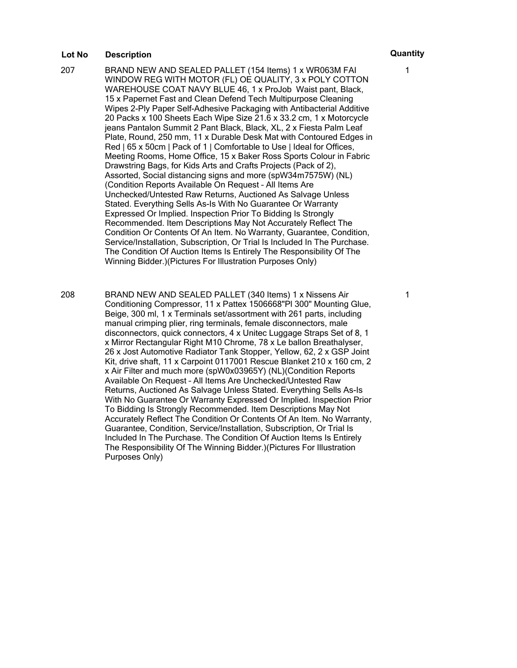207 BRAND NEW AND SEALED PALLET (154 Items) 1 x WR063M FAI WINDOW REG WITH MOTOR (FL) OE QUALITY, 3 x POLY COTTON WAREHOUSE COAT NAVY BLUE 46, 1 x ProJob Waist pant, Black, 15 x Papernet Fast and Clean Defend Tech Multipurpose Cleaning Wipes 2-Ply Paper Self-Adhesive Packaging with Antibacterial Additive 20 Packs x 100 Sheets Each Wipe Size 21.6 x 33.2 cm, 1 x Motorcycle jeans Pantalon Summit 2 Pant Black, Black, XL, 2 x Fiesta Palm Leaf Plate, Round, 250 mm, 11 x Durable Desk Mat with Contoured Edges in Red | 65 x 50cm | Pack of 1 | Comfortable to Use | Ideal for Offices, Meeting Rooms, Home Office, 15 x Baker Ross Sports Colour in Fabric Drawstring Bags, for Kids Arts and Crafts Projects (Pack of 2), Assorted, Social distancing signs and more (spW34m7575W) (NL) (Condition Reports Available On Request – All Items Are Unchecked/Untested Raw Returns, Auctioned As Salvage Unless Stated. Everything Sells As-Is With No Guarantee Or Warranty Expressed Or Implied. Inspection Prior To Bidding Is Strongly Recommended. Item Descriptions May Not Accurately Reflect The Condition Or Contents Of An Item. No Warranty, Guarantee, Condition, Service/Installation, Subscription, Or Trial Is Included In The Purchase. The Condition Of Auction Items Is Entirely The Responsibility Of The Winning Bidder.)(Pictures For Illustration Purposes Only)

208 BRAND NEW AND SEALED PALLET (340 Items) 1 x Nissens Air Conditioning Compressor, 11 x Pattex 1506668"Pl 300" Mounting Glue, Beige, 300 ml, 1 x Terminals set/assortment with 261 parts, including manual crimping plier, ring terminals, female disconnectors, male disconnectors, quick connectors, 4 x Unitec Luggage Straps Set of 8, 1 x Mirror Rectangular Right M10 Chrome, 78 x Le ballon Breathalyser, 26 x Jost Automotive Radiator Tank Stopper, Yellow, 62, 2 x GSP Joint Kit, drive shaft, 11 x Carpoint 0117001 Rescue Blanket 210 x 160 cm, 2 x Air Filter and much more (spW0x03965Y) (NL)(Condition Reports Available On Request – All Items Are Unchecked/Untested Raw Returns, Auctioned As Salvage Unless Stated. Everything Sells As-Is With No Guarantee Or Warranty Expressed Or Implied. Inspection Prior To Bidding Is Strongly Recommended. Item Descriptions May Not Accurately Reflect The Condition Or Contents Of An Item. No Warranty, Guarantee, Condition, Service/Installation, Subscription, Or Trial Is Included In The Purchase. The Condition Of Auction Items Is Entirely The Responsibility Of The Winning Bidder.)(Pictures For Illustration Purposes Only)

1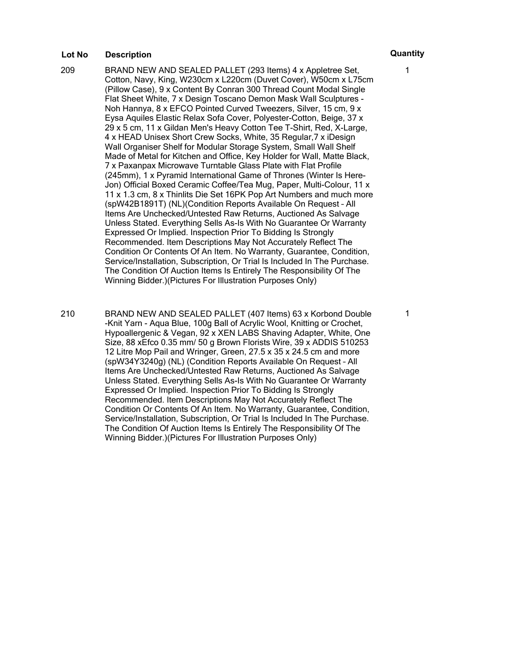- 209 BRAND NEW AND SEALED PALLET (293 Items) 4 x Appletree Set, Cotton, Navy, King, W230cm x L220cm (Duvet Cover), W50cm x L75cm (Pillow Case), 9 x Content By Conran 300 Thread Count Modal Single Flat Sheet White, 7 x Design Toscano Demon Mask Wall Sculptures - Noh Hannya, 8 x EFCO Pointed Curved Tweezers, Silver, 15 cm, 9 x Eysa Aquiles Elastic Relax Sofa Cover, Polyester-Cotton, Beige, 37 x 29 x 5 cm, 11 x Gildan Men's Heavy Cotton Tee T-Shirt, Red, X-Large, 4 x HEAD Unisex Short Crew Socks, White, 35 Regular,7 x iDesign Wall Organiser Shelf for Modular Storage System, Small Wall Shelf Made of Metal for Kitchen and Office, Key Holder for Wall, Matte Black, 7 x Paxanpax Microwave Turntable Glass Plate with Flat Profile (245mm), 1 x Pyramid International Game of Thrones (Winter Is Here-Jon) Official Boxed Ceramic Coffee/Tea Mug, Paper, Multi-Colour, 11 x 11 x 1.3 cm, 8 x Thinlits Die Set 16PK Pop Art Numbers and much more (spW42B1891T) (NL)(Condition Reports Available On Request – All Items Are Unchecked/Untested Raw Returns, Auctioned As Salvage Unless Stated. Everything Sells As-Is With No Guarantee Or Warranty Expressed Or Implied. Inspection Prior To Bidding Is Strongly Recommended. Item Descriptions May Not Accurately Reflect The Condition Or Contents Of An Item. No Warranty, Guarantee, Condition, Service/Installation, Subscription, Or Trial Is Included In The Purchase. The Condition Of Auction Items Is Entirely The Responsibility Of The Winning Bidder.)(Pictures For Illustration Purposes Only)
- 210 BRAND NEW AND SEALED PALLET (407 Items) 63 x Korbond Double -Knit Yarn - Aqua Blue, 100g Ball of Acrylic Wool, Knitting or Crochet, Hypoallergenic & Vegan, 92 x XEN LABS Shaving Adapter, White, One Size, 88 xEfco 0.35 mm/ 50 g Brown Florists Wire, 39 x ADDIS 510253 12 Litre Mop Pail and Wringer, Green, 27.5 x 35 x 24.5 cm and more (spW34Y3240g) (NL) (Condition Reports Available On Request – All Items Are Unchecked/Untested Raw Returns, Auctioned As Salvage Unless Stated. Everything Sells As-Is With No Guarantee Or Warranty Expressed Or Implied. Inspection Prior To Bidding Is Strongly Recommended. Item Descriptions May Not Accurately Reflect The Condition Or Contents Of An Item. No Warranty, Guarantee, Condition, Service/Installation, Subscription, Or Trial Is Included In The Purchase. The Condition Of Auction Items Is Entirely The Responsibility Of The Winning Bidder.)(Pictures For Illustration Purposes Only)

1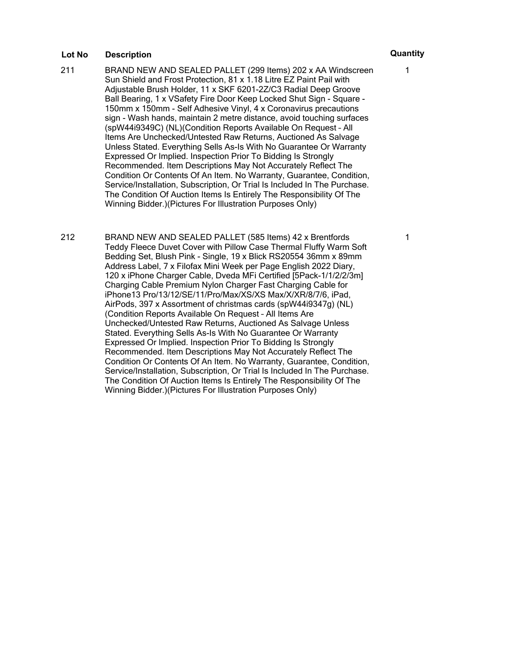- 211 BRAND NEW AND SEALED PALLET (299 Items) 202 x AA Windscreen Sun Shield and Frost Protection, 81 x 1.18 Litre EZ Paint Pail with Adjustable Brush Holder, 11 x SKF 6201-2Z/C3 Radial Deep Groove Ball Bearing, 1 x VSafety Fire Door Keep Locked Shut Sign - Square - 150mm x 150mm - Self Adhesive Vinyl, 4 x Coronavirus precautions sign - Wash hands, maintain 2 metre distance, avoid touching surfaces (spW44i9349C) (NL)(Condition Reports Available On Request – All Items Are Unchecked/Untested Raw Returns, Auctioned As Salvage Unless Stated. Everything Sells As-Is With No Guarantee Or Warranty Expressed Or Implied. Inspection Prior To Bidding Is Strongly Recommended. Item Descriptions May Not Accurately Reflect The Condition Or Contents Of An Item. No Warranty, Guarantee, Condition, Service/Installation, Subscription, Or Trial Is Included In The Purchase. The Condition Of Auction Items Is Entirely The Responsibility Of The Winning Bidder.)(Pictures For Illustration Purposes Only)
- 212 BRAND NEW AND SEALED PALLET (585 Items) 42 x Brentfords Teddy Fleece Duvet Cover with Pillow Case Thermal Fluffy Warm Soft Bedding Set, Blush Pink - Single, 19 x Blick RS20554 36mm x 89mm Address Label, 7 x Filofax Mini Week per Page English 2022 Diary, 120 x iPhone Charger Cable, Dveda MFi Certified [5Pack-1/1/2/2/3m] Charging Cable Premium Nylon Charger Fast Charging Cable for iPhone13 Pro/13/12/SE/11/Pro/Max/XS/XS Max/X/XR/8/7/6, iPad, AirPods, 397 x Assortment of christmas cards (spW44i9347g) (NL) (Condition Reports Available On Request – All Items Are Unchecked/Untested Raw Returns, Auctioned As Salvage Unless Stated. Everything Sells As-Is With No Guarantee Or Warranty Expressed Or Implied. Inspection Prior To Bidding Is Strongly Recommended. Item Descriptions May Not Accurately Reflect The Condition Or Contents Of An Item. No Warranty, Guarantee, Condition, Service/Installation, Subscription, Or Trial Is Included In The Purchase. The Condition Of Auction Items Is Entirely The Responsibility Of The Winning Bidder.)(Pictures For Illustration Purposes Only)

1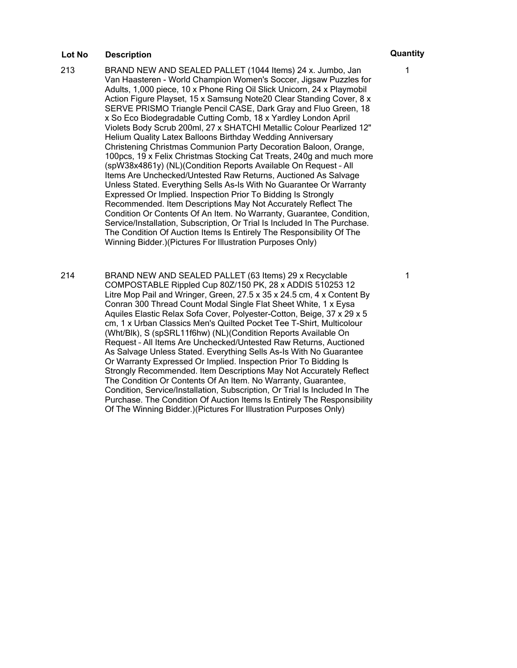- 213 BRAND NEW AND SEALED PALLET (1044 Items) 24 x. Jumbo, Jan Van Haasteren - World Champion Women's Soccer, Jigsaw Puzzles for Adults, 1,000 piece, 10 x Phone Ring Oil Slick Unicorn, 24 x Playmobil Action Figure Playset, 15 x Samsung Note20 Clear Standing Cover, 8 x SERVE PRISMO Triangle Pencil CASE, Dark Gray and Fluo Green, 18 x So Eco Biodegradable Cutting Comb, 18 x Yardley London April Violets Body Scrub 200ml, 27 x SHATCHI Metallic Colour Pearlized 12" Helium Quality Latex Balloons Birthday Wedding Anniversary Christening Christmas Communion Party Decoration Baloon, Orange, 100pcs, 19 x Felix Christmas Stocking Cat Treats, 240g and much more (spW38x4861y) (NL)(Condition Reports Available On Request – All Items Are Unchecked/Untested Raw Returns, Auctioned As Salvage Unless Stated. Everything Sells As-Is With No Guarantee Or Warranty Expressed Or Implied. Inspection Prior To Bidding Is Strongly Recommended. Item Descriptions May Not Accurately Reflect The Condition Or Contents Of An Item. No Warranty, Guarantee, Condition, Service/Installation, Subscription, Or Trial Is Included In The Purchase. The Condition Of Auction Items Is Entirely The Responsibility Of The Winning Bidder.)(Pictures For Illustration Purposes Only)
- 214 BRAND NEW AND SEALED PALLET (63 Items) 29 x Recyclable COMPOSTABLE Rippled Cup 80Z/150 PK, 28 x ADDIS 510253 12 Litre Mop Pail and Wringer, Green, 27.5 x 35 x 24.5 cm, 4 x Content By Conran 300 Thread Count Modal Single Flat Sheet White, 1 x Eysa Aquiles Elastic Relax Sofa Cover, Polyester-Cotton, Beige, 37 x 29 x 5 cm, 1 x Urban Classics Men's Quilted Pocket Tee T-Shirt, Multicolour (Wht/Blk), S (spSRL11f6hw) (NL)(Condition Reports Available On Request – All Items Are Unchecked/Untested Raw Returns, Auctioned As Salvage Unless Stated. Everything Sells As-Is With No Guarantee Or Warranty Expressed Or Implied. Inspection Prior To Bidding Is Strongly Recommended. Item Descriptions May Not Accurately Reflect The Condition Or Contents Of An Item. No Warranty, Guarantee, Condition, Service/Installation, Subscription, Or Trial Is Included In The Purchase. The Condition Of Auction Items Is Entirely The Responsibility Of The Winning Bidder.)(Pictures For Illustration Purposes Only)

1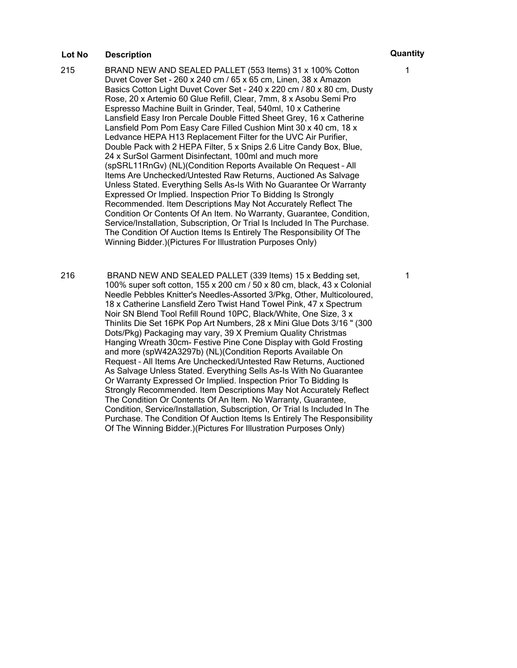- 215 BRAND NEW AND SEALED PALLET (553 Items) 31 x 100% Cotton Duvet Cover Set - 260 x 240 cm / 65 x 65 cm, Linen, 38 x Amazon Basics Cotton Light Duvet Cover Set - 240 x 220 cm / 80 x 80 cm, Dusty Rose, 20 x Artemio 60 Glue Refill, Clear, 7mm, 8 x Asobu Semi Pro Espresso Machine Built in Grinder, Teal, 540ml, 10 x Catherine Lansfield Easy Iron Percale Double Fitted Sheet Grey, 16 x Catherine Lansfield Pom Pom Easy Care Filled Cushion Mint 30 x 40 cm, 18 x Ledvance HEPA H13 Replacement Filter for the UVC Air Purifier, Double Pack with 2 HEPA Filter, 5 x Snips 2.6 Litre Candy Box, Blue, 24 x SurSol Garment Disinfectant, 100ml and much more (spSRL11RnGv) (NL)(Condition Reports Available On Request – All Items Are Unchecked/Untested Raw Returns, Auctioned As Salvage Unless Stated. Everything Sells As-Is With No Guarantee Or Warranty Expressed Or Implied. Inspection Prior To Bidding Is Strongly Recommended. Item Descriptions May Not Accurately Reflect The Condition Or Contents Of An Item. No Warranty, Guarantee, Condition, Service/Installation, Subscription, Or Trial Is Included In The Purchase. The Condition Of Auction Items Is Entirely The Responsibility Of The Winning Bidder.)(Pictures For Illustration Purposes Only)
- 216 BRAND NEW AND SEALED PALLET (339 Items) 15 x Bedding set, 100% super soft cotton, 155 x 200 cm / 50 x 80 cm, black, 43 x Colonial Needle Pebbles Knitter's Needles-Assorted 3/Pkg, Other, Multicoloured, 18 x Catherine Lansfield Zero Twist Hand Towel Pink, 47 x Spectrum Noir SN Blend Tool Refill Round 10PC, Black/White, One Size, 3 x Thinlits Die Set 16PK Pop Art Numbers, 28 x Mini Glue Dots 3/16 " (300 Dots/Pkg) Packaging may vary, 39 X Premium Quality Christmas Hanging Wreath 30cm- Festive Pine Cone Display with Gold Frosting and more (spW42A3297b) (NL)(Condition Reports Available On Request – All Items Are Unchecked/Untested Raw Returns, Auctioned As Salvage Unless Stated. Everything Sells As-Is With No Guarantee Or Warranty Expressed Or Implied. Inspection Prior To Bidding Is Strongly Recommended. Item Descriptions May Not Accurately Reflect The Condition Or Contents Of An Item. No Warranty, Guarantee, Condition, Service/Installation, Subscription, Or Trial Is Included In The Purchase. The Condition Of Auction Items Is Entirely The Responsibility Of The Winning Bidder.)(Pictures For Illustration Purposes Only)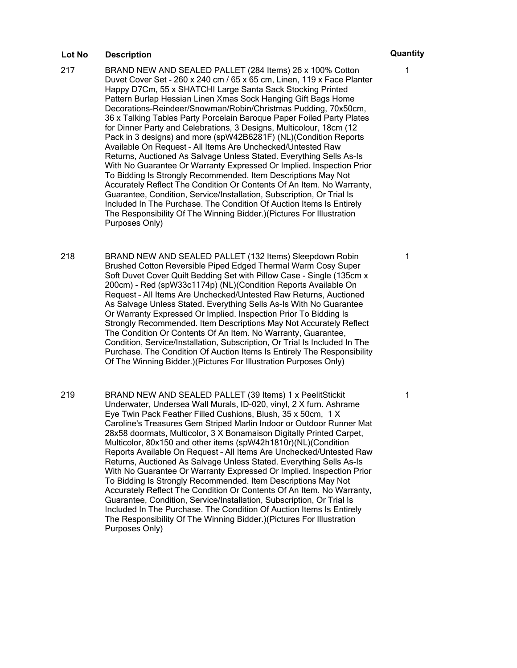- 217 BRAND NEW AND SEALED PALLET (284 Items) 26 x 100% Cotton Duvet Cover Set - 260 x 240 cm / 65 x 65 cm, Linen, 119 x Face Planter Happy D7Cm, 55 x SHATCHI Large Santa Sack Stocking Printed Pattern Burlap Hessian Linen Xmas Sock Hanging Gift Bags Home Decorations-Reindeer/Snowman/Robin/Christmas Pudding, 70x50cm, 36 x Talking Tables Party Porcelain Baroque Paper Foiled Party Plates for Dinner Party and Celebrations, 3 Designs, Multicolour, 18cm (12 Pack in 3 designs) and more (spW42B6281F) (NL)(Condition Reports Available On Request – All Items Are Unchecked/Untested Raw Returns, Auctioned As Salvage Unless Stated. Everything Sells As-Is With No Guarantee Or Warranty Expressed Or Implied. Inspection Prior To Bidding Is Strongly Recommended. Item Descriptions May Not Accurately Reflect The Condition Or Contents Of An Item. No Warranty, Guarantee, Condition, Service/Installation, Subscription, Or Trial Is Included In The Purchase. The Condition Of Auction Items Is Entirely The Responsibility Of The Winning Bidder.)(Pictures For Illustration Purposes Only)
- 218 BRAND NEW AND SEALED PALLET (132 Items) Sleepdown Robin Brushed Cotton Reversible Piped Edged Thermal Warm Cosy Super Soft Duvet Cover Quilt Bedding Set with Pillow Case - Single (135cm x 200cm) - Red (spW33c1174p) (NL)(Condition Reports Available On Request – All Items Are Unchecked/Untested Raw Returns, Auctioned As Salvage Unless Stated. Everything Sells As-Is With No Guarantee Or Warranty Expressed Or Implied. Inspection Prior To Bidding Is Strongly Recommended. Item Descriptions May Not Accurately Reflect The Condition Or Contents Of An Item. No Warranty, Guarantee, Condition, Service/Installation, Subscription, Or Trial Is Included In The Purchase. The Condition Of Auction Items Is Entirely The Responsibility Of The Winning Bidder.)(Pictures For Illustration Purposes Only)
- 219 BRAND NEW AND SEALED PALLET (39 Items) 1 x PeelitStickit Underwater, Undersea Wall Murals, ID-020, vinyl, 2 X furn. Ashrame Eye Twin Pack Feather Filled Cushions, Blush, 35 x 50cm, 1 X Caroline's Treasures Gem Striped Marlin Indoor or Outdoor Runner Mat 28x58 doormats, Multicolor, 3 X Bonamaison Digitally Printed Carpet, Multicolor, 80x150 and other items (spW42h1810r)(NL)(Condition Reports Available On Request – All Items Are Unchecked/Untested Raw Returns, Auctioned As Salvage Unless Stated. Everything Sells As-Is With No Guarantee Or Warranty Expressed Or Implied. Inspection Prior To Bidding Is Strongly Recommended. Item Descriptions May Not Accurately Reflect The Condition Or Contents Of An Item. No Warranty, Guarantee, Condition, Service/Installation, Subscription, Or Trial Is Included In The Purchase. The Condition Of Auction Items Is Entirely The Responsibility Of The Winning Bidder.)(Pictures For Illustration Purposes Only)

1

1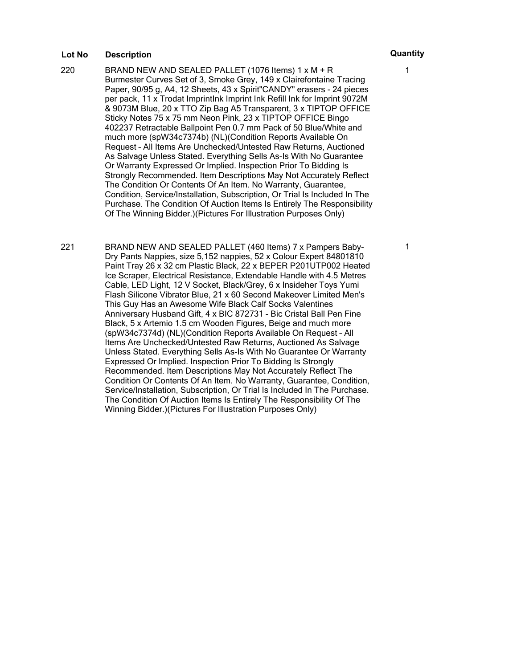- 220 BRAND NEW AND SEALED PALLET (1076 Items) 1 x M + R Burmester Curves Set of 3, Smoke Grey, 149 x Clairefontaine Tracing Paper, 90/95 g, A4, 12 Sheets, 43 x Spirit"CANDY" erasers - 24 pieces per pack, 11 x Trodat ImprintInk Imprint Ink Refill Ink for Imprint 9072M & 9073M Blue, 20 x TTO Zip Bag A5 Transparent, 3 x TIPTOP OFFICE Sticky Notes 75 x 75 mm Neon Pink, 23 x TIPTOP OFFICE Bingo 402237 Retractable Ballpoint Pen 0.7 mm Pack of 50 Blue/White and much more (spW34c7374b) (NL)(Condition Reports Available On Request – All Items Are Unchecked/Untested Raw Returns, Auctioned As Salvage Unless Stated. Everything Sells As-Is With No Guarantee Or Warranty Expressed Or Implied. Inspection Prior To Bidding Is Strongly Recommended. Item Descriptions May Not Accurately Reflect The Condition Or Contents Of An Item. No Warranty, Guarantee, Condition, Service/Installation, Subscription, Or Trial Is Included In The Purchase. The Condition Of Auction Items Is Entirely The Responsibility Of The Winning Bidder.)(Pictures For Illustration Purposes Only)
- 221 BRAND NEW AND SEALED PALLET (460 Items) 7 x Pampers Baby-Dry Pants Nappies, size 5,152 nappies, 52 x Colour Expert 84801810 Paint Tray 26 x 32 cm Plastic Black, 22 x BEPER P201UTP002 Heated Ice Scraper, Electrical Resistance, Extendable Handle with 4.5 Metres Cable, LED Light, 12 V Socket, Black/Grey, 6 x Insideher Toys Yumi Flash Silicone Vibrator Blue, 21 x 60 Second Makeover Limited Men's This Guy Has an Awesome Wife Black Calf Socks Valentines Anniversary Husband Gift, 4 x BIC 872731 - Bic Cristal Ball Pen Fine Black, 5 x Artemio 1.5 cm Wooden Figures, Beige and much more (spW34c7374d) (NL)(Condition Reports Available On Request – All Items Are Unchecked/Untested Raw Returns, Auctioned As Salvage Unless Stated. Everything Sells As-Is With No Guarantee Or Warranty Expressed Or Implied. Inspection Prior To Bidding Is Strongly Recommended. Item Descriptions May Not Accurately Reflect The Condition Or Contents Of An Item. No Warranty, Guarantee, Condition, Service/Installation, Subscription, Or Trial Is Included In The Purchase. The Condition Of Auction Items Is Entirely The Responsibility Of The Winning Bidder.)(Pictures For Illustration Purposes Only)

1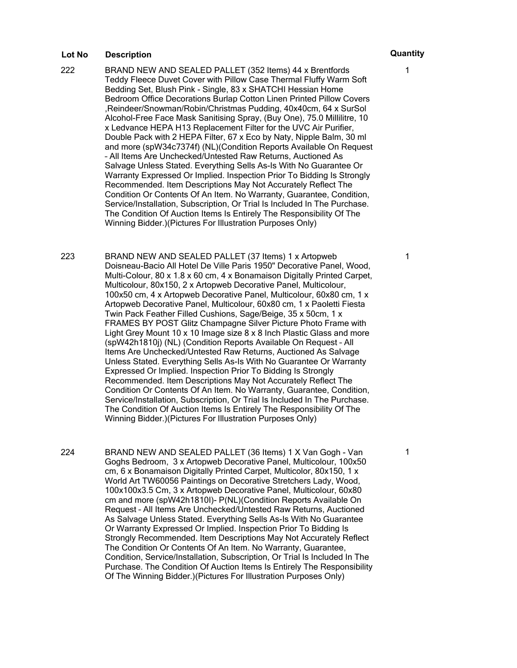- 222 BRAND NEW AND SEALED PALLET (352 Items) 44 x Brentfords Teddy Fleece Duvet Cover with Pillow Case Thermal Fluffy Warm Soft Bedding Set, Blush Pink - Single, 83 x SHATCHI Hessian Home Bedroom Office Decorations Burlap Cotton Linen Printed Pillow Covers 'Reindeer/Snowman/Robin/Christmas Pudding, 40x40cm, 64 x SurSol Alcohol-Free Face Mask Sanitising Spray, (Buy One), 75.0 Millilitre, 10 x Ledvance HEPA H13 Replacement Filter for the UVC Air Purifier, Double Pack with 2 HEPA Filter, 67 x Eco by Naty, Nipple Balm, 30 ml and more (spW34c7374f) (NL)(Condition Reports Available On Request – All Items Are Unchecked/Untested Raw Returns, Auctioned As Salvage Unless Stated. Everything Sells As-Is With No Guarantee Or Warranty Expressed Or Implied. Inspection Prior To Bidding Is Strongly Recommended. Item Descriptions May Not Accurately Reflect The Condition Or Contents Of An Item. No Warranty, Guarantee, Condition, Service/Installation, Subscription, Or Trial Is Included In The Purchase. The Condition Of Auction Items Is Entirely The Responsibility Of The Winning Bidder.)(Pictures For Illustration Purposes Only)
- 223 BRAND NEW AND SEALED PALLET (37 Items) 1 x Artopweb Doisneau-Bacio All Hotel De Ville Paris 1950" Decorative Panel, Wood, Multi-Colour, 80 x 1.8 x 60 cm, 4 x Bonamaison Digitally Printed Carpet, Multicolour, 80x150, 2 x Artopweb Decorative Panel, Multicolour, 100x50 cm, 4 x Artopweb Decorative Panel, Multicolour, 60x80 cm, 1 x Artopweb Decorative Panel, Multicolour, 60x80 cm, 1 x Paoletti Fiesta Twin Pack Feather Filled Cushions, Sage/Beige, 35 x 50cm, 1 x FRAMES BY POST Glitz Champagne Silver Picture Photo Frame with Light Grey Mount 10 x 10 Image size 8 x 8 Inch Plastic Glass and more (spW42h1810j) (NL) (Condition Reports Available On Request – All Items Are Unchecked/Untested Raw Returns, Auctioned As Salvage Unless Stated. Everything Sells As-Is With No Guarantee Or Warranty Expressed Or Implied. Inspection Prior To Bidding Is Strongly Recommended. Item Descriptions May Not Accurately Reflect The Condition Or Contents Of An Item. No Warranty, Guarantee, Condition, Service/Installation, Subscription, Or Trial Is Included In The Purchase. The Condition Of Auction Items Is Entirely The Responsibility Of The Winning Bidder.)(Pictures For Illustration Purposes Only)
- 224 BRAND NEW AND SEALED PALLET (36 Items) 1 X Van Gogh Van Goghs Bedroom, 3 x Artopweb Decorative Panel, Multicolour, 100x50 cm, 6 x Bonamaison Digitally Printed Carpet, Multicolor, 80x150, 1 x World Art TW60056 Paintings on Decorative Stretchers Lady, Wood, 100x100x3.5 Cm, 3 x Artopweb Decorative Panel, Multicolour, 60x80 cm and more (spW42h1810I)- P(NL)(Condition Reports Available On Request – All Items Are Unchecked/Untested Raw Returns, Auctioned As Salvage Unless Stated. Everything Sells As-Is With No Guarantee Or Warranty Expressed Or Implied. Inspection Prior To Bidding Is Strongly Recommended. Item Descriptions May Not Accurately Reflect The Condition Or Contents Of An Item. No Warranty, Guarantee, Condition, Service/Installation, Subscription, Or Trial Is Included In The Purchase. The Condition Of Auction Items Is Entirely The Responsibility Of The Winning Bidder.)(Pictures For Illustration Purposes Only)

1

1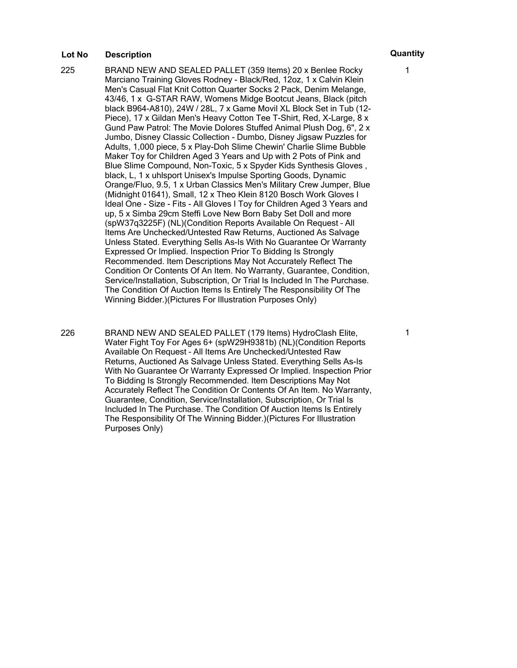- 225 BRAND NEW AND SEALED PALLET (359 Items) 20 x Benlee Rocky Marciano Training Gloves Rodney - Black/Red, 12oz, 1 x Calvin Klein Men's Casual Flat Knit Cotton Quarter Socks 2 Pack, Denim Melange, 43/46, 1 x G-STAR RAW, Womens Midge Bootcut Jeans, Black (pitch black B964-A810), 24W / 28L, 7 x Game Movil XL Block Set in Tub (12- Piece), 17 x Gildan Men's Heavy Cotton Tee T-Shirt, Red, X-Large, 8 x Gund Paw Patrol: The Movie Dolores Stuffed Animal Plush Dog, 6", 2 x Jumbo, Disney Classic Collection - Dumbo, Disney Jigsaw Puzzles for Adults, 1,000 piece, 5 x Play-Doh Slime Chewin' Charlie Slime Bubble Maker Toy for Children Aged 3 Years and Up with 2 Pots of Pink and Blue Slime Compound, Non-Toxic, 5 x Spyder Kids Synthesis Gloves , black, L, 1 x uhlsport Unisex's Impulse Sporting Goods, Dynamic Orange/Fluo, 9.5, 1 x Urban Classics Men's Military Crew Jumper, Blue (Midnight 01641), Small, 12 x Theo Klein 8120 Bosch Work Gloves I Ideal One - Size - Fits - All Gloves I Toy for Children Aged 3 Years and up, 5 x Simba 29cm Steffi Love New Born Baby Set Doll and more (spW37q3225F) (NL)(Condition Reports Available On Request – All Items Are Unchecked/Untested Raw Returns, Auctioned As Salvage Unless Stated. Everything Sells As-Is With No Guarantee Or Warranty Expressed Or Implied. Inspection Prior To Bidding Is Strongly Recommended. Item Descriptions May Not Accurately Reflect The Condition Or Contents Of An Item. No Warranty, Guarantee, Condition, Service/Installation, Subscription, Or Trial Is Included In The Purchase. The Condition Of Auction Items Is Entirely The Responsibility Of The Winning Bidder.)(Pictures For Illustration Purposes Only)
- 226 BRAND NEW AND SEALED PALLET (179 Items) HydroClash Elite, Water Fight Toy For Ages 6+ (spW29H9381b) (NL)(Condition Reports Available On Request – All Items Are Unchecked/Untested Raw Returns, Auctioned As Salvage Unless Stated. Everything Sells As-Is With No Guarantee Or Warranty Expressed Or Implied. Inspection Prior To Bidding Is Strongly Recommended. Item Descriptions May Not Accurately Reflect The Condition Or Contents Of An Item. No Warranty, Guarantee, Condition, Service/Installation, Subscription, Or Trial Is Included In The Purchase. The Condition Of Auction Items Is Entirely The Responsibility Of The Winning Bidder.)(Pictures For Illustration Purposes Only)

1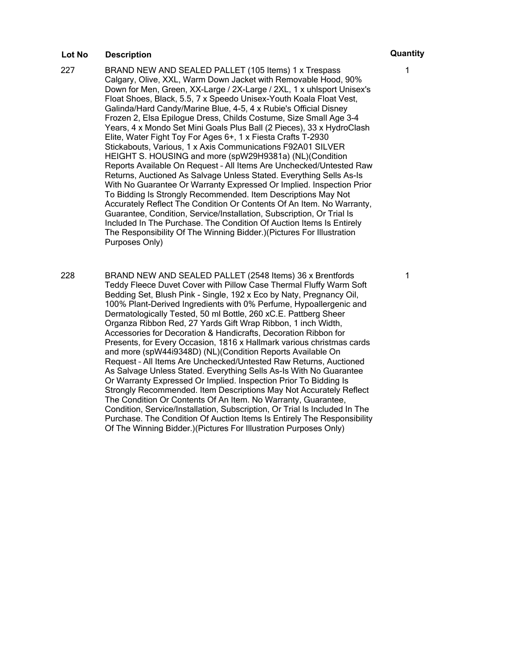- 227 BRAND NEW AND SEALED PALLET (105 Items) 1 x Trespass Calgary, Olive, XXL, Warm Down Jacket with Removable Hood, 90% Down for Men, Green, XX-Large / 2X-Large / 2XL, 1 x uhlsport Unisex's Float Shoes, Black, 5.5, 7 x Speedo Unisex-Youth Koala Float Vest, Galinda/Hard Candy/Marine Blue, 4-5, 4 x Rubie's Official Disney Frozen 2, Elsa Epilogue Dress, Childs Costume, Size Small Age 3-4 Years, 4 x Mondo Set Mini Goals Plus Ball (2 Pieces), 33 x HydroClash Elite, Water Fight Toy For Ages 6+, 1 x Fiesta Crafts T-2930 Stickabouts, Various, 1 x Axis Communications F92A01 SILVER HEIGHT S. HOUSING and more (spW29H9381a) (NL)(Condition Reports Available On Request – All Items Are Unchecked/Untested Raw Returns, Auctioned As Salvage Unless Stated. Everything Sells As-Is With No Guarantee Or Warranty Expressed Or Implied. Inspection Prior To Bidding Is Strongly Recommended. Item Descriptions May Not Accurately Reflect The Condition Or Contents Of An Item. No Warranty, Guarantee, Condition, Service/Installation, Subscription, Or Trial Is Included In The Purchase. The Condition Of Auction Items Is Entirely The Responsibility Of The Winning Bidder.)(Pictures For Illustration Purposes Only)
- 228 BRAND NEW AND SEALED PALLET (2548 Items) 36 x Brentfords Teddy Fleece Duvet Cover with Pillow Case Thermal Fluffy Warm Soft Bedding Set, Blush Pink - Single, 192 x Eco by Naty, Pregnancy Oil, 100% Plant-Derived Ingredients with 0% Perfume, Hypoallergenic and Dermatologically Tested, 50 ml Bottle, 260 xC.E. Pattberg Sheer Organza Ribbon Red, 27 Yards Gift Wrap Ribbon, 1 inch Width, Accessories for Decoration & Handicrafts, Decoration Ribbon for Presents, for Every Occasion, 1816 x Hallmark various christmas cards and more (spW44i9348D) (NL)(Condition Reports Available On Request – All Items Are Unchecked/Untested Raw Returns, Auctioned As Salvage Unless Stated. Everything Sells As-Is With No Guarantee Or Warranty Expressed Or Implied. Inspection Prior To Bidding Is Strongly Recommended. Item Descriptions May Not Accurately Reflect The Condition Or Contents Of An Item. No Warranty, Guarantee, Condition, Service/Installation, Subscription, Or Trial Is Included In The Purchase. The Condition Of Auction Items Is Entirely The Responsibility Of The Winning Bidder.)(Pictures For Illustration Purposes Only)

1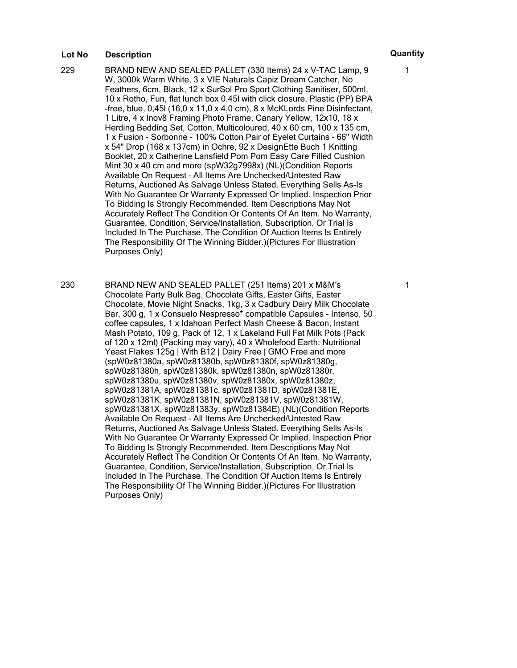- 229 BRAND NEW AND SEALED PALLET (330 Items) 24 x V-TAC Lamp, 9 W, 3000k Warm White, 3 x VIE Naturals Capiz Dream Catcher, No Feathers, 6cm, Black, 12 x SurSol Pro Sport Clothing Sanitiser, 500ml, 10 x Rotho, Fun, flat lunch box 0.45l with click closure, Plastic (PP) BPA -free, blue, 0,45l (16,0 x 11,0 x 4,0 cm), 8 x McKLords Pine Disinfectant, 1 Litre, 4 x Inov8 Framing Photo Frame, Canary Yellow, 12x10, 18 x Herding Bedding Set, Cotton, Multicoloured, 40 x 60 cm, 100 x 135 cm, 1 x Fusion - Sorbonne - 100% Cotton Pair of Eyelet Curtains - 66" Width x 54" Drop (168 x 137cm) in Ochre, 92 x DesignEtte Buch 1 Knitting Booklet, 20 x Catherine Lansfield Pom Pom Easy Care Filled Cushion Mint 30 x 40 cm and more (spW32g7998x) (NL)(Condition Reports Available On Request – All Items Are Unchecked/Untested Raw Returns, Auctioned As Salvage Unless Stated. Everything Sells As-Is With No Guarantee Or Warranty Expressed Or Implied. Inspection Prior To Bidding Is Strongly Recommended. Item Descriptions May Not Accurately Reflect The Condition Or Contents Of An Item. No Warranty, Guarantee, Condition, Service/Installation, Subscription, Or Trial Is Included In The Purchase. The Condition Of Auction Items Is Entirely The Responsibility Of The Winning Bidder.)(Pictures For Illustration Purposes Only)
- 230 BRAND NEW AND SEALED PALLET (251 Items) 201 x M&M's Chocolate Party Bulk Bag, Chocolate Gifts, Easter Gifts, Easter Chocolate, Movie Night Snacks, 1kg, 3 x Cadbury Dairy Milk Chocolate Bar, 300 g, 1 x Consuelo Nespresso\* compatible Capsules - Intenso, 50 coffee capsules, 1 x Idahoan Perfect Mash Cheese & Bacon, Instant Mash Potato, 109 g, Pack of 12, 1 x Lakeland Full Fat Milk Pots (Pack of 120 x 12ml) (Packing may vary), 40 x Wholefood Earth: Nutritional Yeast Flakes 125g | With B12 | Dairy Free | GMO Free and more (spW0z81380a, spW0z81380b, spW0z81380f, spW0z81380g, spW0z81380h, spW0z81380k, spW0z81380n, spW0z81380r, spW0z81380u, spW0z81380v, spW0z81380x, spW0z81380z, spW0z81381A, spW0z81381c, spW0z81381D, spW0z81381E, spW0z81381K, spW0z81381N, spW0z81381V, spW0z81381W, spW0z81381X, spW0z81383y, spW0z81384E) (NL)(Condition Reports Available On Request – All Items Are Unchecked/Untested Raw Returns, Auctioned As Salvage Unless Stated. Everything Sells As-Is With No Guarantee Or Warranty Expressed Or Implied. Inspection Prior To Bidding Is Strongly Recommended. Item Descriptions May Not Accurately Reflect The Condition Or Contents Of An Item. No Warranty, Guarantee, Condition, Service/Installation, Subscription, Or Trial Is Included In The Purchase. The Condition Of Auction Items Is Entirely The Responsibility Of The Winning Bidder.)(Pictures For Illustration Purposes Only)

1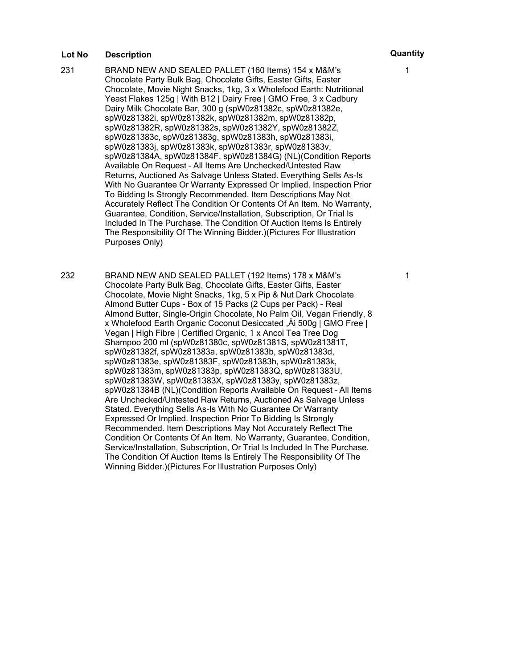- 231 BRAND NEW AND SEALED PALLET (160 Items) 154 x M&M's Chocolate Party Bulk Bag, Chocolate Gifts, Easter Gifts, Easter Chocolate, Movie Night Snacks, 1kg, 3 x Wholefood Earth: Nutritional Yeast Flakes 125g | With B12 | Dairy Free | GMO Free, 3 x Cadbury Dairy Milk Chocolate Bar, 300 g (spW0z81382c, spW0z81382e, spW0z81382i, spW0z81382k, spW0z81382m, spW0z81382p, spW0z81382R, spW0z81382s, spW0z81382Y, spW0z81382Z, spW0z81383c, spW0z81383g, spW0z81383h, spW0z81383i, spW0z81383j, spW0z81383k, spW0z81383r, spW0z81383v, spW0z81384A, spW0z81384F, spW0z81384G) (NL)(Condition Reports Available On Request – All Items Are Unchecked/Untested Raw Returns, Auctioned As Salvage Unless Stated. Everything Sells As-Is With No Guarantee Or Warranty Expressed Or Implied. Inspection Prior To Bidding Is Strongly Recommended. Item Descriptions May Not Accurately Reflect The Condition Or Contents Of An Item. No Warranty, Guarantee, Condition, Service/Installation, Subscription, Or Trial Is Included In The Purchase. The Condition Of Auction Items Is Entirely The Responsibility Of The Winning Bidder.)(Pictures For Illustration Purposes Only)
- 232 BRAND NEW AND SEALED PALLET (192 Items) 178 x M&M's Chocolate Party Bulk Bag, Chocolate Gifts, Easter Gifts, Easter Chocolate, Movie Night Snacks, 1kg, 5 x Pip & Nut Dark Chocolate Almond Butter Cups - Box of 15 Packs (2 Cups per Pack) - Real Almond Butter, Single-Origin Chocolate, No Palm Oil, Vegan Friendly, 8 x Wholefood Earth Organic Coconut Desiccated , A 500g | GMO Free | Vegan | High Fibre | Certified Organic, 1 x Ancol Tea Tree Dog Shampoo 200 ml (spW0z81380c, spW0z81381S, spW0z81381T, spW0z81382f, spW0z81383a, spW0z81383b, spW0z81383d, spW0z81383e, spW0z81383F, spW0z81383h, spW0z81383k, spW0z81383m, spW0z81383p, spW0z81383Q, spW0z81383U, spW0z81383W, spW0z81383X, spW0z81383y, spW0z81383z, spW0z81384B (NL)(Condition Reports Available On Request – All Items Are Unchecked/Untested Raw Returns, Auctioned As Salvage Unless Stated. Everything Sells As-Is With No Guarantee Or Warranty Expressed Or Implied. Inspection Prior To Bidding Is Strongly Recommended. Item Descriptions May Not Accurately Reflect The Condition Or Contents Of An Item. No Warranty, Guarantee, Condition, Service/Installation, Subscription, Or Trial Is Included In The Purchase. The Condition Of Auction Items Is Entirely The Responsibility Of The Winning Bidder.)(Pictures For Illustration Purposes Only)

1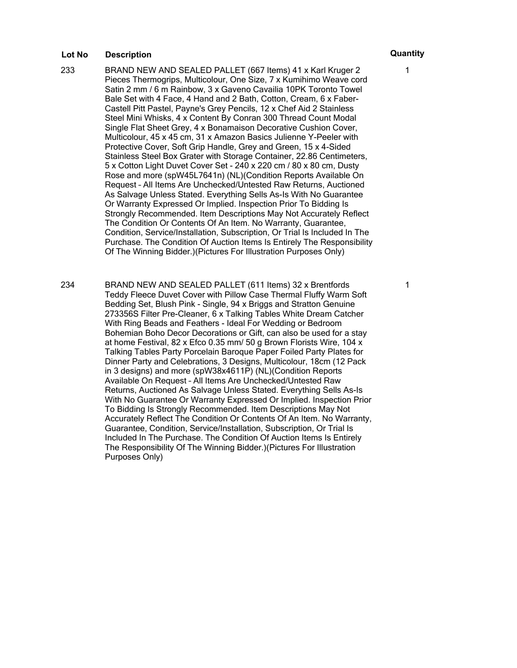- 233 BRAND NEW AND SEALED PALLET (667 Items) 41 x Karl Kruger 2 Pieces Thermogrips, Multicolour, One Size, 7 x Kumihimo Weave cord Satin 2 mm / 6 m Rainbow, 3 x Gaveno Cavailia 10PK Toronto Towel Bale Set with 4 Face, 4 Hand and 2 Bath, Cotton, Cream, 6 x Faber-Castell Pitt Pastel, Payne's Grey Pencils, 12 x Chef Aid 2 Stainless Steel Mini Whisks, 4 x Content By Conran 300 Thread Count Modal Single Flat Sheet Grey, 4 x Bonamaison Decorative Cushion Cover, Multicolour, 45 x 45 cm, 31 x Amazon Basics Julienne Y-Peeler with Protective Cover, Soft Grip Handle, Grey and Green, 15 x 4-Sided Stainless Steel Box Grater with Storage Container, 22.86 Centimeters, 5 x Cotton Light Duvet Cover Set - 240 x 220 cm / 80 x 80 cm, Dusty Rose and more (spW45L7641n) (NL)(Condition Reports Available On Request – All Items Are Unchecked/Untested Raw Returns, Auctioned As Salvage Unless Stated. Everything Sells As-Is With No Guarantee Or Warranty Expressed Or Implied. Inspection Prior To Bidding Is Strongly Recommended. Item Descriptions May Not Accurately Reflect The Condition Or Contents Of An Item. No Warranty, Guarantee, Condition, Service/Installation, Subscription, Or Trial Is Included In The Purchase. The Condition Of Auction Items Is Entirely The Responsibility Of The Winning Bidder.)(Pictures For Illustration Purposes Only)
- 234 BRAND NEW AND SEALED PALLET (611 Items) 32 x Brentfords Teddy Fleece Duvet Cover with Pillow Case Thermal Fluffy Warm Soft Bedding Set, Blush Pink - Single, 94 x Briggs and Stratton Genuine 273356S Filter Pre-Cleaner, 6 x Talking Tables White Dream Catcher With Ring Beads and Feathers - Ideal For Wedding or Bedroom Bohemian Boho Decor Decorations or Gift, can also be used for a stay at home Festival, 82 x Efco 0.35 mm/ 50 g Brown Florists Wire, 104 x Talking Tables Party Porcelain Baroque Paper Foiled Party Plates for Dinner Party and Celebrations, 3 Designs, Multicolour, 18cm (12 Pack in 3 designs) and more (spW38x4611P) (NL)(Condition Reports Available On Request – All Items Are Unchecked/Untested Raw Returns, Auctioned As Salvage Unless Stated. Everything Sells As-Is With No Guarantee Or Warranty Expressed Or Implied. Inspection Prior To Bidding Is Strongly Recommended. Item Descriptions May Not Accurately Reflect The Condition Or Contents Of An Item. No Warranty, Guarantee, Condition, Service/Installation, Subscription, Or Trial Is Included In The Purchase. The Condition Of Auction Items Is Entirely The Responsibility Of The Winning Bidder.)(Pictures For Illustration Purposes Only)

1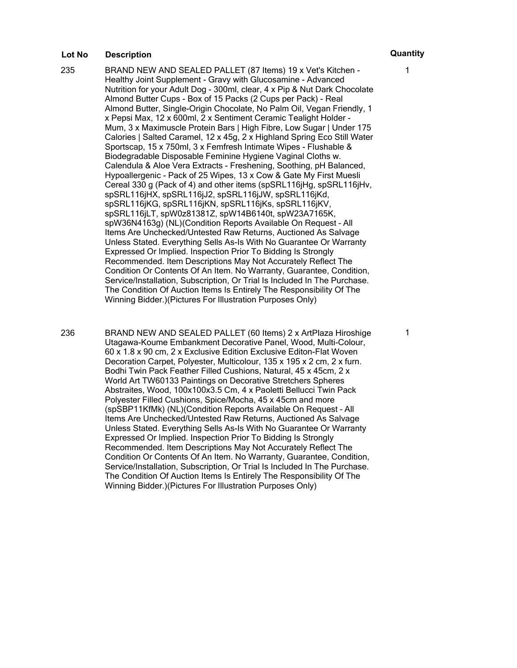235 BRAND NEW AND SEALED PALLET (87 Items) 19 x Vet's Kitchen - Healthy Joint Supplement - Gravy with Glucosamine - Advanced Nutrition for your Adult Dog - 300ml, clear, 4 x Pip & Nut Dark Chocolate Almond Butter Cups - Box of 15 Packs (2 Cups per Pack) - Real Almond Butter, Single-Origin Chocolate, No Palm Oil, Vegan Friendly, 1 x Pepsi Max, 12 x 600ml, 2 x Sentiment Ceramic Tealight Holder - Mum, 3 x Maximuscle Protein Bars | High Fibre, Low Sugar | Under 175 Calories | Salted Caramel, 12 x 45g, 2 x Highland Spring Eco Still Water Sportscap, 15 x 750ml, 3 x Femfresh Intimate Wipes - Flushable & Biodegradable Disposable Feminine Hygiene Vaginal Cloths w. Calendula & Aloe Vera Extracts - Freshening, Soothing, pH Balanced, Hypoallergenic - Pack of 25 Wipes, 13 x Cow & Gate My First Muesli Cereal 330 g (Pack of 4) and other items (spSRL116jHg, spSRL116jHv, spSRL116jHX, spSRL116jJ2, spSRL116jJW, spSRL116jKd, spSRL116jKG, spSRL116jKN, spSRL116jKs, spSRL116jKV, spSRL116jLT, spW0z81381Z, spW14B6140t, spW23A7165K, spW36N4163g) (NL)(Condition Reports Available On Request – All Items Are Unchecked/Untested Raw Returns, Auctioned As Salvage Unless Stated. Everything Sells As-Is With No Guarantee Or Warranty Expressed Or Implied. Inspection Prior To Bidding Is Strongly Recommended. Item Descriptions May Not Accurately Reflect The Condition Or Contents Of An Item. No Warranty, Guarantee, Condition, Service/Installation, Subscription, Or Trial Is Included In The Purchase. The Condition Of Auction Items Is Entirely The Responsibility Of The Winning Bidder.)(Pictures For Illustration Purposes Only)

236 BRAND NEW AND SEALED PALLET (60 Items) 2 x ArtPlaza Hiroshige Utagawa-Koume Embankment Decorative Panel, Wood, Multi-Colour, 60 x 1.8 x 90 cm, 2 x Exclusive Edition Exclusive Editon-Flat Woven Decoration Carpet, Polyester, Multicolour, 135 x 195 x 2 cm, 2 x furn. Bodhi Twin Pack Feather Filled Cushions, Natural, 45 x 45cm, 2 x World Art TW60133 Paintings on Decorative Stretchers Spheres Abstraites, Wood, 100x100x3.5 Cm, 4 x Paoletti Bellucci Twin Pack Polyester Filled Cushions, Spice/Mocha, 45 x 45cm and more (spSBP11KfMk) (NL)(Condition Reports Available On Request – All Items Are Unchecked/Untested Raw Returns, Auctioned As Salvage Unless Stated. Everything Sells As-Is With No Guarantee Or Warranty Expressed Or Implied. Inspection Prior To Bidding Is Strongly Recommended. Item Descriptions May Not Accurately Reflect The Condition Or Contents Of An Item. No Warranty, Guarantee, Condition, Service/Installation, Subscription, Or Trial Is Included In The Purchase. The Condition Of Auction Items Is Entirely The Responsibility Of The Winning Bidder.)(Pictures For Illustration Purposes Only)

# 1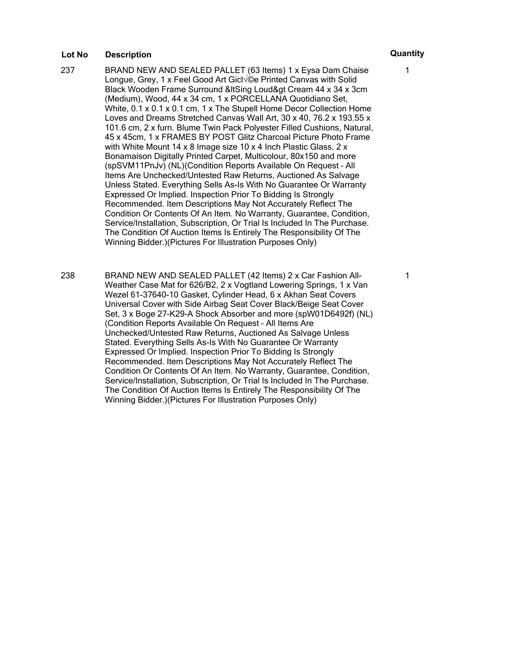- 237 BRAND NEW AND SEALED PALLET (63 Items) 1 x Eysa Dam Chaise Longue, Grey, 1 x Feel Good Art Gicl<sup> $\sqrt{\ }$ </sup> Printed Canvas with Solid Black Wooden Frame Surround & It Sing Loud & at Cream 44 x 34 x 3cm (Medium), Wood, 44 x 34 cm, 1 x PORCELLANA Quotidiano Set, White, 0.1 x 0.1 x 0.1 cm, 1 x The Stupell Home Decor Collection Home Loves and Dreams Stretched Canvas Wall Art, 30 x 40, 76.2 x 193.55 x 101.6 cm, 2 x furn. Blume Twin Pack Polyester Filled Cushions, Natural, 45 x 45cm, 1 x FRAMES BY POST Glitz Charcoal Picture Photo Frame with White Mount 14 x 8 Image size 10 x 4 Inch Plastic Glass, 2 x Bonamaison Digitally Printed Carpet, Multicolour, 80x150 and more (spSVM11PnJv) (NL)(Condition Reports Available On Request – All Items Are Unchecked/Untested Raw Returns, Auctioned As Salvage Unless Stated. Everything Sells As-Is With No Guarantee Or Warranty Expressed Or Implied. Inspection Prior To Bidding Is Strongly Recommended. Item Descriptions May Not Accurately Reflect The Condition Or Contents Of An Item. No Warranty, Guarantee, Condition, Service/Installation, Subscription, Or Trial Is Included In The Purchase. The Condition Of Auction Items Is Entirely The Responsibility Of The Winning Bidder.)(Pictures For Illustration Purposes Only)
- 238 BRAND NEW AND SEALED PALLET (42 Items) 2 x Car Fashion All-Weather Case Mat for 626/B2, 2 x Vogtland Lowering Springs, 1 x Van Wezel 61-37640-10 Gasket, Cylinder Head, 6 x Akhan Seat Covers Universal Cover with Side Airbag Seat Cover Black/Beige Seat Cover Set, 3 x Boge 27-K29-A Shock Absorber and more (spW01D6492f) (NL) (Condition Reports Available On Request – All Items Are Unchecked/Untested Raw Returns, Auctioned As Salvage Unless Stated. Everything Sells As-Is With No Guarantee Or Warranty Expressed Or Implied. Inspection Prior To Bidding Is Strongly Recommended. Item Descriptions May Not Accurately Reflect The Condition Or Contents Of An Item. No Warranty, Guarantee, Condition, Service/Installation, Subscription, Or Trial Is Included In The Purchase. The Condition Of Auction Items Is Entirely The Responsibility Of The Winning Bidder.)(Pictures For Illustration Purposes Only)

# 1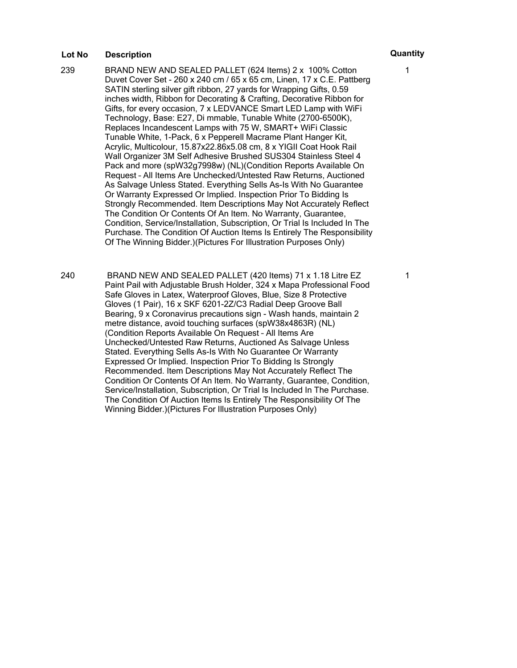- 239 BRAND NEW AND SEALED PALLET (624 Items) 2 x 100% Cotton Duvet Cover Set - 260 x 240 cm / 65 x 65 cm, Linen, 17 x C.E. Pattberg SATIN sterling silver gift ribbon, 27 yards for Wrapping Gifts, 0.59 inches width, Ribbon for Decorating & Crafting, Decorative Ribbon for Gifts, for every occasion, 7 x LEDVANCE Smart LED Lamp with WiFi Technology, Base: E27, Di mmable, Tunable White (2700-6500K), Replaces Incandescent Lamps with 75 W, SMART+ WiFi Classic Tunable White, 1-Pack, 6 x Pepperell Macrame Plant Hanger Kit, Acrylic, Multicolour, 15.87x22.86x5.08 cm, 8 x YIGII Coat Hook Rail Wall Organizer 3M Self Adhesive Brushed SUS304 Stainless Steel 4 Pack and more (spW32g7998w) (NL)(Condition Reports Available On Request – All Items Are Unchecked/Untested Raw Returns, Auctioned As Salvage Unless Stated. Everything Sells As-Is With No Guarantee Or Warranty Expressed Or Implied. Inspection Prior To Bidding Is Strongly Recommended. Item Descriptions May Not Accurately Reflect The Condition Or Contents Of An Item. No Warranty, Guarantee, Condition, Service/Installation, Subscription, Or Trial Is Included In The Purchase. The Condition Of Auction Items Is Entirely The Responsibility Of The Winning Bidder.)(Pictures For Illustration Purposes Only)
- 240 BRAND NEW AND SEALED PALLET (420 Items) 71 x 1.18 Litre EZ Paint Pail with Adjustable Brush Holder, 324 x Mapa Professional Food Safe Gloves in Latex, Waterproof Gloves, Blue, Size 8 Protective Gloves (1 Pair), 16 x SKF 6201-2Z/C3 Radial Deep Groove Ball Bearing, 9 x Coronavirus precautions sign - Wash hands, maintain 2 metre distance, avoid touching surfaces (spW38x4863R) (NL) (Condition Reports Available On Request – All Items Are Unchecked/Untested Raw Returns, Auctioned As Salvage Unless Stated. Everything Sells As-Is With No Guarantee Or Warranty Expressed Or Implied. Inspection Prior To Bidding Is Strongly Recommended. Item Descriptions May Not Accurately Reflect The Condition Or Contents Of An Item. No Warranty, Guarantee, Condition, Service/Installation, Subscription, Or Trial Is Included In The Purchase. The Condition Of Auction Items Is Entirely The Responsibility Of The Winning Bidder.)(Pictures For Illustration Purposes Only)

1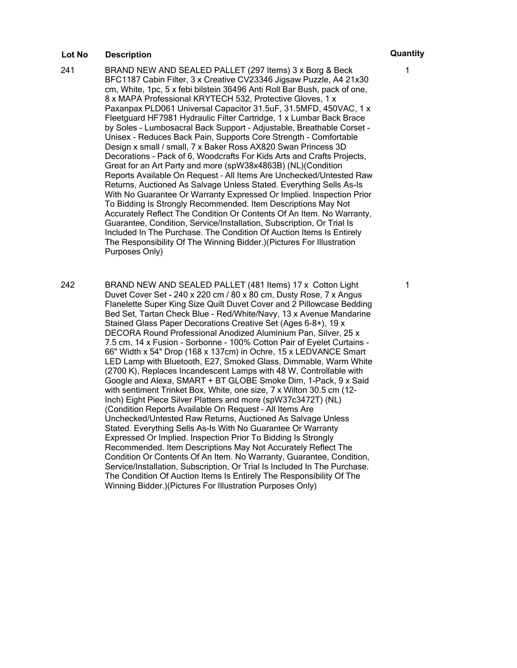- 241 BRAND NEW AND SEALED PALLET (297 Items) 3 x Borg & Beck BFC1187 Cabin Filter, 3 x Creative CV23346 Jigsaw Puzzle, A4 21x30 cm, White, 1pc, 5 x febi bilstein 36496 Anti Roll Bar Bush, pack of one, 8 x MAPA Professional KRYTECH 532, Protective Gloves, 1 x Paxanpax PLD061 Universal Capacitor 31.5uF, 31.5MFD, 450VAC, 1 x Fleetguard HF7981 Hydraulic Filter Cartridge, 1 x Lumbar Back Brace by Soles - Lumbosacral Back Support - Adjustable, Breathable Corset - Unisex - Reduces Back Pain, Supports Core Strength - Comfortable Design x small / small, 7 x Baker Ross AX820 Swan Princess 3D Decorations - Pack of 6, Woodcrafts For Kids Arts and Crafts Projects, Great for an Art Party and more (spW38x4863B) (NL)(Condition Reports Available On Request – All Items Are Unchecked/Untested Raw Returns, Auctioned As Salvage Unless Stated. Everything Sells As-Is With No Guarantee Or Warranty Expressed Or Implied. Inspection Prior To Bidding Is Strongly Recommended. Item Descriptions May Not Accurately Reflect The Condition Or Contents Of An Item. No Warranty, Guarantee, Condition, Service/Installation, Subscription, Or Trial Is Included In The Purchase. The Condition Of Auction Items Is Entirely The Responsibility Of The Winning Bidder.)(Pictures For Illustration Purposes Only)
- 242 BRAND NEW AND SEALED PALLET (481 Items) 17 x Cotton Light Duvet Cover Set - 240 x 220 cm / 80 x 80 cm, Dusty Rose, 7 x Angus Flanelette Super King Size Quilt Duvet Cover and 2 Pillowcase Bedding Bed Set, Tartan Check Blue - Red/White/Navy, 13 x Avenue Mandarine Stained Glass Paper Decorations Creative Set (Ages 6-8+), 19 x DECORA Round Professional Anodized Aluminium Pan, Silver, 25 x 7.5 cm, 14 x Fusion - Sorbonne - 100% Cotton Pair of Eyelet Curtains - 66" Width x 54" Drop (168 x 137cm) in Ochre, 15 x LEDVANCE Smart LED Lamp with Bluetooth, E27, Smoked Glass, Dimmable, Warm White (2700 K), Replaces Incandescent Lamps with 48 W, Controllable with Google and Alexa, SMART + BT GLOBE Smoke Dim, 1-Pack, 9 x Said with sentiment Trinket Box, White, one size, 7 x Wilton 30.5 cm (12- Inch) Eight Piece Silver Platters and more (spW37c3472T) (NL) (Condition Reports Available On Request – All Items Are Unchecked/Untested Raw Returns, Auctioned As Salvage Unless Stated. Everything Sells As-Is With No Guarantee Or Warranty Expressed Or Implied. Inspection Prior To Bidding Is Strongly Recommended. Item Descriptions May Not Accurately Reflect The Condition Or Contents Of An Item. No Warranty, Guarantee, Condition, Service/Installation, Subscription, Or Trial Is Included In The Purchase. The Condition Of Auction Items Is Entirely The Responsibility Of The Winning Bidder.)(Pictures For Illustration Purposes Only)

# 1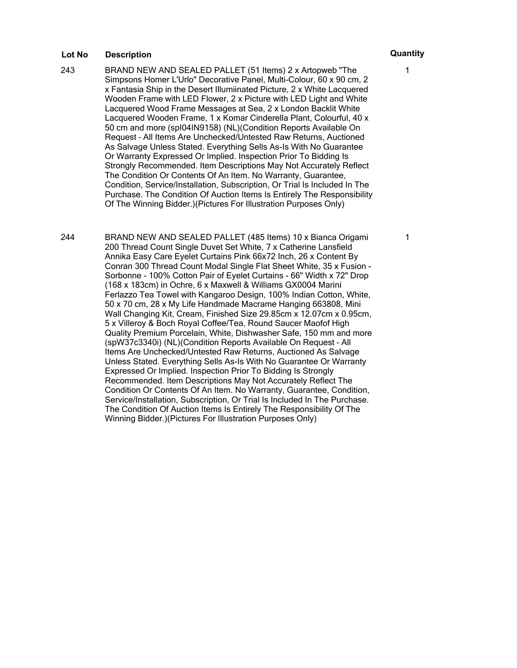243 BRAND NEW AND SEALED PALLET (51 Items) 2 x Artopweb "The Simpsons Homer L'Urlo" Decorative Panel, Multi-Colour, 60 x 90 cm, 2 x Fantasia Ship in the Desert Illumiinated Picture, 2 x White Lacquered Wooden Frame with LED Flower, 2 x Picture with LED Light and White Lacquered Wood Frame Messages at Sea, 2 x London Backlit White Lacquered Wooden Frame, 1 x Komar Cinderella Plant, Colourful, 40 x 50 cm and more (spI04IN9158) (NL)(Condition Reports Available On Request – All Items Are Unchecked/Untested Raw Returns, Auctioned As Salvage Unless Stated. Everything Sells As-Is With No Guarantee Or Warranty Expressed Or Implied. Inspection Prior To Bidding Is Strongly Recommended. Item Descriptions May Not Accurately Reflect The Condition Or Contents Of An Item. No Warranty, Guarantee, Condition, Service/Installation, Subscription, Or Trial Is Included In The Purchase. The Condition Of Auction Items Is Entirely The Responsibility Of The Winning Bidder.)(Pictures For Illustration Purposes Only)

244 BRAND NEW AND SEALED PALLET (485 Items) 10 x Bianca Origami 200 Thread Count Single Duvet Set White, 7 x Catherine Lansfield Annika Easy Care Eyelet Curtains Pink 66x72 Inch, 26 x Content By Conran 300 Thread Count Modal Single Flat Sheet White, 35 x Fusion - Sorbonne - 100% Cotton Pair of Eyelet Curtains - 66" Width x 72" Drop (168 x 183cm) in Ochre, 6 x Maxwell & Williams GX0004 Marini Ferlazzo Tea Towel with Kangaroo Design, 100% Indian Cotton, White, 50 x 70 cm, 28 x My Life Handmade Macrame Hanging 663808, Mini Wall Changing Kit, Cream, Finished Size 29.85cm x 12.07cm x 0.95cm, 5 x Villeroy & Boch Royal Coffee/Tea, Round Saucer Maofof High Quality Premium Porcelain, White, Dishwasher Safe, 150 mm and more (spW37c3340i) (NL)(Condition Reports Available On Request – All Items Are Unchecked/Untested Raw Returns, Auctioned As Salvage Unless Stated. Everything Sells As-Is With No Guarantee Or Warranty Expressed Or Implied. Inspection Prior To Bidding Is Strongly Recommended. Item Descriptions May Not Accurately Reflect The Condition Or Contents Of An Item. No Warranty, Guarantee, Condition, Service/Installation, Subscription, Or Trial Is Included In The Purchase. The Condition Of Auction Items Is Entirely The Responsibility Of The Winning Bidder.)(Pictures For Illustration Purposes Only)

1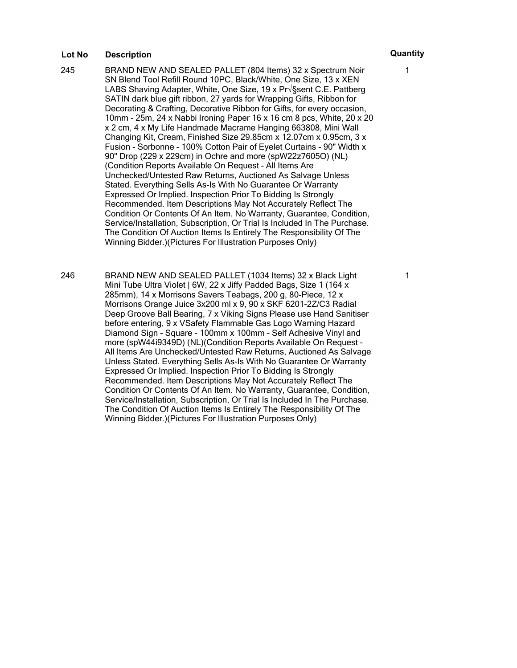- 245 BRAND NEW AND SEALED PALLET (804 Items) 32 x Spectrum Noir SN Blend Tool Refill Round 10PC, Black/White, One Size, 13 x XEN LABS Shaving Adapter, White, One Size, 19 x Pr√§sent C.E. Pattberg SATIN dark blue gift ribbon, 27 yards for Wrapping Gifts, Ribbon for Decorating & Crafting, Decorative Ribbon for Gifts, for every occasion, 10mm - 25m, 24 x Nabbi Ironing Paper 16 x 16 cm 8 pcs, White, 20 x 20 x 2 cm, 4 x My Life Handmade Macrame Hanging 663808, Mini Wall Changing Kit, Cream, Finished Size 29.85cm x 12.07cm x 0.95cm, 3 x Fusion - Sorbonne - 100% Cotton Pair of Eyelet Curtains - 90" Width x 90" Drop (229 x 229cm) in Ochre and more (spW22z7605O) (NL) (Condition Reports Available On Request – All Items Are Unchecked/Untested Raw Returns, Auctioned As Salvage Unless Stated. Everything Sells As-Is With No Guarantee Or Warranty Expressed Or Implied. Inspection Prior To Bidding Is Strongly Recommended. Item Descriptions May Not Accurately Reflect The Condition Or Contents Of An Item. No Warranty, Guarantee, Condition, Service/Installation, Subscription, Or Trial Is Included In The Purchase. The Condition Of Auction Items Is Entirely The Responsibility Of The Winning Bidder.)(Pictures For Illustration Purposes Only)
- 246 BRAND NEW AND SEALED PALLET (1034 Items) 32 x Black Light Mini Tube Ultra Violet | 6W, 22 x Jiffy Padded Bags, Size 1 (164 x 285mm), 14 x Morrisons Savers Teabags, 200 g, 80-Piece, 12 x Morrisons Orange Juice 3x200 ml x 9, 90 x SKF 6201-2Z/C3 Radial Deep Groove Ball Bearing, 7 x Viking Signs Please use Hand Sanitiser before entering, 9 x VSafety Flammable Gas Logo Warning Hazard Diamond Sign - Square - 100mm x 100mm - Self Adhesive Vinyl and more (spW44i9349D) (NL)(Condition Reports Available On Request – All Items Are Unchecked/Untested Raw Returns, Auctioned As Salvage Unless Stated. Everything Sells As-Is With No Guarantee Or Warranty Expressed Or Implied. Inspection Prior To Bidding Is Strongly Recommended. Item Descriptions May Not Accurately Reflect The Condition Or Contents Of An Item. No Warranty, Guarantee, Condition, Service/Installation, Subscription, Or Trial Is Included In The Purchase. The Condition Of Auction Items Is Entirely The Responsibility Of The Winning Bidder.)(Pictures For Illustration Purposes Only)

1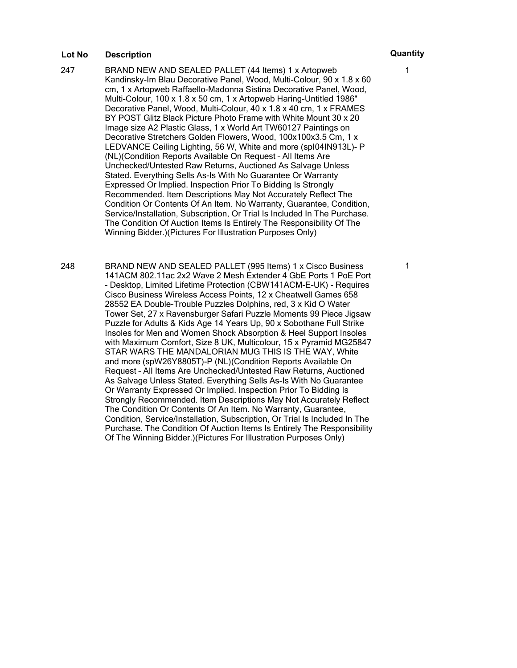- 247 BRAND NEW AND SEALED PALLET (44 Items) 1 x Artopweb Kandinsky-Im Blau Decorative Panel, Wood, Multi-Colour, 90 x 1.8 x 60 cm, 1 x Artopweb Raffaello-Madonna Sistina Decorative Panel, Wood, Multi-Colour, 100 x 1.8 x 50 cm, 1 x Artopweb Haring-Untitled 1986" Decorative Panel, Wood, Multi-Colour, 40 x 1.8 x 40 cm, 1 x FRAMES BY POST Glitz Black Picture Photo Frame with White Mount 30 x 20 Image size A2 Plastic Glass, 1 x World Art TW60127 Paintings on Decorative Stretchers Golden Flowers, Wood, 100x100x3.5 Cm, 1 x LEDVANCE Ceiling Lighting, 56 W, White and more (spI04IN913L)- P (NL)(Condition Reports Available On Request – All Items Are Unchecked/Untested Raw Returns, Auctioned As Salvage Unless Stated. Everything Sells As-Is With No Guarantee Or Warranty Expressed Or Implied. Inspection Prior To Bidding Is Strongly Recommended. Item Descriptions May Not Accurately Reflect The Condition Or Contents Of An Item. No Warranty, Guarantee, Condition, Service/Installation, Subscription, Or Trial Is Included In The Purchase. The Condition Of Auction Items Is Entirely The Responsibility Of The Winning Bidder.)(Pictures For Illustration Purposes Only)
- 248 BRAND NEW AND SEALED PALLET (995 Items) 1 x Cisco Business 141ACM 802.11ac 2x2 Wave 2 Mesh Extender 4 GbE Ports 1 PoE Port - Desktop, Limited Lifetime Protection (CBW141ACM-E-UK) - Requires Cisco Business Wireless Access Points, 12 x Cheatwell Games 658 28552 EA Double-Trouble Puzzles Dolphins, red, 3 x Kid O Water Tower Set, 27 x Ravensburger Safari Puzzle Moments 99 Piece Jigsaw Puzzle for Adults & Kids Age 14 Years Up, 90 x Sobothane Full Strike Insoles for Men and Women Shock Absorption & Heel Support Insoles with Maximum Comfort, Size 8 UK, Multicolour, 15 x Pyramid MG25847 STAR WARS THE MANDALORIAN MUG THIS IS THE WAY, White and more (spW26Y8805T)-P (NL)(Condition Reports Available On Request – All Items Are Unchecked/Untested Raw Returns, Auctioned As Salvage Unless Stated. Everything Sells As-Is With No Guarantee Or Warranty Expressed Or Implied. Inspection Prior To Bidding Is Strongly Recommended. Item Descriptions May Not Accurately Reflect The Condition Or Contents Of An Item. No Warranty, Guarantee, Condition, Service/Installation, Subscription, Or Trial Is Included In The Purchase. The Condition Of Auction Items Is Entirely The Responsibility Of The Winning Bidder.)(Pictures For Illustration Purposes Only)

1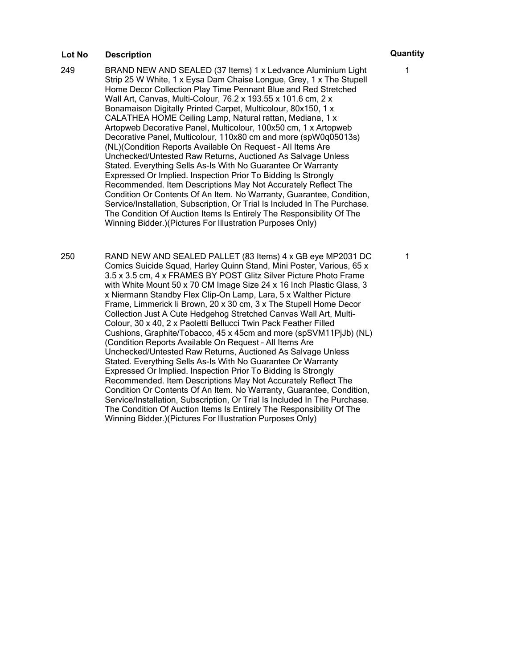- 249 BRAND NEW AND SEALED (37 Items) 1 x Ledvance Aluminium Light Strip 25 W White, 1 x Eysa Dam Chaise Longue, Grey, 1 x The Stupell Home Decor Collection Play Time Pennant Blue and Red Stretched Wall Art, Canvas, Multi-Colour, 76.2 x 193.55 x 101.6 cm, 2 x Bonamaison Digitally Printed Carpet, Multicolour, 80x150, 1 x CALATHEA HOME Ceiling Lamp, Natural rattan, Mediana, 1 x Artopweb Decorative Panel, Multicolour, 100x50 cm, 1 x Artopweb Decorative Panel, Multicolour, 110x80 cm and more (spW0q05013s) (NL)(Condition Reports Available On Request – All Items Are Unchecked/Untested Raw Returns, Auctioned As Salvage Unless Stated. Everything Sells As-Is With No Guarantee Or Warranty Expressed Or Implied. Inspection Prior To Bidding Is Strongly Recommended. Item Descriptions May Not Accurately Reflect The Condition Or Contents Of An Item. No Warranty, Guarantee, Condition, Service/Installation, Subscription, Or Trial Is Included In The Purchase. The Condition Of Auction Items Is Entirely The Responsibility Of The Winning Bidder.)(Pictures For Illustration Purposes Only)
- 250 RAND NEW AND SEALED PALLET (83 Items) 4 x GB eye MP2031 DC Comics Suicide Squad, Harley Quinn Stand, Mini Poster, Various, 65 x 3.5 x 3.5 cm, 4 x FRAMES BY POST Glitz Silver Picture Photo Frame with White Mount 50 x 70 CM Image Size 24 x 16 Inch Plastic Glass, 3 x Niermann Standby Flex Clip-On Lamp, Lara, 5 x Walther Picture Frame, Limmerick Ii Brown, 20 x 30 cm, 3 x The Stupell Home Decor Collection Just A Cute Hedgehog Stretched Canvas Wall Art, Multi-Colour, 30 x 40, 2 x Paoletti Bellucci Twin Pack Feather Filled Cushions, Graphite/Tobacco, 45 x 45cm and more (spSVM11PjJb) (NL) (Condition Reports Available On Request – All Items Are Unchecked/Untested Raw Returns, Auctioned As Salvage Unless Stated. Everything Sells As-Is With No Guarantee Or Warranty Expressed Or Implied. Inspection Prior To Bidding Is Strongly Recommended. Item Descriptions May Not Accurately Reflect The Condition Or Contents Of An Item. No Warranty, Guarantee, Condition, Service/Installation, Subscription, Or Trial Is Included In The Purchase. The Condition Of Auction Items Is Entirely The Responsibility Of The Winning Bidder.)(Pictures For Illustration Purposes Only)

1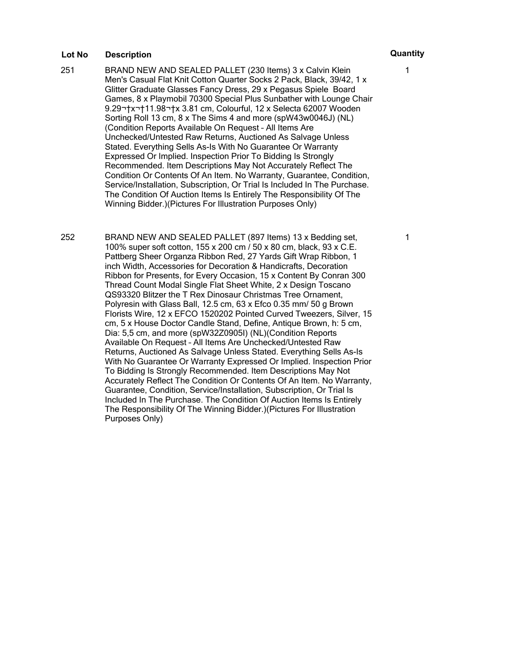251 BRAND NEW AND SEALED PALLET (230 Items) 3 x Calvin Klein Men's Casual Flat Knit Cotton Quarter Socks 2 Pack, Black, 39/42, 1 x Glitter Graduate Glasses Fancy Dress, 29 x Pegasus Spiele Board Games, 8 x Playmobil 70300 Special Plus Sunbather with Lounge Chair 9.29 x 11.98 x 3.81 cm, Colourful, 12 x Selecta 62007 Wooden Sorting Roll 13 cm, 8 x The Sims 4 and more (spW43w0046J) (NL) (Condition Reports Available On Request – All Items Are Unchecked/Untested Raw Returns, Auctioned As Salvage Unless Stated. Everything Sells As-Is With No Guarantee Or Warranty Expressed Or Implied. Inspection Prior To Bidding Is Strongly Recommended. Item Descriptions May Not Accurately Reflect The Condition Or Contents Of An Item. No Warranty, Guarantee, Condition, Service/Installation, Subscription, Or Trial Is Included In The Purchase. The Condition Of Auction Items Is Entirely The Responsibility Of The Winning Bidder.)(Pictures For Illustration Purposes Only)

252 BRAND NEW AND SEALED PALLET (897 Items) 13 x Bedding set, 100% super soft cotton, 155 x 200 cm / 50 x 80 cm, black, 93 x C.E. Pattberg Sheer Organza Ribbon Red, 27 Yards Gift Wrap Ribbon, 1 inch Width, Accessories for Decoration & Handicrafts, Decoration Ribbon for Presents, for Every Occasion, 15 x Content By Conran 300 Thread Count Modal Single Flat Sheet White, 2 x Design Toscano QS93320 Blitzer the T Rex Dinosaur Christmas Tree Ornament, Polyresin with Glass Ball, 12.5 cm, 63 x Efco 0.35 mm/ 50 g Brown Florists Wire, 12 x EFCO 1520202 Pointed Curved Tweezers, Silver, 15 cm, 5 x House Doctor Candle Stand, Define, Antique Brown, h: 5 cm, Dia: 5,5 cm, and more (spW32Z0905I) (NL)(Condition Reports Available On Request – All Items Are Unchecked/Untested Raw Returns, Auctioned As Salvage Unless Stated. Everything Sells As-Is With No Guarantee Or Warranty Expressed Or Implied. Inspection Prior To Bidding Is Strongly Recommended. Item Descriptions May Not Accurately Reflect The Condition Or Contents Of An Item. No Warranty, Guarantee, Condition, Service/Installation, Subscription, Or Trial Is Included In The Purchase. The Condition Of Auction Items Is Entirely The Responsibility Of The Winning Bidder.)(Pictures For Illustration Purposes Only)

1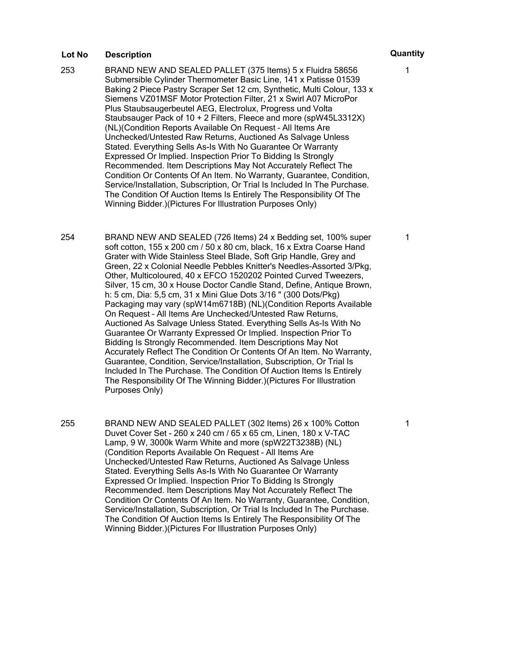- 253 BRAND NEW AND SEALED PALLET (375 Items) 5 x Fluidra 58656 Submersible Cylinder Thermometer Basic Line, 141 x Patisse 01539 Baking 2 Piece Pastry Scraper Set 12 cm, Synthetic, Multi Colour, 133 x Siemens VZ01MSF Motor Protection Filter, 21 x Swirl A07 MicroPor Plus Staubsaugerbeutel AEG, Electrolux, Progress und Volta Staubsauger Pack of 10 + 2 Filters, Fleece and more (spW45L3312X) (NL)(Condition Reports Available On Request – All Items Are Unchecked/Untested Raw Returns, Auctioned As Salvage Unless Stated. Everything Sells As-Is With No Guarantee Or Warranty Expressed Or Implied. Inspection Prior To Bidding Is Strongly Recommended. Item Descriptions May Not Accurately Reflect The Condition Or Contents Of An Item. No Warranty, Guarantee, Condition, Service/Installation, Subscription, Or Trial Is Included In The Purchase. The Condition Of Auction Items Is Entirely The Responsibility Of The Winning Bidder.)(Pictures For Illustration Purposes Only)
- 254 BRAND NEW AND SEALED (726 Items) 24 x Bedding set, 100% super soft cotton, 155 x 200 cm / 50 x 80 cm, black, 16 x Extra Coarse Hand Grater with Wide Stainless Steel Blade, Soft Grip Handle, Grey and Green, 22 x Colonial Needle Pebbles Knitter's Needles-Assorted 3/Pkg, Other, Multicoloured, 40 x EFCO 1520202 Pointed Curved Tweezers, Silver, 15 cm, 30 x House Doctor Candle Stand, Define, Antique Brown, h: 5 cm, Dia: 5,5 cm, 31 x Mini Glue Dots 3/16 " (300 Dots/Pkg) Packaging may vary (spW14m6718B) (NL)(Condition Reports Available On Request – All Items Are Unchecked/Untested Raw Returns, Auctioned As Salvage Unless Stated. Everything Sells As-Is With No Guarantee Or Warranty Expressed Or Implied. Inspection Prior To Bidding Is Strongly Recommended. Item Descriptions May Not Accurately Reflect The Condition Or Contents Of An Item. No Warranty, Guarantee, Condition, Service/Installation, Subscription, Or Trial Is Included In The Purchase. The Condition Of Auction Items Is Entirely The Responsibility Of The Winning Bidder.)(Pictures For Illustration Purposes Only)
- 255 BRAND NEW AND SEALED PALLET (302 Items) 26 x 100% Cotton Duvet Cover Set - 260 x 240 cm / 65 x 65 cm, Linen, 180 x V-TAC Lamp, 9 W, 3000k Warm White and more (spW22T3238B) (NL) (Condition Reports Available On Request – All Items Are Unchecked/Untested Raw Returns, Auctioned As Salvage Unless Stated. Everything Sells As-Is With No Guarantee Or Warranty Expressed Or Implied. Inspection Prior To Bidding Is Strongly Recommended. Item Descriptions May Not Accurately Reflect The Condition Or Contents Of An Item. No Warranty, Guarantee, Condition, Service/Installation, Subscription, Or Trial Is Included In The Purchase. The Condition Of Auction Items Is Entirely The Responsibility Of The Winning Bidder.)(Pictures For Illustration Purposes Only)

1

1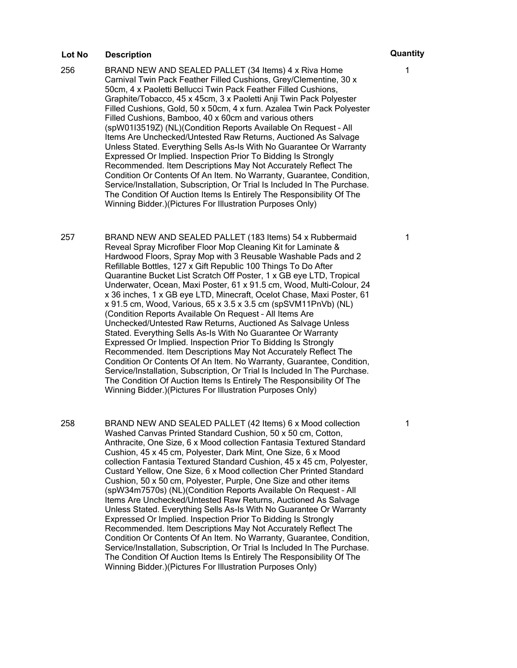- 256 BRAND NEW AND SEALED PALLET (34 Items) 4 x Riva Home Carnival Twin Pack Feather Filled Cushions, Grey/Clementine, 30 x 50cm, 4 x Paoletti Bellucci Twin Pack Feather Filled Cushions, Graphite/Tobacco, 45 x 45cm, 3 x Paoletti Anji Twin Pack Polyester Filled Cushions, Gold, 50 x 50cm, 4 x furn. Azalea Twin Pack Polyester Filled Cushions, Bamboo, 40 x 60cm and various others (spW01I3519Z) (NL)(Condition Reports Available On Request – All Items Are Unchecked/Untested Raw Returns, Auctioned As Salvage Unless Stated. Everything Sells As-Is With No Guarantee Or Warranty Expressed Or Implied. Inspection Prior To Bidding Is Strongly Recommended. Item Descriptions May Not Accurately Reflect The Condition Or Contents Of An Item. No Warranty, Guarantee, Condition, Service/Installation, Subscription, Or Trial Is Included In The Purchase. The Condition Of Auction Items Is Entirely The Responsibility Of The Winning Bidder.)(Pictures For Illustration Purposes Only)
- 257 BRAND NEW AND SEALED PALLET (183 Items) 54 x Rubbermaid Reveal Spray Microfiber Floor Mop Cleaning Kit for Laminate & Hardwood Floors, Spray Mop with 3 Reusable Washable Pads and 2 Refillable Bottles, 127 x Gift Republic 100 Things To Do After Quarantine Bucket List Scratch Off Poster, 1 x GB eye LTD, Tropical Underwater, Ocean, Maxi Poster, 61 x 91.5 cm, Wood, Multi-Colour, 24 x 36 inches, 1 x GB eye LTD, Minecraft, Ocelot Chase, Maxi Poster, 61 x 91.5 cm, Wood, Various, 65 x 3.5 x 3.5 cm (spSVM11PnVb) (NL) (Condition Reports Available On Request – All Items Are Unchecked/Untested Raw Returns, Auctioned As Salvage Unless Stated. Everything Sells As-Is With No Guarantee Or Warranty Expressed Or Implied. Inspection Prior To Bidding Is Strongly Recommended. Item Descriptions May Not Accurately Reflect The Condition Or Contents Of An Item. No Warranty, Guarantee, Condition, Service/Installation, Subscription, Or Trial Is Included In The Purchase. The Condition Of Auction Items Is Entirely The Responsibility Of The Winning Bidder.)(Pictures For Illustration Purposes Only)
- 258 BRAND NEW AND SEALED PALLET (42 Items) 6 x Mood collection Washed Canvas Printed Standard Cushion, 50 x 50 cm, Cotton, Anthracite, One Size, 6 x Mood collection Fantasia Textured Standard Cushion, 45 x 45 cm, Polyester, Dark Mint, One Size, 6 x Mood collection Fantasia Textured Standard Cushion, 45 x 45 cm, Polyester, Custard Yellow, One Size, 6 x Mood collection Cher Printed Standard Cushion, 50 x 50 cm, Polyester, Purple, One Size and other items (spW34m7570s) (NL)(Condition Reports Available On Request – All Items Are Unchecked/Untested Raw Returns, Auctioned As Salvage Unless Stated. Everything Sells As-Is With No Guarantee Or Warranty Expressed Or Implied. Inspection Prior To Bidding Is Strongly Recommended. Item Descriptions May Not Accurately Reflect The Condition Or Contents Of An Item. No Warranty, Guarantee, Condition, Service/Installation, Subscription, Or Trial Is Included In The Purchase. The Condition Of Auction Items Is Entirely The Responsibility Of The Winning Bidder.)(Pictures For Illustration Purposes Only)

1

1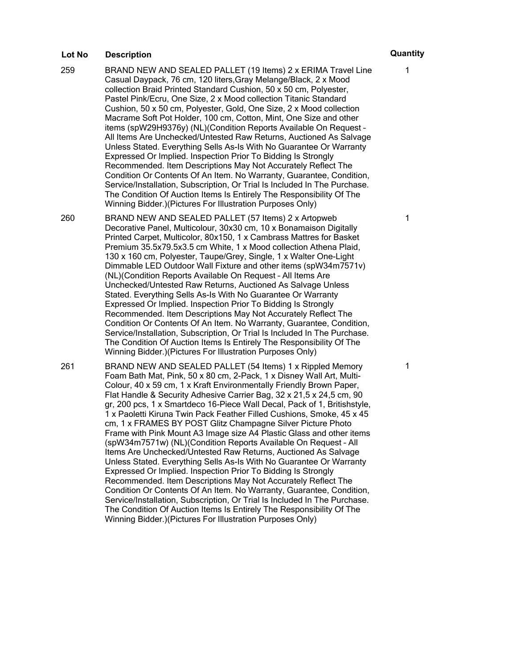- 259 BRAND NEW AND SEALED PALLET (19 Items) 2 x ERIMA Travel Line Casual Daypack, 76 cm, 120 liters,Gray Melange/Black, 2 x Mood collection Braid Printed Standard Cushion, 50 x 50 cm, Polyester, Pastel Pink/Ecru, One Size, 2 x Mood collection Titanic Standard Cushion, 50 x 50 cm, Polyester, Gold, One Size, 2 x Mood collection Macrame Soft Pot Holder, 100 cm, Cotton, Mint, One Size and other items (spW29H9376y) (NL)(Condition Reports Available On Request – All Items Are Unchecked/Untested Raw Returns, Auctioned As Salvage Unless Stated. Everything Sells As-Is With No Guarantee Or Warranty Expressed Or Implied. Inspection Prior To Bidding Is Strongly Recommended. Item Descriptions May Not Accurately Reflect The Condition Or Contents Of An Item. No Warranty, Guarantee, Condition, Service/Installation, Subscription, Or Trial Is Included In The Purchase. The Condition Of Auction Items Is Entirely The Responsibility Of The Winning Bidder.)(Pictures For Illustration Purposes Only)
- 260 BRAND NEW AND SEALED PALLET (57 Items) 2 x Artopweb Decorative Panel, Multicolour, 30x30 cm, 10 x Bonamaison Digitally Printed Carpet, Multicolor, 80x150, 1 x Cambrass Mattres for Basket Premium 35.5x79.5x3.5 cm White, 1 x Mood collection Athena Plaid, 130 x 160 cm, Polyester, Taupe/Grey, Single, 1 x Walter One-Light Dimmable LED Outdoor Wall Fixture and other items (spW34m7571v) (NL)(Condition Reports Available On Request – All Items Are Unchecked/Untested Raw Returns, Auctioned As Salvage Unless Stated. Everything Sells As-Is With No Guarantee Or Warranty Expressed Or Implied. Inspection Prior To Bidding Is Strongly Recommended. Item Descriptions May Not Accurately Reflect The Condition Or Contents Of An Item. No Warranty, Guarantee, Condition, Service/Installation, Subscription, Or Trial Is Included In The Purchase. The Condition Of Auction Items Is Entirely The Responsibility Of The Winning Bidder.)(Pictures For Illustration Purposes Only)

261 BRAND NEW AND SEALED PALLET (54 Items) 1 x Rippled Memory Foam Bath Mat, Pink, 50 x 80 cm, 2-Pack, 1 x Disney Wall Art, Multi-Colour, 40 x 59 cm, 1 x Kraft Environmentally Friendly Brown Paper, Flat Handle & Security Adhesive Carrier Bag, 32 x 21,5 x 24,5 cm, 90 gr, 200 pcs, 1 x Smartdeco 16-Piece Wall Decal, Pack of 1, Britishstyle, 1 x Paoletti Kiruna Twin Pack Feather Filled Cushions, Smoke, 45 x 45 cm, 1 x FRAMES BY POST Glitz Champagne Silver Picture Photo Frame with Pink Mount A3 Image size A4 Plastic Glass and other items (spW34m7571w) (NL)(Condition Reports Available On Request – All Items Are Unchecked/Untested Raw Returns, Auctioned As Salvage Unless Stated. Everything Sells As-Is With No Guarantee Or Warranty Expressed Or Implied. Inspection Prior To Bidding Is Strongly Recommended. Item Descriptions May Not Accurately Reflect The Condition Or Contents Of An Item. No Warranty, Guarantee, Condition, Service/Installation, Subscription, Or Trial Is Included In The Purchase. The Condition Of Auction Items Is Entirely The Responsibility Of The Winning Bidder.)(Pictures For Illustration Purposes Only)

1

1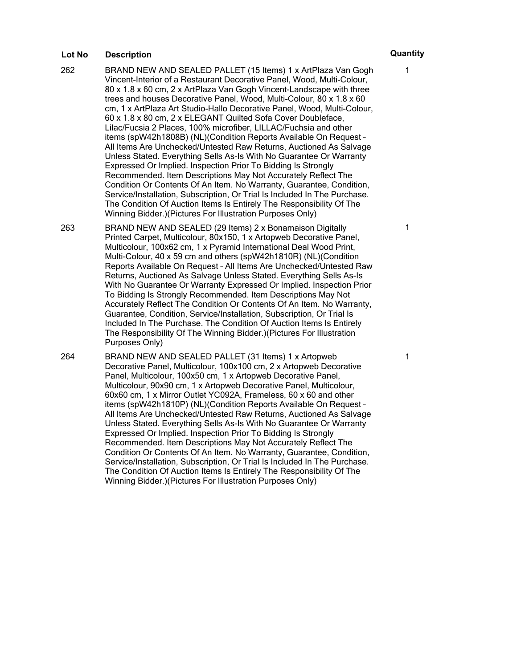- 262 BRAND NEW AND SEALED PALLET (15 Items) 1 x ArtPlaza Van Gogh Vincent-Interior of a Restaurant Decorative Panel, Wood, Multi-Colour, 80 x 1.8 x 60 cm, 2 x ArtPlaza Van Gogh Vincent-Landscape with three trees and houses Decorative Panel, Wood, Multi-Colour, 80 x 1.8 x 60 cm, 1 x ArtPlaza Art Studio-Hallo Decorative Panel, Wood, Multi-Colour, 60 x 1.8 x 80 cm, 2 x ELEGANT Quilted Sofa Cover Doubleface, Lilac/Fucsia 2 Places, 100% microfiber, LILLAC/Fuchsia and other items (spW42h1808B) (NL)(Condition Reports Available On Request – All Items Are Unchecked/Untested Raw Returns, Auctioned As Salvage Unless Stated. Everything Sells As-Is With No Guarantee Or Warranty Expressed Or Implied. Inspection Prior To Bidding Is Strongly Recommended. Item Descriptions May Not Accurately Reflect The Condition Or Contents Of An Item. No Warranty, Guarantee, Condition, Service/Installation, Subscription, Or Trial Is Included In The Purchase. The Condition Of Auction Items Is Entirely The Responsibility Of The Winning Bidder.)(Pictures For Illustration Purposes Only)
- 263 BRAND NEW AND SEALED (29 Items) 2 x Bonamaison Digitally Printed Carpet, Multicolour, 80x150, 1 x Artopweb Decorative Panel, Multicolour, 100x62 cm, 1 x Pyramid International Deal Wood Print, Multi-Colour, 40 x 59 cm and others (spW42h1810R) (NL)(Condition Reports Available On Request – All Items Are Unchecked/Untested Raw Returns, Auctioned As Salvage Unless Stated. Everything Sells As-Is With No Guarantee Or Warranty Expressed Or Implied. Inspection Prior To Bidding Is Strongly Recommended. Item Descriptions May Not Accurately Reflect The Condition Or Contents Of An Item. No Warranty, Guarantee, Condition, Service/Installation, Subscription, Or Trial Is Included In The Purchase. The Condition Of Auction Items Is Entirely The Responsibility Of The Winning Bidder.)(Pictures For Illustration Purposes Only)
- 264 BRAND NEW AND SEALED PALLET (31 Items) 1 x Artopweb Decorative Panel, Multicolour, 100x100 cm, 2 x Artopweb Decorative Panel, Multicolour, 100x50 cm, 1 x Artopweb Decorative Panel, Multicolour, 90x90 cm, 1 x Artopweb Decorative Panel, Multicolour, 60x60 cm, 1 x Mirror Outlet YC092A, Frameless, 60 x 60 and other items (spW42h1810P) (NL)(Condition Reports Available On Request – All Items Are Unchecked/Untested Raw Returns, Auctioned As Salvage Unless Stated. Everything Sells As-Is With No Guarantee Or Warranty Expressed Or Implied. Inspection Prior To Bidding Is Strongly Recommended. Item Descriptions May Not Accurately Reflect The Condition Or Contents Of An Item. No Warranty, Guarantee, Condition, Service/Installation, Subscription, Or Trial Is Included In The Purchase. The Condition Of Auction Items Is Entirely The Responsibility Of The Winning Bidder.)(Pictures For Illustration Purposes Only)

## 1

1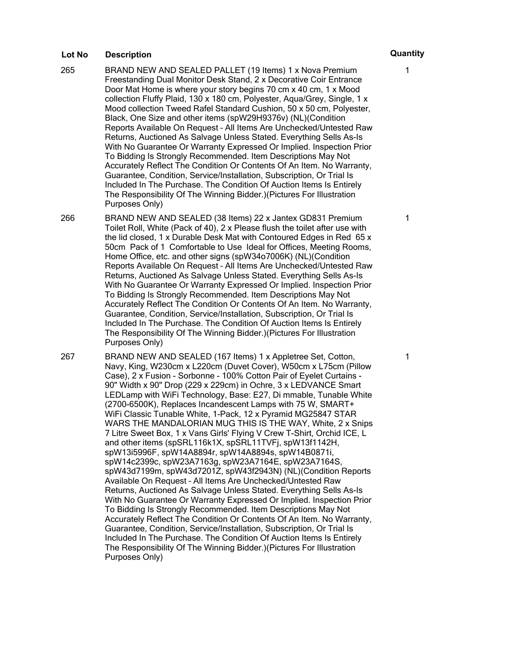- 265 BRAND NEW AND SEALED PALLET (19 Items) 1 x Nova Premium Freestanding Dual Monitor Desk Stand, 2 x Decorative Coir Entrance Door Mat Home is where your story begins 70 cm x 40 cm, 1 x Mood collection Fluffy Plaid, 130 x 180 cm, Polyester, Aqua/Grey, Single, 1 x Mood collection Tweed Rafel Standard Cushion, 50 x 50 cm, Polyester, Black, One Size and other items (spW29H9376v) (NL)(Condition Reports Available On Request – All Items Are Unchecked/Untested Raw Returns, Auctioned As Salvage Unless Stated. Everything Sells As-Is With No Guarantee Or Warranty Expressed Or Implied. Inspection Prior To Bidding Is Strongly Recommended. Item Descriptions May Not Accurately Reflect The Condition Or Contents Of An Item. No Warranty, Guarantee, Condition, Service/Installation, Subscription, Or Trial Is Included In The Purchase. The Condition Of Auction Items Is Entirely The Responsibility Of The Winning Bidder.)(Pictures For Illustration Purposes Only)
- 266 BRAND NEW AND SEALED (38 Items) 22 x Jantex GD831 Premium Toilet Roll, White (Pack of 40), 2 x Please flush the toilet after use with the lid closed, 1 x Durable Desk Mat with Contoured Edges in Red 65 x 50cm Pack of 1 Comfortable to Use Ideal for Offices, Meeting Rooms, Home Office, etc. and other signs (spW34o7006K) (NL)(Condition Reports Available On Request – All Items Are Unchecked/Untested Raw Returns, Auctioned As Salvage Unless Stated. Everything Sells As-Is With No Guarantee Or Warranty Expressed Or Implied. Inspection Prior To Bidding Is Strongly Recommended. Item Descriptions May Not Accurately Reflect The Condition Or Contents Of An Item. No Warranty, Guarantee, Condition, Service/Installation, Subscription, Or Trial Is Included In The Purchase. The Condition Of Auction Items Is Entirely The Responsibility Of The Winning Bidder.)(Pictures For Illustration Purposes Only)
- 267 BRAND NEW AND SEALED (167 Items) 1 x Appletree Set, Cotton, Navy, King, W230cm x L220cm (Duvet Cover), W50cm x L75cm (Pillow Case), 2 x Fusion - Sorbonne - 100% Cotton Pair of Eyelet Curtains - 90" Width x 90" Drop (229 x 229cm) in Ochre, 3 x LEDVANCE Smart LEDLamp with WiFi Technology, Base: E27, Di mmable, Tunable White (2700-6500K), Replaces Incandescent Lamps with 75 W, SMART+ WiFi Classic Tunable White, 1-Pack, 12 x Pyramid MG25847 STAR WARS THE MANDALORIAN MUG THIS IS THE WAY, White, 2 x Snips 7 Litre Sweet Box, 1 x Vans Girls' Flying V Crew T-Shirt, Orchid ICE, L and other items (spSRL116k1X, spSRL11TVFj, spW13f1142H, spW13i5996F, spW14A8894r, spW14A8894s, spW14B0871i, spW14c2399c, spW23A7163g, spW23A7164E, spW23A7164S, spW43d7199m, spW43d7201Z, spW43f2943N) (NL)(Condition Reports Available On Request – All Items Are Unchecked/Untested Raw Returns, Auctioned As Salvage Unless Stated. Everything Sells As-Is With No Guarantee Or Warranty Expressed Or Implied. Inspection Prior To Bidding Is Strongly Recommended. Item Descriptions May Not Accurately Reflect The Condition Or Contents Of An Item. No Warranty, Guarantee, Condition, Service/Installation, Subscription, Or Trial Is Included In The Purchase. The Condition Of Auction Items Is Entirely The Responsibility Of The Winning Bidder.)(Pictures For Illustration Purposes Only)

1

1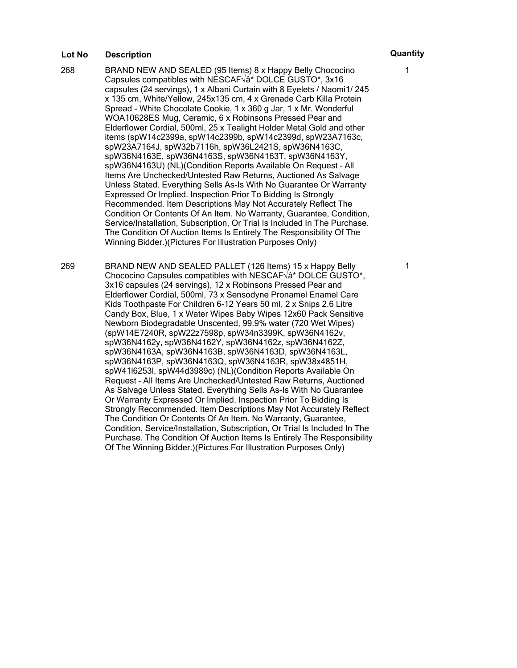- 268 BRAND NEW AND SEALED (95 Items) 8 x Happy Belly Chococino Capsules compatibles with NESCAF $\sqrt{a}^*$  DOLCE GUSTO\*, 3x16 capsules (24 servings), 1 x Albani Curtain with 8 Eyelets / Naomi1/ 245 x 135 cm, White/Yellow, 245x135 cm, 4 x Grenade Carb Killa Protein Spread - White Chocolate Cookie, 1 x 360 g Jar, 1 x Mr. Wonderful WOA10628ES Mug, Ceramic, 6 x Robinsons Pressed Pear and Elderflower Cordial, 500ml, 25 x Tealight Holder Metal Gold and other items (spW14c2399a, spW14c2399b, spW14c2399d, spW23A7163c, spW23A7164J, spW32b7116h, spW36L2421S, spW36N4163C, spW36N4163E, spW36N4163S, spW36N4163T, spW36N4163Y, spW36N4163U) (NL)(Condition Reports Available On Request – All Items Are Unchecked/Untested Raw Returns, Auctioned As Salvage Unless Stated. Everything Sells As-Is With No Guarantee Or Warranty Expressed Or Implied. Inspection Prior To Bidding Is Strongly Recommended. Item Descriptions May Not Accurately Reflect The Condition Or Contents Of An Item. No Warranty, Guarantee, Condition, Service/Installation, Subscription, Or Trial Is Included In The Purchase. The Condition Of Auction Items Is Entirely The Responsibility Of The Winning Bidder.)(Pictures For Illustration Purposes Only)
- 269 BRAND NEW AND SEALED PALLET (126 Items) 15 x Happy Belly Chococino Capsules compatibles with NESCAF $\sqrt{a}^*$  DOLCE GUSTO\*, 3x16 capsules (24 servings), 12 x Robinsons Pressed Pear and Elderflower Cordial, 500ml, 73 x Sensodyne Pronamel Enamel Care Kids Toothpaste For Children 6-12 Years 50 ml, 2 x Snips 2.6 Litre Candy Box, Blue, 1 x Water Wipes Baby Wipes 12x60 Pack Sensitive Newborn Biodegradable Unscented, 99.9% water (720 Wet Wipes) (spW14E7240R, spW22z7598p, spW34n3399K, spW36N4162v, spW36N4162y, spW36N4162Y, spW36N4162z, spW36N4162Z, spW36N4163A, spW36N4163B, spW36N4163D, spW36N4163L, spW36N4163P, spW36N4163Q, spW36N4163R, spW38x4851H, spW41l6253l, spW44d3989c) (NL)(Condition Reports Available On Request – All Items Are Unchecked/Untested Raw Returns, Auctioned As Salvage Unless Stated. Everything Sells As-Is With No Guarantee Or Warranty Expressed Or Implied. Inspection Prior To Bidding Is Strongly Recommended. Item Descriptions May Not Accurately Reflect The Condition Or Contents Of An Item. No Warranty, Guarantee, Condition, Service/Installation, Subscription, Or Trial Is Included In The Purchase. The Condition Of Auction Items Is Entirely The Responsibility Of The Winning Bidder.)(Pictures For Illustration Purposes Only)

1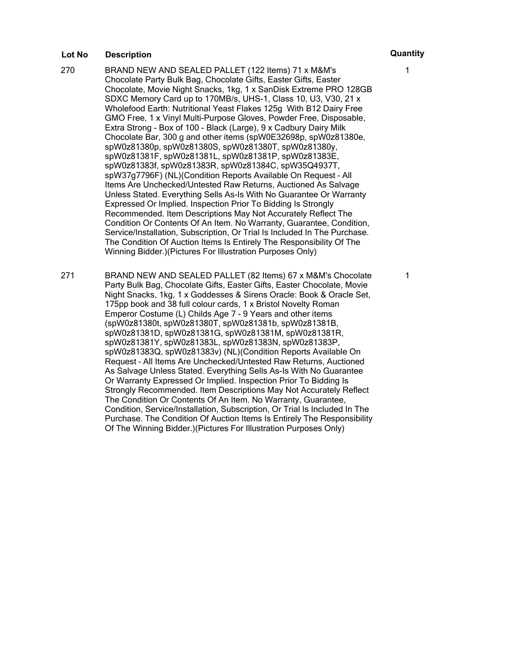- 270 BRAND NEW AND SEALED PALLET (122 Items) 71 x M&M's Chocolate Party Bulk Bag, Chocolate Gifts, Easter Gifts, Easter Chocolate, Movie Night Snacks, 1kg, 1 x SanDisk Extreme PRO 128GB SDXC Memory Card up to 170MB/s, UHS-1, Class 10, U3, V30, 21 x Wholefood Earth: Nutritional Yeast Flakes 125g With B12 Dairy Free GMO Free, 1 x Vinyl Multi-Purpose Gloves, Powder Free, Disposable, Extra Strong - Box of 100 - Black (Large), 9 x Cadbury Dairy Milk Chocolate Bar, 300 g and other items (spW0E32698p, spW0z81380e, spW0z81380p, spW0z81380S, spW0z81380T, spW0z81380y, spW0z81381F, spW0z81381L, spW0z81381P, spW0z81383E, spW0z81383f, spW0z81383R, spW0z81384C, spW35Q4937T, spW37g7796F) (NL)(Condition Reports Available On Request – All Items Are Unchecked/Untested Raw Returns, Auctioned As Salvage Unless Stated. Everything Sells As-Is With No Guarantee Or Warranty Expressed Or Implied. Inspection Prior To Bidding Is Strongly Recommended. Item Descriptions May Not Accurately Reflect The Condition Or Contents Of An Item. No Warranty, Guarantee, Condition, Service/Installation, Subscription, Or Trial Is Included In The Purchase. The Condition Of Auction Items Is Entirely The Responsibility Of The Winning Bidder.)(Pictures For Illustration Purposes Only)
- 271 BRAND NEW AND SEALED PALLET (82 Items) 67 x M&M's Chocolate Party Bulk Bag, Chocolate Gifts, Easter Gifts, Easter Chocolate, Movie Night Snacks, 1kg, 1 x Goddesses & Sirens Oracle: Book & Oracle Set, 175pp book and 38 full colour cards, 1 x Bristol Novelty Roman Emperor Costume (L) Childs Age 7 - 9 Years and other items (spW0z81380t, spW0z81380T, spW0z81381b, spW0z81381B, spW0z81381D, spW0z81381G, spW0z81381M, spW0z81381R, spW0z81381Y, spW0z81383L, spW0z81383N, spW0z81383P, spW0z81383Q, spW0z81383v) (NL)(Condition Reports Available On Request – All Items Are Unchecked/Untested Raw Returns, Auctioned As Salvage Unless Stated. Everything Sells As-Is With No Guarantee Or Warranty Expressed Or Implied. Inspection Prior To Bidding Is Strongly Recommended. Item Descriptions May Not Accurately Reflect The Condition Or Contents Of An Item. No Warranty, Guarantee, Condition, Service/Installation, Subscription, Or Trial Is Included In The Purchase. The Condition Of Auction Items Is Entirely The Responsibility Of The Winning Bidder.)(Pictures For Illustration Purposes Only)

1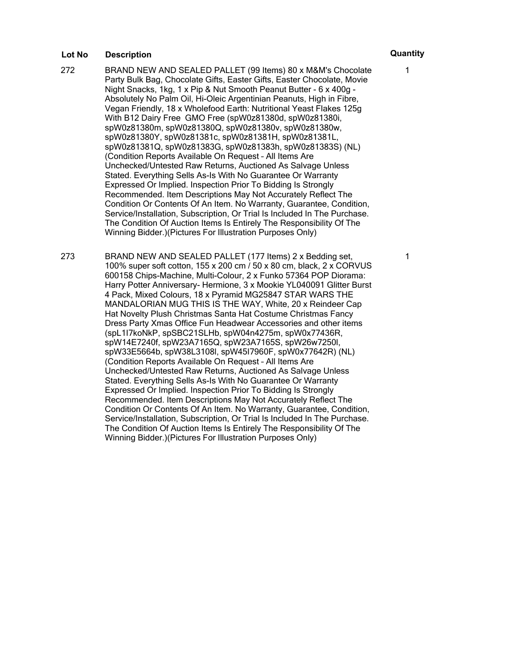272 BRAND NEW AND SEALED PALLET (99 Items) 80 x M&M's Chocolate Party Bulk Bag, Chocolate Gifts, Easter Gifts, Easter Chocolate, Movie Night Snacks, 1kg, 1 x Pip & Nut Smooth Peanut Butter - 6 x 400g - Absolutely No Palm Oil, Hi-Oleic Argentinian Peanuts, High in Fibre, Vegan Friendly, 18 x Wholefood Earth: Nutritional Yeast Flakes 125g With B12 Dairy Free GMO Free (spW0z81380d, spW0z81380i, spW0z81380m, spW0z81380Q, spW0z81380v, spW0z81380w, spW0z81380Y, spW0z81381c, spW0z81381H, spW0z81381L, spW0z81381Q, spW0z81383G, spW0z81383h, spW0z81383S) (NL) (Condition Reports Available On Request – All Items Are Unchecked/Untested Raw Returns, Auctioned As Salvage Unless Stated. Everything Sells As-Is With No Guarantee Or Warranty Expressed Or Implied. Inspection Prior To Bidding Is Strongly Recommended. Item Descriptions May Not Accurately Reflect The Condition Or Contents Of An Item. No Warranty, Guarantee, Condition, Service/Installation, Subscription, Or Trial Is Included In The Purchase. The Condition Of Auction Items Is Entirely The Responsibility Of The Winning Bidder.)(Pictures For Illustration Purposes Only)

273 BRAND NEW AND SEALED PALLET (177 Items) 2 x Bedding set, 100% super soft cotton, 155 x 200 cm / 50 x 80 cm, black, 2 x CORVUS 600158 Chips-Machine, Multi-Colour, 2 x Funko 57364 POP Diorama: Harry Potter Anniversary- Hermione, 3 x Mookie YL040091 Glitter Burst 4 Pack, Mixed Colours, 18 x Pyramid MG25847 STAR WARS THE MANDALORIAN MUG THIS IS THE WAY, White, 20 x Reindeer Cap Hat Novelty Plush Christmas Santa Hat Costume Christmas Fancy Dress Party Xmas Office Fun Headwear Accessories and other items (spL1I7koNkP, spSBC21SLHb, spW04n4275m, spW0x77436R, spW14E7240f, spW23A7165Q, spW23A7165S, spW26w7250l, spW33E5664b, spW38L3108l, spW45I7960F, spW0x77642R) (NL) (Condition Reports Available On Request – All Items Are Unchecked/Untested Raw Returns, Auctioned As Salvage Unless Stated. Everything Sells As-Is With No Guarantee Or Warranty Expressed Or Implied. Inspection Prior To Bidding Is Strongly Recommended. Item Descriptions May Not Accurately Reflect The Condition Or Contents Of An Item. No Warranty, Guarantee, Condition, Service/Installation, Subscription, Or Trial Is Included In The Purchase. The Condition Of Auction Items Is Entirely The Responsibility Of The Winning Bidder.)(Pictures For Illustration Purposes Only)

1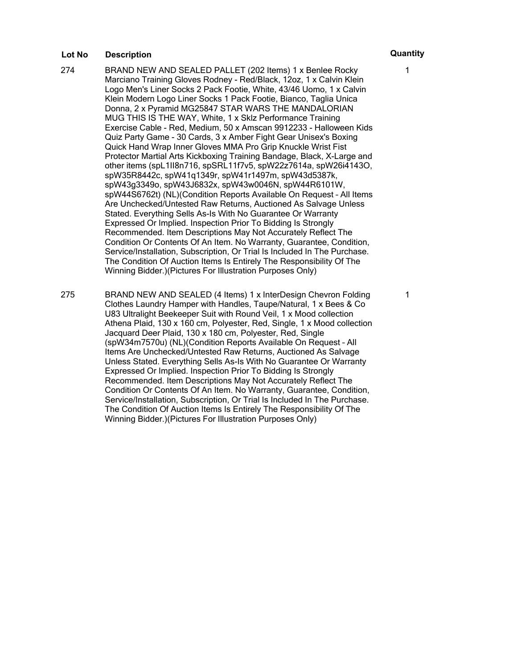- 274 BRAND NEW AND SEALED PALLET (202 Items) 1 x Benlee Rocky Marciano Training Gloves Rodney - Red/Black, 12oz, 1 x Calvin Klein Logo Men's Liner Socks 2 Pack Footie, White, 43/46 Uomo, 1 x Calvin Klein Modern Logo Liner Socks 1 Pack Footie, Bianco, Taglia Unica Donna, 2 x Pyramid MG25847 STAR WARS THE MANDALORIAN MUG THIS IS THE WAY, White, 1 x Sklz Performance Training Exercise Cable - Red, Medium, 50 x Amscan 9912233 - Halloween Kids Quiz Party Game - 30 Cards, 3 x Amber Fight Gear Unisex's Boxing Quick Hand Wrap Inner Gloves MMA Pro Grip Knuckle Wrist Fist Protector Martial Arts Kickboxing Training Bandage, Black, X-Large and other items (spL1II8n716, spSRL11f7v5, spW22z7614a, spW26i4143O, spW35R8442c, spW41q1349r, spW41r1497m, spW43d5387k, spW43g3349o, spW43J6832x, spW43w0046N, spW44R6101W, spW44S6762t) (NL)(Condition Reports Available On Request – All Items Are Unchecked/Untested Raw Returns, Auctioned As Salvage Unless Stated. Everything Sells As-Is With No Guarantee Or Warranty Expressed Or Implied. Inspection Prior To Bidding Is Strongly Recommended. Item Descriptions May Not Accurately Reflect The Condition Or Contents Of An Item. No Warranty, Guarantee, Condition, Service/Installation, Subscription, Or Trial Is Included In The Purchase. The Condition Of Auction Items Is Entirely The Responsibility Of The Winning Bidder.)(Pictures For Illustration Purposes Only)
- 275 BRAND NEW AND SEALED (4 Items) 1 x InterDesign Chevron Folding Clothes Laundry Hamper with Handles, Taupe/Natural, 1 x Bees & Co U83 Ultralight Beekeeper Suit with Round Veil, 1 x Mood collection Athena Plaid, 130 x 160 cm, Polyester, Red, Single, 1 x Mood collection Jacquard Deer Plaid, 130 x 180 cm, Polyester, Red, Single (spW34m7570u) (NL)(Condition Reports Available On Request – All Items Are Unchecked/Untested Raw Returns, Auctioned As Salvage Unless Stated. Everything Sells As-Is With No Guarantee Or Warranty Expressed Or Implied. Inspection Prior To Bidding Is Strongly Recommended. Item Descriptions May Not Accurately Reflect The Condition Or Contents Of An Item. No Warranty, Guarantee, Condition, Service/Installation, Subscription, Or Trial Is Included In The Purchase. The Condition Of Auction Items Is Entirely The Responsibility Of The Winning Bidder.)(Pictures For Illustration Purposes Only)

1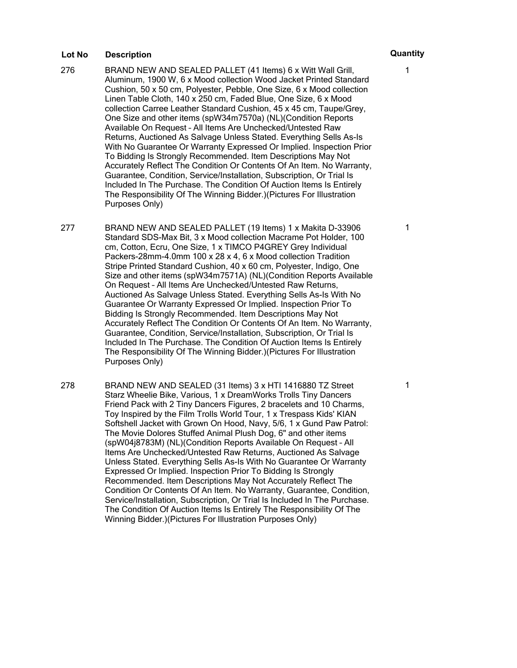- 276 BRAND NEW AND SEALED PALLET (41 Items) 6 x Witt Wall Grill, Aluminum, 1900 W, 6 x Mood collection Wood Jacket Printed Standard Cushion, 50 x 50 cm, Polyester, Pebble, One Size, 6 x Mood collection Linen Table Cloth, 140 x 250 cm, Faded Blue, One Size, 6 x Mood collection Carree Leather Standard Cushion, 45 x 45 cm, Taupe/Grey, One Size and other items (spW34m7570a) (NL)(Condition Reports Available On Request – All Items Are Unchecked/Untested Raw Returns, Auctioned As Salvage Unless Stated. Everything Sells As-Is With No Guarantee Or Warranty Expressed Or Implied. Inspection Prior To Bidding Is Strongly Recommended. Item Descriptions May Not Accurately Reflect The Condition Or Contents Of An Item. No Warranty, Guarantee, Condition, Service/Installation, Subscription, Or Trial Is Included In The Purchase. The Condition Of Auction Items Is Entirely The Responsibility Of The Winning Bidder.)(Pictures For Illustration Purposes Only)
- 277 BRAND NEW AND SEALED PALLET (19 Items) 1 x Makita D-33906 Standard SDS-Max Bit, 3 x Mood collection Macrame Pot Holder, 100 cm, Cotton, Ecru, One Size, 1 x TIMCO P4GREY Grey Individual Packers-28mm-4.0mm 100 x 28 x 4, 6 x Mood collection Tradition Stripe Printed Standard Cushion, 40 x 60 cm, Polyester, Indigo, One Size and other items (spW34m7571A) (NL)(Condition Reports Available On Request – All Items Are Unchecked/Untested Raw Returns, Auctioned As Salvage Unless Stated. Everything Sells As-Is With No Guarantee Or Warranty Expressed Or Implied. Inspection Prior To Bidding Is Strongly Recommended. Item Descriptions May Not Accurately Reflect The Condition Or Contents Of An Item. No Warranty, Guarantee, Condition, Service/Installation, Subscription, Or Trial Is Included In The Purchase. The Condition Of Auction Items Is Entirely The Responsibility Of The Winning Bidder.)(Pictures For Illustration Purposes Only)
- 278 BRAND NEW AND SEALED (31 Items) 3 x HTI 1416880 TZ Street Starz Wheelie Bike, Various, 1 x DreamWorks Trolls Tiny Dancers Friend Pack with 2 Tiny Dancers Figures, 2 bracelets and 10 Charms, Toy Inspired by the Film Trolls World Tour, 1 x Trespass Kids' KIAN Softshell Jacket with Grown On Hood, Navy, 5/6, 1 x Gund Paw Patrol: The Movie Dolores Stuffed Animal Plush Dog, 6" and other items (spW04j8783M) (NL)(Condition Reports Available On Request – All Items Are Unchecked/Untested Raw Returns, Auctioned As Salvage Unless Stated. Everything Sells As-Is With No Guarantee Or Warranty Expressed Or Implied. Inspection Prior To Bidding Is Strongly Recommended. Item Descriptions May Not Accurately Reflect The Condition Or Contents Of An Item. No Warranty, Guarantee, Condition, Service/Installation, Subscription, Or Trial Is Included In The Purchase. The Condition Of Auction Items Is Entirely The Responsibility Of The Winning Bidder.)(Pictures For Illustration Purposes Only)

1

1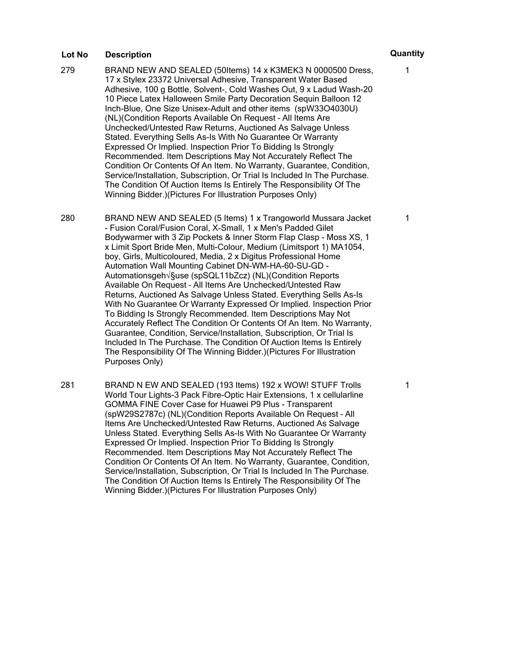- 279 BRAND NEW AND SEALED (50Items) 14 x K3MEK3 N 0000500 Dress, 17 x Stylex 23372 Universal Adhesive, Transparent Water Based Adhesive, 100 g Bottle, Solvent-, Cold Washes Out, 9 x Ladud Wash-20 10 Piece Latex Halloween Smile Party Decoration Sequin Balloon 12 Inch-Blue, One Size Unisex-Adult and other items (spW33O4030U) (NL)(Condition Reports Available On Request – All Items Are Unchecked/Untested Raw Returns, Auctioned As Salvage Unless Stated. Everything Sells As-Is With No Guarantee Or Warranty Expressed Or Implied. Inspection Prior To Bidding Is Strongly Recommended. Item Descriptions May Not Accurately Reflect The Condition Or Contents Of An Item. No Warranty, Guarantee, Condition, Service/Installation, Subscription, Or Trial Is Included In The Purchase. The Condition Of Auction Items Is Entirely The Responsibility Of The Winning Bidder.)(Pictures For Illustration Purposes Only)
- 280 BRAND NEW AND SEALED (5 Items) 1 x Trangoworld Mussara Jacket - Fusion Coral/Fusion Coral, X-Small, 1 x Men's Padded Gilet Bodywarmer with 3 Zip Pockets & Inner Storm Flap Clasp - Moss XS, 1 x Limit Sport Bride Men, Multi-Colour, Medium (Limitsport 1) MA1054, boy, Girls, Multicoloured, Media, 2 x Digitus Professional Home Automation Wall Mounting Cabinet DN-WM-HA-60-SU-GD - Automationsgeh√§use (spSQL11bZcz) (NL)(Condition Reports Available On Request – All Items Are Unchecked/Untested Raw Returns, Auctioned As Salvage Unless Stated. Everything Sells As-Is With No Guarantee Or Warranty Expressed Or Implied. Inspection Prior To Bidding Is Strongly Recommended. Item Descriptions May Not Accurately Reflect The Condition Or Contents Of An Item. No Warranty, Guarantee, Condition, Service/Installation, Subscription, Or Trial Is Included In The Purchase. The Condition Of Auction Items Is Entirely The Responsibility Of The Winning Bidder.)(Pictures For Illustration Purposes Only)
- 281 BRAND N EW AND SEALED (193 Items) 192 x WOW! STUFF Trolls World Tour Lights-3 Pack Fibre-Optic Hair Extensions, 1 x cellularline GOMMA FINE Cover Case for Huawei P9 Plus - Transparent (spW29S2787c) (NL)(Condition Reports Available On Request – All Items Are Unchecked/Untested Raw Returns, Auctioned As Salvage Unless Stated. Everything Sells As-Is With No Guarantee Or Warranty Expressed Or Implied. Inspection Prior To Bidding Is Strongly Recommended. Item Descriptions May Not Accurately Reflect The Condition Or Contents Of An Item. No Warranty, Guarantee, Condition, Service/Installation, Subscription, Or Trial Is Included In The Purchase. The Condition Of Auction Items Is Entirely The Responsibility Of The Winning Bidder.)(Pictures For Illustration Purposes Only)

# 1

1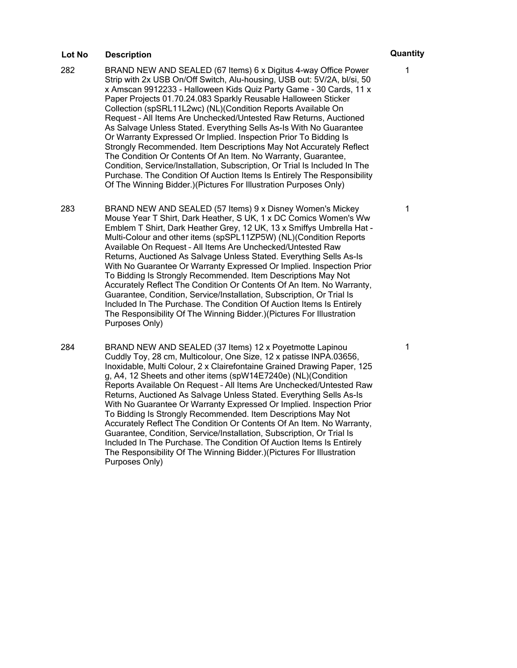- 282 BRAND NEW AND SEALED (67 Items) 6 x Digitus 4-way Office Power Strip with 2x USB On/Off Switch, Alu-housing, USB out: 5V/2A, bl/si, 50 x Amscan 9912233 - Halloween Kids Quiz Party Game - 30 Cards, 11 x Paper Projects 01.70.24.083 Sparkly Reusable Halloween Sticker Collection (spSRL11L2wc) (NL)(Condition Reports Available On Request – All Items Are Unchecked/Untested Raw Returns, Auctioned As Salvage Unless Stated. Everything Sells As-Is With No Guarantee Or Warranty Expressed Or Implied. Inspection Prior To Bidding Is Strongly Recommended. Item Descriptions May Not Accurately Reflect The Condition Or Contents Of An Item. No Warranty, Guarantee, Condition, Service/Installation, Subscription, Or Trial Is Included In The Purchase. The Condition Of Auction Items Is Entirely The Responsibility Of The Winning Bidder.)(Pictures For Illustration Purposes Only)
- 283 BRAND NEW AND SEALED (57 Items) 9 x Disney Women's Mickey Mouse Year T Shirt, Dark Heather, S UK, 1 x DC Comics Women's Ww Emblem T Shirt, Dark Heather Grey, 12 UK, 13 x Smiffys Umbrella Hat - Multi-Colour and other items (spSPL11ZP5W) (NL)(Condition Reports Available On Request – All Items Are Unchecked/Untested Raw Returns, Auctioned As Salvage Unless Stated. Everything Sells As-Is With No Guarantee Or Warranty Expressed Or Implied. Inspection Prior To Bidding Is Strongly Recommended. Item Descriptions May Not Accurately Reflect The Condition Or Contents Of An Item. No Warranty, Guarantee, Condition, Service/Installation, Subscription, Or Trial Is Included In The Purchase. The Condition Of Auction Items Is Entirely The Responsibility Of The Winning Bidder.)(Pictures For Illustration Purposes Only)
- 284 BRAND NEW AND SEALED (37 Items) 12 x Poyetmotte Lapinou Cuddly Toy, 28 cm, Multicolour, One Size, 12 x patisse INPA.03656, Inoxidable, Multi Colour, 2 x Clairefontaine Grained Drawing Paper, 125 g, A4, 12 Sheets and other items (spW14E7240e) (NL)(Condition Reports Available On Request – All Items Are Unchecked/Untested Raw Returns, Auctioned As Salvage Unless Stated. Everything Sells As-Is With No Guarantee Or Warranty Expressed Or Implied. Inspection Prior To Bidding Is Strongly Recommended. Item Descriptions May Not Accurately Reflect The Condition Or Contents Of An Item. No Warranty, Guarantee, Condition, Service/Installation, Subscription, Or Trial Is Included In The Purchase. The Condition Of Auction Items Is Entirely The Responsibility Of The Winning Bidder.)(Pictures For Illustration Purposes Only)

# 1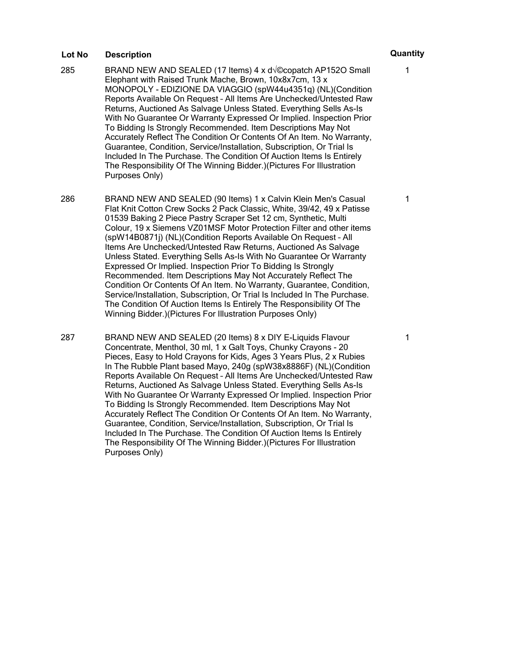- 285 BRAND NEW AND SEALED (17 Items)  $4 \times d\sqrt{\circ}$ copatch AP152O Small Elephant with Raised Trunk Mache, Brown, 10x8x7cm, 13 x MONOPOLY - EDIZIONE DA VIAGGIO (spW44u4351q) (NL)(Condition Reports Available On Request – All Items Are Unchecked/Untested Raw Returns, Auctioned As Salvage Unless Stated. Everything Sells As-Is With No Guarantee Or Warranty Expressed Or Implied. Inspection Prior To Bidding Is Strongly Recommended. Item Descriptions May Not Accurately Reflect The Condition Or Contents Of An Item. No Warranty, Guarantee, Condition, Service/Installation, Subscription, Or Trial Is Included In The Purchase. The Condition Of Auction Items Is Entirely The Responsibility Of The Winning Bidder.)(Pictures For Illustration Purposes Only)
- 286 BRAND NEW AND SEALED (90 Items) 1 x Calvin Klein Men's Casual Flat Knit Cotton Crew Socks 2 Pack Classic, White, 39/42, 49 x Patisse 01539 Baking 2 Piece Pastry Scraper Set 12 cm, Synthetic, Multi Colour, 19 x Siemens VZ01MSF Motor Protection Filter and other items (spW14B0871j) (NL)(Condition Reports Available On Request – All Items Are Unchecked/Untested Raw Returns, Auctioned As Salvage Unless Stated. Everything Sells As-Is With No Guarantee Or Warranty Expressed Or Implied. Inspection Prior To Bidding Is Strongly Recommended. Item Descriptions May Not Accurately Reflect The Condition Or Contents Of An Item. No Warranty, Guarantee, Condition, Service/Installation, Subscription, Or Trial Is Included In The Purchase. The Condition Of Auction Items Is Entirely The Responsibility Of The Winning Bidder.)(Pictures For Illustration Purposes Only)
- 287 BRAND NEW AND SEALED (20 Items) 8 x DIY E-Liquids Flavour Concentrate, Menthol, 30 ml, 1 x Galt Toys, Chunky Crayons - 20 Pieces, Easy to Hold Crayons for Kids, Ages 3 Years Plus, 2 x Rubies In The Rubble Plant based Mayo, 240g (spW38x8886F) (NL)(Condition Reports Available On Request – All Items Are Unchecked/Untested Raw Returns, Auctioned As Salvage Unless Stated. Everything Sells As-Is With No Guarantee Or Warranty Expressed Or Implied. Inspection Prior To Bidding Is Strongly Recommended. Item Descriptions May Not Accurately Reflect The Condition Or Contents Of An Item. No Warranty, Guarantee, Condition, Service/Installation, Subscription, Or Trial Is Included In The Purchase. The Condition Of Auction Items Is Entirely The Responsibility Of The Winning Bidder.)(Pictures For Illustration Purposes Only)

1

1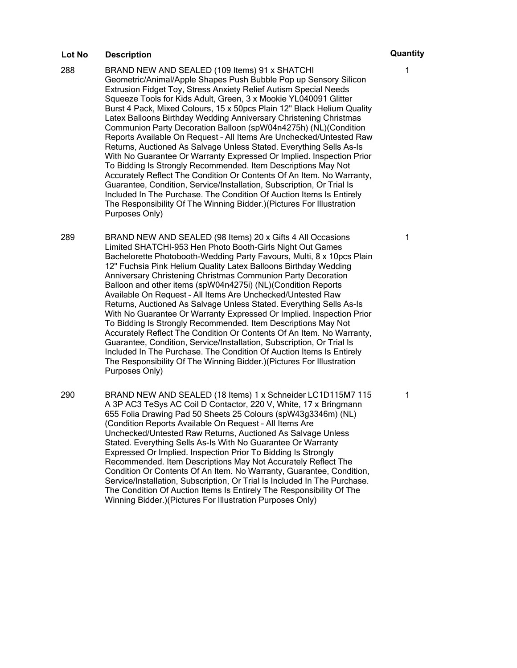- 288 BRAND NEW AND SEALED (109 Items) 91 x SHATCHI Geometric/Animal/Apple Shapes Push Bubble Pop up Sensory Silicon Extrusion Fidget Toy, Stress Anxiety Relief Autism Special Needs Squeeze Tools for Kids Adult, Green, 3 x Mookie YL040091 Glitter Burst 4 Pack, Mixed Colours, 15 x 50pcs Plain 12" Black Helium Quality Latex Balloons Birthday Wedding Anniversary Christening Christmas Communion Party Decoration Balloon (spW04n4275h) (NL)(Condition Reports Available On Request – All Items Are Unchecked/Untested Raw Returns, Auctioned As Salvage Unless Stated. Everything Sells As-Is With No Guarantee Or Warranty Expressed Or Implied. Inspection Prior To Bidding Is Strongly Recommended. Item Descriptions May Not Accurately Reflect The Condition Or Contents Of An Item. No Warranty, Guarantee, Condition, Service/Installation, Subscription, Or Trial Is Included In The Purchase. The Condition Of Auction Items Is Entirely The Responsibility Of The Winning Bidder.)(Pictures For Illustration Purposes Only)
- 289 BRAND NEW AND SEALED (98 Items) 20 x Gifts 4 All Occasions Limited SHATCHI-953 Hen Photo Booth-Girls Night Out Games Bachelorette Photobooth-Wedding Party Favours, Multi, 8 x 10pcs Plain 12" Fuchsia Pink Helium Quality Latex Balloons Birthday Wedding Anniversary Christening Christmas Communion Party Decoration Balloon and other items (spW04n4275i) (NL)(Condition Reports Available On Request – All Items Are Unchecked/Untested Raw Returns, Auctioned As Salvage Unless Stated. Everything Sells As-Is With No Guarantee Or Warranty Expressed Or Implied. Inspection Prior To Bidding Is Strongly Recommended. Item Descriptions May Not Accurately Reflect The Condition Or Contents Of An Item. No Warranty, Guarantee, Condition, Service/Installation, Subscription, Or Trial Is Included In The Purchase. The Condition Of Auction Items Is Entirely The Responsibility Of The Winning Bidder.)(Pictures For Illustration Purposes Only)
- 290 BRAND NEW AND SEALED (18 Items) 1 x Schneider LC1D115M7 115 A 3P AC3 TeSys AC Coil D Contactor, 220 V, White, 17 x Bringmann 655 Folia Drawing Pad 50 Sheets 25 Colours (spW43g3346m) (NL) (Condition Reports Available On Request – All Items Are Unchecked/Untested Raw Returns, Auctioned As Salvage Unless Stated. Everything Sells As-Is With No Guarantee Or Warranty Expressed Or Implied. Inspection Prior To Bidding Is Strongly Recommended. Item Descriptions May Not Accurately Reflect The Condition Or Contents Of An Item. No Warranty, Guarantee, Condition, Service/Installation, Subscription, Or Trial Is Included In The Purchase. The Condition Of Auction Items Is Entirely The Responsibility Of The Winning Bidder.)(Pictures For Illustration Purposes Only)

1

1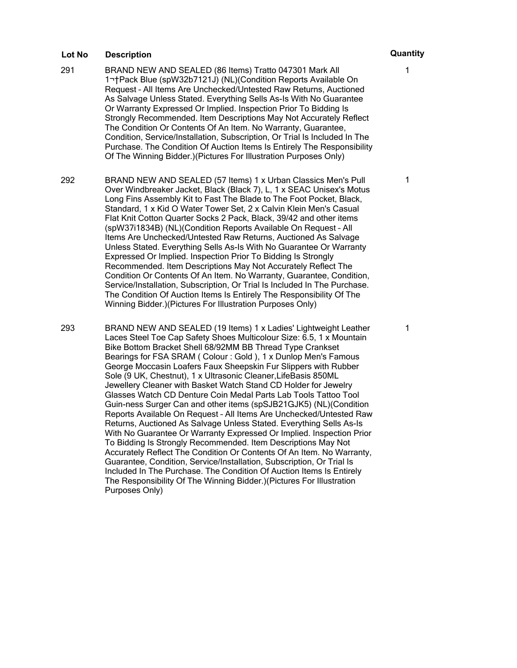- 291 BRAND NEW AND SEALED (86 Items) Tratto 047301 Mark All 1 Pack Blue (spW32b7121J) (NL)(Condition Reports Available On Request – All Items Are Unchecked/Untested Raw Returns, Auctioned As Salvage Unless Stated. Everything Sells As-Is With No Guarantee Or Warranty Expressed Or Implied. Inspection Prior To Bidding Is Strongly Recommended. Item Descriptions May Not Accurately Reflect The Condition Or Contents Of An Item. No Warranty, Guarantee, Condition, Service/Installation, Subscription, Or Trial Is Included In The Purchase. The Condition Of Auction Items Is Entirely The Responsibility Of The Winning Bidder.)(Pictures For Illustration Purposes Only)
- 292 BRAND NEW AND SEALED (57 Items) 1 x Urban Classics Men's Pull Over Windbreaker Jacket, Black (Black 7), L, 1 x SEAC Unisex's Motus Long Fins Assembly Kit to Fast The Blade to The Foot Pocket, Black, Standard, 1 x Kid O Water Tower Set, 2 x Calvin Klein Men's Casual Flat Knit Cotton Quarter Socks 2 Pack, Black, 39/42 and other items (spW37i1834B) (NL)(Condition Reports Available On Request – All Items Are Unchecked/Untested Raw Returns, Auctioned As Salvage Unless Stated. Everything Sells As-Is With No Guarantee Or Warranty Expressed Or Implied. Inspection Prior To Bidding Is Strongly Recommended. Item Descriptions May Not Accurately Reflect The Condition Or Contents Of An Item. No Warranty, Guarantee, Condition, Service/Installation, Subscription, Or Trial Is Included In The Purchase. The Condition Of Auction Items Is Entirely The Responsibility Of The Winning Bidder.)(Pictures For Illustration Purposes Only)
- 293 BRAND NEW AND SEALED (19 Items) 1 x Ladies' Lightweight Leather Laces Steel Toe Cap Safety Shoes Multicolour Size: 6.5, 1 x Mountain Bike Bottom Bracket Shell 68/92MM BB Thread Type Crankset Bearings for FSA SRAM ( Colour : Gold ), 1 x Dunlop Men's Famous George Moccasin Loafers Faux Sheepskin Fur Slippers with Rubber Sole (9 UK, Chestnut), 1 x Ultrasonic Cleaner,LifeBasis 850ML Jewellery Cleaner with Basket Watch Stand CD Holder for Jewelry Glasses Watch CD Denture Coin Medal Parts Lab Tools Tattoo Tool Guin-ness Surger Can and other items (spSJB21GJK5) (NL)(Condition Reports Available On Request – All Items Are Unchecked/Untested Raw Returns, Auctioned As Salvage Unless Stated. Everything Sells As-Is With No Guarantee Or Warranty Expressed Or Implied. Inspection Prior To Bidding Is Strongly Recommended. Item Descriptions May Not Accurately Reflect The Condition Or Contents Of An Item. No Warranty, Guarantee, Condition, Service/Installation, Subscription, Or Trial Is Included In The Purchase. The Condition Of Auction Items Is Entirely The Responsibility Of The Winning Bidder.)(Pictures For Illustration Purposes Only)

1

1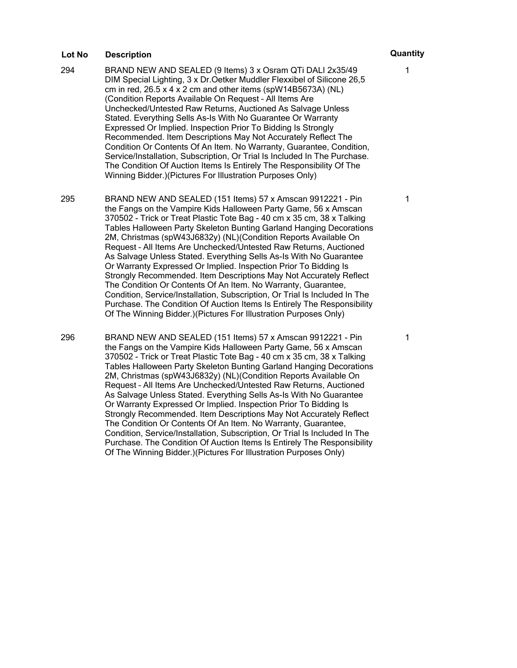- 294 BRAND NEW AND SEALED (9 Items) 3 x Osram QTi DALI 2x35/49 DIM Special Lighting, 3 x Dr.Oetker Muddler Flexxibel of Silicone 26,5 cm in red,  $26.5 \times 4 \times 2$  cm and other items (spW14B5673A) (NL) (Condition Reports Available On Request – All Items Are Unchecked/Untested Raw Returns, Auctioned As Salvage Unless Stated. Everything Sells As-Is With No Guarantee Or Warranty Expressed Or Implied. Inspection Prior To Bidding Is Strongly Recommended. Item Descriptions May Not Accurately Reflect The Condition Or Contents Of An Item. No Warranty, Guarantee, Condition, Service/Installation, Subscription, Or Trial Is Included In The Purchase. The Condition Of Auction Items Is Entirely The Responsibility Of The Winning Bidder.)(Pictures For Illustration Purposes Only)
- 295 BRAND NEW AND SEALED (151 Items) 57 x Amscan 9912221 Pin the Fangs on the Vampire Kids Halloween Party Game, 56 x Amscan 370502 - Trick or Treat Plastic Tote Bag - 40 cm x 35 cm, 38 x Talking Tables Halloween Party Skeleton Bunting Garland Hanging Decorations 2M, Christmas (spW43J6832y) (NL)(Condition Reports Available On Request – All Items Are Unchecked/Untested Raw Returns, Auctioned As Salvage Unless Stated. Everything Sells As-Is With No Guarantee Or Warranty Expressed Or Implied. Inspection Prior To Bidding Is Strongly Recommended. Item Descriptions May Not Accurately Reflect The Condition Or Contents Of An Item. No Warranty, Guarantee, Condition, Service/Installation, Subscription, Or Trial Is Included In The Purchase. The Condition Of Auction Items Is Entirely The Responsibility Of The Winning Bidder.)(Pictures For Illustration Purposes Only)
- 296 BRAND NEW AND SEALED (151 Items) 57 x Amscan 9912221 Pin the Fangs on the Vampire Kids Halloween Party Game, 56 x Amscan 370502 - Trick or Treat Plastic Tote Bag - 40 cm x 35 cm, 38 x Talking Tables Halloween Party Skeleton Bunting Garland Hanging Decorations 2M, Christmas (spW43J6832y) (NL)(Condition Reports Available On Request – All Items Are Unchecked/Untested Raw Returns, Auctioned As Salvage Unless Stated. Everything Sells As-Is With No Guarantee Or Warranty Expressed Or Implied. Inspection Prior To Bidding Is Strongly Recommended. Item Descriptions May Not Accurately Reflect The Condition Or Contents Of An Item. No Warranty, Guarantee, Condition, Service/Installation, Subscription, Or Trial Is Included In The Purchase. The Condition Of Auction Items Is Entirely The Responsibility Of The Winning Bidder.)(Pictures For Illustration Purposes Only)

1

1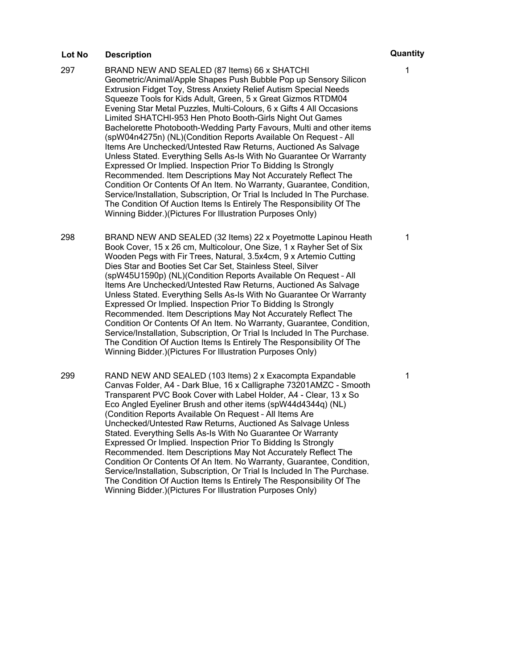- 297 BRAND NEW AND SEALED (87 Items) 66 x SHATCHI Geometric/Animal/Apple Shapes Push Bubble Pop up Sensory Silicon Extrusion Fidget Toy, Stress Anxiety Relief Autism Special Needs Squeeze Tools for Kids Adult, Green, 5 x Great Gizmos RTDM04 Evening Star Metal Puzzles, Multi-Colours, 6 x Gifts 4 All Occasions Limited SHATCHI-953 Hen Photo Booth-Girls Night Out Games Bachelorette Photobooth-Wedding Party Favours, Multi and other items (spW04n4275n) (NL)(Condition Reports Available On Request – All Items Are Unchecked/Untested Raw Returns, Auctioned As Salvage Unless Stated. Everything Sells As-Is With No Guarantee Or Warranty Expressed Or Implied. Inspection Prior To Bidding Is Strongly Recommended. Item Descriptions May Not Accurately Reflect The Condition Or Contents Of An Item. No Warranty, Guarantee, Condition, Service/Installation, Subscription, Or Trial Is Included In The Purchase. The Condition Of Auction Items Is Entirely The Responsibility Of The Winning Bidder.)(Pictures For Illustration Purposes Only)
- 298 BRAND NEW AND SEALED (32 Items) 22 x Poyetmotte Lapinou Heath Book Cover, 15 x 26 cm, Multicolour, One Size, 1 x Rayher Set of Six Wooden Pegs with Fir Trees, Natural, 3.5x4cm, 9 x Artemio Cutting Dies Star and Booties Set Car Set, Stainless Steel, Silver (spW45U1590p) (NL)(Condition Reports Available On Request – All Items Are Unchecked/Untested Raw Returns, Auctioned As Salvage Unless Stated. Everything Sells As-Is With No Guarantee Or Warranty Expressed Or Implied. Inspection Prior To Bidding Is Strongly Recommended. Item Descriptions May Not Accurately Reflect The Condition Or Contents Of An Item. No Warranty, Guarantee, Condition, Service/Installation, Subscription, Or Trial Is Included In The Purchase. The Condition Of Auction Items Is Entirely The Responsibility Of The Winning Bidder.)(Pictures For Illustration Purposes Only)
- 299 RAND NEW AND SEALED (103 Items) 2 x Exacompta Expandable Canvas Folder, A4 - Dark Blue, 16 x Calligraphe 73201AMZC - Smooth Transparent PVC Book Cover with Label Holder, A4 - Clear, 13 x So Eco Angled Eyeliner Brush and other items (spW44d4344q) (NL) (Condition Reports Available On Request – All Items Are Unchecked/Untested Raw Returns, Auctioned As Salvage Unless Stated. Everything Sells As-Is With No Guarantee Or Warranty Expressed Or Implied. Inspection Prior To Bidding Is Strongly Recommended. Item Descriptions May Not Accurately Reflect The Condition Or Contents Of An Item. No Warranty, Guarantee, Condition, Service/Installation, Subscription, Or Trial Is Included In The Purchase. The Condition Of Auction Items Is Entirely The Responsibility Of The Winning Bidder.)(Pictures For Illustration Purposes Only)

1

1